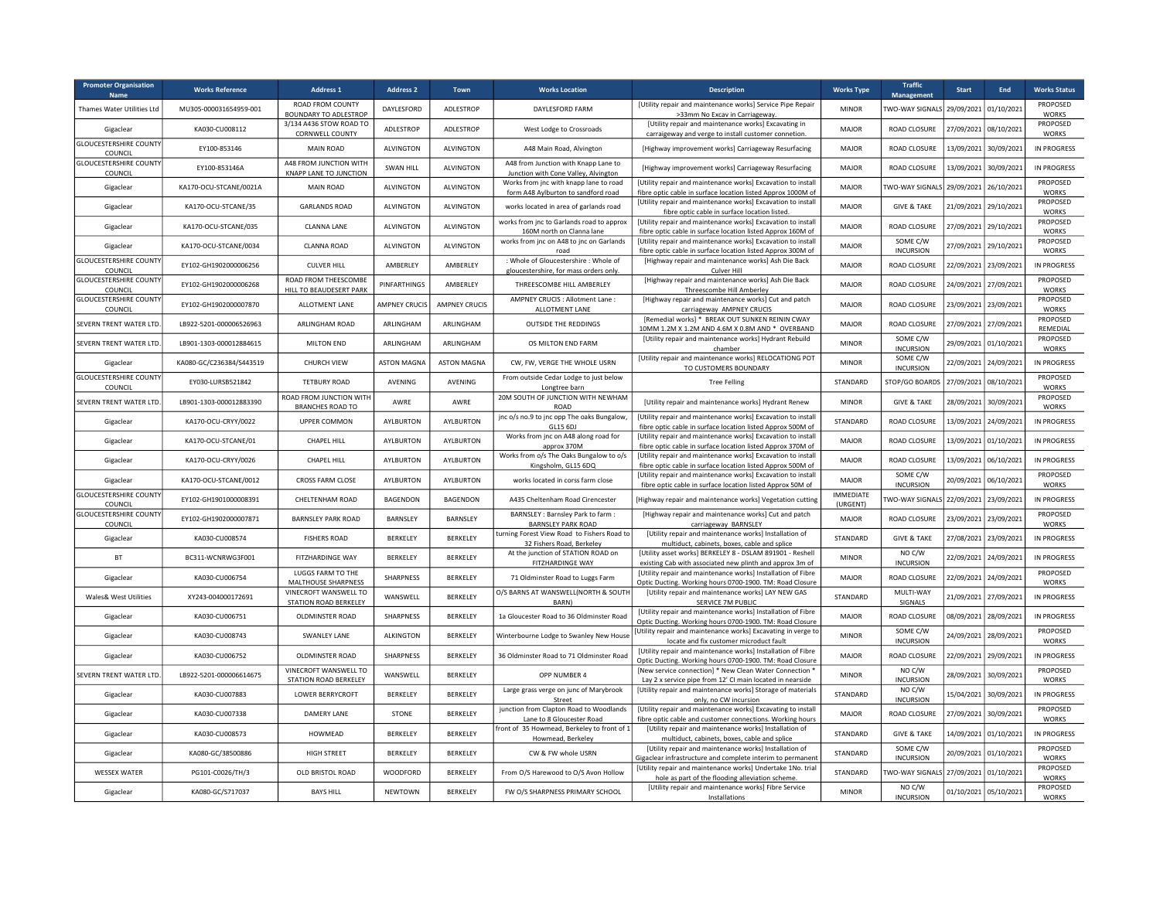| <b>Promoter Organisation</b><br>Name     | <b>Works Reference</b>   | Address 1                                          | <b>Address 2</b>     | Town                 | <b>Works Location</b>                                                           | <b>Description</b>                                                                                                           | <b>Works Type</b>            | <b>Traffic</b><br><b>Management</b>   | <b>Start</b>          | End                   | <b>Works Status</b>      |
|------------------------------------------|--------------------------|----------------------------------------------------|----------------------|----------------------|---------------------------------------------------------------------------------|------------------------------------------------------------------------------------------------------------------------------|------------------------------|---------------------------------------|-----------------------|-----------------------|--------------------------|
| Thames Water Utilities Ltd               | MU305-000031654959-001   | ROAD FROM COUNTY<br><b>BOUNDARY TO ADLESTROP</b>   | DAYLESFORD           | ADLESTROP            | DAYLESFORD FARM                                                                 | [Utility repair and maintenance works] Service Pipe Repair<br>>33mm No Excav in Carriageway.                                 | <b>MINOR</b>                 | TWO-WAY SIGNALS 29/09/2021 01/10/2021 |                       |                       | PROPOSED<br><b>WORKS</b> |
| Gigaclear                                | KA030-CU008112           | 3/134 A436 STOW ROAD TO<br>CORNWELL COUNTY         | ADLESTROP            | ADLESTROP            | West Lodge to Crossroads                                                        | [Utility repair and maintenance works] Excavating in<br>carraigeway and verge to install customer connetion.                 | <b>MAJOR</b>                 | ROAD CLOSURE                          | 27/09/2021 08/10/2021 |                       | PROPOSED<br><b>WORKS</b> |
| <b>GLOUCESTERSHIRE COUNTY</b><br>COUNCIL | EY100-853146             | MAIN ROAD                                          | ALVINGTON            | ALVINGTON            | A48 Main Road, Alvington                                                        | [Highway improvement works] Carriageway Resurfacing                                                                          | <b>MAJOR</b>                 | ROAD CLOSURE                          |                       | 13/09/2021 30/09/2021 | IN PROGRESS              |
| <b>GLOUCESTERSHIRE COUNTY</b><br>COUNCIL | EY100-853146A            | A48 FROM JUNCTION WITH<br>KNAPP LANE TO JUNCTION   | SWAN HILL            | ALVINGTON            | A48 from Junction with Knapp Lane to<br>Junction with Cone Valley, Alvington    | [Highway improvement works] Carriageway Resurfacing                                                                          | <b>MAJOR</b>                 | ROAD CLOSURE                          |                       | 13/09/2021 30/09/2021 | <b>IN PROGRESS</b>       |
| Gigaclear                                | KA170-OCU-STCANE/0021A   | <b>MAIN ROAD</b>                                   | ALVINGTON            | ALVINGTON            | Works from jnc with knapp lane to road<br>form A48 Aylburton to sandford road   | [Utility repair and maintenance works] Excavation to install<br>fibre optic cable in surface location listed Approx 1000M of | MAJOR                        | TWO-WAY SIGNALS                       | 29/09/2021 26/10/2021 |                       | PROPOSED<br><b>WORKS</b> |
| Gigaclear                                | KA170-OCU-STCANE/35      | <b>GARLANDS ROAD</b>                               | <b>ALVINGTON</b>     | <b>ALVINGTON</b>     | works located in area of garlands road                                          | [Utility repair and maintenance works] Excavation to install<br>fibre optic cable in surface location listed.                | <b>MAJOR</b>                 | <b>GIVE &amp; TAKE</b>                | 21/09/2021 29/10/2021 |                       | PROPOSED<br><b>WORKS</b> |
| Gigaclear                                | KA170-OCU-STCANE/035     | <b>CLANNA LANE</b>                                 | ALVINGTON            | ALVINGTON            | works from jnc to Garlands road to approx<br>160M north on Clanna lane          | [Utility repair and maintenance works] Excavation to install<br>fibre optic cable in surface location listed Approx 160M of  | MAJOR                        | ROAD CLOSURE                          |                       | 27/09/2021 29/10/2021 | PROPOSED<br><b>WORKS</b> |
| Gigaclear                                | KA170-OCU-STCANE/0034    | <b>CLANNA ROAD</b>                                 | ALVINGTON            | ALVINGTON            | works from jnc on A48 to jnc on Garlands<br>road                                | [Utility repair and maintenance works] Excavation to install<br>fibre optic cable in surface location listed Approx 300M of  | MAJOR                        | SOME C/W<br><b>INCURSION</b>          |                       | 27/09/2021 29/10/2021 | PROPOSED<br>WORKS        |
| <b>GLOUCESTERSHIRE COUNTY</b><br>COUNCIL | EY102-GH1902000006256    | <b>CULVER HILL</b>                                 | AMBERLEY             | AMBERLEY             | : Whole of Gloucestershire : Whole of<br>gloucestershire, for mass orders only. | [Highway repair and maintenance works] Ash Die Back<br>Culver Hill                                                           | MAJOR                        | ROAD CLOSURE                          | 22/09/2021            | 23/09/2021            | <b>IN PROGRESS</b>       |
| <b>GLOUCESTERSHIRE COUNTY</b><br>COUNCIL | EY102-GH1902000006268    | ROAD FROM THEESCOMBE<br>HILL TO BEAUDESERT PARK    | PINFARTHINGS         | AMBERLEY             | THREESCOMBE HILL AMBERLEY                                                       | [Highway repair and maintenance works] Ash Die Back<br>Threescombe Hill Amberley                                             | MAJOR                        | ROAD CLOSURE                          | 24/09/2021            | 27/09/2021            | PROPOSED<br><b>WORKS</b> |
| <b>GLOUCESTERSHIRE COUNTY</b><br>COUNCIL | EY102-GH1902000007870    | ALLOTMENT LANE                                     | <b>AMPNEY CRUCIS</b> | <b>AMPNEY CRUCIS</b> | AMPNEY CRUCIS : Allotment Lane :<br>ALLOTMENT LANE                              | [Highway repair and maintenance works] Cut and patch<br>carriageway AMPNEY CRUCIS                                            | MAJOR                        | ROAD CLOSURE                          | 23/09/2021            | 23/09/2021            | PROPOSED<br><b>WORKS</b> |
| SEVERN TRENT WATER LTD.                  | LB922-5201-000006526963  | ARLINGHAM ROAD                                     | ARLINGHAM            | ARLINGHAM            | <b>OUTSIDE THE REDDINGS</b>                                                     | [Remedial works] * BREAK OUT SUNKEN REININ CWAY<br>10MM 1.2M X 1.2M AND 4.6M X 0.8M AND * OVERBAND                           | <b>MAJOR</b>                 | ROAD CLOSURE                          | 27/09/2021            | 27/09/2021            | PROPOSED<br>REMEDIAL     |
| SEVERN TRENT WATER LTD                   | LB901-1303-000012884615  | <b>MILTON END</b>                                  | ARLINGHAM            | ARLINGHAM            | OS MILTON END FARM                                                              | [Utility repair and maintenance works] Hydrant Rebuild<br>chamber                                                            | <b>MINOR</b>                 | SOME C/W<br><b>INCURSION</b>          | 29/09/2021 01/10/2021 |                       | PROPOSED<br>WORKS        |
| Gigaclear                                | KA080-GC/C236384/S443519 | CHURCH VIEW                                        | <b>ASTON MAGNA</b>   | <b>ASTON MAGNA</b>   | CW, FW, VERGE THE WHOLE USRN                                                    | [Utility repair and maintenance works] RELOCATIONG POT<br>TO CUSTOMERS BOUNDARY                                              | <b>MINOR</b>                 | SOME C/W<br><b>INCURSION</b>          | 22/09/2021            | 24/09/2021            | IN PROGRESS              |
| <b>GLOUCESTERSHIRE COUNTY</b><br>COUNCIL | EY030-LURSB521842        | <b>TETBURY ROAD</b>                                | AVENING              | AVENING              | From outside Cedar Lodge to just below<br>Longtree barn                         | <b>Tree Felling</b>                                                                                                          | STANDARD                     | STOP/GO BOARDS                        | 27/09/2021 08/10/2021 |                       | PROPOSED<br><b>WORKS</b> |
| SEVERN TRENT WATER LTD.                  | LB901-1303-000012883390  | ROAD FROM JUNCTION WITH<br><b>BRANCHES ROAD TO</b> | AWRE                 | AWRE                 | 20M SOUTH OF JUNCTION WITH NEWHAM<br>ROAD                                       | [Utility repair and maintenance works] Hydrant Renew                                                                         | <b>MINOR</b>                 | <b>GIVE &amp; TAKE</b>                | 28/09/2021            | 30/09/2021            | PROPOSED<br>WORKS        |
| Gigaclear                                | KA170-OCU-CRYY/0022      | <b>UPPER COMMON</b>                                | <b>AYLBURTON</b>     | AYLBURTON            | jnc o/s no.9 to jnc opp The oaks Bungalow,<br>GL15 6DJ                          | [Utility repair and maintenance works] Excavation to install<br>fibre optic cable in surface location listed Approx 500M of  | STANDARD                     | ROAD CLOSURE                          | 13/09/2021            | 24/09/2021            | IN PROGRESS              |
| Gigaclear                                | KA170-OCU-STCANE/01      | CHAPEL HILL                                        | AYLBURTON            | AYLBURTON            | Works from jnc on A48 along road for<br>approx 370M                             | [Utility repair and maintenance works] Excavation to install<br>fibre optic cable in surface location listed Approx 370M of  | MAJOR                        | ROAD CLOSURE                          | 13/09/2021            | 01/10/2021            | IN PROGRESS              |
| Gigaclear                                | KA170-OCU-CRYY/0026      | CHAPEL HILL                                        | AYLBURTON            | AYLBURTON            | Works from o/s The Oaks Bungalow to o/s<br>Kingsholm, GL15 6DQ                  | [Utility repair and maintenance works] Excavation to install<br>fibre optic cable in surface location listed Approx 500M of  | MAJOR                        | ROAD CLOSURE                          | 13/09/2021            | 06/10/2021            | IN PROGRESS              |
| Gigaclear                                | KA170-OCU-STCANE/0012    | CROSS FARM CLOSE                                   | AYLBURTON            | AYLBURTON            | works located in corss farm close                                               | [Utility repair and maintenance works] Excavation to install<br>fibre optic cable in surface location listed Approx 50M of   | MAJOR                        | SOME C/W<br><b>INCURSION</b>          | 20/09/2021            | 06/10/2021            | PROPOSED<br>WORKS        |
| <b>GLOUCESTERSHIRE COUNTY</b><br>COUNCIL | EY102-GH1901000008391    | CHELTENHAM ROAD                                    | BAGENDON             | <b>BAGENDON</b>      | A435 Cheltenham Road Cirencester                                                | [Highway repair and maintenance works] Vegetation cutting                                                                    | <b>IMMEDIATE</b><br>(URGENT) | WO-WAY SIGNALS                        | 22/09/2021 23/09/2021 |                       | IN PROGRESS              |
| <b>GLOUCESTERSHIRE COUNTY</b><br>COUNCIL | EY102-GH1902000007871    | <b>BARNSLEY PARK ROAD</b>                          | BARNSLEY             | BARNSLEY             | BARNSLEY : Barnsley Park to farm :<br><b>BARNSLEY PARK ROAD</b>                 | [Highway repair and maintenance works] Cut and patch<br>carriageway BARNSLEY                                                 | MAJOR                        | ROAD CLOSURE                          | 23/09/2021 23/09/2021 |                       | PROPOSED<br>WORKS        |
| Gigaclear                                | KA030-CU008574           | <b>FISHERS ROAD</b>                                | BERKELEY             | BERKELEY             | turning Forest View Road to Fishers Road to<br>32 Fishers Road, Berkeley        | [Utility repair and maintenance works] Installation of<br>multiduct, cabinets, boxes, cable and splice                       | STANDARD                     | <b>GIVE &amp; TAKE</b>                |                       | 27/08/2021 23/09/2021 | IN PROGRESS              |
| <b>BT</b>                                | BC311-WCNRWG3F001        | FITZHARDINGE WAY                                   | BERKELEY             | BERKELEY             | At the junction of STATION ROAD on<br>FITZHARDINGE WAY                          | [Utility asset works] BERKELEY 8 - DSLAM 891901 - Reshell<br>existing Cab with associated new plinth and approx 3m of        | <b>MINOR</b>                 | NO C/W<br><b>INCURSION</b>            |                       | 22/09/2021 24/09/2021 | <b>IN PROGRESS</b>       |
| Gigaclear                                | KA030-CU006754           | LUGGS FARM TO THE<br>MALTHOUSE SHARPNESS           | SHARPNESS            | BERKELEY             | 71 Oldminster Road to Luggs Farm                                                | [Utility repair and maintenance works] Installation of Fibre<br>Optic Ducting. Working hours 0700-1900. TM: Road Closure     | MAJOR                        | ROAD CLOSURE                          |                       | 22/09/2021 24/09/2021 | PROPOSED<br><b>WORKS</b> |
| <b>Wales&amp; West Utilities</b>         | XY243-004000172691       | VINECROFT WANSWELL TO<br>STATION ROAD BERKELEY     | WANSWELL             | BERKELEY             | O/S BARNS AT WANSWELL(NORTH & SOUTH<br><b>BARN</b> )                            | [Utility repair and maintenance works] LAY NEW GAS<br>SERVICE 7M PUBLIC                                                      | STANDARD                     | MULTI-WAY<br>SIGNALS                  |                       | 21/09/2021 27/09/2021 | IN PROGRESS              |
| Gigaclear                                | KA030-CU006751           | OLDMINSTER ROAD                                    | SHARPNESS            | BERKELEY             | 1a Gloucester Road to 36 Oldminster Road                                        | [Utility repair and maintenance works] Installation of Fibre<br>Optic Ducting. Working hours 0700-1900. TM: Road Closure     | MAJOR                        | ROAD CLOSURE                          |                       | 08/09/2021 28/09/2021 | IN PROGRESS              |
| Gigaclear                                | KA030-CU008743           | <b>SWANLEY LANE</b>                                | <b>ALKINGTON</b>     | BERKELEY             | Winterbourne Lodge to Swanley New House                                         | [Utility repair and maintenance works] Excavating in verge to<br>locate and fix customer microduct fault                     | <b>MINOR</b>                 | SOME C/W<br><b>INCURSION</b>          |                       | 24/09/2021 28/09/2021 | PROPOSED<br>WORKS        |
| Gigaclear                                | KA030-CU006752           | OLDMINSTER ROAD                                    | SHARPNESS            | BERKELEY             | 36 Oldminster Road to 71 Oldminster Road                                        | [Utility repair and maintenance works] Installation of Fibre<br>Optic Ducting. Working hours 0700-1900. TM: Road Closure     | MAJOR                        | ROAD CLOSURE                          | 22/09/2021 29/09/2021 |                       | IN PROGRESS              |
| SEVERN TRENT WATER LTD.                  | 18922-5201-000006614675  | VINECROFT WANSWELL TO<br>STATION ROAD BERKELEY     | WANSWELL             | BERKELEY             | OPP NUMBER 4                                                                    | [New service connection] * New Clean Water Connection '<br>Lay 2 x service pipe from 12' CI main located in nearside         | <b>MINOR</b>                 | NO C/W<br><b>INCURSION</b>            | 28/09/2021 30/09/2021 |                       | PROPOSED<br><b>WORKS</b> |
| Gigaclear                                | KA030-CU007883           | <b>LOWER BERRYCROFT</b>                            | BERKELEY             | BERKELEY             | Large grass verge on junc of Marybrook<br>Street                                | [Utility repair and maintenance works] Storage of materials<br>only, no CW incursion                                         | STANDARD                     | NO C/W<br><b>INCURSION</b>            |                       | 15/04/2021 30/09/2021 | IN PROGRESS              |
| Gigaclear                                | KA030-CU007338           | DAMFRY LANF                                        | STONE                | BERKELEY             | junction from Clapton Road to Woodlands<br>Lane to 8 Gloucester Road            | [Utility repair and maintenance works] Excavating to install<br>fibre optic cable and customer connections. Working hours    | MAJOR                        | ROAD CLOSURE                          | 27/09/2021 30/09/2021 |                       | PROPOSED<br>WORKS        |
| Gigaclear                                | KA030-CU008573           | HOWMEAD                                            | BERKELEY             | BERKELEY             | ront of 35 Howmead, Berkeley to front of 1<br>Howmead, Berkeley                 | [Utility repair and maintenance works] Installation of<br>multiduct, cabinets, boxes, cable and splice                       | STANDARD                     | <b>GIVE &amp; TAKE</b>                |                       | 14/09/2021 01/10/2021 | <b>IN PROGRESS</b>       |
| Gigaclear                                | KA080-GC/38500886        | HIGH STREET                                        | BERKELEY             | BERKELEY             | CW & FW whole USRN                                                              | [Utility repair and maintenance works] Installation of<br>Sigaclear infrastructure and complete interim to permanen          | STANDARD                     | SOME C/W<br><b>INCURSION</b>          |                       | 20/09/2021 01/10/2021 | PROPOSED<br>WORKS        |
| <b>WESSEX WATER</b>                      | PG101-C0026/TH/3         | OLD BRISTOL ROAD                                   | WOODFORD             | BERKELEY             | From O/S Harewood to O/S Avon Hollow                                            | [Utility repair and maintenance works] Undertake 1No. trial<br>hole as part of the flooding alleviation scheme.              | STANDARD                     | TWO-WAY SIGNALS 27/09/2021 01/10/2021 |                       |                       | PROPOSED<br><b>WORKS</b> |
| Gigaclear                                | KA080-GC/S717037         | <b>BAYS HILL</b>                                   | NEWTOWN              | <b>BERKELEY</b>      | FW O/S SHARPNESS PRIMARY SCHOOL                                                 | [Utility repair and maintenance works] Fibre Service<br>Installations                                                        | <b>MINOR</b>                 | NO C/W<br><b>INCURSION</b>            | 01/10/2021 05/10/2021 |                       | PROPOSED<br><b>WORKS</b> |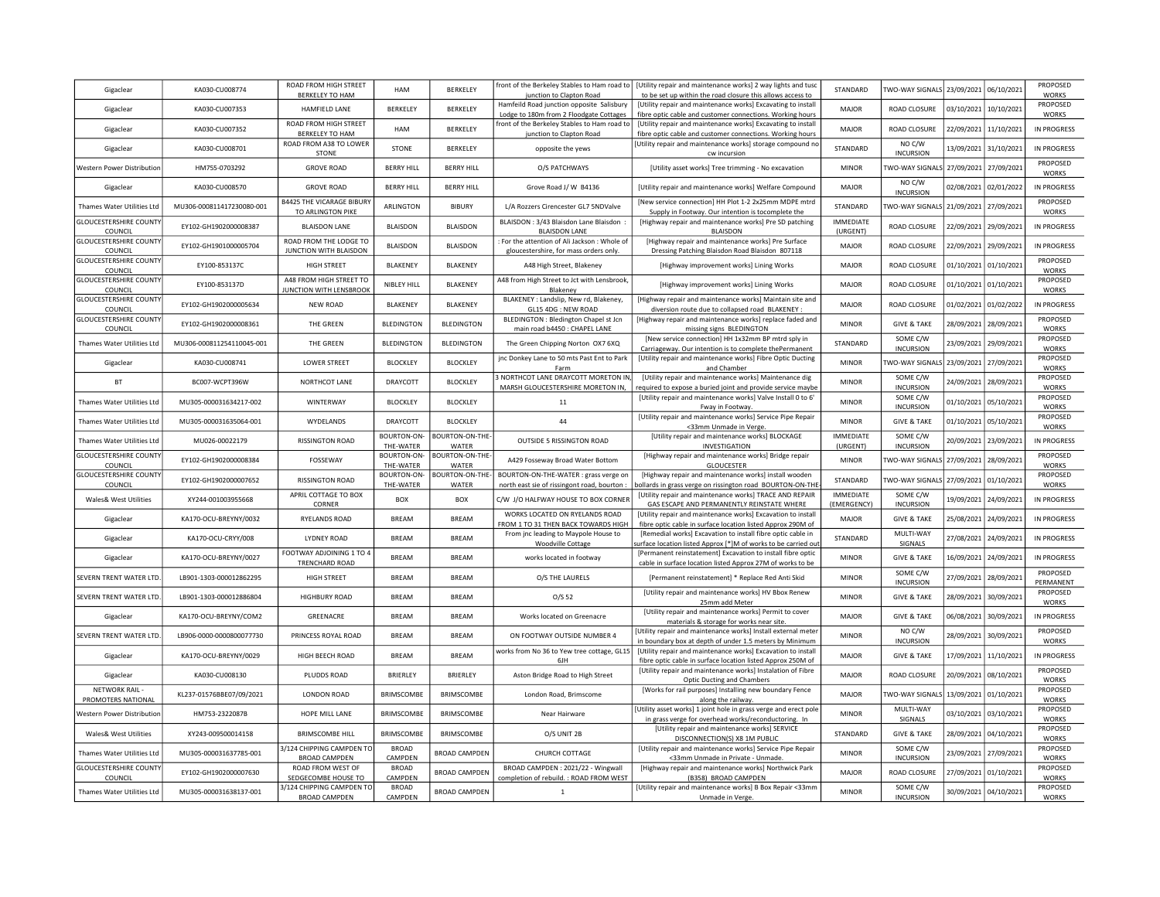| Gigaclear                                | KA030-CU008774            | ROAD FROM HIGH STREET<br>BERKELEY TO HAM                 | HAM                      | BERKELEY                 | front of the Berkeley Stables to Ham road to<br>junction to Clapton Road              | [Utility repair and maintenance works] 2 way lights and tusc<br>to be set up within the road closure this allows access to              | STANDARD                     | TWO-WAY SIGNALS 23/09/2021                 |                       | 06/10/2021            | PROPOSED<br><b>WORKS</b>                 |
|------------------------------------------|---------------------------|----------------------------------------------------------|--------------------------|--------------------------|---------------------------------------------------------------------------------------|-----------------------------------------------------------------------------------------------------------------------------------------|------------------------------|--------------------------------------------|-----------------------|-----------------------|------------------------------------------|
| Gigaclear                                | KA030-CU007353            | HAMFIELD LANE                                            | <b>BERKELEY</b>          | <b>BERKELEY</b>          | Hamfeild Road junction opposite Salisbury<br>Lodge to 180m from 2 Floodgate Cottages  | [Utility repair and maintenance works] Excavating to install<br>fibre optic cable and customer connections. Working hours               | <b>MAIOR</b>                 | ROAD CLOSURE                               |                       | 03/10/2021 10/10/2021 | PROPOSED<br><b>WORKS</b>                 |
| Gigaclear                                | KA030-CU007352            | ROAD FROM HIGH STREET                                    | <b>HAM</b>               | BERKELEY                 | front of the Berkeley Stables to Ham road to                                          | [Utility repair and maintenance works] Excavating to install                                                                            | <b>MAJOR</b>                 | ROAD CLOSURE                               |                       | 22/09/2021 11/10/2021 | IN PROGRESS                              |
| Gigaclear                                | KA030-CU008701            | BERKELEY TO HAM<br>ROAD FROM A38 TO LOWER<br>STONE       | STONE                    | BERKELEY                 | junction to Clapton Road<br>opposite the yews                                         | fibre optic cable and customer connections. Working hours<br>[Utility repair and maintenance works] storage compound no<br>cw incursion | STANDARD                     | NO C/W<br><b>INCURSION</b>                 |                       | 13/09/2021 31/10/2021 | IN PROGRESS                              |
| Western Power Distribution               | HM755-0703292             | <b>GROVE ROAD</b>                                        | <b>BERRY HILL</b>        | <b>BERRY HILL</b>        | O/S PATCHWAYS                                                                         | [Utility asset works] Tree trimming - No excavation                                                                                     | <b>MINOR</b>                 | TWO-WAY SIGNALS 27/09/2021 27/09/2021      |                       |                       | PROPOSED<br>WORKS                        |
| Gigaclear                                | KA030-CU008570            | <b>GROVE ROAD</b>                                        | <b>BERRY HILL</b>        | <b>BERRY HILL</b>        | Grove Road J/ W B4136                                                                 | [Utility repair and maintenance works] Welfare Compound                                                                                 | <b>MAJOR</b>                 | NO C/W<br><b>INCURSION</b>                 | 02/08/2021            | 02/01/2022            | IN PROGRESS                              |
| Thames Water Utilities Ltd               | MU306-000811417230080-001 | <b>B4425 THE VICARAGE BIBURY</b><br>TO ARLINGTON PIKE    | ARLINGTON                | <b>BIBURY</b>            | L/A Rozzers Cirencester GL7 5NDValve                                                  | [New service connection] HH Plot 1-2 2x25mm MDPE mtrd<br>Supply in Footway. Our intention is tocomplete the                             | STANDARD                     | TWO-WAY SIGNALS 21/09/2021 27/09/2021      |                       |                       | PROPOSED<br><b>WORKS</b>                 |
| <b>GLOUCESTERSHIRE COUNT</b><br>COUNCIL  | EY102-GH1902000008387     | <b>BLAISDON LANE</b>                                     | <b>BLAISDON</b>          | <b>BLAISDON</b>          | BLAISDON: 3/43 Blaisdon Lane Blaisdon<br><b>BLAISDON LANE</b>                         | [Highway repair and maintenance works] Pre SD patching<br><b>BLAISDON</b>                                                               | <b>IMMEDIATE</b><br>(URGENT) | ROAD CLOSURE                               | 22/09/2021            | 29/09/2021            | IN PROGRESS                              |
| <b>GLOUCESTERSHIRE COUNTY</b><br>COUNCIL | EY102-GH1901000005704     | ROAD FROM THE LODGE TO<br>JUNCTION WITH BLAISDON         | <b>BLAISDON</b>          | <b>BLAISDON</b>          | For the attention of Ali Jackson : Whole of<br>gloucestershire, for mass orders only. | [Highway repair and maintenance works] Pre Surface<br>Dressing Patching Blaisdon Road Blaisdon 807118                                   | <b>MAJOR</b>                 | ROAD CLOSURE                               | 22/09/2021            | 29/09/2021            | <b>IN PROGRESS</b>                       |
| <b>GLOUCESTERSHIRE COUNTY</b><br>COUNCIL | EY100-853137C             | <b>HIGH STREET</b>                                       | BLAKENEY                 | BLAKENEY                 | A48 High Street, Blakeney                                                             | [Highway improvement works] Lining Works                                                                                                | MAJOR                        | <b>ROAD CLOSURE</b>                        |                       | 01/10/2021 01/10/2021 | PROPOSED<br><b>WORKS</b>                 |
| <b>GLOUCESTERSHIRE COUNTY</b><br>COUNCIL | EY100-853137D             | A48 FROM HIGH STREET TO<br><b>UNCTION WITH LENSBROOK</b> | NIBLEY HILL              | BLAKENEY                 | A48 from High Street to Jct with Lensbrook,<br>Blakenev                               | [Highway improvement works] Lining Works                                                                                                | <b>MAJOR</b>                 | ROAD CLOSURE                               |                       | 01/10/2021 01/10/2021 | PROPOSED<br>WORKS                        |
| <b>GLOUCESTERSHIRE COUNTY</b><br>COUNCIL | EY102-GH1902000005634     | <b>NEW ROAD</b>                                          | BLAKENEY                 | BLAKENEY                 | BLAKENEY : Landslip, New rd, Blakeney,<br>GL15 4DG : NEW ROAD                         | [Highway repair and maintenance works] Maintain site and<br>diversion route due to collapsed road BLAKENEY :                            | MAJOR                        | ROAD CLOSURE                               | 01/02/2021            | 01/02/2022            | IN PROGRESS                              |
| <b>GLOUCESTERSHIRE COUNTY</b><br>COUNCIL | EY102-GH1902000008361     | THE GREEN                                                | <b>BLEDINGTON</b>        | <b>BLEDINGTON</b>        | BLEDINGTON : Bledington Chapel st Jcn<br>main road b4450 : CHAPEL LANE                | [Highway repair and maintenance works] replace faded and<br>missing signs BLEDINGTON                                                    | <b>MINOR</b>                 | <b>GIVE &amp; TAKE</b>                     | 28/09/2021            | 28/09/2021            | PROPOSED<br><b>WORKS</b>                 |
| Thames Water Utilities Ltd               | MU306-000811254110045-001 | THE GREEN                                                | <b>BLEDINGTON</b>        | <b>BLEDINGTON</b>        | The Green Chipping Norton OX7 6XQ                                                     | [New service connection] HH 1x32mm BP mtrd sply in                                                                                      | STANDARD                     | SOME C/W                                   | 23/09/2021            | 29/09/2021            | PROPOSED                                 |
| Gigaclear                                | KA030-CU008741            | <b>LOWER STREET</b>                                      | <b>BLOCKLEY</b>          | <b>BLOCKLEY</b>          | jnc Donkey Lane to 50 mts Past Ent to Park<br>Farm                                    | Carriageway. Our intention is to complete thePermanent<br>[Utility repair and maintenance works] Fibre Optic Ducting<br>and Chamber     | <b>MINOR</b>                 | <b>INCURSION</b><br><b>WO-WAY SIGNALS</b>  | 23/09/2021 27/09/2021 |                       | <b>WORKS</b><br>PROPOSED<br><b>WORKS</b> |
| <b>BT</b>                                | BC007-WCPT396W            | NORTHCOT LANE                                            | DRAYCOTT                 | <b>BLOCKLEY</b>          | 3 NORTHCOT LANE DRAYCOTT MORETON IN                                                   | [Utility repair and maintenance works] Maintenance dig                                                                                  | <b>MINOR</b>                 | SOME C/W<br><b>INCURSION</b>               | 24/09/2021            | 28/09/2021            | PROPOSED<br><b>WORKS</b>                 |
| Thames Water Utilities Ltd               | MU305-000031634217-002    | <b>WINTFRWAY</b>                                         | <b>BLOCKLEY</b>          | <b>BLOCKLEY</b>          | MARSH GLOUCESTERSHIRE MORETON IN,<br>11                                               | required to expose a buried joint and provide service maybe<br>[Utility repair and maintenance works] Valve Install 0 to 6              | <b>MINOR</b>                 | SOME C/W                                   | 01/10/2021            | 05/10/2021            | PROPOSED                                 |
| Thames Water Utilities Ltd               | MU305-000031635064-001    | WYDELANDS                                                | DRAYCOTT                 | <b>BLOCKLEY</b>          | 44                                                                                    | Fway in Footway<br>[Utility repair and maintenance works] Service Pipe Repair                                                           | <b>MINOR</b>                 | <b>INCURSION</b><br><b>GIVE &amp; TAKE</b> | 01/10/2021            | 05/10/2021            | WORKS<br>PROPOSED<br>WORKS               |
| Thames Water Utilities Ltd               | MU026-00022179            | <b>RISSINGTON ROAD</b>                                   | BOURTON-ON-              | BOURTON-ON-THE-          | OUTSIDE 5 RISSINGTON ROAD                                                             | <33mm Unmade in Verge.<br>[Utility repair and maintenance works] BLOCKAGE                                                               | <b>IMMEDIATE</b>             | SOME C/W                                   | 20/09/2021            | 23/09/2021            | IN PROGRESS                              |
| <b>GLOUCESTERSHIRE COUNT</b>             | EY102-GH1902000008384     | FOSSEWAY                                                 | THE-WATER<br>BOURTON-ON- | WATER<br>BOURTON-ON-THE- | A429 Fosseway Broad Water Bottom                                                      | INVESTIGATION<br>[Highway repair and maintenance works] Bridge repair                                                                   | (URGENT)<br>MINOR            | <b>INCURSION</b><br><b>TWO-WAY SIGNALS</b> | 27/09/2021            | 28/09/2021            | PROPOSED                                 |
| COUNCIL<br><b>GLOUCESTERSHIRE COUNTY</b> | EY102-GH1902000007652     | <b>RISSINGTON ROAD</b>                                   | THE-WATER<br>BOURTON-ON- | WATER<br>BOURTON-ON-THE- | BOURTON-ON-THE-WATER : grass verge on                                                 | <b>GLOUCESTER</b><br>[Highway repair and maintenance works] install wooden                                                              | STANDARD                     | TWO-WAY SIGNALS                            |                       | 27/09/2021 01/10/2021 | WORKS<br>PROPOSED                        |
| COUNCIL                                  |                           | APRIL COTTAGE TO BOX                                     | THE-WATER                | WATER                    | north east sie of rissingont road, bourton :                                          | bollards in grass verge on rissington road BOURTON-ON-THI<br>[Utility repair and maintenance works] TRACE AND REPAIR                    | <b>IMMEDIATE</b>             | SOME C/W                                   |                       |                       | WORKS                                    |
| Wales& West Utilities                    | XY244-001003955668        | CORNER                                                   | <b>BOX</b>               | <b>BOX</b>               | C/W J/O HALFWAY HOUSE TO BOX CORNER<br>WORKS LOCATED ON RYELANDS ROAD                 | GAS ESCAPE AND PERMANENTLY REINSTATE WHERE<br>[Utility repair and maintenance works] Excavation to install                              | (EMERGENCY)                  | <b>INCURSION</b>                           | 19/09/2021            | 24/09/2021            | IN PROGRESS                              |
| Gigaclear                                | KA170-OCU-BREYNY/0032     | RYELANDS ROAD                                            | <b>BREAM</b>             | BREAM                    | FROM 1 TO 31 THEN BACK TOWARDS HIGH                                                   | fibre optic cable in surface location listed Approx 290M of                                                                             | MAJOR                        | <b>GIVE &amp; TAKE</b>                     |                       | 25/08/2021 24/09/2021 | IN PROGRESS                              |
| Gigaclear                                | KA170-OCU-CRYY/008        | <b>LYDNEY ROAD</b>                                       | <b>BREAM</b>             | <b>BRFAM</b>             | From jnc leading to Maypole House to<br><b>Woodville Cottage</b>                      | [Remedial works] Excavation to install fibre optic cable in<br>urface location listed Approx [*]M of works to be carried ou             | STANDARD                     | MULTI-WAY<br>SIGNALS                       |                       | 27/08/2021 24/09/2021 | IN PROGRESS                              |
| Gigaclear                                | KA170-OCU-BREYNY/0027     | FOOTWAY ADJOINING 1 TO 4<br>TRENCHARD ROAD               | <b>BREAM</b>             | <b>BREAM</b>             | works located in footway                                                              | [Permanent reinstatement] Excavation to install fibre optic<br>cable in surface location listed Approx 27M of works to be               | <b>MINOR</b>                 | <b>GIVE &amp; TAKE</b>                     |                       | 16/09/2021 24/09/2021 | <b>IN PROGRESS</b>                       |
| SEVERN TRENT WATER LTD                   | LB901-1303-000012862295   | <b>HIGH STREET</b>                                       | <b>BREAM</b>             | <b>BREAM</b>             | O/S THE LAURELS                                                                       | [Permanent reinstatement] * Replace Red Anti Skid                                                                                       | <b>MINOR</b>                 | SOME C/W<br><b>INCURSION</b>               | 27/09/2021            | 28/09/2021            | PROPOSED<br>PERMANENT                    |
| SEVERN TRENT WATER LTD.                  | LB901-1303-000012886804   | <b>HIGHBURY ROAD</b>                                     | <b>BREAM</b>             | <b>BREAM</b>             | O/S <sub>52</sub>                                                                     | [Utility repair and maintenance works] HV Bbox Renew<br>25mm add Meter                                                                  | <b>MINOR</b>                 | <b>GIVE &amp; TAKE</b>                     |                       | 28/09/2021 30/09/2021 | PROPOSED<br>WORKS                        |
| Gigaclear                                | KA170-OCU-BREYNY/COM2     | GREENACRE                                                | <b>BREAM</b>             | <b>BREAM</b>             | Works located on Greenacre                                                            | [Utility repair and maintenance works] Permit to cover<br>materials & storage for works near site.                                      | MAJOR                        | <b>GIVE &amp; TAKE</b>                     |                       | 06/08/2021 30/09/2021 | <b>IN PROGRESS</b>                       |
| SEVERN TRENT WATER LTD.                  | LB906-0000-0000800077730  | PRINCESS ROYAL ROAD                                      | <b>BREAM</b>             | <b>BREAM</b>             | ON FOOTWAY OUTSIDE NUMBER 4                                                           | [Utility repair and maintenance works] Install external meter<br>in boundary box at depth of under 1.5 meters by Minimum                | <b>MINOR</b>                 | NO C/W<br><b>INCURSION</b>                 |                       | 28/09/2021 30/09/2021 | PROPOSED<br>WORKS                        |
| Gigaclear                                | KA170-OCU-BREYNY/0029     | HIGH BEECH ROAD                                          | <b>BREAM</b>             | BREAM                    | works from No 36 to Yew tree cottage, GL15<br>6JH                                     | [Utility repair and maintenance works] Excavation to install<br>fibre optic cable in surface location listed Approx 250M of             | <b>MAJOR</b>                 | <b>GIVE &amp; TAKE</b>                     |                       | 17/09/2021 11/10/2021 | IN PROGRESS                              |
| Gigaclear                                | KA030-CU008130            | PLUDDS ROAD                                              | BRIERLEY                 | <b>BRIERLEY</b>          | Aston Bridge Road to High Street                                                      | [Utility repair and maintenance works] Instalation of Fibre<br><b>Optic Ducting and Chambers</b>                                        | MAJOR                        | ROAD CLOSURE                               |                       | 20/09/2021 08/10/2021 | PROPOSED<br><b>WORKS</b>                 |
| NETWORK RAIL -<br>PROMOTERS NATIONAL     | KL237-01576BBE07/09/2021  | <b>LONDON ROAD</b>                                       | BRIMSCOMBE               | BRIMSCOMBE               | London Road, Brimscome                                                                | [Works for rail purposes] Installing new boundary Fence<br>along the railway.                                                           | MAJOR                        | TWO-WAY SIGNALS                            |                       | 13/09/2021 01/10/2021 | PROPOSED<br><b>WORKS</b>                 |
| Western Power Distributior               | HM753-2322087B            | HOPE MILL LANE                                           | BRIMSCOMBE               | BRIMSCOMBE               | Near Hairware                                                                         | [Utility asset works] 1 joint hole in grass verge and erect pole<br>in grass verge for overhead works/reconductoring. In                | MINOR                        | MULTI-WAY<br>SIGNALS                       |                       | 03/10/2021 03/10/2021 | PROPOSED<br>WORKS                        |
| Wales& West Utilities                    | XY243-009500014158        | <b>BRIMSCOMBE HILL</b>                                   | BRIMSCOMBE               | BRIMSCOMBE               | O/S UNIT 2B                                                                           | [Utility repair and maintenance works] SERVICE<br>DISCONNECTION(S) X8 1M PUBLIC                                                         | STANDARD                     | <b>GIVE &amp; TAKE</b>                     |                       | 28/09/2021 04/10/2021 | PROPOSED<br>WORKS                        |
| Thames Water Utilities Ltd               | MU305-000031637785-001    | 3/124 CHIPPING CAMPDEN TO<br><b>BROAD CAMPDEN</b>        | <b>BROAD</b><br>CAMPDEN  | <b>BROAD CAMPDEN</b>     | CHURCH COTTAGE                                                                        | [Utility repair and maintenance works] Service Pipe Repair<br><33mm Unmade in Private - Unmade.                                         | <b>MINOR</b>                 | SOME C/W<br><b>INCURSION</b>               |                       | 23/09/2021 27/09/2021 | PROPOSED<br>WORKS                        |
| <b>GLOUCESTERSHIRE COUNT</b><br>COUNCIL  | EY102-GH1902000007630     | ROAD FROM WEST OF<br>SEDGECOMBE HOUSE TO                 | <b>BROAD</b><br>CAMPDEN  | <b>BROAD CAMPDEN</b>     | BROAD CAMPDEN: 2021/22 - Wingwall<br>completion of rebuild. : ROAD FROM WEST          | [Highway repair and maintenance works] Northwick Park<br>(B358) BROAD CAMPDEN                                                           | MAJOR                        | ROAD CLOSURE                               |                       | 27/09/2021 01/10/2021 | PROPOSED<br><b>WORKS</b>                 |
| Thames Water Utilities Ltd               | MU305-000031638137-001    | 3/124 CHIPPING CAMPDEN TO                                | <b>BROAD</b>             | <b>BROAD CAMPDEN</b>     | $\mathbf{1}$                                                                          | [Utility repair and maintenance works] B Box Repair <33mm                                                                               | <b>MINOR</b>                 | SOME C/W                                   |                       | 30/09/2021 04/10/2021 | PROPOSED                                 |
|                                          |                           | <b>BROAD CAMPDEN</b>                                     | CAMPDEN                  |                          |                                                                                       | Unmade in Verge.                                                                                                                        |                              | <b>INCURSION</b>                           |                       |                       | <b>WORKS</b>                             |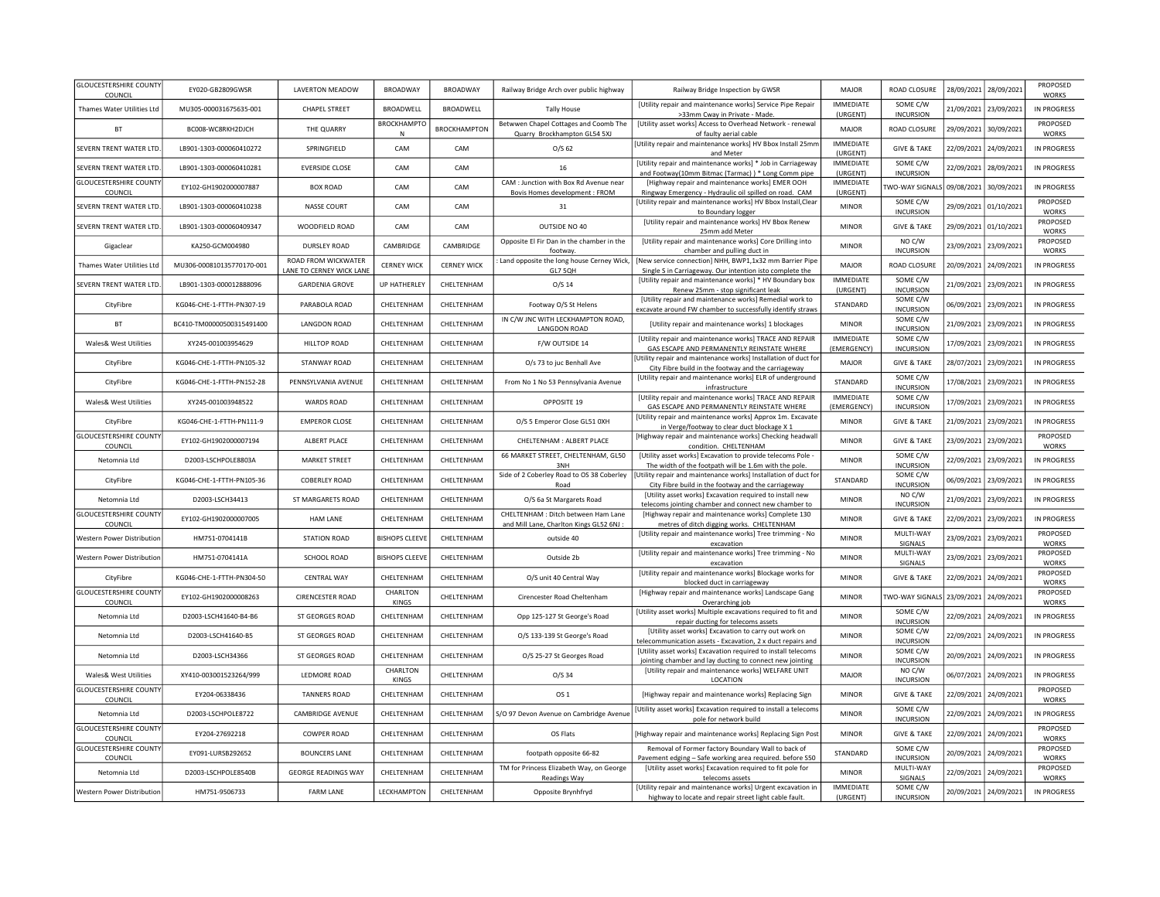| <b>GLOUCESTERSHIRE COUNTY</b><br>COUNCIL | EY020-GB2809GWSR          | LAVERTON MEADOW                                       | <b>BROADWAY</b>         | <b>BROADWAY</b>     | Railway Bridge Arch over public highway                                        | Railway Bridge Inspection by GWSR                                                                                            | MAJOR                           | ROAD CLOSURE                 |            | 28/09/2021 28/09/2021 | PROPOSED<br><b>WORKS</b> |
|------------------------------------------|---------------------------|-------------------------------------------------------|-------------------------|---------------------|--------------------------------------------------------------------------------|------------------------------------------------------------------------------------------------------------------------------|---------------------------------|------------------------------|------------|-----------------------|--------------------------|
| Thames Water Utilities Ltd               | MU305-000031675635-001    | <b>CHAPEL STREET</b>                                  | <b>BROADWELL</b>        | BROADWELL           | <b>Tally House</b>                                                             | [Utility repair and maintenance works] Service Pipe Repair<br>>33mm Cway in Private - Made                                   | <b>IMMEDIATE</b><br>(URGENT)    | SOME C/W<br><b>INCURSION</b> |            | 21/09/2021 23/09/2021 | IN PROGRESS              |
| <b>BT</b>                                | BC008-WC8RKH2DJCH         | THE QUARRY                                            | <b>BROCKHAMPTO</b><br>N | <b>BROCKHAMPTON</b> | Betwwen Chapel Cottages and Coomb The<br>Quarry Brockhampton GL54 5XJ          | [Utility asset works] Access to Overhead Network - renewal<br>of faulty aerial cable                                         | MAJOR                           | ROAD CLOSURE                 |            | 29/09/2021 30/09/2021 | PROPOSED<br>WORKS        |
| SEVERN TRENT WATER LTD.                  | LB901-1303-000060410272   | SPRINGFIELD                                           | CAM                     | CAM                 | $O/S$ 62                                                                       | [Utility repair and maintenance works] HV Bbox Install 25mm<br>and Meter                                                     | <b>IMMEDIATE</b><br>(URGENT)    | <b>GIVE &amp; TAKE</b>       | 22/09/2021 | 24/09/2021            | IN PROGRESS              |
| SEVERN TRENT WATER LTD.                  | LB901-1303-000060410281   | <b>EVERSIDE CLOSE</b>                                 | CAM                     | CAM                 | 16                                                                             | [Utility repair and maintenance works] * Job in Carriageway<br>and Footway(10mm Bitmac (Tarmac)) * Long Comm pipe            | <b>IMMEDIATE</b><br>(URGENT)    | SOME C/W<br><b>INCURSION</b> |            | 22/09/2021 28/09/2021 | IN PROGRESS              |
| <b>GLOUCESTERSHIRE COUNTY</b><br>COUNCIL | EY102-GH1902000007887     | <b>BOX ROAD</b>                                       | CAM                     | CAM                 | CAM : Junction with Box Rd Avenue near<br>Bovis Homes development : FROM       | [Highway repair and maintenance works] EMER OOH<br>Ringway Emergency - Hydraulic oil spilled on road. CAM                    | <b>IMMEDIATE</b><br>(URGENT)    | <b>TWO-WAY SIGNALS</b>       |            | 09/08/2021 30/09/2021 | IN PROGRESS              |
| SEVERN TRENT WATER LTD.                  | 18901-1303-000060410238   | NASSE COURT                                           | CAM                     | CAM                 | 31                                                                             | [Utility repair and maintenance works] HV Bbox Install, Clear<br>to Boundary logger                                          | <b>MINOR</b>                    | SOME C/W<br><b>INCURSION</b> |            | 29/09/2021 01/10/2021 | PROPOSED<br><b>WORKS</b> |
| SEVERN TRENT WATER LTD.                  | LB901-1303-000060409347   | WOODFIELD ROAD                                        | CAM                     | CAM                 | OUTSIDE NO 40                                                                  | [Utility repair and maintenance works] HV Bbox Renew<br>25mm add Meter                                                       | <b>MINOR</b>                    | <b>GIVE &amp; TAKE</b>       |            | 29/09/2021 01/10/2021 | PROPOSED<br><b>WORKS</b> |
| Gigaclear                                | KA250-GCM004980           | DURSLEY ROAD                                          | CAMBRIDGE               | CAMBRIDGE           | Opposite El Fir Dan in the chamber in the<br>footway.                          | [Utility repair and maintenance works] Core Drilling into<br>chamber and pulling duct in                                     | <b>MINOR</b>                    | NO C/W<br><b>INCURSION</b>   |            | 23/09/2021 23/09/2021 | PROPOSED<br>WORKS        |
| Thames Water Utilities Ltd               | MU306-000810135770170-001 | <b>ROAD FROM WICKWATER</b><br>ANE TO CERNEY WICK LANE | <b>CERNEY WICK</b>      | <b>CERNEY WICK</b>  | Land opposite the long house Cerney Wick,<br>GL7 5QH                           | [New service connection] NHH, BWP1,1x32 mm Barrier Pipe<br>Single S in Carriageway. Our intention isto complete the          | MAJOR                           | ROAD CLOSURE                 | 20/09/2021 | 24/09/2021            | IN PROGRESS              |
| SEVERN TRENT WATER LTD                   | LB901-1303-000012888096   | <b>GARDENIA GROVE</b>                                 | <b>UP HATHERLEY</b>     | CHELTENHAM          | $O/S$ 14                                                                       | [Utility repair and maintenance works] * HV Boundary box<br>Renew 25mm - stop significant leak                               | <b>IMMEDIATE</b><br>(URGENT)    | SOME C/W<br><b>INCURSION</b> | 21/09/2021 | 23/09/2021            | IN PROGRESS              |
| CityFibre                                | KG046-CHE-1-FTTH-PN307-19 | PARABOLA ROAD                                         | CHELTENHAM              | CHELTENHAM          | Footway O/S St Helens                                                          | <b>IUtility repair and maintenance works) Remedial work to</b><br>excavate around FW chamber to successfully identify straws | STANDARD                        | SOME C/W<br><b>INCURSION</b> | 06/09/2021 | 23/09/2021            | IN PROGRESS              |
| <b>BT</b>                                | BC410-TM00000500315491400 | <b>LANGDON ROAD</b>                                   | CHELTENHAM              | CHELTENHAM          | IN C/W JNC WITH LECKHAMPTON ROAD,<br><b>LANGDON ROAD</b>                       | [Utility repair and maintenance works] 1 blockages                                                                           | <b>MINOR</b>                    | SOME C/W<br><b>INCURSION</b> | 21/09/2021 | 23/09/2021            | IN PROGRESS              |
| Wales& West Utilities                    | XY245-001003954629        | <b>HILLTOP ROAD</b>                                   | CHELTENHAM              | CHELTENHAM          | F/W OUTSIDE 14                                                                 | [Utility repair and maintenance works] TRACE AND REPAIR<br>GAS ESCAPE AND PERMANENTLY REINSTATE WHERE                        | <b>IMMEDIATE</b><br>(EMERGENCY) | SOME C/W<br><b>INCURSION</b> | 17/09/2021 | 23/09/2021            | IN PROGRESS              |
| CityFibre                                | KG046-CHE-1-FTTH-PN105-32 | STANWAY ROAD                                          | CHELTENHAM              | CHELTENHAM          | O/s 73 to juc Benhall Ave                                                      | Utility repair and maintenance works] Installation of duct for<br>City Fibre build in the footway and the carriageway        | <b>MAJOR</b>                    | <b>GIVE &amp; TAKE</b>       |            | 28/07/2021 23/09/2021 | IN PROGRESS              |
| CityFibre                                | KG046-CHE-1-FTTH-PN152-28 | PENNSYLVANIA AVENUE                                   | CHELTENHAM              | CHELTENHAM          | From No 1 No 53 Pennsylvania Avenue                                            | [Utility repair and maintenance works] ELR of underground<br>infrastructure                                                  | STANDARD                        | SOME C/W<br><b>INCURSION</b> |            | 17/08/2021 23/09/2021 | IN PROGRESS              |
| <b>Wales&amp; West Utilities</b>         | XY245-001003948522        | <b>WARDS ROAD</b>                                     | CHELTENHAM              | CHELTENHAM          | OPPOSITE 19                                                                    | [Utility repair and maintenance works] TRACE AND REPAIR<br>GAS ESCAPE AND PERMANENTLY REINSTATE WHERE                        | <b>IMMEDIATE</b><br>(EMERGENCY) | SOME C/W<br><b>INCURSION</b> |            | 17/09/2021 23/09/2021 | IN PROGRESS              |
| CityFibre                                | KG046-CHE-1-FTTH-PN111-9  | <b>EMPEROR CLOSE</b>                                  | CHELTENHAM              | CHELTENHAM          | O/S 5 Emperor Close GL51 0XH                                                   | [Utility repair and maintenance works] Approx 1m. Excavate<br>in Verge/footway to clear duct blockage X 1                    | <b>MINOR</b>                    | <b>GIVE &amp; TAKE</b>       |            | 21/09/2021 23/09/2021 | IN PROGRESS              |
| <b>GLOUCESTERSHIRE COUNTY</b><br>COUNCIL | EY102-GH1902000007194     | ALBERT PLACE                                          | CHELTENHAM              | CHELTENHAM          | CHELTENHAM : ALBERT PLACE                                                      | [Highway repair and maintenance works] Checking headwall<br>condition. CHELTENHAM                                            | <b>MINOR</b>                    | <b>GIVE &amp; TAKE</b>       |            | 23/09/2021 23/09/2021 | PROPOSED<br>WORKS        |
| Netomnia Ltd                             | D2003-LSCHPOLE8803A       | <b>MARKET STREET</b>                                  | CHELTENHAM              | CHELTENHAM          | 66 MARKET STREET, CHELTENHAM, GL50<br>3NH                                      | [Utility asset works] Excavation to provide telecoms Pole -<br>The width of the footpath will be 1.6m with the pole.         | <b>MINOR</b>                    | SOME C/W<br><b>INCURSION</b> | 22/09/2021 | 23/09/2021            | IN PROGRESS              |
| CityFibre                                | KG046-CHE-1-FTTH-PN105-36 | <b>COBERLEY ROAD</b>                                  | CHELTENHAM              | CHELTENHAM          | Side of 2 Coberley Road to OS 38 Coberley<br>Road                              | Utility repair and maintenance works] Installation of duct for<br>City Fibre build in the footway and the carriageway        | STANDARD                        | SOME C/W<br><b>INCURSION</b> | 06/09/2021 | 23/09/2021            | IN PROGRESS              |
| Netomnia Ltd                             | D2003-LSCH34413           | ST MARGARETS ROAD                                     | CHELTENHAM              | CHELTENHAM          | O/S 6a St Margarets Road                                                       | [Utility asset works] Excavation required to install new<br>telecoms jointing chamber and connect new chamber to             | <b>MINOR</b>                    | NO C/W<br><b>INCURSION</b>   | 21/09/2021 | 23/09/2021            | IN PROGRESS              |
| <b>GLOUCESTERSHIRE COUNTY</b><br>COUNCIL | EY102-GH1902000007005     | <b>HAM LANE</b>                                       | CHELTENHAM              | CHELTENHAM          | CHELTENHAM : Ditch between Ham Lane<br>and Mill Lane, Charlton Kings GL52 6NJ: | [Highway repair and maintenance works] Complete 130<br>metres of ditch digging works. CHELTENHAM                             | <b>MINOR</b>                    | <b>GIVE &amp; TAKE</b>       |            | 22/09/2021 23/09/2021 | IN PROGRESS              |
| Western Power Distribution               | HM751-0704141B            | <b>STATION ROAD</b>                                   | <b>BISHOPS CLEEVE</b>   | CHELTENHAM          | outside 40                                                                     | [Utility repair and maintenance works] Tree trimming - No<br>excavation                                                      | <b>MINOR</b>                    | MULTI-WAY<br>SIGNALS         |            | 23/09/2021 23/09/2021 | PROPOSED<br>WORKS        |
| Western Power Distribution               | HM751-0704141A            | SCHOOL ROAD                                           | <b>BISHOPS CLEEVE</b>   | CHELTENHAM          | Outside 2b                                                                     | [Utility repair and maintenance works] Tree trimming - No<br>excavation                                                      | <b>MINOR</b>                    | MULTI-WAY<br>SIGNALS         |            | 23/09/2021 23/09/2021 | PROPOSED<br>WORKS        |
| CityFibre                                | KG046-CHE-1-FTTH-PN304-50 | <b>CENTRAL WAY</b>                                    | CHELTENHAM              | CHELTENHAM          | O/S unit 40 Central Way                                                        | [Utility repair and maintenance works] Blockage works for<br>blocked duct in carriageway                                     | <b>MINOR</b>                    | <b>GIVE &amp; TAKE</b>       |            | 22/09/2021 24/09/2021 | PROPOSED<br>WORKS        |
| <b>GLOUCESTERSHIRE COUNTY</b><br>COUNCIL | EY102-GH1902000008263     | <b>CIRENCESTER ROAD</b>                               | CHARLTON<br>KINGS       | CHELTENHAM          | Cirencester Road Cheltenham                                                    | [Highway repair and maintenance works] Landscape Gang<br>Overarching job                                                     | <b>MINOR</b>                    | <b>TWO-WAY SIGNALS</b>       |            | 23/09/2021 24/09/2021 | PROPOSED<br>WORKS        |
| Netomnia Ltd                             | D2003-LSCH41640-B4-B6     | ST GEORGES ROAD                                       | CHELTENHAM              | CHELTENHAM          | Opp 125-127 St George's Road                                                   | [Utility asset works] Multiple excavations required to fit and<br>repair ducting for telecoms assets                         | <b>MINOR</b>                    | SOME C/W<br><b>INCURSION</b> | 22/09/2021 | 24/09/2021            | IN PROGRESS              |
| Netomnia Ltd                             | D2003-LSCH41640-B5        | ST GEORGES ROAD                                       | CHELTENHAM              | CHELTENHAM          | O/S 133-139 St George's Road                                                   | [Utility asset works] Excavation to carry out work on<br>telecommunication assets - Excavation, 2 x duct repairs and         | <b>MINOR</b>                    | SOME C/W<br><b>INCURSION</b> |            | 22/09/2021 24/09/2021 | IN PROGRESS              |
| Netomnia Ltd                             | D2003-LSCH34366           | ST GEORGES ROAD                                       | CHELTENHAM              | CHELTENHAM          | O/S 25-27 St Georges Road                                                      | [Utility asset works] Excavation required to install telecoms<br>jointing chamber and lay ducting to connect new jointing    | <b>MINOR</b>                    | SOME C/W<br><b>INCURSION</b> |            | 20/09/2021 24/09/2021 | IN PROGRESS              |
| <b>Wales&amp; West Utilities</b>         | XY410-003001523264/999    | <b>I FDMORF ROAD</b>                                  | CHARLTON<br>KINGS       | CHEI TENHAM         | $O/S$ 34                                                                       | [Utility repair and maintenance works] WELFARE UNIT<br>LOCATION                                                              | MAJOR                           | NO C/W<br><b>INCURSION</b>   |            | 06/07/2021 24/09/2021 | IN PROGRESS              |
| <b>GLOUCESTERSHIRE COUNTY</b><br>COUNCIL | FY204-06338436            | <b>TANNERS ROAD</b>                                   | CHELTENHAM              | CHELTENHAM          | OS <sub>1</sub>                                                                | [Highway repair and maintenance works] Replacing Sign                                                                        | <b>MINOR</b>                    | <b>GIVE &amp; TAKE</b>       |            | 22/09/2021 24/09/2021 | PROPOSED<br>WORKS        |
| Netomnia Ltd                             | D2003-LSCHPOLE8722        | CAMBRIDGE AVENUE                                      | CHELTENHAM              | CHELTENHAM          | S/O 97 Devon Avenue on Cambridge Avenu                                         | [Utility asset works] Excavation required to install a telecom:<br>pole for network build                                    | <b>MINOR</b>                    | SOME C/W<br><b>INCURSION</b> |            | 22/09/2021 24/09/2021 | IN PROGRESS              |
| <b>GLOUCESTERSHIRE COUNTY</b><br>COUNCIL | EY204-27692218            | <b>COWPER ROAD</b>                                    | CHELTENHAM              | CHELTENHAM          | OS Flats                                                                       | [Highway repair and maintenance works] Replacing Sign Post                                                                   | <b>MINOR</b>                    | <b>GIVE &amp; TAKE</b>       |            | 22/09/2021 24/09/2021 | PROPOSED<br>WORKS        |
| <b>GLOUCESTERSHIRE COUNTY</b><br>COUNCIL | EY091-LURSB292652         | <b>BOUNCERS LANE</b>                                  | CHELTENHAM              | CHELTENHAM          | footpath opposite 66-82                                                        | Removal of Former factory Boundary Wall to back of<br>Pavement edging - Safe working area required. before S50               | STANDARD                        | SOME C/W<br><b>INCURSION</b> |            | 20/09/2021 24/09/2021 | PROPOSED<br>WORKS        |
| Netomnia Ltd                             | D2003-LSCHPOLE8540B       | <b>GEORGE READINGS WAY</b>                            | CHELTENHAM              | CHELTENHAM          | TM for Princess Elizabeth Way, on George<br><b>Readings Way</b>                | [Utility asset works] Excavation required to fit pole for<br>telecoms assets                                                 | <b>MINOR</b>                    | MULTI-WAY<br>SIGNALS         | 22/09/2021 | 24/09/2021            | PROPOSED<br>WORKS        |
| Western Power Distribution               | HM751-9506733             | <b>FARM LANE</b>                                      | LECKHAMPTON             | CHELTENHAM          | Opposite Brynhfryd                                                             | [Utility repair and maintenance works] Urgent excavation in<br>highway to locate and repair street light cable fault.        | <b>IMMEDIATE</b><br>(URGENT)    | SOME C/W<br><b>INCURSION</b> |            | 20/09/2021 24/09/2021 | <b>IN PROGRESS</b>       |
|                                          |                           |                                                       |                         |                     |                                                                                |                                                                                                                              |                                 |                              |            |                       |                          |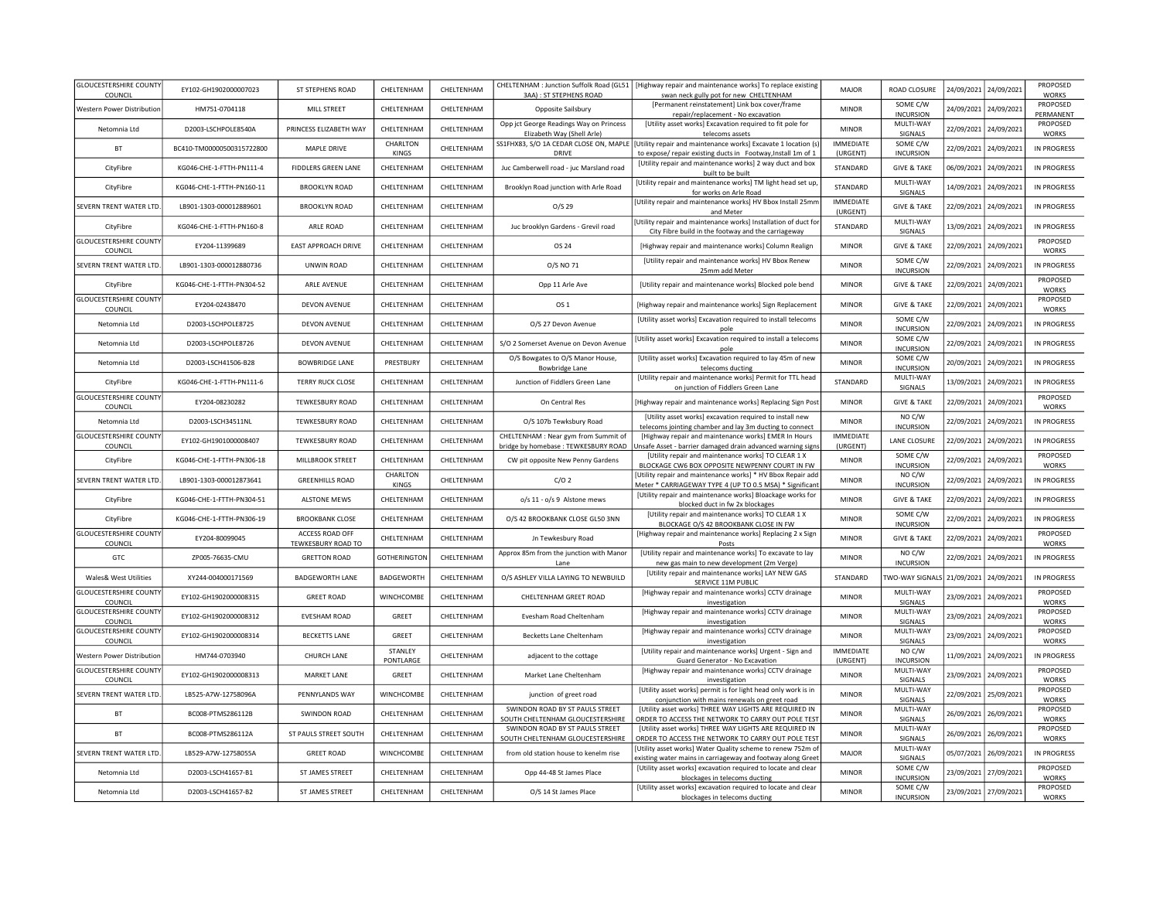| <b>GLOUCESTERSHIRE COUNTY</b><br>COUNCIL | EY102-GH1902000007023     | ST STEPHENS ROAD                      | CHELTENHAM           | CHELTENHAM        | 3AA): ST STEPHENS ROAD                                                       | CHELTENHAM : Junction Suffolk Road (GL51   [Highway repair and maintenance works] To replace existing<br>swan neck gully pot for new CHELTENHAM | <b>MAJOR</b>                 | ROAD CLOSURE                 | 24/09/2021 | 24/09/2021            | <b>PROPOSED</b><br><b>WORKS</b> |
|------------------------------------------|---------------------------|---------------------------------------|----------------------|-------------------|------------------------------------------------------------------------------|-------------------------------------------------------------------------------------------------------------------------------------------------|------------------------------|------------------------------|------------|-----------------------|---------------------------------|
| <b>Western Power Distribution</b>        | HM751-0704118             | MILL STREET                           | CHELTENHAM           | CHELTENHAM        | Opposite Sailsbury                                                           | [Permanent reinstatement] Link box cover/frame<br>repair/replacement - No excavation                                                            | <b>MINOR</b>                 | SOME C/W<br><b>INCURSION</b> | 24/09/2021 | 24/09/2021            | PROPOSED<br>PERMANENT           |
| Netomnia I td                            | D2003-LSCHPOLE8540A       | PRINCESS ELIZABETH WAY                | CHELTENHAM           | CHELTENHAM        | Opp jct George Readings Way on Princess<br>Elizabeth Way (Shell Arle)        | [Utility asset works] Excavation required to fit pole for<br>telecoms assets                                                                    | <b>MINOR</b>                 | MULTI-WAY<br>SIGNALS         | 22/09/2021 | 24/09/2021            | PROPOSED<br><b>WORKS</b>        |
| <b>BT</b>                                | BC410-TM00000500315722800 | MAPI F DRIVE                          | CHARLTON<br>KINGS    | CHELTENHAM        | SS1FHX83, S/O 1A CEDAR CLOSE ON, MAPLE<br>DRIVE                              | [Utility repair and maintenance works] Excavate 1 location (s<br>to expose/repair existing ducts in Footway, Install 1m of 1                    | <b>IMMEDIATE</b><br>(URGENT) | SOME C/W<br><b>INCURSION</b> | 22/09/2021 | 24/09/2021            | IN PROGRESS                     |
| CityFibre                                | KG046-CHE-1-FTTH-PN111-4  | <b>FIDDLERS GREEN LANE</b>            | CHELTENHAM           | CHELTENHAM        | Juc Camberwell road - juc Marsland road                                      | [Utility repair and maintenance works] 2 way duct and box<br>built to be built                                                                  | STANDARD                     | <b>GIVE &amp; TAKE</b>       | 06/09/2021 | 24/09/2021            | IN PROGRESS                     |
| CityFibre                                | KG046-CHE-1-FTTH-PN160-11 | <b>BROOKLYN ROAD</b>                  | CHELTENHAM           | CHELTENHAM        | Brooklyn Road junction with Arle Road                                        | [Utility repair and maintenance works] TM light head set up,<br>for works on Arle Road                                                          | STANDARD                     | MULTI-WAY<br>SIGNALS         | 14/09/2021 | 24/09/2021            | IN PROGRESS                     |
| SEVERN TRENT WATER LTD.                  | 18901-1303-000012889601   | <b>BROOKLYN ROAD</b>                  | CHELTENHAM           | <b>CHEITENHAM</b> | $O/S$ 29                                                                     | [Utility repair and maintenance works] HV Bbox Install 25mn<br>and Meter                                                                        | IMMEDIATE<br>(URGENT)        | <b>GIVE &amp; TAKE</b>       | 22/09/2021 | 24/09/2021            | IN PROGRESS                     |
| CityFibre                                | KG046-CHE-1-FTTH-PN160-8  | ARLE ROAD                             | CHELTENHAM           | CHELTENHAM        | Juc brooklyn Gardens - Grevil road                                           | Utility repair and maintenance works] Installation of duct fo<br>City Fibre build in the footway and the carriageway                            | STANDARD                     | MULTI-WAY<br>SIGNALS         | 13/09/2021 | 24/09/2021            | IN PROGRESS                     |
| <b>GLOUCESTERSHIRE COUNTY</b><br>COUNCIL | EY204-11399689            | <b>EAST APPROACH DRIVE</b>            | CHELTENHAM           | CHELTENHAM        | OS 24                                                                        | [Highway repair and maintenance works] Column Realign                                                                                           | <b>MINOR</b>                 | <b>GIVE &amp; TAKE</b>       | 22/09/2021 | 24/09/2021            | PROPOSED<br>WORKS               |
| SEVERN TRENT WATER LTD.                  | LB901-1303-000012880736   | <b>UNWIN ROAD</b>                     | CHELTENHAM           | CHELTENHAM        | O/S NO 71                                                                    | [Utility repair and maintenance works] HV Bbox Renew<br>25mm add Meter                                                                          | <b>MINOR</b>                 | SOME C/W<br><b>INCURSION</b> | 22/09/2021 | 24/09/2021            | IN PROGRESS                     |
| CityFibre                                | KG046-CHE-1-FTTH-PN304-52 | ARLE AVENUE                           | CHELTENHAM           | CHELTENHAM        | Opp 11 Arle Ave                                                              | [Utility repair and maintenance works] Blocked pole bend                                                                                        | <b>MINOR</b>                 | <b>GIVE &amp; TAKE</b>       | 22/09/2021 | 24/09/2021            | PROPOSED<br><b>WORKS</b>        |
| <b>GLOUCESTERSHIRE COUNTY</b><br>COUNCIL | EY204-02438470            | DEVON AVENUE                          | CHELTENHAM           | CHELTENHAM        | OS 1                                                                         | [Highway repair and maintenance works] Sign Replacement                                                                                         | <b>MINOR</b>                 | <b>GIVE &amp; TAKE</b>       | 22/09/2021 | 24/09/2021            | PROPOSED<br><b>WORKS</b>        |
| Netomnia Ltd                             | D2003-LSCHPOLE8725        | DEVON AVENUE                          | CHELTENHAM           | CHELTENHAM        | O/S 27 Devon Avenue                                                          | [Utility asset works] Excavation required to install telecoms<br>pole                                                                           | <b>MINOR</b>                 | SOME C/W<br><b>INCURSION</b> | 22/09/2021 | 24/09/2021            | IN PROGRESS                     |
| Netomnia Ltd                             | D2003-LSCHPOLE8726        | DEVON AVENUE                          | CHELTENHAM           | CHELTENHAM        | S/O 2 Somerset Avenue on Devon Avenue                                        | [Utility asset works] Excavation required to install a telecoms<br>pole                                                                         | <b>MINOR</b>                 | SOME C/W<br><b>INCURSION</b> | 22/09/2021 | 24/09/2021            | IN PROGRESS                     |
| Netomnia I td                            | D2003-LSCH41506-B28       | <b>BOWBRIDGE LANE</b>                 | PRESTBURY            | CHELTENHAM        | O/S Bowgates to O/S Manor House,<br><b>Bowbridge Lane</b>                    | [Utility asset works] Excavation required to lay 45m of new<br>telecoms ducting                                                                 | <b>MINOR</b>                 | SOME C/W<br><b>INCURSION</b> | 20/09/2021 | 24/09/2021            | IN PROGRESS                     |
| CityFibre                                | KG046-CHE-1-FTTH-PN111-6  | <b>TERRY RUCK CLOSE</b>               | CHELTENHAM           | CHELTENHAM        | Junction of Fiddlers Green Lane                                              | [Utility repair and maintenance works] Permit for TTL head<br>on junction of Fiddlers Green Lane                                                | STANDARD                     | MULTI-WAY<br>SIGNALS         | 13/09/2021 | 24/09/2021            | IN PROGRESS                     |
| <b>GLOUCESTERSHIRE COUNTY</b><br>COUNCIL | EY204-08230282            | <b>TEWKESBURY ROAD</b>                | CHELTENHAM           | CHELTENHAM        | On Central Res                                                               | [Highway repair and maintenance works] Replacing Sign Post                                                                                      | <b>MINOR</b>                 | <b>GIVE &amp; TAKE</b>       | 22/09/2021 | 24/09/2021            | PROPOSED<br>WORKS               |
| Netomnia Ltd                             | D2003-LSCH34511NL         | <b>TEWKESBURY ROAD</b>                | CHELTENHAM           | CHELTENHAM        | O/S 107b Tewksbury Road                                                      | [Utility asset works] excavation required to install new<br>telecoms jointing chamber and lay 3m ducting to connect                             | <b>MINOR</b>                 | NO C/W<br><b>INCURSION</b>   | 22/09/2021 | 24/09/2021            | IN PROGRESS                     |
| <b>GLOUCESTERSHIRE COUNTY</b><br>COUNCIL | EY102-GH1901000008407     | <b>TEWKESBURY ROAD</b>                | CHELTENHAM           | CHELTENHAM        | CHELTENHAM : Near gym from Summit of<br>bridge by homebase : TEWKESBURY ROAD | [Highway repair and maintenance works] EMER In Hours<br>Jnsafe Asset - barrier damaged drain advanced warning sign:                             | <b>IMMEDIATE</b><br>(URGENT) | LANE CLOSURE                 | 22/09/2021 | 24/09/2021            | IN PROGRESS                     |
| CityFibre                                | KG046-CHE-1-FTTH-PN306-18 | MILLBROOK STREET                      | CHELTENHAM           | CHELTENHAM        | CW pit opposite New Penny Gardens                                            | [Utility repair and maintenance works] TO CLEAR 1 X<br>BLOCKAGE CW6 BOX OPPOSITE NEWPENNY COURT IN FW                                           | <b>MINOR</b>                 | SOME C/W<br><b>INCURSION</b> | 22/09/2021 | 24/09/2021            | PROPOSED<br>WORKS               |
| SEVERN TRENT WATER LTD.                  | LB901-1303-000012873641   | <b>GREENHILLS ROAD</b>                | CHARLTON<br>KINGS    | CHELTENHAM        | C/O <sub>2</sub>                                                             | [Utility repair and maintenance works] * HV Bbox Repair add<br>Meter * CARRIAGEWAY TYPE 4 (UP TO 0.5 MSA) * Significant                         | <b>MINOR</b>                 | NO C/W<br><b>INCURSION</b>   | 22/09/2021 | 24/09/2021            | IN PROGRESS                     |
| CityFibre                                | KG046-CHE-1-FTTH-PN304-51 | <b>ALSTONE MEWS</b>                   | CHELTENHAM           | CHELTENHAM        | o/s 11 - o/s 9 Alstone mews                                                  | [Utility repair and maintenance works] Bloackage works for<br>blocked duct in fw 2x blockages                                                   | <b>MINOR</b>                 | <b>GIVE &amp; TAKE</b>       | 22/09/2021 | 24/09/2021            | IN PROGRESS                     |
| CityFibre                                | KG046-CHE-1-FTTH-PN306-19 | <b>BROOKBANK CLOSE</b>                | CHELTENHAM           | CHELTENHAM        | O/S 42 BROOKBANK CLOSE GL50 3NN                                              | [Utility repair and maintenance works] TO CLEAR 1 X<br>BLOCKAGE O/S 42 BROOKBANK CLOSE IN FW                                                    | <b>MINOR</b>                 | SOME C/W<br><b>INCURSION</b> | 22/09/2021 | 24/09/2021            | IN PROGRESS                     |
| <b>GLOUCESTERSHIRE COUNTY</b><br>COUNCIL | EY204-80099045            | ACCESS ROAD OFF<br>TEWKESBURY ROAD TO | CHELTENHAM           | CHELTENHAM        | Jn Tewkesbury Road                                                           | [Highway repair and maintenance works] Replacing 2 x Sign<br>Posts                                                                              | <b>MINOR</b>                 | <b>GIVE &amp; TAKE</b>       | 22/09/2021 | 24/09/2021            | PROPOSED<br><b>WORKS</b>        |
| GTC                                      | ZP005-76635-CMU           | <b>GRETTON ROAD</b>                   | <b>GOTHERINGTON</b>  | CHELTENHAM        | Approx 85m from the junction with Manor<br>Lane                              | [Utility repair and maintenance works] To excavate to lay<br>new gas main to new development (2m Verge)                                         | <b>MINOR</b>                 | NO C/W<br><b>INCURSION</b>   | 22/09/2021 | 24/09/2021            | IN PROGRESS                     |
| Wales& West Utilities                    | XY244-004000171569        | <b>BADGEWORTH LANE</b>                | BADGEWORTH           | CHELTENHAM        | O/S ASHLEY VILLA LAYING TO NEWBUILD                                          | [Utility repair and maintenance works] LAY NEW GAS<br>SERVICE 11M PUBLIC                                                                        | STANDARD                     | 'WO-WAY SIGNALS 21/09/2021   |            | 24/09/2021            | <b>IN PROGRESS</b>              |
| <b>GLOUCESTERSHIRE COUNTY</b><br>COUNCIL | EY102-GH1902000008315     | <b>GREET ROAD</b>                     | <b>WINCHCOMBE</b>    | CHELTENHAM        | CHELTENHAM GREET ROAD                                                        | [Highway repair and maintenance works] CCTV drainage<br>investigation                                                                           | <b>MINOR</b>                 | MULTI-WAY<br>SIGNALS         | 23/09/2021 | 24/09/2021            | PROPOSED<br><b>WORKS</b>        |
| <b>GLOUCESTERSHIRE COUNTY</b><br>COUNCIL | EY102-GH1902000008312     | <b>EVESHAM ROAD</b>                   | GREET                | CHELTENHAM        | Evesham Road Cheltenham                                                      | [Highway repair and maintenance works] CCTV drainage<br>investigation                                                                           | <b>MINOR</b>                 | MULTI-WAY<br>SIGNALS         | 23/09/2021 | 24/09/2021            | PROPOSED<br><b>WORKS</b>        |
| <b>GLOUCESTERSHIRE COUNTY</b><br>COUNCIL | EY102-GH1902000008314     | <b>BECKETTS LANE</b>                  | GREET                | CHELTENHAM        | Becketts Lane Cheltenham                                                     | [Highway repair and maintenance works] CCTV drainage<br>investigation                                                                           | <b>MINOR</b>                 | MULTI-WAY<br>SIGNALS         |            | 23/09/2021 24/09/2021 | PROPOSED<br><b>WORKS</b>        |
| Western Power Distribution               | HM744-0703940             | <b>CHURCH LANE</b>                    | STANLEY<br>PONTLARGE | CHELTENHAM        | adjacent to the cottage                                                      | [Utility repair and maintenance works] Urgent - Sign and<br>Guard Generator - No Excavation                                                     | <b>IMMEDIATE</b><br>(URGENT) | NO C/W<br><b>INCURSION</b>   |            | 11/09/2021 24/09/2021 | <b>IN PROGRESS</b>              |
| <b>GLOUCESTERSHIRE COUNTY</b><br>COUNCIL | EY102-GH1902000008313     | MARKET LANE                           | GREET                | CHELTENHAM        | Market Lane Cheltenham                                                       | [Highway repair and maintenance works] CCTV drainage<br>investigation                                                                           | <b>MINOR</b>                 | MULTI-WAY<br>SIGNALS         | 23/09/2021 | 24/09/2021            | PROPOSED<br><b>WORKS</b>        |
| SEVERN TRENT WATER LTD.                  | LB525-A7W-12758096A       | PENNYLANDS WAY                        | WINCHCOMBE           | CHELTENHAM        | junction of greet road                                                       | [Utility asset works] permit is for light head only work is in<br>conjunction with mains renewals on greet road                                 | <b>MINOR</b>                 | MULTI-WAY<br>SIGNALS         | 22/09/2021 | 25/09/2021            | PROPOSED<br><b>WORKS</b>        |
| <b>BT</b>                                | BC008-PTMS286112B         | SWINDON ROAD                          | CHELTENHAM           | CHELTENHAM        | SWINDON ROAD BY ST PAULS STREET<br>SOUTH CHELTENHAM GLOUCESTERSHIRE          | [Utility asset works] THREE WAY LIGHTS ARE REQUIRED IN<br>ORDER TO ACCESS THE NETWORK TO CARRY OUT POLE TEST                                    | <b>MINOR</b>                 | MULTI-WAY<br>SIGNALS         | 26/09/2021 | 26/09/2021            | PROPOSED<br><b>WORKS</b>        |
| BT                                       | BC008-PTMS286112A         | ST PAULS STREET SOUTH                 | CHELTENHAM           | CHELTENHAM        | SWINDON ROAD BY ST PAULS STREET<br>SOUTH CHELTENHAM GLOUCESTERSHIRE          | [Utility asset works] THREE WAY LIGHTS ARE REQUIRED IN<br>ORDER TO ACCESS THE NETWORK TO CARRY OUT POLE TEST                                    | <b>MINOR</b>                 | MULTI-WAY<br>SIGNALS         | 26/09/2021 | 26/09/2021            | PROPOSED<br>WORKS               |
| SEVERN TRENT WATER LTD.                  | LB529-A7W-12758055A       | <b>GREET ROAD</b>                     | WINCHCOMBE           | CHELTENHAM        | from old station house to kenelm rise                                        | Utility asset works] Water Quality scheme to renew 752m of<br>existing water mains in carriageway and footway along Greet                       | <b>MAJOR</b>                 | MULTI-WAY<br>SIGNALS         | 05/07/2021 | 26/09/2021            | <b>IN PROGRESS</b>              |
| Netomnia Ltd                             | D2003-LSCH41657-B1        | ST JAMES STREET                       | CHELTENHAM           | CHELTENHAM        | Opp 44-48 St James Place                                                     | [Utility asset works] excavation required to locate and clear<br>blockages in telecoms ducting                                                  | <b>MINOR</b>                 | SOME C/W<br><b>INCURSION</b> | 23/09/2021 | 27/09/2021            | PROPOSED<br><b>WORKS</b>        |
| Netomnia Ltd                             | D2003-LSCH41657-B2        | ST JAMES STREET                       | CHELTENHAM           | CHELTENHAM        | O/S 14 St James Place                                                        | [Utility asset works] excavation required to locate and clear<br>blockages in telecoms ducting                                                  | <b>MINOR</b>                 | SOME C/W<br><b>INCURSION</b> |            | 23/09/2021 27/09/2021 | PROPOSED<br><b>WORKS</b>        |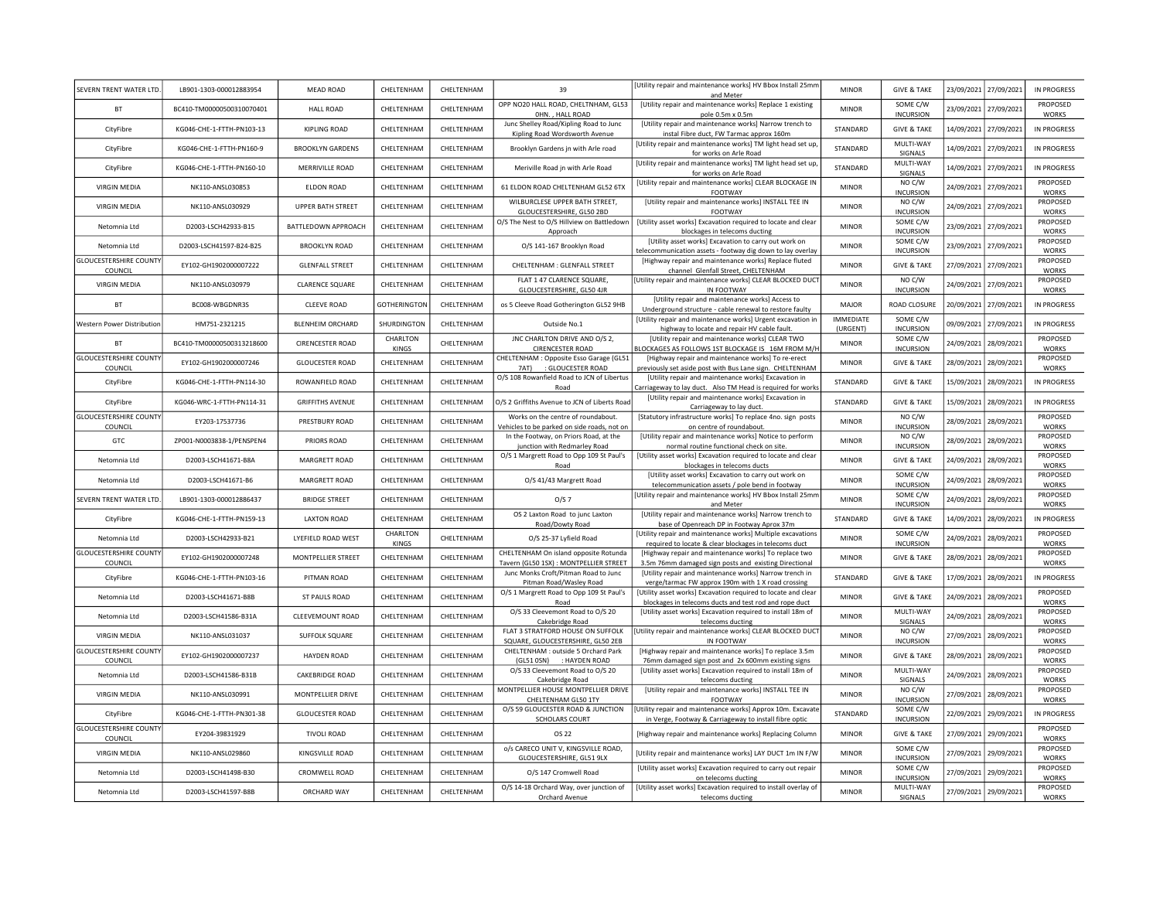| SEVERN TRENT WATER LTD                   | LB901-1303-000012883954   | <b>MEAD ROAD</b>         | CHELTENHAM          | CHELTENHAM | 39                                                                                    | [Utility repair and maintenance works] HV Bbox Install 25mm<br>and Meter                                               | <b>MINOR</b>                     | <b>GIVE &amp; TAKE</b>             |            | 23/09/2021 27/09/2021 | IN PROGRESS                    |
|------------------------------------------|---------------------------|--------------------------|---------------------|------------|---------------------------------------------------------------------------------------|------------------------------------------------------------------------------------------------------------------------|----------------------------------|------------------------------------|------------|-----------------------|--------------------------------|
| <b>BT</b>                                | BC410-TM00000500310070401 | HAII ROAD                | CHELTENHAM          | CHELTENHAM | OPP NO20 HALL ROAD, CHELTNHAM, GL53<br>OHN. . HALL ROAD                               | <b>IUtility repair and maintenance works] Replace 1 existing</b>                                                       | <b>MINOR</b>                     | SOME C/W<br><b>INCURSION</b>       |            | 23/09/2021 27/09/2021 | PROPOSED                       |
| CityFibre                                | KG046-CHE-1-FTTH-PN103-13 | KIPLING ROAD             | CHELTENHAM          | CHELTENHAM | Junc Shelley Road/Kipling Road to Junc                                                | pole 0.5m x 0.5m<br>[Utility repair and maintenance works] Narrow trench to                                            | STANDARD                         | <b>GIVE &amp; TAKE</b>             |            | 14/09/2021 27/09/2021 | WORKS<br>IN PROGRESS           |
| CityFibre                                | KG046-CHE-1-FTTH-PN160-9  | <b>BROOKLYN GARDENS</b>  | CHELTENHAM          | CHELTENHAM | Kipling Road Wordsworth Avenue<br>Brooklyn Gardens jn with Arle road                  | instal Fibre duct, FW Tarmac approx 160m<br>[Utility repair and maintenance works] TM light head set up,               | STANDARD                         | MULTI-WAY                          |            | 14/09/2021 27/09/2021 | IN PROGRESS                    |
|                                          |                           |                          |                     |            |                                                                                       | for works on Arle Road<br>[Utility repair and maintenance works] TM light head set up,                                 |                                  | <b>SIGNALS</b><br>MULTI-WAY        |            |                       |                                |
| CityFibre                                | KG046-CHE-1-FTTH-PN160-10 | MERRIVILLE ROAD          | CHELTENHAM          | CHELTENHAM | Meriville Road in with Arle Road                                                      | for works on Arle Road                                                                                                 | STANDARD                         | SIGNALS<br>NO C/W                  |            | 14/09/2021 27/09/2021 | IN PROGRESS<br><b>PROPOSED</b> |
| <b>VIRGIN MEDIA</b>                      | NK110-ANSL030853          | <b>FLDON ROAD</b>        | CHELTENHAM          | CHELTENHAM | 61 ELDON ROAD CHELTENHAM GL52 6TX                                                     | [Utility repair and maintenance works] CLEAR BLOCKAGE IN<br>FOOTWAY                                                    | <b>MINOR</b>                     | <b>INCURSION</b>                   |            | 24/09/2021 27/09/2021 | <b>WORKS</b>                   |
| <b>VIRGIN MEDIA</b>                      | NK110-ANSL030929          | <b>UPPER BATH STREET</b> | CHELTENHAM          | CHELTENHAM | WILBURCLESE UPPER BATH STREET,<br>GLOUCESTERSHIRE, GL50 2BD                           | [Utility repair and maintenance works] INSTALL TEE IN<br>FOOTWAY                                                       | <b>MINOR</b>                     | NO C/W<br><b>INCURSION</b>         |            | 24/09/2021 27/09/2021 | PROPOSED<br><b>WORKS</b>       |
| Netomnia I td                            | D2003-LSCH42933-B15       | BATTLEDOWN APPROACH      | <b>CHEITENHAM</b>   | CHELTENHAM | O/S The Nest to O/S Hillview on Battledown<br>Approach                                | [Utility asset works] Excavation required to locate and clear<br>blockages in telecoms ducting                         | <b>MINOR</b>                     | SOME C/W<br><b>INCURSION</b>       |            | 23/09/2021 27/09/2021 | PROPOSED<br><b>WORKS</b>       |
| Netomnia I td                            | D2003-LSCH41597-B24-B25   | <b>BROOKLYN ROAD</b>     | CHELTENHAM          | CHELTENHAM | O/S 141-167 Brooklyn Road                                                             | [Utility asset works] Excavation to carry out work on<br>telecommunication assets - footway dig down to lay overlay    | <b>MINOR</b>                     | SOME C/W<br><b>INCURSION</b>       |            | 23/09/2021 27/09/2021 | PROPOSED<br>WORKS              |
| <b>GLOUCESTERSHIRE COUNTY</b>            | EY102-GH1902000007222     | <b>GLENFALL STREET</b>   | CHELTENHAM          | CHELTENHAM | CHELTENHAM : GLENFALL STREET                                                          | [Highway repair and maintenance works] Replace fluted                                                                  | <b>MINOR</b>                     | <b>GIVE &amp; TAKE</b>             |            | 27/09/2021 27/09/2021 | PROPOSED<br><b>WORKS</b>       |
| COUNCIL<br><b>VIRGIN MEDIA</b>           | NK110-ANSL030979          | <b>CLARENCE SQUARE</b>   | CHELTENHAM          | CHELTENHAM | FLAT 1 47 CLARENCE SQUARE,                                                            | channel Glenfall Street, CHELTENHAM<br>[Utility repair and maintenance works] CLEAR BLOCKED DUCT                       | <b>MINOR</b>                     | NO C/W                             | 24/09/2021 | 27/09/2021            | PROPOSED                       |
| <b>BT</b>                                |                           |                          |                     |            | GLOUCESTERSHIRE, GL50 4JR                                                             | IN FOOTWAY<br>[Utility repair and maintenance works] Access to                                                         |                                  | <b>INCURSION</b>                   |            |                       | <b>WORKS</b>                   |
|                                          | BC008-WBGDNR3S            | <b>CLEEVE ROAD</b>       | <b>GOTHERINGTON</b> | CHELTENHAM | os 5 Cleeve Road Gotherington GL52 9HB                                                | Underground structure - cable renewal to restore faulty<br>[Utility repair and maintenance works] Urgent excavation in | <b>MAJOR</b><br><b>IMMEDIATE</b> | ROAD CLOSURE<br>SOME C/W           |            | 20/09/2021 27/09/2021 | IN PROGRESS                    |
| Western Power Distributior               | HM751-2321215             | <b>BI ENHEIM ORCHARD</b> | SHURDINGTON         | CHELTENHAM | Outside No.1                                                                          | highway to locate and repair HV cable fault.                                                                           | (URGENT)                         | <b>INCURSION</b>                   | 09/09/2021 | 27/09/2021            | IN PROGRESS                    |
| <b>BT</b>                                |                           | <b>CIRENCESTER ROAD</b>  | CHARLTON            |            | JNC CHARLTON DRIVE AND O/S 2,                                                         | [Utility repair and maintenance works] CLEAR TWO                                                                       | <b>MINOR</b>                     | SOME C/W                           |            |                       | PROPOSED                       |
|                                          | BC410-TM00000500313218600 |                          | KINGS               | CHELTENHAM | <b>CIRENCESTER ROAD</b>                                                               | LOCKAGES AS FOLLOWS 1ST BLOCKAGE IS 16M FROM M/H                                                                       |                                  | <b>INCURSION</b>                   | 24/09/2021 | 28/09/2021            | <b>WORKS</b>                   |
| <b>GLOUCESTERSHIRE COUNT</b><br>COUNCIL  | FY102-GH1902000007246     | <b>GLOUCESTER ROAD</b>   | CHELTENHAM          | CHELTENHAM | CHELTENHAM : Opposite Esso Garage (GL51<br>7AT) : GLOUCESTER ROAD                     | [Highway repair and maintenance works] To re-erect<br>previously set aside post with Bus Lane sign. CHELTENHAM         | <b>MINOR</b>                     | <b>GIVE &amp; TAKE</b>             | 28/09/2021 | 28/09/2021            | PROPOSED<br>WORKS              |
| CityFibre                                | KG046-CHE-1-FTTH-PN114-30 | ROWANFIELD ROAD          | CHELTENHAM          | CHELTENHAM | O/S 108 Rowanfield Road to JCN of Libertus<br>Road                                    | [Utility repair and maintenance works] Excavation in<br>arriageway to lay duct. Also TM Head is required for works     | STANDARD                         | <b>GIVE &amp; TAKE</b>             | 15/09/2021 | 28/09/2021            | <b>IN PROGRESS</b>             |
| CityFibre                                | KG046-WRC-1-FTTH-PN114-31 | <b>GRIFFITHS AVENUE</b>  | CHELTENHAM          | CHELTENHAM | O/S 2 Griffiths Avenue to JCN of Liberts Road                                         | [Utility repair and maintenance works] Excavation in                                                                   | STANDARD                         | <b>GIVE &amp; TAKE</b>             | 15/09/2021 | 28/09/2021            | IN PROGRESS                    |
| <b>GLOUCESTERSHIRE COUNTY</b>            | EY203-17537736            | PRESTBURY ROAD           | CHELTENHAM          | CHELTENHAM | Works on the centre of roundabout.                                                    | Carriageway to lay duct<br>[Statutory infrastructure works] To replace 4no. sign posts                                 | <b>MINOR</b>                     | NO C/W                             | 28/09/2021 | 28/09/2021            | PROPOSED                       |
| COUNCIL<br>GTC                           | ZP001-N0003838-1/PENSPEN4 | PRIORS ROAD              | CHELTENHAM          | CHELTENHAM | Vehicles to be parked on side roads, not on<br>In the Footway, on Priors Road, at the | on centre of roundabout<br>[Utility repair and maintenance works] Notice to perform                                    | <b>MINOR</b>                     | <b>INCURSION</b><br>NO C/W         | 28/09/2021 | 28/09/2021            | <b>WORKS</b><br>PROPOSED       |
|                                          |                           |                          |                     |            | junction with Redmarley Road<br>O/S 1 Margrett Road to Opp 109 St Paul's              | normal routine functional check on site.<br>[Utility asset works] Excavation required to locate and clear              | <b>MINOR</b>                     | <b>INCURSION</b>                   |            |                       | WORKS<br>PROPOSED              |
| Netomnia Ltd                             | D2003-LSCH41671-B8A       | MARGRETT ROAD            | CHELTENHAM          | CHELTENHAM | Road                                                                                  | blockages in telecoms ducts<br>[Utility asset works] Excavation to carry out work on                                   |                                  | <b>GIVE &amp; TAKE</b><br>SOME C/W | 24/09/2021 | 28/09/2021            | <b>WORKS</b><br>PROPOSED       |
| Netomnia Ltd                             | D2003-LSCH41671-B6        | MARGRETT ROAD            | CHELTENHAM          | CHELTENHAM | O/S 41/43 Margrett Road                                                               | telecommunication assets / pole bend in footway                                                                        | <b>MINOR</b>                     | <b>INCURSION</b>                   | 24/09/2021 | 28/09/2021            | WORKS                          |
| SEVERN TRENT WATER LTD                   | LB901-1303-000012886437   | <b>BRIDGE STREET</b>     | CHELTENHAM          | CHELTENHAM | O/S <sub>7</sub>                                                                      | [Utility repair and maintenance works] HV Bbox Install 25mm<br>and Meter                                               | <b>MINOR</b>                     | SOME C/W<br><b>INCURSION</b>       | 24/09/2021 | 28/09/2021            | PROPOSED<br>WORKS              |
| CityFibre                                | KG046-CHE-1-FTTH-PN159-13 | <b>LAXTON ROAD</b>       | CHELTENHAM          | CHELTENHAM | OS 2 Laxton Road to junc Laxton<br>Road/Dowty Road                                    | [Utility repair and maintenance works] Narrow trench to<br>base of Openreach DP in Footway Aprox 37m                   | STANDARD                         | <b>GIVE &amp; TAKE</b>             |            | 14/09/2021 28/09/2021 | IN PROGRESS                    |
| Netomnia Ltd                             | D2003-LSCH42933-B21       | LYEFIELD ROAD WEST       | CHARLTON<br>KINGS   | CHELTENHAM | O/S 25-37 Lyfield Road                                                                | [Utility repair and maintenance works] Multiple excavations<br>required to locate & clear blockages in telecoms duct   | <b>MINOR</b>                     | SOME C/W<br><b>INCURSION</b>       | 24/09/2021 | 28/09/2021            | PROPOSED<br>WORKS              |
| <b>GLOUCESTERSHIRE COUNTY</b><br>COUNCIL | EY102-GH1902000007248     | MONTPELLIER STREET       | CHELTENHAM          | CHELTENHAM | CHELTENHAM On island opposite Rotunda<br>Tavern (GL50 1SX) : MONTPELLIER STREET       | [Highway repair and maintenance works] To replace two<br>3.5m 76mm damaged sign posts and existing Directional         | <b>MINOR</b>                     | <b>GIVE &amp; TAKE</b>             | 28/09/2021 | 28/09/2021            | PROPOSED<br>WORKS              |
| CityFibre                                | KG046-CHE-1-FTTH-PN103-16 | PITMAN ROAD              | CHELTENHAM          | CHELTENHAM | Junc Monks Croft/Pitman Road to Junc                                                  | [Utility repair and maintenance works] Narrow trench in                                                                | STANDARD                         | <b>GIVE &amp; TAKE</b>             | 17/09/2021 | 28/09/2021            | IN PROGRESS                    |
|                                          |                           |                          |                     |            | Pitman Road/Wasley Road<br>O/S 1 Margrett Road to Opp 109 St Paul's                   | verge/tarmac FW approx 190m with 1 X road crossing<br>[Utility asset works] Excavation required to locate and clear    |                                  |                                    |            |                       | PROPOSED                       |
| Netomnia Ltd                             | D2003-LSCH41671-B8B       | ST PAULS ROAD            | CHELTENHAM          | CHELTENHAM | Road                                                                                  | blockages in telecoms ducts and test rod and rope duct                                                                 | <b>MINOR</b>                     | <b>GIVE &amp; TAKE</b>             | 24/09/2021 | 28/09/2021            | WORKS                          |
| Netomnia Ltd                             | D2003-LSCH41586-B31A      | <b>CLEEVEMOUNT ROAD</b>  | CHELTENHAM          | CHELTENHAM | O/S 33 Cleevemont Road to O/S 20<br>Cakebridge Road                                   | [Utility asset works] Excavation required to install 18m of<br>telecoms ducting                                        | <b>MINOR</b>                     | MULTI-WAY<br>SIGNALS               |            | 24/09/2021 28/09/2021 | PROPOSED<br>WORKS              |
| <b>VIRGIN MEDIA</b>                      | NK110-ANSL031037          | SUFFOLK SQUARE           | CHELTENHAM          | CHELTENHAM | FLAT 3 STRATFORD HOUSE ON SUFFOLK<br>SQUARE, GLOUCESTERSHIRE, GL50 2EB                | Utility repair and maintenance works] CLEAR BLOCKED DUCT<br>IN FOOTWAY                                                 | <b>MINOR</b>                     | NO C/W<br><b>INCURSION</b>         |            | 27/09/2021 28/09/2021 | PROPOSED<br>WORKS              |
| <b>GLOUCESTERSHIRE COUNTY</b>            | EY102-GH1902000007237     | <b>HAYDEN ROAD</b>       | CHELTENHAM          | CHELTENHAM | CHELTENHAM : outside 5 Orchard Park                                                   | [Highway repair and maintenance works] To replace 3.5m                                                                 | <b>MINOR</b>                     | <b>GIVE &amp; TAKE</b>             |            | 28/09/2021 28/09/2021 | PROPOSED                       |
| COUNCIL                                  | D2003-LSCH41586-B31B      | CAKEBRIDGE ROAD          |                     |            | (GL51 0SN) : HAYDEN ROAD<br>O/S 33 Cleevemont Road to O/S 20                          | 76mm damaged sign post and 2x 600mm existing signs<br>[Utility asset works] Excavation required to install 18m of      | <b>MINOR</b>                     | MULTI-WAY                          |            |                       | WORKS<br>PROPOSED              |
| Netomnia Ltd                             |                           |                          | CHELTENHAM          | CHELTENHAM | Cakebridge Road<br>MONTPELLIER HOUSE MONTPELLIER DRIVE                                | telecoms ducting<br>[Utility repair and maintenance works] INSTALL TEE IN                                              |                                  | SIGNALS<br>NO C/W                  |            | 24/09/2021 28/09/2021 | WORKS<br>PROPOSED              |
| <b>VIRGIN MEDIA</b>                      | NK110-ANSL030991          | MONTPELLIER DRIVE        | CHELTENHAM          | CHELTENHAM | CHELTENHAM GL50 1TY                                                                   | <b>FOOTWAY</b>                                                                                                         | <b>MINOR</b>                     | <b>INCURSION</b>                   |            | 27/09/2021 28/09/2021 | <b>WORKS</b>                   |
| CityFibre                                | KG046-CHE-1-FTTH-PN301-38 | <b>GLOUCESTER ROAD</b>   | CHELTENHAM          | CHELTENHAM | O/S 59 GLOUCESTER ROAD & JUNCTION<br><b>SCHOLARS COURT</b>                            | [Utility repair and maintenance works] Approx 10m. Excavate<br>in Verge, Footway & Carriageway to install fibre optic  | STANDARD                         | SOME C/W<br><b>INCURSION</b>       |            | 22/09/2021 29/09/2021 | IN PROGRESS                    |
| <b>GLOUCESTERSHIRE COUNTY</b><br>COUNCIL | EY204-39831929            | <b>TIVOLI ROAD</b>       | CHELTENHAM          | CHELTENHAM | OS 22                                                                                 | [Highway repair and maintenance works] Replacing Column                                                                | <b>MINOR</b>                     | <b>GIVE &amp; TAKE</b>             |            | 27/09/2021 29/09/2021 | PROPOSED<br><b>WORKS</b>       |
| <b>VIRGIN MEDIA</b>                      | NK110-ANSL029860          | KINGSVILLE ROAD          | CHELTENHAM          | CHELTENHAM | o/s CARECO UNIT V, KINGSVILLE ROAD,<br>GLOUCESTERSHIRE, GL51 9LX                      | [Utility repair and maintenance works] LAY DUCT 1m IN F/W                                                              | <b>MINOR</b>                     | SOME C/W<br><b>INCURSION</b>       |            | 27/09/2021 29/09/2021 | PROPOSED<br>WORKS              |
| Netomnia Ltd                             | D2003-LSCH41498-B30       | CROMWELL ROAD            | CHELTENHAM          | CHELTENHAM | O/S 147 Cromwell Road                                                                 | [Utility asset works] Excavation required to carry out repair                                                          | <b>MINOR</b>                     | SOME C/W                           |            | 27/09/2021 29/09/2021 | PROPOSED                       |
|                                          |                           |                          |                     |            | O/S 14-18 Orchard Way, over junction of                                               | on telecoms ducting<br>[Utility asset works] Excavation required to install overlay of                                 |                                  | <b>INCURSION</b><br>MULTI-WAY      |            |                       | <b>WORKS</b><br>PROPOSED       |
| Netomnia Ltd                             | D2003-LSCH41597-B8B       | ORCHARD WAY              | CHELTENHAM          | CHELTENHAM | Orchard Avenue                                                                        | telecoms ducting                                                                                                       | <b>MINOR</b>                     | SIGNALS                            |            | 27/09/2021 29/09/2021 | <b>WORKS</b>                   |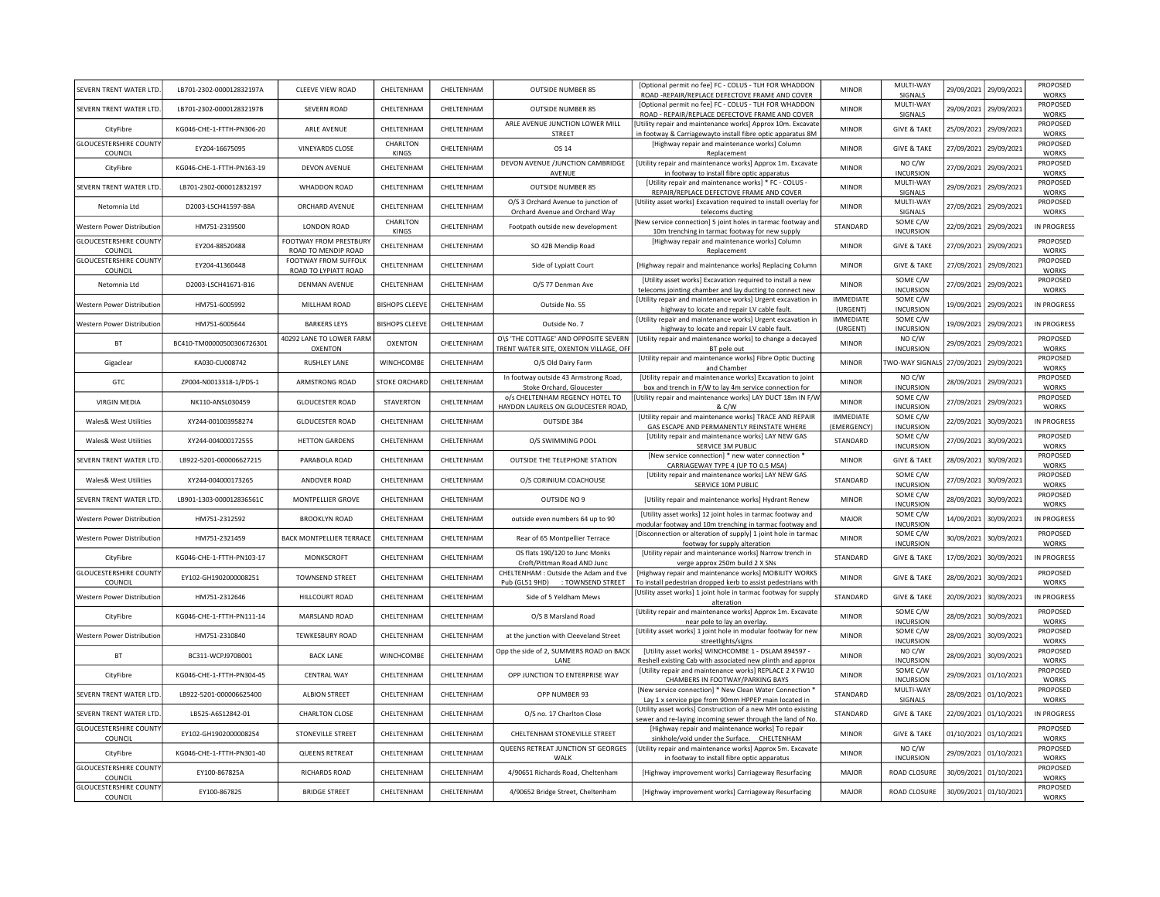| SEVERN TRENT WATER LTD                   | LB701-2302-000012832197A  | <b>CLEEVE VIEW ROAD</b>                       | CHELTENHAM               | CHELTENHAM | <b>OUTSIDE NUMBER 85</b>                                                       | [Optional permit no fee] FC - COLUS - TLH FOR WHADDON<br>ROAD -REPAIR/REPLACE DEFECTOVE FRAME AND COVER                    | <b>MINOR</b>                    | MULTI-WAY<br>SIGNALS         | 29/09/2021 | 29/09/2021            | PROPOSED<br><b>WORKS</b>        |
|------------------------------------------|---------------------------|-----------------------------------------------|--------------------------|------------|--------------------------------------------------------------------------------|----------------------------------------------------------------------------------------------------------------------------|---------------------------------|------------------------------|------------|-----------------------|---------------------------------|
| SEVERN TRENT WATER LTD                   | LB701-2302-000012832197B  | <b>SEVERN ROAD</b>                            | CHELTENHAM               | CHELTENHAM | <b>OUTSIDE NUMBER 85</b>                                                       | [Optional permit no fee] FC - COLUS - TLH FOR WHADDON<br>ROAD - REPAIR/REPLACE DEFECTOVE FRAME AND COVER                   | <b>MINOR</b>                    | MULTI-WAY<br>SIGNALS         |            | 29/09/2021 29/09/2021 | PROPOSED<br>WORKS               |
| CityFibre                                | KG046-CHE-1-FTTH-PN306-20 | ARLE AVENUE                                   | CHELTENHAM               | CHELTENHAM | ARLE AVENUE JUNCTION LOWER MILL<br>STREET                                      | Utility repair and maintenance works] Approx 10m. Excavate<br>in footway & Carriagewayto install fibre optic apparatus 8M  | <b>MINOR</b>                    | <b>GIVE &amp; TAKE</b>       | 25/09/2021 | 29/09/2021            | PROPOSED<br><b>WORKS</b>        |
| <b>GLOUCESTERSHIRE COUNTY</b><br>COUNCIL | FY204-16675095            | <b>VINEYARDS CLOSE</b>                        | CHARLTON<br><b>KINGS</b> | CHELTENHAM | OS 14                                                                          | [Highway repair and maintenance works] Column<br>Replacement                                                               | <b>MINOR</b>                    | <b>GIVE &amp; TAKE</b>       | 27/09/2021 | 29/09/2021            | PROPOSED<br><b>WORKS</b>        |
| CityFibre                                | KG046-CHE-1-FTTH-PN163-19 | <b>DEVON AVENUE</b>                           | CHELTENHAM               | CHELTENHAM | DEVON AVENUE /JUNCTION CAMBRIDGE<br>AVENUE                                     | [Utility repair and maintenance works] Approx 1m. Excavate<br>in footway to install fibre optic apparatus                  | <b>MINOR</b>                    | NO C/W<br><b>INCURSION</b>   | 27/09/2021 | 29/09/2021            | PROPOSED<br><b>WORKS</b>        |
| SEVERN TRENT WATER LTD                   | LB701-2302-000012832197   | WHADDON ROAD                                  | CHELTENHAM               | CHELTENHAM | <b>OUTSIDE NUMBER 85</b>                                                       | [Utility repair and maintenance works] * FC - COLUS -<br>REPAIR/REPLACE DEFECTOVE FRAME AND COVER                          | <b>MINOR</b>                    | MULTI-WAY<br>SIGNALS         | 29/09/2021 | 29/09/2021            | PROPOSED<br><b>WORKS</b>        |
| Netomnia Ltd                             | D2003-LSCH41597-B8A       | ORCHARD AVENUE                                | CHELTENHAM               | CHELTENHAM | O/S 3 Orchard Avenue to junction of<br>Orchard Avenue and Orchard Way          | [Utility asset works] Excavation required to install overlay for<br>telecoms ducting                                       | <b>MINOR</b>                    | MULTI-WAY<br>SIGNALS         | 27/09/2021 | 29/09/2021            | PROPOSED<br><b>WORKS</b>        |
| Western Power Distribution               | HM751-2319500             | LONDON ROAD                                   | CHARLTON<br>KINGS        | CHELTENHAM | Footpath outside new development                                               | New service connection] 5 joint holes in tarmac footway and<br>10m trenching in tarmac footway for new supply              | STANDARD                        | SOME C/W<br><b>INCURSION</b> | 22/09/2021 | 29/09/2021            | IN PROGRESS                     |
| <b>GLOUCESTERSHIRE COUNTY</b><br>COUNCIL | EY204-88520488            | FOOTWAY FROM PRESTBURY<br>ROAD TO MENDIP ROAD | CHELTENHAM               | CHELTENHAM | SO 42B Mendip Road                                                             | [Highway repair and maintenance works] Column<br>Replacement                                                               | <b>MINOR</b>                    | <b>GIVE &amp; TAKE</b>       | 27/09/2021 | 29/09/2021            | PROPOSED<br><b>WORKS</b>        |
| <b>GLOUCESTERSHIRE COUNTY</b><br>COUNCIL | EY204-41360448            | FOOTWAY FROM SUFFOLK<br>ROAD TO LYPIATT ROAD  | CHELTENHAM               | CHELTENHAM | Side of Lypiatt Court                                                          | [Highway repair and maintenance works] Replacing Column                                                                    | <b>MINOR</b>                    | <b>GIVE &amp; TAKE</b>       | 27/09/2021 | 29/09/2021            | PROPOSED<br><b>WORKS</b>        |
| Netomnia Ltd                             | D2003-LSCH41671-B16       | <b>DENMAN AVENUE</b>                          | CHELTENHAM               | CHELTENHAM | O/S 77 Denman Ave                                                              | [Utility asset works] Excavation required to install a new<br>telecoms jointing chamber and lay ducting to connect new     | <b>MINOR</b>                    | SOME C/W<br><b>INCURSION</b> | 27/09/2021 | 29/09/2021            | PROPOSED<br><b>WORKS</b>        |
| Western Power Distribution               | HM751-6005992             | MILLHAM ROAD                                  | <b>BISHOPS CLEEVE</b>    | CHELTENHAM | Outside No. 55                                                                 | [Utility repair and maintenance works] Urgent excavation in<br>highway to locate and repair LV cable fault.                | <b>IMMEDIATE</b><br>(URGENT)    | SOME C/W<br><b>INCURSION</b> | 19/09/2021 | 29/09/2021            | IN PROGRESS                     |
| Western Power Distribution               | HM751-6005644             | <b>BARKERS LEYS</b>                           | <b>BISHOPS CLEEVE</b>    | CHELTENHAM | Outside No. 7                                                                  | [Utility repair and maintenance works] Urgent excavation in<br>highway to locate and repair LV cable fault.                | <b>IMMEDIATE</b><br>(URGENT)    | SOME C/W<br><b>INCURSION</b> | 19/09/2021 | 29/09/2021            | IN PROGRESS                     |
| <b>BT</b>                                | BC410-TM00000500306726301 | 40292 LANE TO LOWER FARM<br>OXENTON           | OXENTON                  | CHELTENHAM | O\S 'THE COTTAGE' AND OPPOSITE SEVERN<br>TRENT WATER SITE, OXENTON VILLAGE, OF | [Utility repair and maintenance works] to change a decayed<br>BT pole out                                                  | <b>MINOR</b>                    | NO C/W<br><b>INCURSION</b>   | 29/09/2021 | 29/09/2021            | PROPOSED<br><b>WORKS</b>        |
| Gigaclear                                | KA030-CU008742            | <b>RUSHLEY LANE</b>                           | WINCHCOMBE               | CHELTENHAM | O/S Old Dairy Farm                                                             | [Utility repair and maintenance works] Fibre Optic Ducting<br>and Chamber                                                  | <b>MINOR</b>                    | WO-WAY SIGNALS               | 27/09/2021 | 29/09/2021            | PROPOSED<br>WORKS               |
| GTC                                      | ZP004-N0013318-1/PDS-1    | ARMSTRONG ROAD                                | <b>STOKE ORCHARD</b>     | CHELTENHAM | In footway outside 43 Armstrong Road,<br>Stoke Orchard, Gloucester             | [Utility repair and maintenance works] Excavation to joint<br>box and trench in F/W to lay 4m service connection for       | <b>MINOR</b>                    | NO C/W<br><b>INCURSION</b>   | 28/09/2021 | 29/09/2021            | PROPOSED<br>WORKS               |
| <b>VIRGIN MEDIA</b>                      | NK110-ANSL030459          | <b>GLOUCESTER ROAD</b>                        | <b>STAVERTON</b>         | CHELTENHAM | o/s CHELTENHAM REGENCY HOTEL TO<br>HAYDON LAURELS ON GLOUCESTER ROAD,          | Utility repair and maintenance works] LAY DUCT 18m IN F/W<br>& C/W                                                         | <b>MINOR</b>                    | SOME C/W<br><b>INCURSION</b> | 27/09/2021 | 29/09/2021            | PROPOSED<br>WORKS               |
| Wales& West Utilities                    | XY244-001003958274        | <b>GLOUCESTER ROAD</b>                        | CHELTENHAM               | CHELTENHAM | OUTSIDE 384                                                                    | [Utility repair and maintenance works] TRACE AND REPAIR<br>GAS ESCAPE AND PERMANENTLY REINSTATE WHERE                      | <b>IMMEDIATE</b><br>(EMERGENCY) | SOME C/W<br><b>INCURSION</b> | 22/09/2021 | 30/09/2021            | IN PROGRESS                     |
| Wales& West Utilities                    | XY244-004000172555        | <b>HETTON GARDENS</b>                         | CHELTENHAM               | CHELTENHAM | O/S SWIMMING POOL                                                              | [Utility repair and maintenance works] LAY NEW GAS<br>SERVICE 3M PUBLIC                                                    | STANDARD                        | SOME C/W<br><b>INCURSION</b> | 27/09/2021 | 30/09/2021            | <b>PROPOSED</b><br><b>WORKS</b> |
| SEVERN TRENT WATER LTD                   | LB922-5201-000006627215   | PARABOLA ROAD                                 | CHELTENHAM               | CHELTENHAM | OUTSIDE THE TELEPHONE STATION                                                  | [New service connection] * new water connection *<br>CARRIAGEWAY TYPE 4 (UP TO 0.5 MSA)                                    | <b>MINOR</b>                    | <b>GIVE &amp; TAKE</b>       | 28/09/2021 | 30/09/2021            | PROPOSED<br><b>WORKS</b>        |
| Wales& West Utilities                    | XY244-004000173265        | ANDOVER ROAD                                  | CHELTENHAM               | CHELTENHAM | O/S CORINIUM COACHOUSE                                                         | [Utility repair and maintenance works] LAY NEW GAS<br>SERVICE 10M PUBLIC                                                   | STANDARD                        | SOME C/W<br><b>INCURSION</b> | 27/09/2021 | 30/09/2021            | PROPOSED<br>WORKS               |
| SEVERN TRENT WATER LTD                   | LB901-1303-000012836561C  | MONTPELLIER GROVE                             | CHELTENHAM               | CHELTENHAM | OUTSIDE NO 9                                                                   | [Utility repair and maintenance works] Hydrant Renew                                                                       | <b>MINOR</b>                    | SOME C/W<br><b>INCURSION</b> | 28/09/2021 | 30/09/2021            | PROPOSED<br>WORKS               |
| Western Power Distribution               | HM751-2312592             | <b>BROOKLYN ROAD</b>                          | CHELTENHAM               | CHELTENHAM | outside even numbers 64 up to 90                                               | [Utility asset works] 12 joint holes in tarmac footway and<br>modular footway and 10m trenching in tarmac footway and      | MAJOR                           | SOME C/W<br><b>INCURSION</b> | 14/09/2021 | 30/09/2021            | IN PROGRESS                     |
| Western Power Distribution               | HM751-2321459             | <b>BACK MONTPELLIER TERRACE</b>               | CHELTENHAM               | CHELTENHAM | Rear of 65 Montpellier Terrace                                                 | [Disconnection or alteration of supply] 1 joint hole in tarmac<br>footway for supply alteration                            | <b>MINOR</b>                    | SOME C/W<br><b>INCURSION</b> | 30/09/2021 | 30/09/2021            | PROPOSED<br>WORKS               |
| CityFibre                                | KG046-CHE-1-FTTH-PN103-17 | MONKSCROFT                                    | CHELTENHAM               | CHELTENHAM | OS flats 190/120 to Junc Monks<br>Croft/Pittman Road AND Junc                  | [Utility repair and maintenance works] Narrow trench in<br>verge approx 250m build 2 X SNs                                 | STANDARD                        | <b>GIVE &amp; TAKE</b>       | 17/09/2021 | 30/09/2021            | IN PROGRESS                     |
| <b>GLOUCESTERSHIRE COUNTY</b><br>COUNCIL | EY102-GH1902000008251     | <b>TOWNSEND STREET</b>                        | CHELTENHAM               | CHELTENHAM | CHELTENHAM : Outside the Adam and Eve<br>Pub (GL51 9HD) : TOWNSEND STREET      | [Highway repair and maintenance works] MOBILITY WORKS<br>To install pedestrian dropped kerb to assist pedestrians with     | <b>MINOR</b>                    | <b>GIVE &amp; TAKE</b>       | 28/09/2021 | 30/09/2021            | PROPOSED<br><b>WORKS</b>        |
| Western Power Distribution               | HM751-2312646             | HILLCOURT ROAD                                | CHELTENHAM               | CHELTENHAM | Side of 5 Yeldham Mews                                                         | [Utility asset works] 1 joint hole in tarmac footway for supply<br>alteration                                              | STANDARD                        | <b>GIVE &amp; TAKE</b>       | 20/09/2021 | 30/09/2021            | <b>IN PROGRESS</b>              |
| CityFibre                                | KG046-CHE-1-FTTH-PN111-14 | MARSLAND ROAD                                 | CHELTENHAM               | CHELTENHAM | O/S 8 Marsland Road                                                            | [Utility repair and maintenance works] Approx 1m. Excavate<br>near pole to lay an overlay.                                 | MINOR                           | SOME C/W<br><b>INCURSION</b> | 28/09/2021 | 30/09/2021            | PROPOSED<br><b>WORKS</b>        |
| Western Power Distribution               | HM751-2310840             | <b>TEWKESBURY ROAD</b>                        | CHELTENHAM               | CHELTENHAM | at the junction with Cleeveland Street                                         | [Utility asset works] 1 joint hole in modular footway for new<br>streetlights/signs                                        | <b>MINOR</b>                    | SOME C/W<br><b>INCURSION</b> |            | 28/09/2021 30/09/2021 | PROPOSED<br><b>WORKS</b>        |
| BT                                       | BC311-WCPJ970B001         | <b>BACK LANE</b>                              | WINCHCOMBE               | CHELTENHAM | Opp the side of 2, SUMMERS ROAD on BACK<br>LANE                                | [Utility asset works] WINCHCOMBE 1 - DSLAM 894597 -<br>Reshell existing Cab with associated new plinth and approx          | <b>MINOR</b>                    | NO C/W<br><b>INCURSION</b>   |            | 28/09/2021 30/09/2021 | PROPOSED<br><b>WORKS</b>        |
| CityFibre                                | KG046-CHE-1-FTTH-PN304-45 | <b>CENTRAL WAY</b>                            | CHELTENHAM               | CHELTENHAM | OPP JUNCTION TO ENTERPRISE WAY                                                 | [Utility repair and maintenance works] REPLACE 2 X FW10<br>CHAMBERS IN FOOTWAY/PARKING BAYS                                | <b>MINOR</b>                    | SOME C/W<br><b>INCURSION</b> |            | 29/09/2021 01/10/2021 | PROPOSED<br><b>WORKS</b>        |
| SEVERN TRENT WATER LTD                   | LB922-5201-000006625400   | <b>ALBION STREET</b>                          | CHELTENHAM               | CHELTENHAM | OPP NUMBER 93                                                                  | [New service connection] * New Clean Water Connection<br>Lay 1 x service pipe from 90mm HPPEP main located in              | STANDARD                        | MULTI-WAY<br>SIGNALS         |            | 28/09/2021 01/10/2021 | PROPOSED<br><b>WORKS</b>        |
| SEVERN TRENT WATER LTD                   | LB525-A6S12842-01         | <b>CHARLTON CLOSE</b>                         | CHELTENHAM               | CHELTENHAM | O/S no. 17 Charlton Close                                                      | [Utility asset works] Construction of a new MH onto existing<br>sewer and re-laying incoming sewer through the land of No. | STANDARD                        | <b>GIVE &amp; TAKE</b>       |            | 22/09/2021 01/10/2021 | <b>IN PROGRESS</b>              |
| <b>GLOUCESTERSHIRE COUNTY</b><br>COUNCIL | EY102-GH1902000008254     | STONEVILLE STREET                             | CHELTENHAM               | CHELTENHAM | CHELTENHAM STONEVILLE STREET                                                   | [Highway repair and maintenance works] To repair<br>sinkhole/void under the Surface. CHELTENHAM                            | <b>MINOR</b>                    | <b>GIVE &amp; TAKE</b>       | 01/10/2021 | 01/10/2021            | PROPOSED<br><b>WORKS</b>        |
| CityFibre                                | KG046-CHE-1-FTTH-PN301-40 | <b>QUEENS RETREAT</b>                         | CHELTENHAM               | CHELTENHAM | QUEENS RETREAT JUNCTION ST GEORGES<br>WALK                                     | [Utility repair and maintenance works] Approx 5m. Excavate<br>in footway to install fibre optic apparatus                  | <b>MINOR</b>                    | NO C/W<br><b>INCURSION</b>   |            | 29/09/2021 01/10/2021 | PROPOSED<br><b>WORKS</b>        |
| <b>GLOUCESTERSHIRE COUNTY</b><br>COUNCIL | EY100-867825A             | RICHARDS ROAD                                 | CHELTENHAM               | CHELTENHAM | 4/90651 Richards Road, Cheltenham                                              | [Highway improvement works] Carriageway Resurfacing                                                                        | MAJOR                           | ROAD CLOSURE                 | 30/09/2021 | 01/10/2021            | PROPOSED<br><b>WORKS</b>        |
| <b>GLOUCESTERSHIRE COUNTY</b><br>COUNCIL | FY100-867825              | <b>BRIDGE STREET</b>                          | CHELTENHAM               | CHELTENHAM | 4/90652 Bridge Street, Cheltenham                                              | [Highway improvement works] Carriageway Resurfacing                                                                        | MAIOR                           | ROAD CLOSURE                 |            | 30/09/2021 01/10/2021 | PROPOSED<br><b>WORKS</b>        |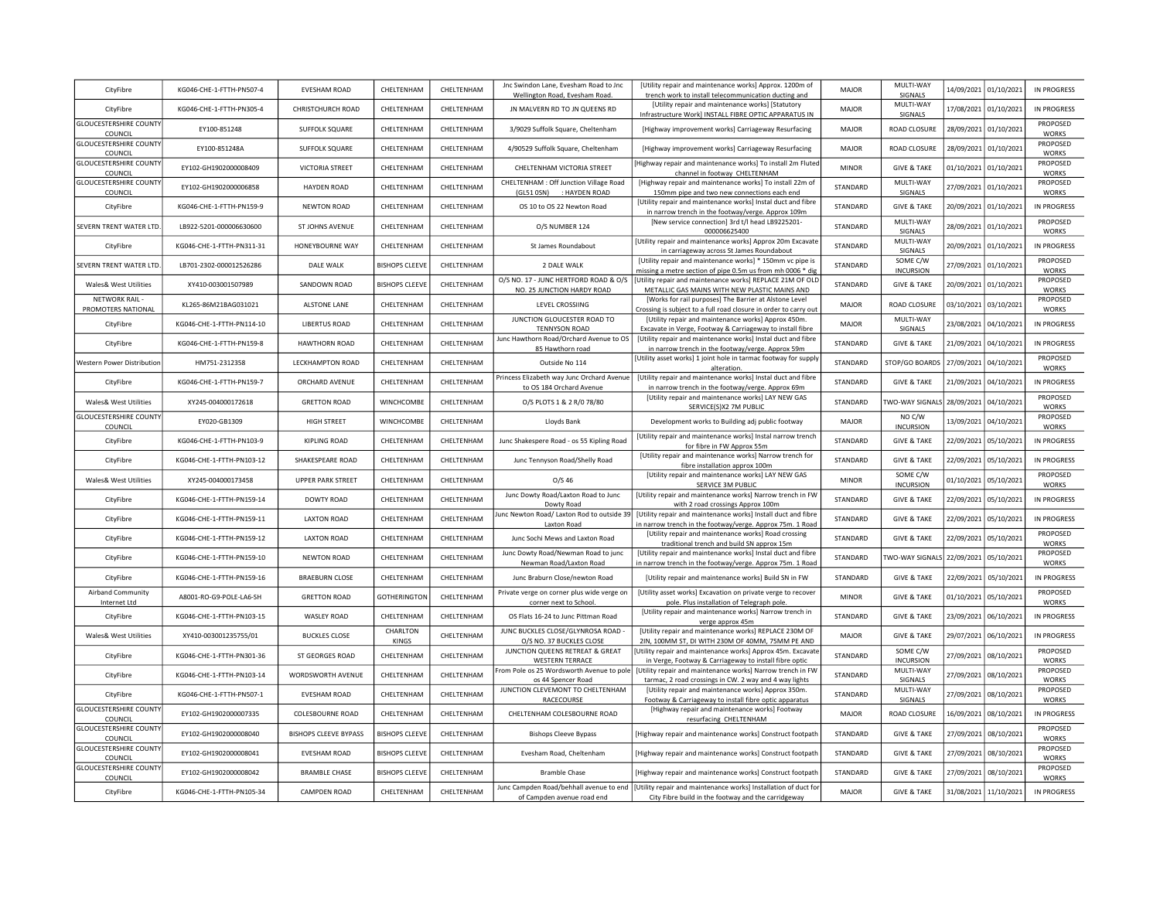| CityFibre                                | KG046-CHE-1-FTTH-PN507-4  | <b>EVESHAM ROAD</b>          | CHELTENHAM            | CHELTENHAM | Jnc Swindon Lane, Evesham Road to Jnc<br>Wellington Road, Evesham Road. | [Utility repair and maintenance works] Approx. 1200m of<br>trench work to install telecommunication ducting and                                                  | MAJOR        | MULTI-WAY<br>SIGNALS         | 14/09/2021 | 01/10/2021            | IN PROGRESS              |
|------------------------------------------|---------------------------|------------------------------|-----------------------|------------|-------------------------------------------------------------------------|------------------------------------------------------------------------------------------------------------------------------------------------------------------|--------------|------------------------------|------------|-----------------------|--------------------------|
| CityFibre                                | KG046-CHE-1-FTTH-PN305-4  | CHRISTCHURCH ROAD            | CHELTENHAM            | CHELTENHAM | JN MALVERN RD TO JN QUEENS RD                                           | [Utility repair and maintenance works] [Statutory<br>Infrastructure Work] INSTALL FIBRE OPTIC APPARATUS IN                                                       | MAJOR        | MULTI-WAY<br>SIGNALS         |            | 17/08/2021 01/10/2021 | IN PROGRESS              |
| <b>GLOUCESTERSHIRE COUNTY</b><br>COUNCIL | EY100-851248              | SUFFOLK SQUARE               | CHELTENHAM            | CHELTENHAM | 3/9029 Suffolk Square, Cheltenham                                       | [Highway improvement works] Carriageway Resurfacing                                                                                                              | MAJOR        | ROAD CLOSURE                 |            | 28/09/2021 01/10/2021 | PROPOSED<br><b>WORKS</b> |
| <b>GLOUCESTERSHIRE COUNTY</b><br>COUNCIL | EY100-851248A             | SUFFOLK SQUARE               | CHELTENHAM            | CHELTENHAM | 4/90529 Suffolk Square, Cheltenham                                      | [Highway improvement works] Carriageway Resurfacing                                                                                                              | MAJOR        | ROAD CLOSURE                 |            | 28/09/2021 01/10/2021 | PROPOSED<br><b>WORKS</b> |
| <b>GLOUCESTERSHIRE COUNTY</b><br>COUNCIL | EY102-GH1902000008409     | <b>VICTORIA STREET</b>       | CHELTENHAM            | CHELTENHAM | CHELTENHAM VICTORIA STREET                                              | Highway repair and maintenance works] To install 2m Fluted<br>channel in footway CHELTENHAM                                                                      | <b>MINOR</b> | <b>GIVE &amp; TAKE</b>       |            | 01/10/2021 01/10/2021 | PROPOSED<br><b>WORKS</b> |
| <b>GLOUCESTERSHIRE COUNTY</b><br>COUNCIL | EY102-GH1902000006858     | <b>HAYDEN ROAD</b>           | CHELTENHAM            | CHELTENHAM | CHELTENHAM : Off Junction Village Road<br>(GL51 0SN) : HAYDEN ROAD      | [Highway repair and maintenance works] To install 22m of<br>150mm pipe and two new connections each end                                                          | STANDARD     | MULTI-WAY<br>SIGNALS         |            | 27/09/2021 01/10/2021 | PROPOSED<br><b>WORKS</b> |
| CityFibre                                | KG046-CHE-1-FTTH-PN159-9  | <b>NEWTON ROAD</b>           | CHELTENHAM            | CHELTENHAM | OS 10 to OS 22 Newton Road                                              | [Utility repair and maintenance works] Instal duct and fibre<br>in narrow trench in the footway/verge. Approx 109m                                               | STANDARD     | <b>GIVE &amp; TAKE</b>       |            | 20/09/2021 01/10/2021 | IN PROGRESS              |
| SEVERN TRENT WATER LTD                   | LB922-5201-000006630600   | ST JOHNS AVENUE              | CHELTENHAM            | CHELTENHAM | O/S NUMBER 124                                                          | [New service connection] 3rd t/l head LB9225201-<br>000006625400                                                                                                 | STANDARD     | MULTI-WAY<br>SIGNALS         |            | 28/09/2021 01/10/2021 | PROPOSED<br><b>WORKS</b> |
| CityFibre                                | KG046-CHE-1-FTTH-PN311-31 | HONEYBOURNE WAY              | CHELTENHAM            | CHELTENHAM | St James Roundabout                                                     | [Utility repair and maintenance works] Approx 20m Excavate<br>in carriageway across St James Roundabout                                                          | STANDARD     | MULTI-WAY<br>SIGNALS         |            | 20/09/2021 01/10/2021 | IN PROGRESS              |
| SEVERN TRENT WATER LTD                   | LB701-2302-000012526286   | DALE WALK                    | <b>BISHOPS CLEEVE</b> | CHELTENHAM | 2 DALE WALK                                                             | [Utility repair and maintenance works] * 150mm vc pipe is<br>missing a metre section of pipe 0.5m us from mh 0006 * dig                                          | STANDARD     | SOME C/W<br><b>INCURSION</b> | 27/09/2021 | 01/10/2021            | PROPOSED<br><b>WORKS</b> |
| Wales& West Utilities                    | XY410-003001507989        | SANDOWN ROAD                 | <b>BISHOPS CLEEVE</b> | CHELTENHAM | O/S NO. 17 - JUNC HERTFORD ROAD & O/S<br>NO. 25 JUNCTION HARDY ROAD     | [Utility repair and maintenance works] REPLACE 21M OF OLD<br>METALLIC GAS MAINS WITH NEW PLASTIC MAINS AND                                                       | STANDARD     | <b>GIVE &amp; TAKE</b>       | 20/09/2021 | 01/10/2021            | PROPOSED<br>WORKS        |
| NETWORK RAIL-<br>PROMOTERS NATIONAL      | KL265-86M21BAG031021      | <b>ALSTONE LANE</b>          | CHELTENHAM            | CHELTENHAM | LEVEL CROSSIING                                                         | [Works for rail purposes] The Barrier at Alstone Level<br>Crossing is subject to a full road closure in order to carry out                                       | <b>MAJOR</b> | ROAD CLOSURE                 | 03/10/2021 | 03/10/2021            | PROPOSED<br>WORKS        |
| CityFibre                                | KG046-CHE-1-FTTH-PN114-10 | <b>LIBERTUS ROAD</b>         | CHELTENHAM            | CHELTENHAM | JUNCTION GLOUCESTER ROAD TO<br><b>TENNYSON ROAD</b>                     | [Utility repair and maintenance works] Approx 450m.<br>Excavate in Verge, Footway & Carriageway to install fibre                                                 | MAJOR        | MULTI-WAY<br>SIGNALS         | 23/08/2021 | 04/10/2021            | IN PROGRESS              |
| CityFibre                                | KG046-CHE-1-FTTH-PN159-8  | <b>HAWTHORN ROAD</b>         | CHELTENHAM            | CHELTENHAM | unc Hawthorn Road/Orchard Avenue to OS<br>85 Hawthorn road              | [Utility repair and maintenance works] Instal duct and fibre<br>in narrow trench in the footway/verge. Approx 59m                                                | STANDARD     | <b>GIVE &amp; TAKE</b>       | 21/09/2021 | 04/10/2021            | <b>IN PROGRESS</b>       |
| Western Power Distribution               | HM751-2312358             | LECKHAMPTON ROAD             | CHELTENHAM            | CHELTENHAM | Outside No 114                                                          | [Utility asset works] 1 joint hole in tarmac footway for supply<br>alteration.                                                                                   | STANDARD     | STOP/GO BOARDS               | 27/09/2021 | 04/10/2021            | PROPOSED<br>WORKS        |
| CityFibre                                | KG046-CHE-1-FTTH-PN159-7  | ORCHARD AVENUE               | CHELTENHAM            | CHELTENHAM | Princess Elizabeth way Junc Orchard Avenue<br>to OS 184 Orchard Avenue  | [Utility repair and maintenance works] Instal duct and fibre<br>in narrow trench in the footway/verge. Approx 69m                                                | STANDARD     | <b>GIVE &amp; TAKE</b>       | 21/09/2021 | 04/10/2021            | IN PROGRESS              |
| Wales& West Utilities                    | XY245-004000172618        | <b>GRETTON ROAD</b>          | <b>WINCHCOMBE</b>     | CHELTENHAM | O/S PLOTS 1 & 2 R/0 78/80                                               | [Utility repair and maintenance works] LAY NEW GAS<br>SERVICE(S)X2 7M PUBLIC                                                                                     | STANDARD     | <b>TWO-WAY SIGNALS</b>       | 28/09/2021 | 04/10/2021            | PROPOSED<br><b>WORKS</b> |
| <b>GLOUCESTERSHIRE COUNTY</b><br>COUNCIL | EY020-GB1309              | <b>HIGH STREET</b>           | WINCHCOMBE            | CHELTENHAM | Lloyds Bank                                                             | Development works to Building adj public footway                                                                                                                 | MAJOR        | NO C/W<br><b>INCURSION</b>   | 13/09/2021 | 04/10/2021            | PROPOSED<br>WORKS        |
| CityFibre                                | KG046-CHE-1-FTTH-PN103-9  | <b>KIPLING ROAD</b>          | CHELTENHAM            | CHELTENHAM | Junc Shakespere Road - os 55 Kipling Road                               | [Utility repair and maintenance works] Instal narrow trench<br>for fibre in FW Approx 55m                                                                        | STANDARD     | <b>GIVE &amp; TAKE</b>       | 22/09/2021 | 05/10/2021            | IN PROGRESS              |
| CityFibre                                | KG046-CHE-1-FTTH-PN103-12 | SHAKESPEARE ROAD             | CHELTENHAM            | CHELTENHAM | Junc Tennyson Road/Shelly Road                                          | [Utility repair and maintenance works] Narrow trench for<br>fibre installation approx 100m                                                                       | STANDARD     | <b>GIVE &amp; TAKE</b>       | 22/09/2021 | 05/10/2021            | IN PROGRESS              |
| Wales& West Utilities                    | XY245-004000173458        | <b>UPPER PARK STREET</b>     | CHELTENHAM            | CHELTENHAM | O/S <sub>46</sub>                                                       | [Utility repair and maintenance works] LAY NEW GAS<br>SERVICE 3M PUBLIC                                                                                          | <b>MINOR</b> | SOME C/W<br><b>INCURSION</b> | 01/10/2021 | 05/10/2021            | PROPOSED<br><b>WORKS</b> |
| CityFibre                                | KG046-CHE-1-FTTH-PN159-14 | <b>DOWTY ROAD</b>            | CHELTENHAM            | CHELTENHAM | Junc Dowty Road/Laxton Road to Junc<br>Dowty Road                       | [Utility repair and maintenance works] Narrow trench in FW<br>with 2 road crossings Approx 100m                                                                  | STANDARD     | <b>GIVE &amp; TAKE</b>       | 22/09/2021 | 05/10/2021            | IN PROGRESS              |
| CityFibre                                | KG046-CHE-1-FTTH-PN159-11 | <b>LAXTON ROAD</b>           | CHELTENHAM            | CHELTENHAM | lunc Newton Road/ Laxton Rod to outside 39<br>Laxton Road               | [Utility repair and maintenance works] Install duct and fibre<br>in narrow trench in the footway/verge. Approx 75m. 1 Road                                       | STANDARD     | <b>GIVE &amp; TAKE</b>       | 22/09/2021 | 05/10/2021            | IN PROGRESS              |
| CityFibre                                | KG046-CHE-1-FTTH-PN159-12 | <b>LAXTON ROAD</b>           | CHELTENHAM            | CHELTENHAM | Junc Sochi Mews and Laxton Road                                         | [Utility repair and maintenance works] Road crossing<br>traditional trench and build SN approx 15m                                                               | STANDARD     | <b>GIVE &amp; TAKE</b>       | 22/09/2021 | 05/10/2021            | PROPOSED<br><b>WORKS</b> |
| CityFibre                                | KG046-CHE-1-FTTH-PN159-10 | <b>NEWTON ROAD</b>           | CHELTENHAM            | CHELTENHAM | Junc Dowty Road/Newman Road to junc<br>Newman Road/Laxton Road          | [Utility repair and maintenance works] Instal duct and fibre<br>in narrow trench in the footway/verge. Approx 75m. 1 Road                                        | STANDARD     | TWO-WAY SIGNALS              | 22/09/2021 | 05/10/2021            | PROPOSED<br>WORKS        |
| CityFibre                                | KG046-CHE-1-FTTH-PN159-16 | <b>BRAEBURN CLOSE</b>        | CHELTENHAM            | CHELTENHAM | Junc Braburn Close/newton Road                                          | [Utility repair and maintenance works] Build SN in FW                                                                                                            | STANDARD     | <b>GIVE &amp; TAKE</b>       | 22/09/2021 | 05/10/2021            | IN PROGRESS              |
| Airband Community<br>Internet Ltd        | A8001-RO-G9-POLE-LA6-SH   | <b>GRETTON ROAD</b>          | <b>GOTHERINGTON</b>   | CHELTENHAM | Private verge on corner plus wide verge on<br>corner next to School     | [Utility asset works] Excavation on private verge to recover<br>pole. Plus installation of Telegraph pole.                                                       | <b>MINOR</b> | <b>GIVE &amp; TAKE</b>       | 01/10/2021 | 05/10/2021            | PROPOSED<br>WORKS        |
| CityFibre                                | KG046-CHE-1-FTTH-PN103-15 | WASLEY ROAD                  | CHELTENHAM            | CHELTENHAM | OS Flats 16-24 to Junc Pittman Road                                     | [Utility repair and maintenance works] Narrow trench in<br>verge approx 45m                                                                                      | STANDARD     | <b>GIVE &amp; TAKE</b>       | 23/09/2021 | 06/10/2021            | IN PROGRESS              |
| Wales& West Utilities                    | XY410-003001235755/01     | <b>BUCKLES CLOSE</b>         | CHARLTON<br>KINGS     | CHELTENHAM | JUNC BUCKLES CLOSE/GLYNROSA ROAD -<br>O/S NO. 37 BUCKLES CLOSE          | [Utility repair and maintenance works] REPLACE 230M OF<br>2IN, 100MM ST, DI WITH 230M OF 40MM, 75MM PE AND                                                       | <b>MAJOR</b> | <b>GIVE &amp; TAKE</b>       | 29/07/2021 | 06/10/2021            | <b>IN PROGRESS</b>       |
| CityFibre                                | KG046-CHE-1-FTTH-PN301-36 | ST GEORGES ROAD              | CHELTENHAM            | CHELTENHAM | JUNCTION QUEENS RETREAT & GREAT<br><b>WESTERN TERRACE</b>               | [Utility repair and maintenance works] Approx 45m. Excavate<br>in Verge, Footway & Carriageway to install fibre optic                                            | STANDARD     | SOME C/W<br><b>INCURSION</b> | 27/09/2021 | 08/10/2021            | PROPOSED<br><b>WORKS</b> |
| CityFibre                                | KG046-CHE-1-FTTH-PN103-14 | WORDSWORTH AVENUE            | CHELTENHAM            | CHELTENHAM | rom Pole os 25 Wordsworth Avenue to pole<br>os 44 Spencer Road          | [Utility repair and maintenance works] Narrow trench in FW<br>tarmac, 2 road crossings in CW. 2 way and 4 way lights                                             | STANDARD     | MULTI-WAY<br>SIGNALS         | 27/09/2021 | 08/10/2021            | PROPOSED<br><b>WORKS</b> |
| CityFibre                                | KG046-CHE-1-FTTH-PN507-1  | <b>EVESHAM ROAD</b>          | CHELTENHAM            | CHELTENHAM | JUNCTION CLEVEMONT TO CHELTENHAM<br>RACECOURSE                          | [Utility repair and maintenance works] Approx 350m.<br>Footway & Carriageway to install fibre optic apparatus                                                    | STANDARD     | MULTI-WAY<br>SIGNALS         | 27/09/2021 | 08/10/2021            | PROPOSED<br>WORKS        |
| <b>GLOUCESTERSHIRE COUNTY</b><br>COUNCIL | EY102-GH1902000007335     | <b>COLESBOURNE ROAD</b>      | CHELTENHAM            | CHELTENHAM | CHELTENHAM COLESBOURNE ROAD                                             | [Highway repair and maintenance works] Footway<br>resurfacing CHELTENHAM                                                                                         | MAJOR        | ROAD CLOSURE                 | 16/09/2021 | 08/10/2021            | <b>IN PROGRESS</b>       |
| <b>GLOUCESTERSHIRE COUNTY</b><br>COUNCIL | EY102-GH1902000008040     | <b>BISHOPS CLEEVE BYPASS</b> | <b>BISHOPS CLEEVE</b> | CHELTENHAM | <b>Bishops Cleeve Bypass</b>                                            | [Highway repair and maintenance works] Construct footpath                                                                                                        | STANDARD     | <b>GIVE &amp; TAKE</b>       | 27/09/2021 | 08/10/2021            | PROPOSED<br><b>WORKS</b> |
| <b>GLOUCESTERSHIRE COUNTY</b><br>COUNCIL | EY102-GH1902000008041     | EVESHAM ROAD                 | <b>BISHOPS CLEEVE</b> | CHELTENHAM | Evesham Road, Cheltenham                                                | [Highway repair and maintenance works] Construct footpath                                                                                                        | STANDARD     | <b>GIVE &amp; TAKE</b>       |            | 27/09/2021 08/10/2021 | PROPOSED<br>WORKS        |
| <b>GLOUCESTERSHIRE COUNTY</b><br>COUNCIL | EY102-GH1902000008042     | <b>BRAMBLE CHASE</b>         | <b>BISHOPS CLEEVE</b> | CHELTENHAM | <b>Bramble Chase</b>                                                    | [Highway repair and maintenance works] Construct footpath                                                                                                        | STANDARD     | <b>GIVE &amp; TAKE</b>       |            | 27/09/2021 08/10/2021 | PROPOSED<br>WORKS        |
| CityFibre                                | KG046-CHE-1-FTTH-PN105-34 | CAMPDEN ROAD                 | CHELTENHAM            | CHELTENHAM | of Campden avenue road end                                              | Junc Campden Road/behhall avenue to end   [Utility repair and maintenance works] Installation of duct for<br>City Fibre build in the footway and the carridgeway | MAJOR        | <b>GIVE &amp; TAKE</b>       |            | 31/08/2021 11/10/2021 | IN PROGRESS              |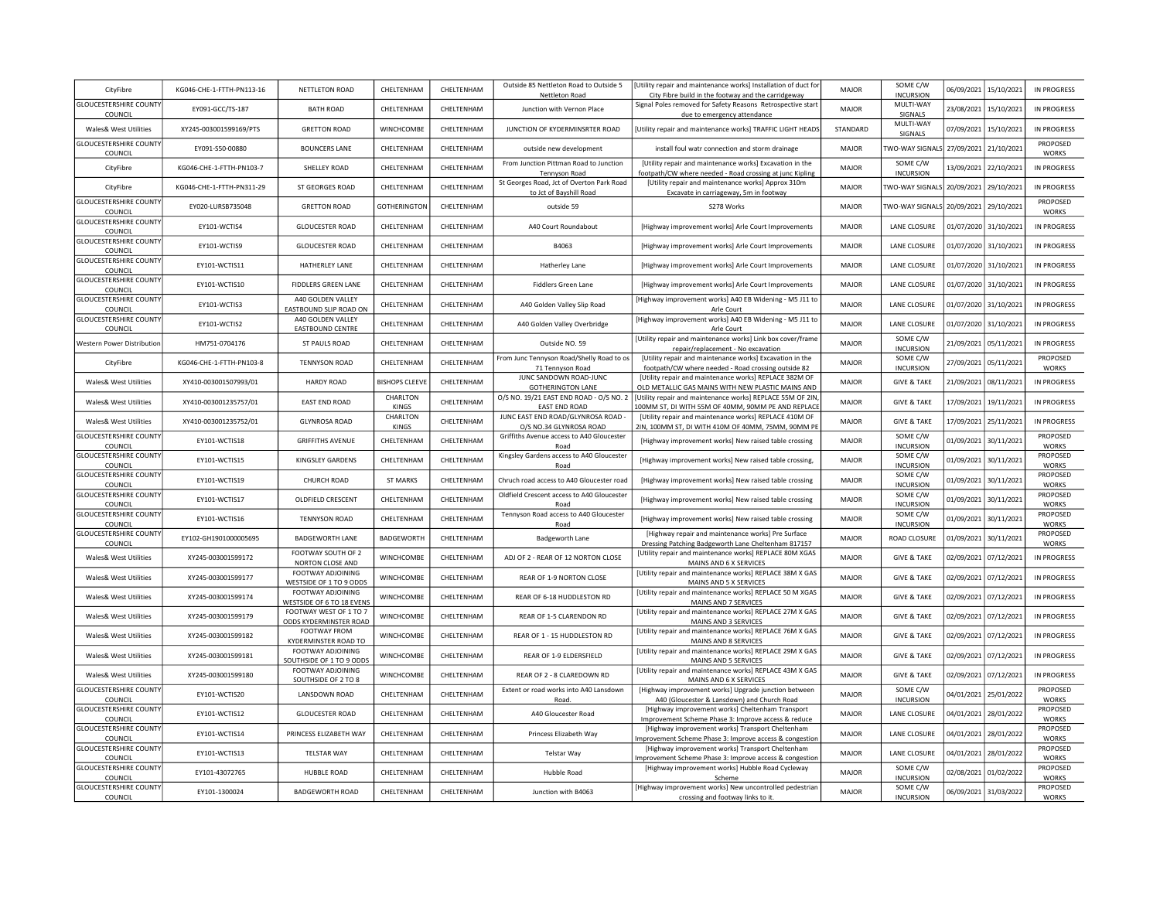| CityFibre                                | KG046-CHE-1-FTTH-PN113-16 | NETTLETON ROAD                                   | CHELTENHAM               | CHELTENHAM        | Outside 85 Nettleton Road to Outside 5<br>Nettleton Road             | Utility repair and maintenance works] Installation of duct for<br>City Fibre build in the footway and the carridgeway | MAJOR        | SOME C/W<br><b>INCURSION</b>          | 06/09/2021 | 15/10/2021            | IN PROGRESS              |
|------------------------------------------|---------------------------|--------------------------------------------------|--------------------------|-------------------|----------------------------------------------------------------------|-----------------------------------------------------------------------------------------------------------------------|--------------|---------------------------------------|------------|-----------------------|--------------------------|
| <b>GLOUCESTERSHIRE COUNTY</b><br>COUNCIL | EY091-GCC/TS-187          | <b>BATH ROAD</b>                                 | CHELTENHAM               | CHELTENHAM        | Junction with Vernon Place                                           | Signal Poles removed for Safety Reasons Retrospective start<br>due to emergency attendance                            | MAJOR        | MULTI-WAY<br>SIGNALS                  | 23/08/2021 | 15/10/2021            | IN PROGRESS              |
| <b>Wales&amp; West Utilities</b>         | XY245-003001599169/PTS    | <b>GRETTON ROAD</b>                              | WINCHCOMBE               | CHELTENHAM        | JUNCTION OF KYDERMINSRTER ROAD                                       | [Utility repair and maintenance works] TRAFFIC LIGHT HEADS                                                            | STANDARD     | MULTI-WAY<br>SIGNALS                  | 07/09/2021 | 15/10/2021            | IN PROGRESS              |
| <b>GLOUCESTERSHIRE COUNTY</b><br>COUNCIL | FY091-S50-00880           | <b>BOUNCERS LANE</b>                             | CHELTENHAM               | CHELTENHAM        | outside new development                                              | install foul watr connection and storm drainage                                                                       | <b>MAJOR</b> | TWO-WAY SIGNALS 27/09/2021 21/10/2021 |            |                       | PROPOSED<br><b>WORKS</b> |
| CityFibre                                | KG046-CHE-1-FTTH-PN103-7  | SHELLEY ROAD                                     | CHELTENHAM               | CHELTENHAM        | From Junction Pittman Road to Junction<br>Tennyson Road              | [Utility repair and maintenance works] Excavation in the<br>footpath/CW where needed - Road crossing at junc Kipling  | <b>MAJOR</b> | SOME C/W<br><b>INCURSION</b>          | 13/09/2021 | 22/10/2021            | IN PROGRESS              |
| CityFibre                                | KG046-CHE-1-FTTH-PN311-29 | ST GEORGES ROAD                                  | CHELTENHAM               | CHELTENHAM        | St Georges Road, Jct of Overton Park Road<br>to Jct of Bayshill Road | [Utility repair and maintenance works] Approx 310m<br>Excavate in carriageway, 5m in footway                          | MAJOR        | TWO-WAY SIGNALS 20/09/2021            |            | 29/10/2021            | IN PROGRESS              |
| <b>GLOUCESTERSHIRE COUNTY</b><br>COUNCIL | EY020-LURSB735048         | <b>GRETTON ROAD</b>                              | <b>GOTHERINGTON</b>      | CHELTENHAM        | outside 59                                                           | S278 Works                                                                                                            | MAJOR        | TWO-WAY SIGNALS 20/09/2021            |            | 29/10/2021            | PROPOSED<br>WORKS        |
| <b>GLOUCESTERSHIRE COUNTY</b><br>COUNCIL | EY101-WCTIS4              | <b>GLOUCESTER ROAD</b>                           | CHELTENHAM               | CHELTENHAM        | A40 Court Roundabout                                                 | [Highway improvement works] Arle Court Improvements                                                                   | MAJOR        | LANE CLOSURE                          | 01/07/2020 | 31/10/2021            | IN PROGRESS              |
| <b>GLOUCESTERSHIRE COUNTY</b><br>COUNCIL | EY101-WCTIS9              | <b>GLOUCESTER ROAD</b>                           | CHELTENHAM               | CHELTENHAM        | B4063                                                                | [Highway improvement works] Arle Court Improvements                                                                   | MAIOR        | <b>LANE CLOSURE</b>                   | 01/07/2020 | 31/10/2021            | IN PROGRESS              |
| <b>GLOUCESTERSHIRE COUNTY</b><br>COUNCIL | EY101-WCTIS11             | HATHERLEY LANE                                   | CHELTENHAM               | CHELTENHAM        | Hatherley Lane                                                       | [Highway improvement works] Arle Court Improvements                                                                   | MAIOR        | LANE CLOSURE                          | 01/07/2020 | 31/10/2021            | IN PROGRESS              |
| <b>GLOUCESTERSHIRE COUNTY</b><br>COUNCIL | EY101-WCTIS10             | <b>FIDDLERS GREEN LANE</b>                       | CHELTENHAM               | CHELTENHAM        | Fiddlers Green Lane                                                  | [Highway improvement works] Arle Court Improvements                                                                   | MAJOR        | LANE CLOSURE                          | 01/07/2020 | 31/10/2021            | <b>IN PROGRESS</b>       |
| <b>GLOUCESTERSHIRE COUNTY</b><br>COUNCIL | EY101-WCTIS3              | A40 GOLDEN VALLEY<br>EASTBOUND SLIP ROAD ON      | CHELTENHAM               | CHELTENHAM        | A40 Golden Valley Slip Road                                          | [Highway improvement works] A40 EB Widening - M5 J11 to<br>Arle Court                                                 | <b>MAJOR</b> | LANE CLOSURE                          | 01/07/2020 | 31/10/2021            | IN PROGRESS              |
| <b>GLOUCESTERSHIRE COUNTY</b><br>COUNCIL | EY101-WCTIS2              | A40 GOLDEN VALLEY<br><b>EASTBOUND CENTRE</b>     | CHELTENHAM               | CHELTENHAM        | A40 Golden Valley Overbridge                                         | [Highway improvement works] A40 EB Widening - M5 J11 to<br>Arle Court                                                 | <b>MAJOR</b> | LANE CLOSURE                          | 01/07/2020 | 31/10/2021            | IN PROGRESS              |
| Western Power Distribution               | HM751-0704176             | ST PAULS ROAD                                    | CHELTENHAM               | CHELTENHAM        | Outside NO. 59                                                       | [Utility repair and maintenance works] Link box cover/frame<br>repair/replacement - No excavation                     | MAJOR        | SOME C/W<br><b>INCURSION</b>          | 21/09/2021 | 05/11/2021            | IN PROGRESS              |
| CityFibre                                | KG046-CHE-1-FTTH-PN103-8  | <b>TENNYSON ROAD</b>                             | CHELTENHAM               | CHELTENHAM        | From Junc Tennyson Road/Shelly Road to os<br>71 Tennyson Road        | [Utility repair and maintenance works] Excavation in the<br>footpath/CW where needed - Road crossing outside 82       | <b>MAJOR</b> | SOME C/W<br><b>INCURSION</b>          | 27/09/2021 | 05/11/2021            | PROPOSED<br>WORKS        |
| <b>Wales&amp; West Utilities</b>         | XY410-003001507993/01     | <b>HARDY ROAD</b>                                | <b>BISHOPS CLEEVE</b>    | CHELTENHAM        | JUNC SANDOWN ROAD-JUNC<br><b>GOTHERINGTON LANE</b>                   | [Utility repair and maintenance works] REPLACE 382M OF<br>OLD METALLIC GAS MAINS WITH NEW PLASTIC MAINS AND           | MAJOR        | <b>GIVE &amp; TAKE</b>                | 21/09/2021 | 08/11/2021            | IN PROGRESS              |
| <b>Wales&amp; West Utilities</b>         | XY410-003001235757/01     | <b>FAST FND ROAD</b>                             | CHARLTON<br><b>KINGS</b> | CHELTENHAM        | O/S NO. 19/21 EAST END ROAD - O/S NO. 2<br><b>EAST END ROAD</b>      | [Utility repair and maintenance works] REPLACE 55M OF 2IN<br>OOMM ST, DI WITH 55M OF 40MM, 90MM PE AND REPLACE        | MAIOR        | <b>GIVE &amp; TAKE</b>                | 17/09/2021 | 19/11/2021            | <b>IN PROGRESS</b>       |
| Wales& West Utilities                    | XY410-003001235752/01     | <b>GLYNROSA ROAD</b>                             | CHARLTON<br><b>KINGS</b> | CHELTENHAM        | JUNC EAST END ROAD/GLYNROSA ROAD -<br>O/S NO.34 GLYNROSA ROAD        | [Utility repair and maintenance works] REPLACE 410M OF<br>2IN, 100MM ST, DI WITH 410M OF 40MM, 75MM, 90MM PE          | MAJOR        | <b>GIVE &amp; TAKE</b>                | 17/09/2021 | 25/11/2021            | IN PROGRESS              |
| <b>GLOUCESTERSHIRE COUNTY</b><br>COUNCIL | EY101-WCTIS18             | <b>GRIFFITHS AVENUE</b>                          | CHELTENHAM               | CHELTENHAM        | Griffiths Avenue access to A40 Gloucester<br>Road                    | [Highway improvement works] New raised table crossing                                                                 | <b>MAJOR</b> | SOME C/W<br><b>INCURSION</b>          | 01/09/2021 | 30/11/2021            | PROPOSED<br><b>WORKS</b> |
| <b>GLOUCESTERSHIRE COUNTY</b><br>COUNCIL | EY101-WCTIS15             | KINGSLEY GARDENS                                 | CHELTENHAM               | CHELTENHAM        | Kingsley Gardens access to A40 Gloucester<br>Road                    | [Highway improvement works] New raised table crossing,                                                                | MAIOR        | SOME C/W<br><b>INCURSION</b>          | 01/09/2021 | 30/11/2021            | PROPOSED<br>WORKS        |
| <b>GLOUCESTERSHIRE COUNTY</b><br>COUNCIL | EY101-WCTIS19             | <b>CHURCH ROAD</b>                               | <b>ST MARKS</b>          | CHELTENHAM        | Chruch road access to A40 Gloucester road                            | [Highway improvement works] New raised table crossing                                                                 | MAJOR        | SOME C/W<br><b>INCURSION</b>          | 01/09/2021 | 30/11/2021            | PROPOSED<br>WORKS        |
| <b>GLOUCESTERSHIRE COUNTY</b><br>COUNCIL | EY101-WCTIS17             | OLDFIELD CRESCENT                                | CHELTENHAM               | CHELTENHAM        | Oldfield Crescent access to A40 Gloucester<br>Road                   | [Highway improvement works] New raised table crossing                                                                 | <b>MAJOR</b> | SOME C/W<br><b>INCURSION</b>          | 01/09/2021 | 30/11/2021            | PROPOSED<br>WORKS        |
| <b>GLOUCESTERSHIRE COUNTY</b><br>COUNCIL | EY101-WCTIS16             | <b>TENNYSON ROAD</b>                             | CHELTENHAM               | CHELTENHAM        | Tennyson Road access to A40 Gloucester<br>Road                       | [Highway improvement works] New raised table crossing                                                                 | MAJOR        | SOME C/W<br><b>INCURSION</b>          | 01/09/2021 | 30/11/2021            | PROPOSED<br>WORKS        |
| <b>GLOUCESTERSHIRE COUNTY</b><br>COUNCIL | EY102-GH1901000005695     | <b>BADGEWORTH LANE</b>                           | BADGEWORTH               | CHELTENHAM        | Badgeworth Lane                                                      | [Highway repair and maintenance works] Pre Surface<br>Dressing Patching Badgeworth Lane Cheltenham 817157             | MAJOR        | ROAD CLOSURE                          | 01/09/2021 | 30/11/2021            | PROPOSED<br>WORKS        |
| <b>Wales&amp; West Utilities</b>         | XY245-003001599172        | FOOTWAY SOUTH OF 2<br>NORTON CLOSE AND           | WINCHCOMBE               | CHELTENHAM        | ADJ OF 2 - REAR OF 12 NORTON CLOSE                                   | [Utility repair and maintenance works] REPLACE 80M XGAS<br>MAINS AND 6 X SERVICES                                     | <b>MAJOR</b> | <b>GIVE &amp; TAKE</b>                |            | 02/09/2021 07/12/2021 | IN PROGRESS              |
| Wales& West Utilities                    | XY245-003001599177        | FOOTWAY ADJOINING<br>WESTSIDE OF 1 TO 9 ODDS     | WINCHCOMBE               | CHELTENHAM        | REAR OF 1-9 NORTON CLOSE                                             | [Utility repair and maintenance works] REPLACE 38M X GAS<br>MAINS AND 5 X SERVICES                                    | MAJOR        | <b>GIVE &amp; TAKE</b>                |            | 02/09/2021 07/12/2021 | IN PROGRESS              |
| Wales& West Utilities                    | XY245-003001599174        | FOOTWAY ADJOINING<br>WESTSIDE OF 6 TO 18 EVENS   | WINCHCOMBE               | CHELTENHAM        | REAR OF 6-18 HUDDLESTON RD                                           | [Utility repair and maintenance works] REPLACE 50 M XGAS<br>MAINS AND 7 SERVICES                                      | MAJOR        | <b>GIVE &amp; TAKE</b>                |            | 02/09/2021 07/12/2021 | <b>IN PROGRESS</b>       |
| Wales& West Utilities                    | XY245-003001599179        | FOOTWAY WEST OF 1 TO 7<br>ODDS KYDERMINSTER ROAD | WINCHCOMBE               | CHELTENHAM        | REAR OF 1-5 CLARENDON RD                                             | [Utility repair and maintenance works] REPLACE 27M X GAS<br>MAINS AND 3 SERVICES                                      | <b>MAJOR</b> | <b>GIVE &amp; TAKE</b>                |            | 02/09/2021 07/12/2021 | <b>IN PROGRESS</b>       |
| Wales& West Utilities                    | XY245-003001599182        | <b>FOOTWAY FROM</b><br>KYDERMINSTER ROAD TO      | WINCHCOMBE               | <b>CHEITENHAM</b> | REAR OF 1 - 15 HUDDLESTON RD                                         | [Utility repair and maintenance works] REPLACE 76M X GAS<br>MAINS AND 8 SERVICES                                      | <b>MAIOR</b> | <b>GIVE &amp; TAKE</b>                |            | 02/09/2021 07/12/2021 | IN PROGRESS              |
| Wales& West Utilities                    | XY245-003001599181        | FOOTWAY ADJOINING<br>SOUTHSIDE OF 1 TO 9 ODDS    | <b>WINCHCOMBE</b>        | <b>CHEITENHAM</b> | REAR OF 1-9 ELDERSFIELD                                              | [Utility repair and maintenance works] REPLACE 29M X GAS<br>MAINS AND 5 SERVICES                                      | <b>MAJOR</b> | <b>GIVE &amp; TAKE</b>                |            | 02/09/2021 07/12/2021 | IN PROGRESS              |
| Wales& West Utilities                    | XY245-003001599180        | FOOTWAY ADJOINING<br>SOUTHSIDE OF 2 TO 8         | WINCHCOMBE               | CHELTENHAM        | REAR OF 2 - 8 CLAREDOWN RD                                           | [Utility repair and maintenance works] REPLACE 43M X GAS<br>MAINS AND 6 X SERVICES                                    | MAJOR        | <b>GIVE &amp; TAKE</b>                | 02/09/2021 | 07/12/2021            | <b>IN PROGRESS</b>       |
| <b>GLOUCESTERSHIRE COUNTY</b><br>COUNCIL | EY101-WCTIS20             | LANSDOWN ROAD                                    | CHELTENHAM               | CHELTENHAM        | Extent or road works into A40 Lansdown<br>Road.                      | [Highway improvement works] Upgrade junction between<br>A40 (Gloucester & Lansdown) and Church Road                   | MAJOR        | SOME C/W<br><b>INCURSION</b>          | 04/01/2021 | 25/01/2022            | PROPOSED<br><b>WORKS</b> |
| <b>GLOUCESTERSHIRE COUNTY</b><br>COUNCIL | EY101-WCTIS12             | <b>GLOUCESTER ROAD</b>                           | CHELTENHAM               | CHELTENHAM        | A40 Gloucester Road                                                  | [Highway improvement works] Cheltenham Transport<br>Improvement Scheme Phase 3: Improve access & reduce               | <b>MAJOR</b> | LANE CLOSURE                          | 04/01/2021 | 28/01/2022            | PROPOSED<br>WORKS        |
| <b>GLOUCESTERSHIRE COUNTY</b><br>COUNCIL | EY101-WCTIS14             | PRINCESS ELIZABETH WAY                           | CHELTENHAM               | CHELTENHAM        | Princess Elizabeth Way                                               | [Highway improvement works] Transport Cheltenham<br>mprovement Scheme Phase 3: Improve access & congestion            | <b>MAJOR</b> | LANE CLOSURE                          | 04/01/2021 | 28/01/2022            | PROPOSED<br><b>WORKS</b> |
| <b>GLOUCESTERSHIRE COUNTY</b><br>COUNCIL | EY101-WCTIS13             | <b>TELSTAR WAY</b>                               | CHELTENHAM               | CHELTENHAM        | Telstar Way                                                          | [Highway improvement works] Transport Cheltenham<br>mprovement Scheme Phase 3: Improve access & congestion            | MAJOR        | LANE CLOSURE                          | 04/01/2021 | 28/01/2022            | PROPOSED<br><b>WORKS</b> |
| <b>GLOUCESTERSHIRE COUNTY</b><br>COUNCIL | EY101-43072765            | <b>HUBBLE ROAD</b>                               | CHELTENHAM               | CHELTENHAM        | Hubble Road                                                          | [Highway improvement works] Hubble Road Cycleway<br>Scheme                                                            | MAJOR        | SOME C/W<br><b>INCURSION</b>          | 02/08/2021 | 01/02/2022            | PROPOSED<br><b>WORKS</b> |
| <b>GLOUCESTERSHIRE COUNTY</b><br>COUNCIL | EY101-1300024             | <b>BADGEWORTH ROAD</b>                           | CHELTENHAM               | CHELTENHAM        | Junction with B4063                                                  | [Highway improvement works] New uncontrolled pedestrian<br>crossing and footway links to it.                          | <b>MAJOR</b> | SOME C/W<br><b>INCURSION</b>          | 06/09/2021 | 31/03/2022            | PROPOSED<br><b>WORKS</b> |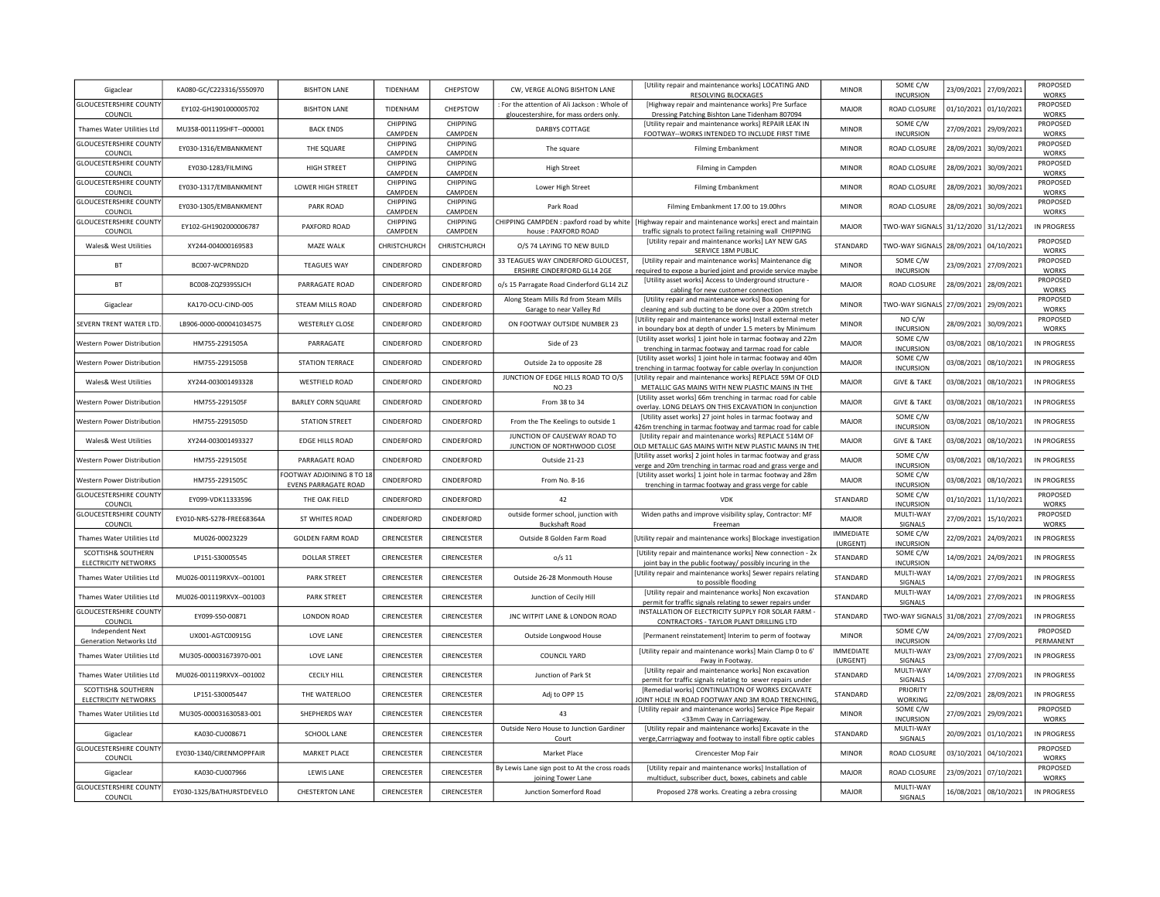| Gigaclear                                         | KA080-GC/C223316/S550970   | <b>BISHTON LANE</b>                                      | TIDENHAM            | CHEPSTOW                   | CW, VERGE ALONG BISHTON LANE                                                          | [Utility repair and maintenance works] LOCATING AND<br>RESOLVING BLOCKAGES                                                   | <b>MINOR</b>                     | SOME C/W<br><b>INCURSION</b>          | 23/09/2021            | 27/09/2021            | PROPOSED<br><b>WORKS</b> |
|---------------------------------------------------|----------------------------|----------------------------------------------------------|---------------------|----------------------------|---------------------------------------------------------------------------------------|------------------------------------------------------------------------------------------------------------------------------|----------------------------------|---------------------------------------|-----------------------|-----------------------|--------------------------|
| <b>GLOUCESTERSHIRE COUNTY</b><br>COUNCIL          | EY102-GH1901000005702      | <b>BISHTON LANE</b>                                      | TIDENHAM            | CHEPSTOW                   | For the attention of Ali Jackson : Whole of<br>gloucestershire, for mass orders only. | [Highway repair and maintenance works] Pre Surface<br>Dressing Patching Bishton Lane Tidenham 807094                         | MAJOR                            | ROAD CLOSURE                          | 01/10/2021 01/10/2021 |                       | PROPOSED<br>WORKS        |
| Thames Water Utilities Ltd                        | MU358-001119SHFT--000001   | <b>BACK ENDS</b>                                         | CHIPPING<br>CAMPDEN | CHIPPING<br>CAMPDEN        | DARBYS COTTAGE                                                                        | [Utility repair and maintenance works] REPAIR LEAK IN<br>FOOTWAY--WORKS INTENDED TO INCLUDE FIRST TIME                       | <b>MINOR</b>                     | SOME C/W<br><b>INCURSION</b>          | 27/09/2021            | 29/09/2021            | PROPOSED<br>WORKS        |
| <b>GLOUCESTERSHIRE COUNTY</b><br>COUNCIL          | EY030-1316/EMBANKMENT      | THE SQUARE                                               | CHIPPING<br>CAMPDEN | <b>CHIPPING</b><br>CAMPDEN | The square                                                                            | <b>Filming Embankment</b>                                                                                                    | <b>MINOR</b>                     | ROAD CLOSURE                          | 28/09/2021            | 30/09/2021            | PROPOSED<br><b>WORKS</b> |
| <b>GLOUCESTERSHIRE COUNTY</b><br>COUNCIL          | EY030-1283/FILMING         | HIGH STREET                                              | CHIPPING<br>CAMPDEN | CHIPPING<br>CAMPDEN        | <b>High Street</b>                                                                    | Filming in Campden                                                                                                           | <b>MINOR</b>                     | ROAD CLOSURE                          | 28/09/2021            | 30/09/2021            | PROPOSED<br>WORKS        |
| <b>GLOUCESTERSHIRE COUNTY</b><br>COUNCIL          | EY030-1317/EMBANKMENT      | LOWER HIGH STREET                                        | CHIPPING<br>CAMPDEN | CHIPPING<br>CAMPDEN        | Lower High Street                                                                     | <b>Filming Embankment</b>                                                                                                    | <b>MINOR</b>                     | ROAD CLOSURE                          | 28/09/2021            | 30/09/2021            | PROPOSED<br>WORKS        |
| <b>GLOUCESTERSHIRE COUNTY</b><br>COUNCIL          | EY030-1305/EMBANKMENT      | <b>PARK ROAD</b>                                         | CHIPPING<br>CAMPDEN | CHIPPING<br>CAMPDEN        | Park Road                                                                             | Filming Embankment 17.00 to 19.00hrs                                                                                         | <b>MINOR</b>                     | ROAD CLOSURE                          | 28/09/2021            | 30/09/2021            | PROPOSED<br>WORKS        |
| <b>GLOUCESTERSHIRE COUNTY</b><br>COUNCIL          | EY102-GH1902000006787      | PAXFORD ROAD                                             | CHIPPING<br>CAMPDEN | CHIPPING<br>CAMPDEN        | CHIPPING CAMPDEN : paxford road by white<br>house: PAXFORD ROAD                       | [Highway repair and maintenance works] erect and maintair<br>traffic signals to protect failing retaining wall CHIPPING      | <b>MAJOR</b>                     | TWO-WAY SIGNALS 31/12/2020 31/12/2021 |                       |                       | IN PROGRESS              |
| Wales& West Utilities                             | XY244-004000169583         | MAZE WALK                                                | CHRISTCHURCH        | CHRISTCHURCH               | O/S 74 LAYING TO NEW BUILD                                                            | [Utility repair and maintenance works] LAY NEW GAS<br>SERVICE 18M PUBLIC                                                     | STANDARD                         | TWO-WAY SIGNALS 28/09/2021            |                       | 04/10/2021            | PROPOSED<br><b>WORKS</b> |
| BT                                                | BC007-WCPRND2D             | <b>TEAGUES WAY</b>                                       | CINDERFORD          | CINDERFORD                 | 33 TEAGUES WAY CINDERFORD GLOUCEST                                                    | [Utility repair and maintenance works] Maintenance dig                                                                       | <b>MINOR</b>                     | SOME C/W                              | 23/09/2021            | 27/09/2021            | PROPOSED<br><b>WORKS</b> |
| BT                                                | BC008-ZQZ939SSJCH          | PARRAGATE ROAD                                           | CINDERFORD          | CINDERFORD                 | ERSHIRE CINDERFORD GL14 2GE<br>o/s 15 Parragate Road Cinderford GL14 2LZ              | required to expose a buried joint and provide service maybe<br>[Utility asset works] Access to Underground structure -       | <b>MAJOR</b>                     | <b>INCURSION</b><br>ROAD CLOSURE      | 28/09/2021            | 28/09/2021            | PROPOSED                 |
| Gigaclear                                         | KA170-OCU-CIND-005         | STEAM MILLS ROAD                                         | CINDERFORD          | CINDERFORD                 | Along Steam Mills Rd from Steam Mills                                                 | cabling for new customer connection<br>[Utility repair and maintenance works] Box opening for                                | <b>MINOR</b>                     | <b>TWO-WAY SIGNALS</b>                | 27/09/2021            | 29/09/2021            | <b>WORKS</b><br>PROPOSED |
|                                                   |                            |                                                          |                     |                            | Garage to near Valley Rd                                                              | cleaning and sub ducting to be done over a 200m stretch<br>Utility repair and maintenance works] Install external meter      |                                  | NO C/W                                |                       |                       | <b>WORKS</b><br>PROPOSED |
| SEVERN TRENT WATER LTD                            | LB906-0000-000041034575    | <b>WESTERLEY CLOSE</b>                                   | CINDERFORD          | CINDERFORD                 | ON FOOTWAY OUTSIDE NUMBER 23                                                          | in boundary box at depth of under 1.5 meters by Minimum                                                                      | <b>MINOR</b>                     | <b>INCURSION</b>                      | 28/09/2021            | 30/09/2021            | WORKS                    |
| Western Power Distribution                        | HM755-2291505A             | PARRAGATE                                                | CINDERFORD          | CINDERFORD                 | Side of 23                                                                            | [Utility asset works] 1 joint hole in tarmac footway and 22m<br>trenching in tarmac footway and tarmac road for cable        | MAJOR                            | SOME C/W<br><b>INCURSION</b>          | 03/08/2021            | 08/10/2021            | IN PROGRESS              |
| Western Power Distribution                        | HM755-2291505B             | <b>STATION TERRACE</b>                                   | CINDERFORD          | CINDERFORD                 | Outside 2a to opposite 28                                                             | [Utility asset works] 1 joint hole in tarmac footway and 40m<br>renching in tarmac footway for cable overlay In conjunction  | MAJOR                            | SOME C/W<br><b>INCURSION</b>          | 03/08/2021            | 08/10/202             | IN PROGRESS              |
| <b>Wales&amp; West Utilities</b>                  | XY244-003001493328         | <b>WESTFIELD ROAD</b>                                    | CINDERFORD          | CINDERFORD                 | JUNCTION OF EDGE HILLS ROAD TO O/S<br><b>NO.23</b>                                    | [Utility repair and maintenance works] REPLACE 59M OF OLD<br>METALLIC GAS MAINS WITH NEW PLASTIC MAINS IN THE                | <b>MAJOR</b>                     | <b>GIVE &amp; TAKE</b>                | 03/08/2021            | 08/10/2021            | <b>IN PROGRESS</b>       |
| Western Power Distribution                        | HM755-2291505F             | <b>BARLEY CORN SQUARE</b>                                | CINDERFORD          | CINDERFORD                 | From 38 to 34                                                                         | [Utility asset works] 66m trenching in tarmac road for cable<br>overlay. LONG DELAYS ON THIS EXCAVATION In conjunction       | MAJOR                            | <b>GIVE &amp; TAKE</b>                | 03/08/2021            | 08/10/2021            | IN PROGRESS              |
| Western Power Distribution                        | HM755-2291505D             | <b>STATION STREET</b>                                    | CINDERFORD          | CINDERFORD                 | From the The Keelings to outside 1                                                    | [Utility asset works] 27 joint holes in tarmac footway and<br>26m trenching in tarmac footway and tarmac road for cable      | <b>MAJOR</b>                     | SOME C/W<br><b>INCURSION</b>          | 03/08/2021            | 08/10/2021            | IN PROGRESS              |
| <b>Wales&amp; West Utilities</b>                  | XY244-003001493327         | <b>EDGE HILLS ROAD</b>                                   | CINDERFORD          | CINDERFORD                 | JUNCTION OF CAUSEWAY ROAD TO<br>JUNCTION OF NORTHWOOD CLOSE                           | [Utility repair and maintenance works] REPLACE 514M OF<br>OLD METALLIC GAS MAINS WITH NEW PLASTIC MAINS IN THE               | MAJOR                            | <b>GIVE &amp; TAKE</b>                | 03/08/2021            | 08/10/2021            | IN PROGRESS              |
| Western Power Distribution                        | HM755-2291505E             | PARRAGATE ROAD                                           | CINDERFORD          | CINDERFORD                 | Outside 21-23                                                                         | Utility asset works] 2 joint holes in tarmac footway and grass<br>verge and 20m trenching in tarmac road and grass verge and | MAJOR                            | SOME C/W<br><b>INCURSION</b>          | 03/08/2021            | 08/10/2021            | IN PROGRESS              |
| Western Power Distribution                        | HM755-2291505C             | FOOTWAY ADJOINING 8 TO 18<br><b>EVENS PARRAGATE ROAD</b> | CINDERFORD          | CINDERFORD                 | From No. 8-16                                                                         | [Utility asset works] 1 joint hole in tarmac footway and 28m<br>trenching in tarmac footway and grass verge for cable        | MAJOR                            | SOME C/W<br><b>INCURSION</b>          | 03/08/2021            | 08/10/2021            | IN PROGRESS              |
| <b>GLOUCESTERSHIRE COUNTY</b><br>COUNCIL          | EY099-VDK11333596          | THE OAK FIELD                                            | CINDERFORD          | CINDERFORD                 | 42                                                                                    | <b>VDK</b>                                                                                                                   | STANDARD                         | SOME C/W<br><b>INCURSION</b>          | 01/10/2021            | 11/10/2021            | PROPOSED<br><b>WORKS</b> |
| <b>GLOUCESTERSHIRE COUNTY</b><br>COUNCIL          | EY010-NRS-S278-FREE68364A  | ST WHITES ROAD                                           | CINDERFORD          | CINDERFORD                 | outside former school, junction with<br><b>Buckshaft Road</b>                         | Widen paths and improve visibility splay, Contractor: MF<br>Freeman                                                          | MAJOR                            | MULTI-WAY<br>SIGNALS                  | 27/09/2021            | 15/10/2021            | PROPOSED<br><b>WORKS</b> |
| Thames Water Utilities Ltd                        | MU026-00023229             | <b>GOLDEN FARM ROAD</b>                                  | CIRENCESTER         | CIRENCESTER                | Outside 8 Golden Farm Road                                                            | Utility repair and maintenance works] Blockage investigatior                                                                 | <b>IMMEDIATE</b>                 | SOME C/W                              | 22/09/2021            | 24/09/2021            | IN PROGRESS              |
| SCOTTISH& SOUTHERN<br><b>ELECTRICITY NETWORKS</b> | LP151-S30005545            | <b>DOLLAR STREET</b>                                     | CIRENCESTER         | CIRENCESTER                | $0/s$ 11                                                                              | [Utility repair and maintenance works] New connection - 2x                                                                   | (URGENT)<br>STANDARD             | <b>INCURSION</b><br>SOME C/W          | 14/09/2021            | 24/09/2021            | IN PROGRESS              |
| Thames Water Utilities Ltd                        | MU026-001119RXVX -- 001001 | PARK STREET                                              | CIRENCESTER         | CIRENCESTER                | Outside 26-28 Monmouth House                                                          | joint bay in the public footway/ possibly incuring in the<br>[Utility repair and maintenance works] Sewer repairs relating   | STANDARD                         | <b>INCURSION</b><br>MULTI-WAY         | 14/09/2021            | 27/09/2021            | IN PROGRESS              |
| Thames Water Utilities Ltd                        | MU026-001119RXVX -- 001003 | PARK STREET                                              | CIRENCESTER         | CIRENCESTER                | Junction of Cecily Hill                                                               | to possible flooding<br>[Utility repair and maintenance works] Non excavation                                                | STANDARD                         | SIGNALS<br>MULTI-WAY                  | 14/09/2021            | 27/09/2021            | IN PROGRESS              |
| <b>GLOUCESTERSHIRE COUNTY</b>                     |                            | <b>LONDON ROAD</b>                                       | CIRENCESTER         | CIRENCESTER                | JNC WITPIT LANE & LONDON ROAD                                                         | permit for traffic signals relating to sewer repairs under<br>INSTALLATION OF ELECTRICITY SUPPLY FOR SOLAR FARM              | STANDARD                         | SIGNALS<br>WO-WAY SIGNALS             | 31/08/2021            | 27/09/2021            | <b>IN PROGRESS</b>       |
| COUNCIL<br>Independent Next                       | EY099-S50-00871            |                                                          |                     |                            |                                                                                       | CONTRACTORS - TAYLOR PLANT DRILLING LTD                                                                                      |                                  | SOME C/W                              |                       |                       | PROPOSED                 |
| Generation Networks Ltd                           | UX001-AGTC00915G           | LOVE LANE                                                | CIRENCESTER         | CIRENCESTER                | Outside Longwood House                                                                | [Permanent reinstatement] Interim to perm of footway<br>[Utility repair and maintenance works] Main Clamp 0 to 6'            | <b>MINOR</b><br><b>IMMEDIATE</b> | <b>INCURSION</b><br>MULTI-WAY         | 24/09/2021            | 27/09/2021            | PERMANENT                |
| Thames Water Utilities Ltd                        | MU305-000031673970-001     | LOVE LANE                                                | CIRENCESTER         | CIRENCESTER                | <b>COUNCIL YARD</b>                                                                   | Fway in Footway                                                                                                              | (URGENT)                         | SIGNALS<br>MULTI-WAY                  | 23/09/2021            | 27/09/2021            | IN PROGRESS              |
| Thames Water Utilities Ltd                        | MU026-001119RXVX--001002   | <b>CECILY HILL</b>                                       | CIRENCESTER         | CIRENCESTER                | Junction of Park St                                                                   | [Utility repair and maintenance works] Non excavation<br>permit for traffic signals relating to sewer repairs under          | STANDARD                         | SIGNALS                               | 14/09/2021            | 27/09/2021            | IN PROGRESS              |
| SCOTTISH& SOUTHERN<br><b>ELECTRICITY NETWORKS</b> | LP151-S30005447            | THE WATERLOO                                             | CIRENCESTER         | CIRENCESTER                | Adj to OPP 15                                                                         | [Remedial works] CONTINUATION OF WORKS EXCAVATE<br>IOINT HOLE IN ROAD FOOTWAY AND 3M ROAD TRENCHING                          | STANDARD                         | PRIORITY<br>WORKING                   | 22/09/2021            | 28/09/2021            | IN PROGRESS              |
| Thames Water Utilities Ltd                        | MU305-000031630583-001     | SHEPHERDS WAY                                            | CIRENCESTER         | CIRENCESTER                | 43                                                                                    | [Utility repair and maintenance works] Service Pipe Repair<br><33mm Cway in Carriageway.                                     | <b>MINOR</b>                     | SOME C/W<br><b>INCURSION</b>          | 27/09/2021            | 29/09/2021            | PROPOSED<br>WORKS        |
| Gigaclear                                         | KA030-CU008671             | SCHOOL LANE                                              | CIRENCESTER         | CIRENCESTER                | Outside Nero House to Junction Gardiner<br>Court                                      | [Utility repair and maintenance works] Excavate in the<br>verge, Carrriagway and footway to install fibre optic cables       | STANDARD                         | MULTI-WAY<br>SIGNALS                  | 20/09/2021            | 01/10/2021            | IN PROGRESS              |
| <b>GLOUCESTERSHIRE COUNTY</b><br>COUNCIL          | EY030-1340/CIRENMOPPFAIR   | <b>MARKET PLACE</b>                                      | CIRENCESTER         | CIRENCESTER                | Market Place                                                                          | Cirencester Mop Fair                                                                                                         | <b>MINOR</b>                     | ROAD CLOSURE                          |                       | 03/10/2021 04/10/2021 | PROPOSED<br><b>WORKS</b> |
| Gigaclear                                         | KA030-CU007966             | LEWIS LANE                                               | CIRENCESTER         | CIRENCESTER                | By Lewis Lane sign post to At the cross roads<br>joining Tower Lane                   | [Utility repair and maintenance works] Installation of<br>multiduct, subscriber duct, boxes, cabinets and cable              | MAJOR                            | ROAD CLOSURE                          | 23/09/2021 07/10/2021 |                       | PROPOSED<br><b>WORKS</b> |
| <b>GLOUCESTERSHIRE COUNTY</b><br>COUNCIL          | EY030-1325/BATHURSTDEVELO  | <b>CHESTERTON LANE</b>                                   | CIRENCESTER         | CIRENCESTER                | Junction Somerford Road                                                               | Proposed 278 works. Creating a zebra crossing                                                                                | <b>MAJOR</b>                     | MULTI-WAY<br>SIGNALS                  |                       | 16/08/2021 08/10/2021 | IN PROGRESS              |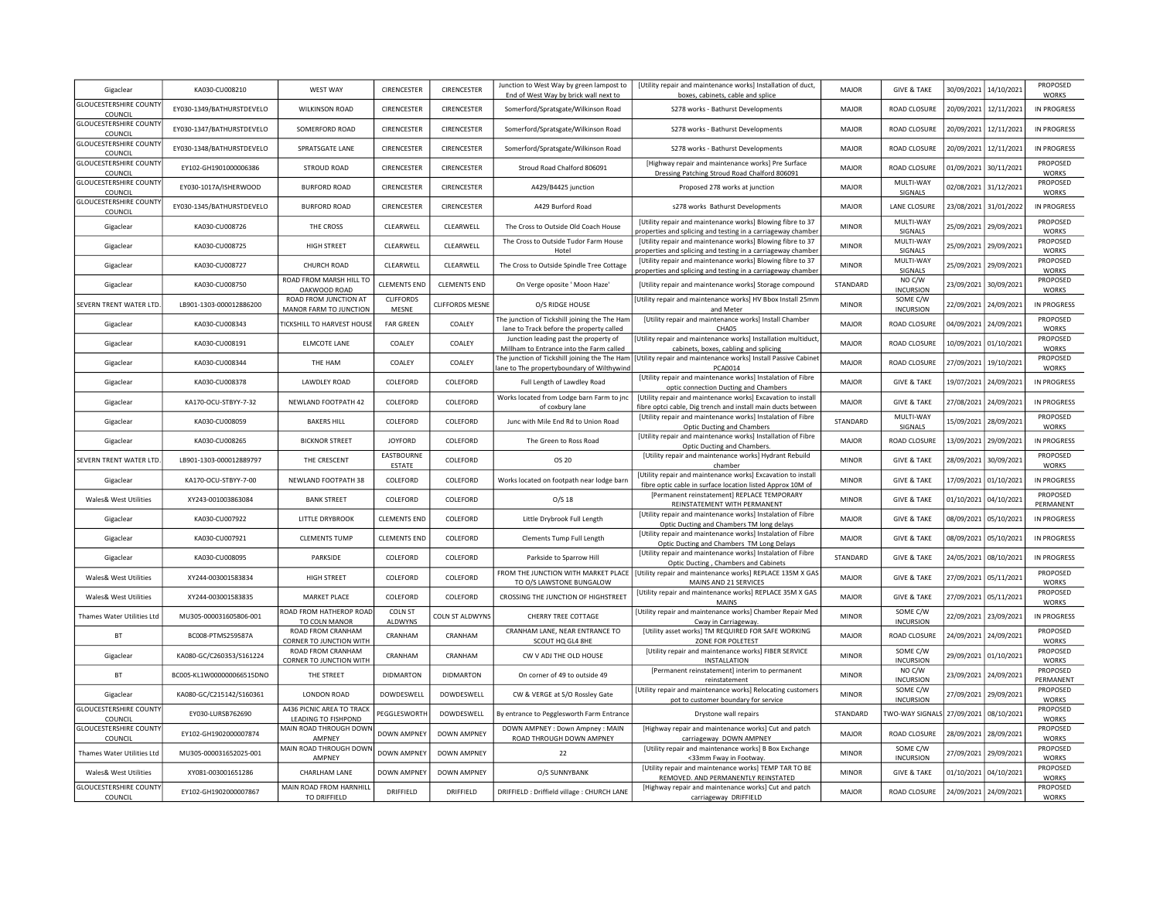| Gigaclear                                | KA030-CU008210            | <b>WEST WAY</b>                                  | CIRENCESTER               | CIRENCESTER            | Junction to West Way by green lampost to<br>End of West Way by brick wall next to          | [Utility repair and maintenance works] Installation of duct,<br>boxes, cabinets, cable and splice                            | MAJOR        | <b>GIVE &amp; TAKE</b>                | 30/09/2021            | 14/10/2021            | PROPOSED<br><b>WORKS</b> |
|------------------------------------------|---------------------------|--------------------------------------------------|---------------------------|------------------------|--------------------------------------------------------------------------------------------|------------------------------------------------------------------------------------------------------------------------------|--------------|---------------------------------------|-----------------------|-----------------------|--------------------------|
| <b>GLOUCESTERSHIRE COUNT</b><br>COUNCIL  | EY030-1349/BATHURSTDEVELO | <b>WILKINSON ROAD</b>                            | CIRENCESTER               | CIRENCESTER            | Somerford/Spratsgate/Wilkinson Road                                                        | S278 works - Bathurst Developments                                                                                           | <b>MAJOR</b> | ROAD CLOSURE                          |                       | 20/09/2021 12/11/2021 | IN PROGRESS              |
| <b>GLOUCESTERSHIRE COUNT</b><br>COUNCIL  | EY030-1347/BATHURSTDEVELO | SOMERFORD ROAD                                   | CIRENCESTER               | CIRENCESTER            | Somerford/Spratsgate/Wilkinson Road                                                        | S278 works - Bathurst Developments                                                                                           | <b>MAJOR</b> | ROAD CLOSURE                          | 20/09/2021            | 12/11/2021            | IN PROGRESS              |
| <b>GLOUCESTERSHIRE COUNTY</b><br>COUNCIL | EY030-1348/BATHURSTDEVELO | SPRATSGATE LANE                                  | CIRENCESTER               | <b>CIRENCESTER</b>     | Somerford/Spratsgate/Wilkinson Road                                                        | S278 works - Bathurst Developments                                                                                           | MAIOR        | ROAD CLOSURE                          | 20/09/2021            | 12/11/2021            | IN PROGRESS              |
| <b>GLOUCESTERSHIRE COUNTY</b><br>COUNCIL | FY102-GH1901000006386     | STROUD ROAD                                      | CIRENCESTER               | CIRENCESTER            | Stroud Road Chalford 806091                                                                | [Highway repair and maintenance works] Pre Surface<br>Dressing Patching Stroud Road Chalford 806091                          | <b>MAJOR</b> | ROAD CLOSURE                          | 01/09/2021 30/11/2021 |                       | PROPOSED<br><b>WORKS</b> |
| <b>GLOUCESTERSHIRE COUNTY</b><br>COUNCIL | EY030-1017A/ISHERWOOD     | <b>BURFORD ROAD</b>                              | CIRENCESTER               | CIRENCESTER            | A429/B4425 junction                                                                        | Proposed 278 works at junction                                                                                               | MAJOR        | MULTI-WAY<br>SIGNALS                  | 02/08/2021            | 31/12/2021            | PROPOSED<br><b>WORKS</b> |
| <b>GLOUCESTERSHIRE COUNTY</b><br>COUNCIL | EY030-1345/BATHURSTDEVELO | <b>BURFORD ROAD</b>                              | CIRENCESTER               | CIRENCESTER            | A429 Burford Road                                                                          | s278 works Bathurst Developments                                                                                             | MAJOR        | LANE CLOSURE                          |                       | 23/08/2021 31/01/2022 | <b>IN PROGRESS</b>       |
| Gigaclear                                | KA030-CU008726            | THE CROSS                                        | CLEARWELL                 | CLEARWELL              | The Cross to Outside Old Coach House                                                       | [Utility repair and maintenance works] Blowing fibre to 37<br>roperties and splicing and testing in a carriageway chamber    | <b>MINOR</b> | MULTI-WAY<br>SIGNALS                  | 25/09/2021            | 29/09/2021            | PROPOSED<br><b>WORKS</b> |
| Gigaclear                                | KA030-CU008725            | <b>HIGH STREET</b>                               | CLEARWELL                 | CLEARWELL              | The Cross to Outside Tudor Farm House<br>Hotel                                             | [Utility repair and maintenance works] Blowing fibre to 37<br>properties and splicing and testing in a carriageway chamber   | <b>MINOR</b> | MULTI-WAY<br>SIGNALS                  | 25/09/2021            | 29/09/2021            | PROPOSED<br><b>WORKS</b> |
| Gigaclear                                | KA030-CU008727            | <b>CHURCH ROAD</b>                               | CLEARWELL                 | CLEARWELL              | The Cross to Outside Spindle Tree Cottage                                                  | [Utility repair and maintenance works] Blowing fibre to 37<br>properties and splicing and testing in a carriageway chamber   | <b>MINOR</b> | MULTI-WAY<br>SIGNALS                  | 25/09/2021            | 29/09/2021            | PROPOSED<br><b>WORKS</b> |
| Gigaclear                                | KA030-CU008750            | ROAD FROM MARSH HILL TO<br>OAKWOOD ROAD          | <b>CLEMENTS END</b>       | <b>CLEMENTS END</b>    | On Verge oposite ' Moon Haze'                                                              | [Utility repair and maintenance works] Storage compound                                                                      | STANDARD     | NO C/W<br><b>INCURSION</b>            | 23/09/2021            | 30/09/2021            | PROPOSED<br>WORKS        |
| SEVERN TRENT WATER LTD                   | LB901-1303-000012886200   | ROAD FROM JUNCTION AT<br>MANOR FARM TO JUNCTION  | <b>CLIFFORDS</b><br>MESNE | <b>CLIFFORDS MESNE</b> | O/S RIDGE HOUSE                                                                            | [Utility repair and maintenance works] HV Bbox Install 25mm<br>and Meter                                                     | <b>MINOR</b> | SOME C/W<br><b>INCURSION</b>          | 22/09/2021            | 24/09/2021            | IN PROGRESS              |
| Gigaclear                                | KA030-CU008343            | TICKSHILL TO HARVEST HOUSE                       | <b>FAR GREEN</b>          | <b>COALEY</b>          | The junction of Tickshill joining the The Ham<br>lane to Track before the property called  | [Utility repair and maintenance works] Install Chamber<br>CHA05                                                              | <b>MAJOR</b> | ROAD CLOSURE                          | 04/09/2021            | 24/09/2021            | PROPOSED<br><b>WORKS</b> |
| Gigaclear                                | KA030-CU008191            | <b>ELMCOTE LANE</b>                              | COALEY                    | COALEY                 | Junction leading past the property of<br>Millham to Entrance into the Farm called          | [Utility repair and maintenance works] Installation multiduct<br>cabinets, boxes, cabling and splicing                       | MAJOR        | ROAD CLOSURE                          | 10/09/2021            | 01/10/2021            | PROPOSED<br>WORKS        |
| Gigaclear                                | KA030-CU008344            | THE HAM                                          | COALEY                    | COALEY                 | The junction of Tickshill joining the The Ham<br>ane to The propertyboundary of Wilthywind | [Utility repair and maintenance works] Install Passive Cabinet<br>PCA0014                                                    | MAJOR        | ROAD CLOSURE                          | 27/09/2021            | 19/10/2021            | PROPOSED<br>WORKS        |
| Gigaclear                                | KA030-CU008378            | LAWDLEY ROAD                                     | COLEFORD                  | COLEFORD               | Full Length of Lawdley Road                                                                | [Utility repair and maintenance works] Instalation of Fibre<br>optic connection Ducting and Chambers                         | MAIOR        | <b>GIVE &amp; TAKE</b>                | 19/07/2021            | 24/09/2021            | IN PROGRESS              |
| Gigaclear                                | KA170-OCU-STBYY-7-32      | NEWLAND FOOTPATH 42                              | COLEFORD                  | COLEFORD               | Works located from Lodge barn Farm to jnc<br>of coxbury lane                               | [Utility repair and maintenance works] Excavation to install<br>fibre optci cable, Dig trench and install main ducts between | MAJOR        | <b>GIVE &amp; TAKE</b>                | 27/08/2021            | 24/09/2021            | IN PROGRESS              |
| Gigaclear                                | KA030-CU008059            | <b>BAKERS HILL</b>                               | COLEFORD                  | COLEFORD               | Junc with Mile End Rd to Union Road                                                        | [Utility repair and maintenance works] Instalation of Fibre<br>Optic Ducting and Chambers                                    | STANDARD     | MULTI-WAY<br>SIGNALS                  | 15/09/2021            | 28/09/2021            | PROPOSED<br>WORKS        |
| Gigaclear                                | KA030-CU008265            | <b>BICKNOR STREET</b>                            | <b>JOYFORD</b>            | COLEFORD               | The Green to Ross Road                                                                     | [Utility repair and maintenance works] Installation of Fibre<br>Optic Ducting and Chambers.                                  | MAIOR        | ROAD CLOSURE                          | 13/09/2021            | 29/09/2021            | IN PROGRESS              |
| SEVERN TRENT WATER LTD                   | LB901-1303-000012889797   | THE CRESCENT                                     | EASTBOURNE<br>ESTATE      | COLEFORD               | OS <sub>20</sub>                                                                           | [Utility repair and maintenance works] Hydrant Rebuild<br>chamber                                                            | <b>MINOR</b> | <b>GIVE &amp; TAKE</b>                | 28/09/2021            | 30/09/2021            | PROPOSED<br><b>WORKS</b> |
| Gigaclear                                | KA170-OCU-STBYY-7-00      | NEWLAND FOOTPATH 38                              | COLEFORD                  | COLEFORD               | Works located on footpath near lodge barn                                                  | [Utility repair and maintenance works] Excavation to install<br>fibre optic cable in surface location listed Approx 10M of   | <b>MINOR</b> | <b>GIVE &amp; TAKE</b>                | 17/09/2021            | 01/10/2021            | IN PROGRESS              |
| <b>Wales&amp; West Utilities</b>         | XY243-001003863084        | <b>BANK STREET</b>                               | COLEFORD                  | COLEFORD               | O/S <sub>18</sub>                                                                          | [Permanent reinstatement] REPLACE TEMPORARY<br>REINSTATEMENT WITH PERMANENT                                                  | <b>MINOR</b> | <b>GIVE &amp; TAKE</b>                | 01/10/2021            | 04/10/2021            | PROPOSED<br>PERMANENT    |
| Gigaclear                                | KA030-CU007922            | LITTLE DRYBROOK                                  | <b>CLEMENTS END</b>       | COLEFORD               | Little Drybrook Full Length                                                                | [Utility repair and maintenance works] Instalation of Fibre<br>Optic Ducting and Chambers TM long delays                     | MAJOR        | <b>GIVE &amp; TAKE</b>                | 08/09/2021            | 05/10/2021            | IN PROGRESS              |
| Gigaclear                                | KA030-CU007921            | <b>CLEMENTS TUMP</b>                             | <b>CLEMENTS END</b>       | COLEFORD               | <b>Clements Tump Full Length</b>                                                           | [Utility repair and maintenance works] Instalation of Fibre<br>Optic Ducting and Chambers TM Long Delays                     | MAJOR        | <b>GIVE &amp; TAKE</b>                | 08/09/2021            | 05/10/2021            | IN PROGRESS              |
| Gigaclear                                | KA030-CU008095            | PARKSIDE                                         | COLEFORD                  | COLEFORD               | Parkside to Sparrow Hill                                                                   | [Utility repair and maintenance works] Instalation of Fibre<br>Optic Ducting, Chambers and Cabinets                          | STANDARD     | <b>GIVE &amp; TAKE</b>                | 24/05/2021            | 08/10/2021            | <b>IN PROGRESS</b>       |
| Wales& West Utilities                    | XY244-003001583834        | HIGH STREET                                      | COLEFORD                  | COLEFORD               | FROM THE JUNCTION WITH MARKET PLACE<br>TO O/S LAWSTONE BUNGALOW                            | [Utility repair and maintenance works] REPLACE 135M X GAS<br>MAINS AND 21 SERVICES                                           | <b>MAJOR</b> | <b>GIVE &amp; TAKE</b>                | 27/09/2021            | 05/11/2021            | PROPOSED<br><b>WORKS</b> |
| <b>Wales&amp; West Utilities</b>         | XY244-003001583835        | MARKET PLACE                                     | COLEFORD                  | COLEFORD               | CROSSING THE JUNCTION OF HIGHSTREET                                                        | [Utility repair and maintenance works] REPLACE 35M X GAS<br>MAINS                                                            | MAJOR        | <b>GIVE &amp; TAKE</b>                | 27/09/2021            | 05/11/2021            | PROPOSED<br>WORKS        |
| Thames Water Utilities Ltd               | MU305-000031605806-001    | ROAD FROM HATHEROP ROAD<br>TO COLN MANOR         | <b>COLN ST</b><br>ALDWYNS | COLN ST ALDWYNS        | CHERRY TREE COTTAGE                                                                        | [Utility repair and maintenance works] Chamber Repair Mec<br>Cway in Carriageway.                                            | <b>MINOR</b> | SOME C/W<br><b>INCURSION</b>          |                       | 22/09/2021 23/09/2021 | IN PROGRESS              |
| <b>BT</b>                                | BC008-PTMS259587A         | ROAD FROM CRANHAM<br>CORNER TO JUNCTION WITH     | CRANHAM                   | CRANHAM                | CRANHAM LANE, NEAR ENTRANCE TO<br>SCOUT HQ GL4 8HE                                         | [Utility asset works] TM REQUIRED FOR SAFE WORKING<br>ZONE FOR POLETEST                                                      | MAJOR        | ROAD CLOSURE                          | 24/09/2021            | 24/09/2021            | PROPOSED<br><b>WORKS</b> |
| Gigaclear                                | KA080-GC/C260353/S161224  | ROAD FROM CRANHAM<br>CORNER TO JUNCTION WITH     | CRANHAM                   | CRANHAM                | CW V ADJ THE OLD HOUSE                                                                     | [Utility repair and maintenance works] FIBER SERVICE<br><b>INSTALLATION</b>                                                  | <b>MINOR</b> | SOME C/W<br><b>INCURSION</b>          |                       | 29/09/2021 01/10/2021 | PROPOSED<br>WORKS        |
| BT                                       | BC005-KL1W000000066515DNO | THE STREET                                       | <b>DIDMARTON</b>          | <b>DIDMARTON</b>       | On corner of 49 to outside 49                                                              | [Permanent reinstatement] interim to permanent<br>reinstatement                                                              | <b>MINOR</b> | NO C/W<br><b>INCURSION</b>            | 23/09/2021            | 24/09/2021            | PROPOSED<br>PERMANENT    |
| Gigaclear                                | KA080-GC/C215142/S160361  | LONDON ROAD                                      | DOWDESWELL                | DOWDESWELL             | CW & VERGE at S/O Rossley Gate                                                             | [Utility repair and maintenance works] Relocating customers<br>pot to customer boundary for service                          | <b>MINOR</b> | SOME C/W<br><b>INCURSION</b>          | 27/09/2021            | 29/09/2021            | PROPOSED<br>WORKS        |
| <b>GLOUCESTERSHIRE COUNTY</b><br>COUNCIL | EY030-LURSB762690         | A436 PICNIC AREA TO TRACK<br>LEADING TO FISHPOND | PEGGLESWORTH              | DOWDESWELL             | By entrance to Pegglesworth Farm Entrance                                                  | Drystone wall repairs                                                                                                        | STANDARD     | TWO-WAY SIGNALS 27/09/2021 08/10/2021 |                       |                       | PROPOSED<br><b>WORKS</b> |
| <b>GLOUCESTERSHIRE COUNTY</b><br>COUNCIL | EY102-GH1902000007874     | MAIN ROAD THROUGH DOWN<br><b>AMPNFY</b>          | <b>DOWN AMPNEY</b>        | <b>DOWN AMPNEY</b>     | DOWN AMPNEY : Down Ampney : MAIN<br>ROAD THROUGH DOWN AMPNEY                               | [Highway repair and maintenance works] Cut and patch<br>carriageway DOWN AMPNEY                                              | MAJOR        | ROAD CLOSURE                          | 28/09/2021            | 28/09/2021            | PROPOSED<br><b>WORKS</b> |
| Thames Water Utilities Ltd               | MU305-000031652025-001    | MAIN ROAD THROUGH DOWN<br>AMPNEY                 | <b>DOWN AMPNEY</b>        | <b>DOWN AMPNEY</b>     | 22                                                                                         | [Utility repair and maintenance works] B Box Exchange<br><33mm Fway in Footway.                                              | <b>MINOR</b> | SOME C/W<br><b>INCURSION</b>          |                       | 27/09/2021 29/09/2021 | PROPOSED<br><b>WORKS</b> |
| Wales& West Utilities                    | XY081-003001651286        | CHARLHAM LANE                                    | <b>DOWN AMPNEY</b>        | <b>DOWN AMPNEY</b>     | O/S SUNNYBANK                                                                              | [Utility repair and maintenance works] TEMP TAR TO BE<br>REMOVED. AND PERMANENTLY REINSTATED                                 | <b>MINOR</b> | <b>GIVE &amp; TAKE</b>                | 01/10/2021 04/10/2021 |                       | PROPOSED<br><b>WORKS</b> |
| <b>GLOUCESTERSHIRE COUNTY</b><br>COUNCIL | EY102-GH1902000007867     | <b>MAIN ROAD FROM HARNHILL</b><br>TO DRIFFIELD   | <b>DRIFFIELD</b>          | <b>DRIFFIELD</b>       | DRIFFIELD : Driffield village : CHURCH LANE                                                | [Highway repair and maintenance works] Cut and patch<br>carriageway DRIFFIELD                                                | <b>MAJOR</b> | ROAD CLOSURE                          | 24/09/2021 24/09/2021 |                       | PROPOSED<br><b>WORKS</b> |
|                                          |                           |                                                  |                           |                        |                                                                                            |                                                                                                                              |              |                                       |                       |                       |                          |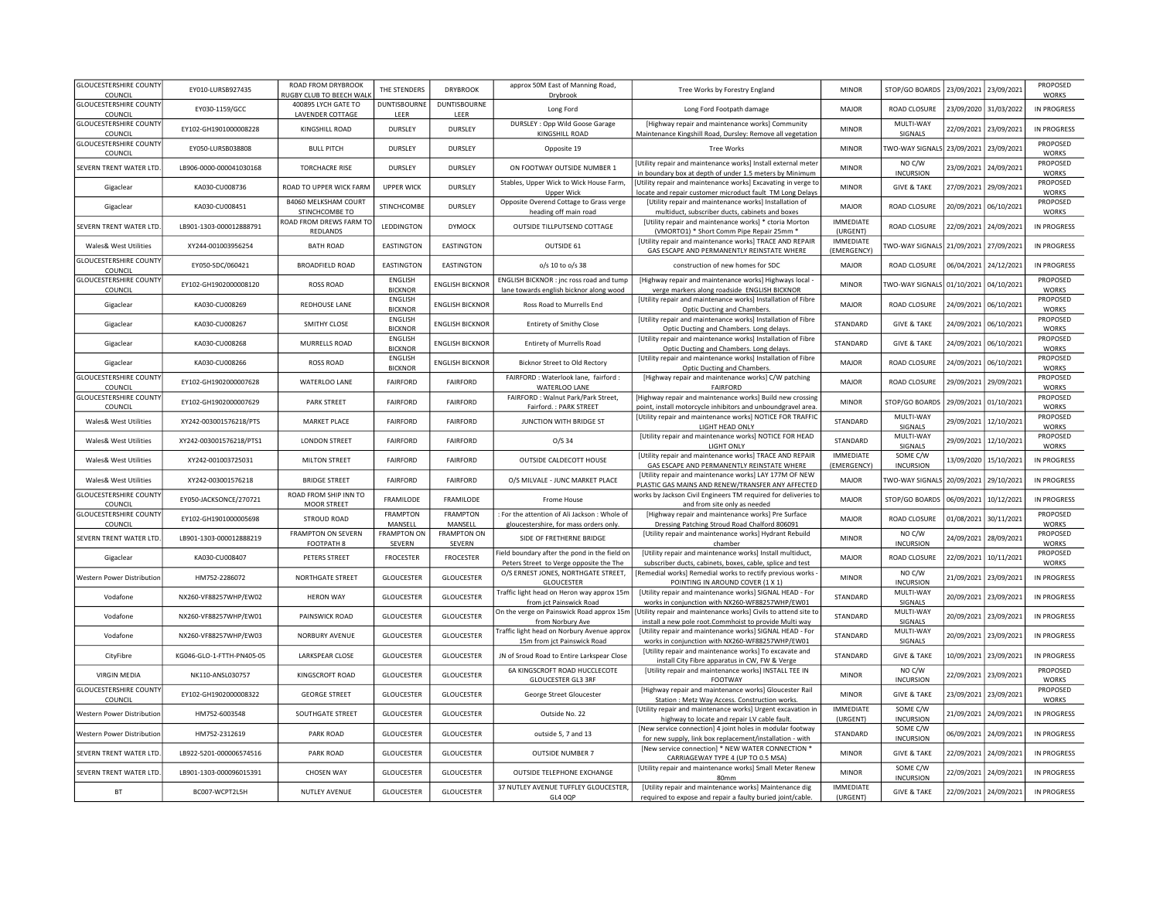| <b>GLOUCESTERSHIRE COUNTY</b><br>COUNCIL | EY010-LURSB927435         | ROAD FROM DRYBROOK<br><b>NUGBY CLUB TO BEECH WALK</b> | THE STENDERS                      | <b>DRYBROOK</b>              | approx 50M East of Manning Road,<br>Drybrook                                            | Tree Works by Forestry England                                                                                             | <b>MINOR</b>                    | STOP/GO BOARDS               | 23/09/2021 | 23/09/2021            | PROPOSED<br>WORKS        |
|------------------------------------------|---------------------------|-------------------------------------------------------|-----------------------------------|------------------------------|-----------------------------------------------------------------------------------------|----------------------------------------------------------------------------------------------------------------------------|---------------------------------|------------------------------|------------|-----------------------|--------------------------|
| <b>GLOUCESTERSHIRE COUNTY</b>            | EY030-1159/GCC            | 400895 LYCH GATE TO                                   | <b>DUNTISBOURNE</b>               | <b>DUNTISBOURNE</b>          | Long Ford                                                                               | Long Ford Footpath damage                                                                                                  | MAIOR                           | <b>ROAD CLOSURE</b>          |            | 23/09/2020 31/03/2022 | IN PROGRESS              |
| COUNCIL<br><b>GLOUCESTERSHIRE COUNTY</b> |                           | <b>LAVENDER COTTAGE</b>                               | LEER                              | LEER                         | DURSLEY: Opp Wild Goose Garage                                                          | [Highway repair and maintenance works] Community                                                                           |                                 | MULTI-WAY                    |            |                       |                          |
| COUNCIL                                  | EY102-GH1901000008228     | KINGSHILL ROAD                                        | <b>DURSLEY</b>                    | DURSLEY                      | KINGSHILL ROAD                                                                          | Maintenance Kingshill Road, Dursley: Remove all vegetation                                                                 | <b>MINOR</b>                    | SIGNALS                      | 22/09/2021 | 23/09/2021            | IN PROGRESS              |
| <b>GLOUCESTERSHIRE COUNTY</b><br>COUNCIL | FY050-LURSB038808         | <b>BULL PITCH</b>                                     | DURSLEY                           | <b>DURSLEY</b>               | Opposite 19                                                                             | <b>Tree Works</b>                                                                                                          | <b>MINOR</b>                    | TWO-WAY SIGNALS              |            | 23/09/2021 23/09/2021 | PROPOSED<br><b>WORKS</b> |
| SEVERN TRENT WATER LTD                   | LB906-0000-000041030168   | <b>TORCHACRE RISE</b>                                 | DURSLEY                           | DURSLEY                      | ON FOOTWAY OUTSIDE NUMBER 1                                                             | [Utility repair and maintenance works] Install external meter<br>in boundary box at depth of under 1.5 meters by Minimum   | <b>MINOR</b>                    | NO C/W<br><b>INCURSION</b>   | 23/09/2021 | 24/09/2021            | PROPOSED<br><b>WORKS</b> |
| Gigaclear                                | KA030-CU008736            | ROAD TO UPPER WICK FARM                               | <b>UPPER WICK</b>                 | <b>DURSLEY</b>               | Stables, Upper Wick to Wick House Farm,<br>Upper Wick                                   | [Utility repair and maintenance works] Excavating in verge to<br>locate and repair customer microduct fault TM Long Delays | <b>MINOR</b>                    | <b>GIVE &amp; TAKE</b>       | 27/09/2021 | 29/09/2021            | PROPOSED<br><b>WORKS</b> |
| Gigaclear                                | KA030-CU008451            | <b>B4060 MELKSHAM COURT</b><br>STINCHCOMBE TO         | STINCHCOMBE                       | DURSLEY                      | Opposite Overend Cottage to Grass verge<br>heading off main road                        | [Utility repair and maintenance works] Installation of<br>multiduct, subscriber ducts, cabinets and boxes                  | MAJOR                           | ROAD CLOSURE                 | 20/09/2021 | 06/10/2021            | PROPOSED<br>WORKS        |
| SEVERN TRENT WATER LTD                   | LB901-1303-000012888791   | ROAD FROM DREWS FARM TO<br>REDLANDS                   | <b>I FDDINGTON</b>                | <b>DYMOCK</b>                | OUTSIDE TILLPUTSEND COTTAGE                                                             | [Utility repair and maintenance works] * ctoria Morton<br>(VMORTO1) * Short Comm Pipe Repair 25mm *                        | <b>IMMEDIATE</b><br>(URGENT)    | ROAD CLOSURE                 | 22/09/2021 | 24/09/2021            | IN PROGRESS              |
| Wales& West Utilities                    | XY244-001003956254        | <b>BATH ROAD</b>                                      | <b>FASTINGTON</b>                 | <b>EASTINGTON</b>            | OUTSIDE 61                                                                              | [Utility repair and maintenance works] TRACE AND REPAIR<br>GAS ESCAPE AND PERMANENTLY REINSTATE WHERE                      | <b>IMMEDIATE</b><br>(EMERGENCY) | <b>WO-WAY SIGNALS</b>        | 21/09/2021 | 27/09/2021            | IN PROGRESS              |
| <b>GLOUCESTERSHIRE COUNTY</b><br>COUNCIL | EY050-SDC/060421          | <b>BROADFIELD ROAD</b>                                | EASTINGTON                        | <b>FASTINGTON</b>            | o/s 10 to o/s 38                                                                        | construction of new homes for SDC                                                                                          | <b>MAIOR</b>                    | <b>ROAD CLOSURE</b>          | 06/04/2021 | 24/12/2021            | IN PROGRESS              |
| <b>GLOUCESTERSHIRE COUNTY</b><br>COUNCIL | EY102-GH1902000008120     | <b>ROSS ROAD</b>                                      | <b>ENGLISH</b><br><b>BICKNOR</b>  | <b>ENGLISH BICKNOR</b>       | ENGLISH BICKNOR: jnc ross road and tump<br>lane towards english bicknor along wood      | [Highway repair and maintenance works] Highways local -<br>verge markers along roadside ENGLISH BICKNOR                    | <b>MINOR</b>                    | <b>WO-WAY SIGNAL</b>         | 01/10/2021 | 04/10/2021            | PROPOSED<br><b>WORKS</b> |
| Gigaclear                                | KA030-CU008269            | REDHOUSE LANE                                         | <b>ENGLISH</b><br><b>BICKNOR</b>  | <b>ENGLISH BICKNOR</b>       | Ross Road to Murrells End                                                               | [Utility repair and maintenance works] Installation of Fibre<br>Optic Ducting and Chambers.                                | MAJOR                           | ROAD CLOSURE                 | 24/09/2021 | 06/10/2021            | PROPOSED<br><b>WORKS</b> |
| Gigaclear                                | KA030-CU008267            | SMITHY CLOSE                                          | ENGLISH                           | <b>ENGLISH BICKNOR</b>       | <b>Entirety of Smithy Close</b>                                                         | [Utility repair and maintenance works] Installation of Fibre                                                               | STANDARD                        | <b>GIVE &amp; TAKE</b>       | 24/09/2021 | 06/10/2021            | PROPOSED                 |
| Gigaclear                                | KA030-CU008268            | MURRELLS ROAD                                         | <b>BICKNOR</b><br>ENGLISH         | <b>ENGLISH BICKNOR</b>       | <b>Entirety of Murrells Road</b>                                                        | Optic Ducting and Chambers. Long delays.<br>[Utility repair and maintenance works] Installation of Fibre                   | STANDARD                        | <b>GIVE &amp; TAKE</b>       | 24/09/2021 | 06/10/2021            | <b>WORKS</b><br>PROPOSED |
| Gigaclear                                | KA030-CU008266            | <b>ROSS ROAD</b>                                      | <b>BICKNOR</b><br>ENGLISH         | <b>ENGLISH BICKNOR</b>       | Bicknor Street to Old Rectory                                                           | Optic Ducting and Chambers. Long delays.<br>[Utility repair and maintenance works] Installation of Fibre                   | MAJOR                           | ROAD CLOSURE                 | 24/09/2021 | 06/10/2021            | <b>WORKS</b><br>PROPOSED |
| <b>GLOUCESTERSHIRE COUNTY</b>            | EY102-GH1902000007628     | WATERLOO LANE                                         | <b>BICKNOR</b><br><b>FAIRFORD</b> | FAIRFORD                     | FAIRFORD : Waterlook lane, fairford :                                                   | Optic Ducting and Chambers.<br>[Highway repair and maintenance works] C/W patching                                         | MAIOR                           | <b>ROAD CLOSURE</b>          |            |                       | <b>WORKS</b><br>PROPOSED |
| COUNCIL<br><b>GLOUCESTERSHIRE COUNTY</b> |                           |                                                       |                                   |                              | WATERLOO LANE<br>FAIRFORD : Walnut Park/Park Street,                                    | <b>FAIRFORD</b>                                                                                                            |                                 |                              | 29/09/2021 | 29/09/2021            | <b>WORKS</b><br>PROPOSED |
| COUNCIL                                  | EY102-GH1902000007629     | <b>PARK STREET</b>                                    | <b>FAIRFORD</b>                   | <b>FAIRFORD</b>              | Fairford.: PARK STREET                                                                  | [Highway repair and maintenance works] Build new crossing<br>point, install motorcycle inhibitors and unboundgravel area.  | <b>MINOR</b>                    | STOP/GO BOARD                | 29/09/2021 | 01/10/2021            | <b>WORKS</b>             |
| <b>Wales&amp; West Utilities</b>         | XY242-003001576218/PTS    | MARKET PLACE                                          | <b>FAIRFORD</b>                   | FAIRFORD                     | JUNCTION WITH BRIDGE ST                                                                 | [Utility repair and maintenance works] NOTICE FOR TRAFFIC<br>LIGHT HEAD ONLY                                               | STANDARD                        | MULTI-WAY<br>SIGNALS         | 29/09/2021 | 12/10/2021            | PROPOSED<br><b>WORKS</b> |
| Wales& West Utilities                    | XY242-003001576218/PTS1   | <b>LONDON STREET</b>                                  | <b>FAIRFORD</b>                   | FAIRFORD                     | 0/5.34                                                                                  | [Utility repair and maintenance works] NOTICE FOR HEAD<br><b>LIGHT ONLY</b>                                                | STANDARD                        | MULTI-WAY<br>SIGNALS         | 29/09/2021 | 12/10/2021            | PROPOSED<br>WORKS        |
| Wales& West Utilities                    | XY242-001003725031        | <b>MILTON STREET</b>                                  | <b>FAIRFORD</b>                   | <b>FAIRFORD</b>              | OUTSIDE CALDECOTT HOUSE                                                                 | [Utility repair and maintenance works] TRACE AND REPAIR<br>GAS ESCAPE AND PERMANENTLY REINSTATE WHERE                      | <b>IMMEDIATE</b><br>(EMERGENCY) | SOME C/W<br><b>INCURSION</b> | 13/09/2020 | 15/10/2021            | <b>IN PROGRESS</b>       |
| Wales& West Utilities                    | XY242-003001576218        | <b>BRIDGE STREET</b>                                  | <b>FAIRFORD</b>                   | FAIRFORD                     | O/S MILVALE - JUNC MARKET PLACE                                                         | [Utility repair and maintenance works] LAY 177M OF NEW<br>PLASTIC GAS MAINS AND RENEW/TRANSFER ANY AFFECTED                | MAJOR                           | <b>TWO-WAY SIGNALS</b>       | 20/09/2021 | 29/10/2021            | IN PROGRESS              |
| <b>GLOUCESTERSHIRE COUNTY</b><br>COUNCIL | EY050-JACKSONCE/270721    | ROAD FROM SHIP INN TO<br><b>MOOR STREET</b>           | FRAMILODE                         | FRAMILODE                    | Frome House                                                                             | works by Jackson Civil Engineers TM required for deliveries to<br>and from site only as needed                             | MAJOR                           | STOP/GO BOARD!               | 06/09/2021 | 10/12/2021            | IN PROGRESS              |
| <b>GLOUCESTERSHIRE COUNTY</b><br>COUNCIL | EY102-GH1901000005698     | <b>STROUD ROAD</b>                                    | <b>FRAMPTON</b><br>MANSELL        | <b>FRAMPTON</b><br>MANSELL   | : For the attention of Ali Jackson : Whole of<br>gloucestershire, for mass orders only. | [Highway repair and maintenance works] Pre Surface<br>Dressing Patching Stroud Road Chalford 806091                        | <b>MAJOR</b>                    | ROAD CLOSURE                 | 01/08/2021 | 30/11/2021            | PROPOSED<br>WORKS        |
| SEVERN TRENT WATER LTD                   | LB901-1303-000012888219   | <b>FRAMPTON ON SEVERN</b><br>FOOTPATH 8               | <b>FRAMPTON ON</b><br>SEVERN      | <b>FRAMPTON ON</b><br>SEVERN | SIDE OF FRETHERNE BRIDGE                                                                | [Utility repair and maintenance works] Hydrant Rebuild<br>chamber                                                          | MINOR                           | NO C/W<br><b>INCURSION</b>   | 24/09/2021 | 28/09/2021            | PROPOSED<br>WORKS        |
| Gigaclear                                | KA030-CU008407            | PETERS STREET                                         | FROCESTER                         | <b>FROCESTER</b>             | ield boundary after the pond in the field on<br>Peters Street to Verge opposite the The | [Utility repair and maintenance works] Install multiduct,<br>subscriber ducts, cabinets, boxes, cable, splice and test     | <b>MAJOR</b>                    | ROAD CLOSURE                 | 22/09/2021 | 10/11/2021            | PROPOSED<br>WORKS        |
| Western Power Distribution               | HM752-2286072             | NORTHGATE STREET                                      | GLOUCESTER                        | <b>GLOUCESTER</b>            | O/S ERNEST JONES, NORTHGATE STREET,<br>GLOUCESTER                                       | [Remedial works] Remedial works to rectify previous works<br>POINTING IN AROUND COVER (1 X 1)                              | <b>MINOR</b>                    | NO C/W<br><b>INCURSION</b>   | 21/09/2021 | 23/09/2021            | IN PROGRESS              |
| Vodafone                                 | NX260-VF88257WHP/EW02     | <b>HERON WAY</b>                                      | <b>GLOUCESTER</b>                 | <b>GLOUCESTER</b>            | Traffic light head on Heron way approx 15m                                              | [Utility repair and maintenance works] SIGNAL HEAD - For                                                                   | STANDARD                        | MULTI-WAY                    | 20/09/2021 | 23/09/2021            | IN PROGRESS              |
|                                          |                           |                                                       |                                   |                              | from jct Painswick Road<br>On the verge on Painswick Road approx 15m                    | works in conjunction with NX260-WF88257WHP/EW01<br>[Utility repair and maintenance works] Civils to attend site to         |                                 | SIGNALS<br>MULTI-WAY         |            |                       |                          |
| Vodafone                                 | NX260-VF88257WHP/EW01     | PAINSWICK ROAD                                        | <b>GLOUCESTER</b>                 | GLOUCESTER                   | from Norbury Ave                                                                        | install a new pole root. Commhoist to provide Multi way                                                                    | STANDARD                        | SIGNALS                      |            | 20/09/2021 23/09/2021 | IN PROGRESS              |
| Vodafone                                 | NX260-VF88257WHP/EW03     | NORBURY AVENUE                                        | GLOUCESTER                        | GLOUCESTER                   | Traffic light head on Norbury Avenue approx<br>15m from jct Painswick Road              | [Utility repair and maintenance works] SIGNAL HEAD - For<br>works in conjunction with NX260-WF88257WHP/EW01                | STANDARD                        | MULTI-WAY<br>SIGNALS         |            | 20/09/2021 23/09/2021 | <b>IN PROGRESS</b>       |
| CityFibre                                | KG046-GLO-1-FTTH-PN405-05 | LARKSPEAR CLOSE                                       | GLOUCESTER                        | GLOUCESTER                   | JN of Sroud Road to Entire Larkspear Close                                              | [Utility repair and maintenance works] To excavate and<br>install City Fibre apparatus in CW, FW & Verge                   | STANDARD                        | <b>GIVE &amp; TAKE</b>       |            | 10/09/2021 23/09/2021 | IN PROGRESS              |
| <b>VIRGIN MEDIA</b>                      | NK110-ANSL030757          | KINGSCROFT ROAD                                       | GLOUCESTER                        | <b>GLOUCESTER</b>            | 6A KINGSCROFT ROAD HUCCLECOTE<br><b>GLOUCESTER GL3 3RF</b>                              | [Utility repair and maintenance works] INSTALL TEE IN<br>FOOTWAY                                                           | <b>MINOR</b>                    | NO C/W<br><b>INCURSION</b>   |            | 22/09/2021 23/09/2021 | PROPOSED<br>WORKS        |
| <b>GLOUCESTERSHIRE COUNTY</b><br>COUNCIL | EY102-GH1902000008322     | <b>GEORGE STREET</b>                                  | <b>GLOUCESTER</b>                 | GLOUCESTER                   | George Street Gloucester                                                                | [Highway repair and maintenance works] Gloucester Rail<br>Station : Metz Way Access. Construction works.                   | <b>MINOR</b>                    | <b>GIVE &amp; TAKE</b>       |            | 23/09/2021 23/09/2021 | PROPOSED<br><b>WORKS</b> |
| Western Power Distribution               | HM752-6003548             | SOUTHGATE STREET                                      | GLOUCESTER                        | <b>GLOUCESTER</b>            | Outside No. 22                                                                          | [Utility repair and maintenance works] Urgent excavation in<br>highway to locate and repair LV cable fault.                | <b>IMMEDIATE</b><br>(URGENT)    | SOME C/W<br><b>INCURSION</b> | 21/09/2021 | 24/09/2021            | IN PROGRESS              |
| Western Power Distribution               | HM752-2312619             | PARK ROAD                                             | <b>GLOUCESTER</b>                 | <b>GLOUCESTER</b>            | outside 5, 7 and 13                                                                     | [New service connection] 4 joint holes in modular footway<br>for new supply, link box replacement/installation - with      | STANDARD                        | SOME C/W<br><b>INCURSION</b> |            | 06/09/2021 24/09/2021 | IN PROGRESS              |
| SEVERN TRENT WATER LTD                   | LB922-5201-000006574516   | PARK ROAD                                             | GLOUCESTER                        | GLOUCESTER                   | <b>OUTSIDE NUMBER 7</b>                                                                 | [New service connection] * NEW WATER CONNECTION *<br>CARRIAGEWAY TYPE 4 (UP TO 0.5 MSA)                                    | <b>MINOR</b>                    | <b>GIVE &amp; TAKE</b>       |            | 22/09/2021 24/09/2021 | <b>IN PROGRESS</b>       |
| SEVERN TRENT WATER LTD                   | LB901-1303-000096015391   | CHOSEN WAY                                            | <b>GLOUCESTER</b>                 | <b>GLOUCESTER</b>            | OUTSIDE TELEPHONE EXCHANGE                                                              | [Utility repair and maintenance works] Small Meter Renew<br>80 <sub>mm</sub>                                               | <b>MINOR</b>                    | SOME C/W<br><b>INCURSION</b> |            | 22/09/2021 24/09/2021 | IN PROGRESS              |
| BT                                       | BC007-WCPT2L5H            | NUTLEY AVENUE                                         | GLOUCESTER                        | <b>GLOUCESTER</b>            | 37 NUTLEY AVENUE TUFFLEY GLOUCESTER,<br>GL4 0QP                                         | [Utility repair and maintenance works] Maintenance dig<br>required to expose and repair a faulty buried joint/cable.       | <b>IMMEDIATE</b><br>(URGENT)    | <b>GIVE &amp; TAKE</b>       |            | 22/09/2021 24/09/2021 | IN PROGRESS              |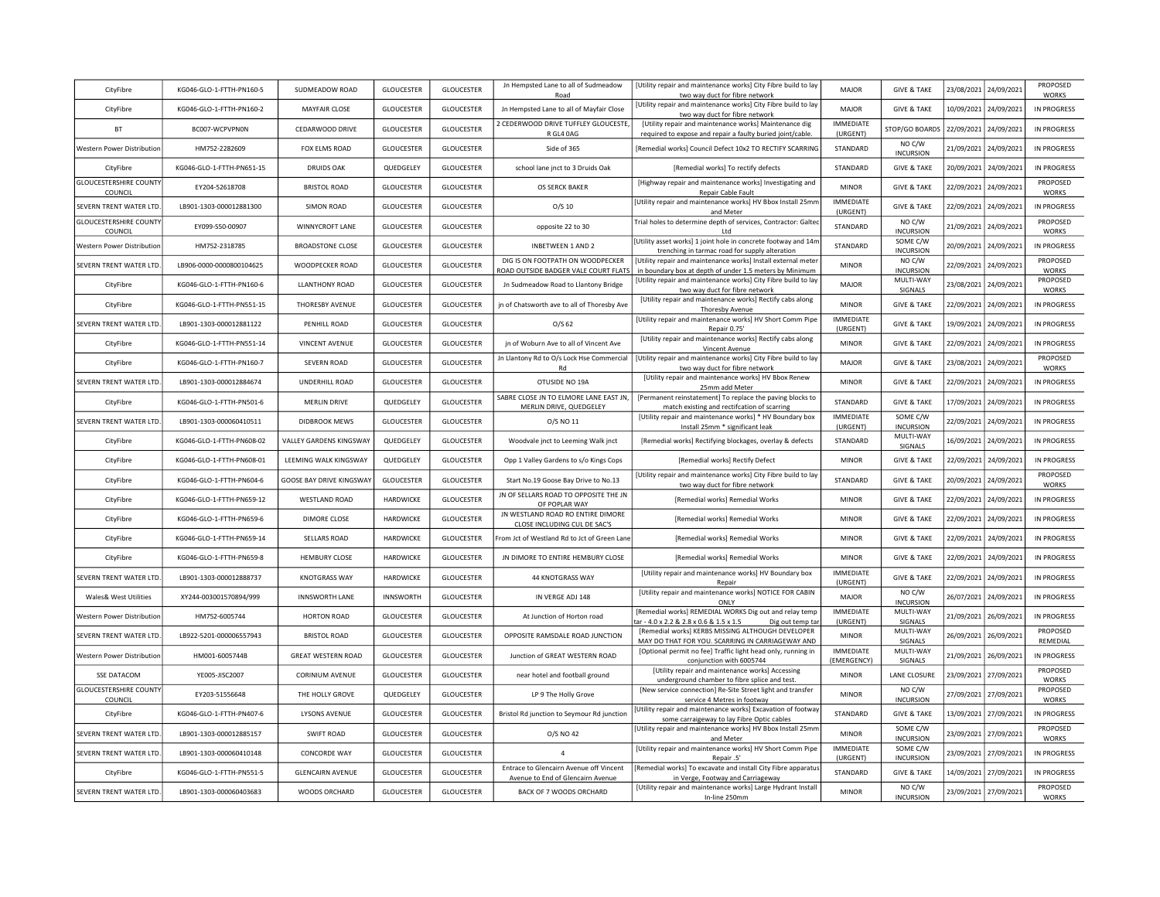| CityFibre                                | KG046-GLO-1-FTTH-PN160-5  | SUDMEADOW ROAD            | <b>GLOUCESTER</b> | GLOUCESTER        | Jn Hempsted Lane to all of Sudmeadow<br>Road                                 | [Utility repair and maintenance works] City Fibre build to lay<br>two way duct for fibre network                         | MAJOR                           | <b>GIVE &amp; TAKE</b>       | 23/08/2021            | 24/09/2021            | PROPOSED<br>WORKS        |
|------------------------------------------|---------------------------|---------------------------|-------------------|-------------------|------------------------------------------------------------------------------|--------------------------------------------------------------------------------------------------------------------------|---------------------------------|------------------------------|-----------------------|-----------------------|--------------------------|
| CityFibre                                | KG046-GLO-1-FTTH-PN160-2  | MAYFAIR CLOSE             | <b>GLOUCESTER</b> | GLOUCESTER        | Jn Hempsted Lane to all of Mayfair Close                                     | [Utility repair and maintenance works] City Fibre build to lay<br>two way duct for fibre network                         | MAJOR                           | <b>GIVE &amp; TAKE</b>       | 10/09/2021            | 24/09/2021            | IN PROGRESS              |
| <b>BT</b>                                | BC007-WCPVPN0N            | CEDARWOOD DRIVE           | <b>GLOUCESTER</b> | <b>GLOUCESTER</b> | 2 CEDERWOOD DRIVE TUFFLEY GLOUCESTE<br>R GL4 0AG                             | [Utility repair and maintenance works] Maintenance dig<br>required to expose and repair a faulty buried joint/cable      | <b>IMMEDIATE</b><br>(URGENT)    | STOP/GO BOARDS               | 22/09/2021            | 24/09/2021            | IN PROGRESS              |
| Western Power Distribution               | HM752-2282609             | FOX ELMS ROAD             | <b>GLOUCESTER</b> | GLOUCESTER        | Side of 365                                                                  | [Remedial works] Council Defect 10x2 TO RECTIFY SCARRING                                                                 | <b>STANDARD</b>                 | NO C/W<br><b>INCURSION</b>   | 21/09/2021            | 24/09/2021            | IN PROGRESS              |
| CityFibre                                | KG046-GLO-1-FTTH-PN651-15 | <b>DRUIDS OAK</b>         | QUEDGELEY         | <b>GLOUCESTER</b> | school lane jnct to 3 Druids Oak                                             | [Remedial works] To rectify defects                                                                                      | STANDARD                        | <b>GIVE &amp; TAKE</b>       |                       | 20/09/2021 24/09/2021 | IN PROGRESS              |
| <b>GLOUCESTERSHIRE COUNTY</b><br>COUNCIL | EY204-52618708            | <b>BRISTOL ROAD</b>       | <b>GLOUCESTER</b> | GLOUCESTER        | OS SERCK BAKER                                                               | [Highway repair and maintenance works] Investigating and<br>Repair Cable Fault                                           | <b>MINOR</b>                    | <b>GIVE &amp; TAKE</b>       | 22/09/2021 24/09/2021 |                       | PROPOSED<br>WORKS        |
| SEVERN TRENT WATER LTD.                  | LB901-1303-000012881300   | <b>SIMON ROAD</b>         | <b>GLOUCESTER</b> | <b>GLOUCESTER</b> | $O/S$ 10                                                                     | [Utility repair and maintenance works] HV Bbox Install 25mm<br>and Meter                                                 | <b>IMMEDIATE</b><br>(URGENT)    | <b>GIVE &amp; TAKE</b>       |                       | 22/09/2021 24/09/2021 | IN PROGRESS              |
| <b>GLOUCESTERSHIRE COUNTY</b><br>COUNCIL | EY099-S50-00907           | WINNYCROFT LANE           | <b>GLOUCESTER</b> | GLOUCESTER        | opposite 22 to 30                                                            | Trial holes to determine depth of services, Contractor: Galtec<br>Ltd                                                    | STANDARD                        | NO C/W<br><b>INCURSION</b>   | 21/09/2021            | 24/09/2021            | PROPOSED<br>WORKS        |
| Western Power Distribution               | HM752-2318785             | <b>BROADSTONE CLOSE</b>   | <b>GLOUCESTER</b> | GLOUCESTER        | <b>INBETWEEN 1 AND 2</b>                                                     | [Utility asset works] 1 joint hole in concrete footway and 14m<br>trenching in tarmac road for supply alteration         | STANDARD                        | SOME C/W<br><b>INCURSION</b> |                       | 20/09/2021 24/09/2021 | <b>IN PROGRESS</b>       |
| SEVERN TRENT WATER LTD.                  | LB906-0000-0000800104625  | WOODPECKER ROAD           | <b>GLOUCESTER</b> | <b>GLOUCESTER</b> | DIG IS ON FOOTPATH ON WOODPECKER<br>ROAD OUTSIDE BADGER VALE COURT FLAT!     | [Utility repair and maintenance works] Install external meter<br>in boundary box at depth of under 1.5 meters by Minimum | <b>MINOR</b>                    | NO C/W<br><b>INCURSION</b>   | 22/09/2021            | 24/09/2021            | PROPOSED<br><b>WORKS</b> |
| CityFibre                                | KG046-GLO-1-FTTH-PN160-6  | <b>LLANTHONY ROAD</b>     | GLOUCESTER        | <b>GLOUCESTER</b> | Jn Sudmeadow Road to Llantony Bridge                                         | [Utility repair and maintenance works] City Fibre build to lay<br>two way duct for fibre network                         | <b>MAJOR</b>                    | MULTI-WAY<br>SIGNALS         | 23/08/2021            | 24/09/2021            | PROPOSED<br>WORKS        |
| CityFibre                                | KG046-GLO-1-FTTH-PN551-15 | THORESBY AVENUE           | <b>GLOUCESTER</b> | <b>GLOUCESTER</b> | jn of Chatsworth ave to all of Thoresby Ave                                  | [Utility repair and maintenance works] Rectify cabs along<br>Thoresby Avenue                                             | <b>MINOR</b>                    | <b>GIVE &amp; TAKE</b>       | 22/09/2021            | 24/09/2021            | IN PROGRESS              |
| SEVERN TRENT WATER LTD.                  | LB901-1303-000012881122   | PENHILL ROAD              | <b>GLOUCESTER</b> | <b>GLOUCESTER</b> | O/S <sub>62</sub>                                                            | [Utility repair and maintenance works] HV Short Comm Pipe<br>Repair 0.75'                                                | <b>IMMEDIATE</b><br>(URGENT)    | <b>GIVE &amp; TAKE</b>       | 19/09/2021            | 24/09/2021            | IN PROGRESS              |
| CityFibre                                | KG046-GLO-1-FTTH-PN551-14 | <b>VINCENT AVENUE</b>     | <b>GLOUCESTER</b> | GLOUCESTER        | jn of Woburn Ave to all of Vincent Ave                                       | [Utility repair and maintenance works] Rectify cabs along<br>Vincent Avenue                                              | <b>MINOR</b>                    | <b>GIVE &amp; TAKE</b>       | 22/09/2021            | 24/09/2021            | IN PROGRESS              |
| CityFibre                                | KG046-GLO-1-FTTH-PN160-7  | SEVERN ROAD               | GLOUCESTER        | <b>GLOUCESTER</b> | Jn Llantony Rd to O/s Lock Hse Commercial<br>- Rd                            | [Utility repair and maintenance works] City Fibre build to lay<br>two way duct for fibre network                         | <b>MAJOR</b>                    | <b>GIVE &amp; TAKE</b>       | 23/08/2021 24/09/2021 |                       | PROPOSED<br>WORKS        |
| SEVERN TRENT WATER LTD.                  | LB901-1303-000012884674   | UNDERHILL ROAD            | GLOUCESTER        | GLOUCESTER        | OTUSIDE NO 19A                                                               | [Utility repair and maintenance works] HV Bbox Renew<br>25mm add Meter                                                   | <b>MINOR</b>                    | <b>GIVE &amp; TAKE</b>       | 22/09/2021            | 24/09/2021            | IN PROGRESS              |
| CityFibre                                | KG046-GLO-1-FTTH-PN501-6  | <b>MERLIN DRIVE</b>       | QUEDGELEY         | <b>GLOUCESTER</b> | SABRE CLOSE JN TO ELMORE LANE EAST JN,<br>MERLIN DRIVE, QUEDGELEY            | [Permanent reinstatement] To replace the paving blocks to<br>match existing and rectifcation of scarring                 | STANDARD                        | <b>GIVE &amp; TAKE</b>       | 17/09/2021            | 24/09/2021            | IN PROGRESS              |
| SEVERN TRENT WATER LTD.                  | LB901-1303-000060410511   | <b>DIDBROOK MEWS</b>      | GLOUCESTER        | GLOUCESTER        | O/S NO 11                                                                    | [Utility repair and maintenance works] * HV Boundary box<br>Install 25mm * significant leak                              | <b>IMMEDIATE</b><br>(URGENT)    | SOME C/W<br><b>INCURSION</b> | 22/09/2021            | 24/09/2021            | IN PROGRESS              |
| CityFibre                                | KG046-GLO-1-FTTH-PN608-02 | VALLEY GARDENS KINGSWAY   | QUEDGELEY         | <b>GLOUCESTER</b> | Woodvale jnct to Leeming Walk jnct                                           | [Remedial works] Rectifying blockages, overlay & defects                                                                 | STANDARD                        | MULTI-WAY<br>SIGNALS         | 16/09/2021            | 24/09/2021            | IN PROGRESS              |
| CityFibre                                | KG046-GLO-1-FTTH-PN608-01 | LEEMING WALK KINGSWAY     | QUEDGELEY         | <b>GLOUCESTER</b> | Opp 1 Valley Gardens to s/o Kings Cops                                       | [Remedial works] Rectify Defect                                                                                          | <b>MINOR</b>                    | <b>GIVE &amp; TAKE</b>       |                       | 22/09/2021 24/09/2021 | <b>IN PROGRESS</b>       |
| CityFibre                                | KG046-GLO-1-FTTH-PN604-6  | GOOSE BAY DRIVE KINGSWAY  | GLOUCESTER        | GLOUCESTER        | Start No.19 Goose Bay Drive to No.13                                         | [Utility repair and maintenance works] City Fibre build to lay<br>two way duct for fibre network                         | STANDARD                        | <b>GIVE &amp; TAKE</b>       |                       | 20/09/2021 24/09/2021 | PROPOSED<br><b>WORKS</b> |
| CityFibre                                | KG046-GLO-1-FTTH-PN659-12 | <b>WESTLAND ROAD</b>      | HARDWICKE         | GLOUCESTER        | JN OF SELLARS ROAD TO OPPOSITE THE JN<br>OF POPLAR WAY                       | [Remedial works] Remedial Works                                                                                          | <b>MINOR</b>                    | <b>GIVE &amp; TAKE</b>       |                       | 22/09/2021 24/09/2021 | IN PROGRESS              |
| CityFibre                                | KG046-GLO-1-FTTH-PN659-6  | <b>DIMORE CLOSE</b>       | HARDWICKE         | <b>GLOUCESTER</b> | JN WESTLAND ROAD RO ENTIRE DIMORE<br>CLOSE INCLUDING CUL DE SAC'S            | [Remedial works] Remedial Works                                                                                          | <b>MINOR</b>                    | <b>GIVE &amp; TAKE</b>       |                       | 22/09/2021 24/09/2021 | IN PROGRESS              |
| CityFibre                                | KG046-GLO-1-FTTH-PN659-14 | <b>SELLARS ROAD</b>       | HARDWICKE         | <b>GLOUCESTER</b> | From Jct of Westland Rd to Jct of Green Lane                                 | [Remedial works] Remedial Works                                                                                          | <b>MINOR</b>                    | <b>GIVE &amp; TAKE</b>       |                       | 22/09/2021 24/09/2021 | IN PROGRESS              |
| CityFibre                                | KG046-GLO-1-FTTH-PN659-8  | <b>HEMBURY CLOSE</b>      | HARDWICKE         | <b>GLOUCESTER</b> | JN DIMORE TO ENTIRE HEMBURY CLOSE                                            | [Remedial works] Remedial Works                                                                                          | <b>MINOR</b>                    | <b>GIVE &amp; TAKE</b>       |                       | 22/09/2021 24/09/2021 | IN PROGRESS              |
| SEVERN TRENT WATER LTD.                  | LB901-1303-000012888737   | <b>KNOTGRASS WAY</b>      | HARDWICKE         | <b>GLOUCESTER</b> | 44 KNOTGRASS WAY                                                             | [Utility repair and maintenance works] HV Boundary box<br>Repair                                                         | <b>IMMEDIATE</b><br>(URGENT)    | <b>GIVE &amp; TAKE</b>       |                       | 22/09/2021 24/09/2021 | IN PROGRESS              |
| <b>Wales&amp; West Utilities</b>         | XY244-003001570894/999    | <b>INNSWORTH LANE</b>     | <b>INNSWORTH</b>  | <b>GLOUCESTER</b> | IN VERGE ADJ 148                                                             | [Utility repair and maintenance works] NOTICE FOR CABIN<br><b>ONLY</b>                                                   | MAJOR                           | NO C/W<br><b>INCURSION</b>   |                       | 26/07/2021 24/09/2021 | IN PROGRESS              |
| Western Power Distribution               | HM752-6005744             | HORTON ROAD               | GLOUCESTER        | GLOUCESTER        | At Junction of Horton road                                                   | [Remedial works] REMEDIAL WORKS Dig out and relay temp<br>ar - 4.0 x 2.2 & 2.8 x 0.6 & 1.5 x 1.5<br>Dig out temp tar     | <b>IMMEDIATE</b><br>(URGENT)    | MULTI-WAY<br>SIGNALS         |                       | 21/09/2021 26/09/2021 | IN PROGRESS              |
| SEVERN TRENT WATER LTD                   | LB922-5201-000006557943   | <b>BRISTOL ROAD</b>       | GLOUCESTER        | <b>GLOUCESTER</b> | OPPOSITE RAMSDALE ROAD JUNCTION                                              | [Remedial works] KERBS MISSING ALTHOUGH DEVELOPER<br>MAY DO THAT FOR YOU. SCARRING IN CARRIAGEWAY AND                    | <b>MINOR</b>                    | MULTI-WAY<br>SIGNALS         |                       | 26/09/2021 26/09/2021 | PROPOSED<br>REMEDIAL     |
| Western Power Distribution               | HM001-6005744B            | <b>GREAT WESTERN ROAD</b> | GLOUCESTER        | GLOUCESTER        | Junction of GREAT WESTERN ROAD                                               | [Optional permit no fee] Traffic light head only, running in<br>conjunction with 6005744                                 | <b>IMMEDIATE</b><br>(EMERGENCY) | MULTI-WAY<br>SIGNALS         |                       | 21/09/2021 26/09/2021 | <b>IN PROGRESS</b>       |
| <b>SSE DATACOM</b>                       | YE005-JISC2007            | <b>CORINIUM AVENUE</b>    | GLOUCESTER        | GLOUCESTER        | near hotel and football ground                                               | [Utility repair and maintenance works] Accessing<br>underground chamber to fibre splice and test.                        | <b>MINOR</b>                    | LANE CLOSURE                 |                       | 23/09/2021 27/09/2021 | PROPOSED<br><b>WORKS</b> |
| <b>GLOUCESTERSHIRE COUNTY</b><br>COUNCIL | EY203-51556648            | THE HOLLY GROVE           | QUEDGELEY         | GLOUCESTER        | LP 9 The Holly Grove                                                         | [New service connection] Re-Site Street light and transfer<br>service 4 Metres in footway                                | <b>MINOR</b>                    | NO C/W<br><b>INCURSION</b>   |                       | 27/09/2021 27/09/2021 | PROPOSED<br><b>WORKS</b> |
| CityFibre                                | KG046-GLO-1-FTTH-PN407-6  | LYSONS AVENUE             | <b>GLOUCESTER</b> | GLOUCESTER        | Bristol Rd junction to Seymour Rd junction                                   | [Utility repair and maintenance works] Excavation of footway<br>some carraigeway to lay Fibre Optic cables               | STANDARD                        | <b>GIVE &amp; TAKE</b>       |                       | 13/09/2021 27/09/2021 | <b>IN PROGRESS</b>       |
| SEVERN TRENT WATER LTD.                  | LB901-1303-000012885157   | <b>SWIFT ROAD</b>         | <b>GLOUCESTER</b> | <b>GLOUCESTER</b> | O/S NO 42                                                                    | Utility repair and maintenance works] HV Bbox Install 25mm<br>and Meter                                                  | <b>MINOR</b>                    | SOME C/W<br><b>INCURSION</b> |                       | 23/09/2021 27/09/2021 | PROPOSED<br>WORKS        |
| SEVERN TRENT WATER LTD                   | LB901-1303-000060410148   | CONCORDE WAY              | GLOUCESTER        | GLOUCESTER        | $\overline{4}$                                                               | [Utility repair and maintenance works] HV Short Comm Pipe<br>Repair .5'                                                  | <b>IMMEDIATE</b><br>(URGENT)    | SOME C/W<br><b>INCURSION</b> | 23/09/2021 27/09/2021 |                       | IN PROGRESS              |
| CityFibre                                | KG046-GLO-1-FTTH-PN551-5  | <b>GLENCAIRN AVENUE</b>   | GLOUCESTER        | <b>GLOUCESTER</b> | Entrace to Glencairn Avenue off Vincent<br>Avenue to End of Glencairn Avenue | [Remedial works] To excavate and install City Fibre apparatus<br>in Verge, Footway and Carriageway                       | STANDARD                        | <b>GIVE &amp; TAKE</b>       |                       | 14/09/2021 27/09/2021 | <b>IN PROGRESS</b>       |
| SEVERN TRENT WATER LTD.                  | LB901-1303-000060403683   | WOODS ORCHARD             | GLOUCESTER        | GLOUCESTER        | BACK OF 7 WOODS ORCHARD                                                      | [Utility repair and maintenance works] Large Hydrant Install<br>In-line 250mm                                            | <b>MINOR</b>                    | NO C/W<br><b>INCURSION</b>   |                       | 23/09/2021 27/09/2021 | PROPOSED<br><b>WORKS</b> |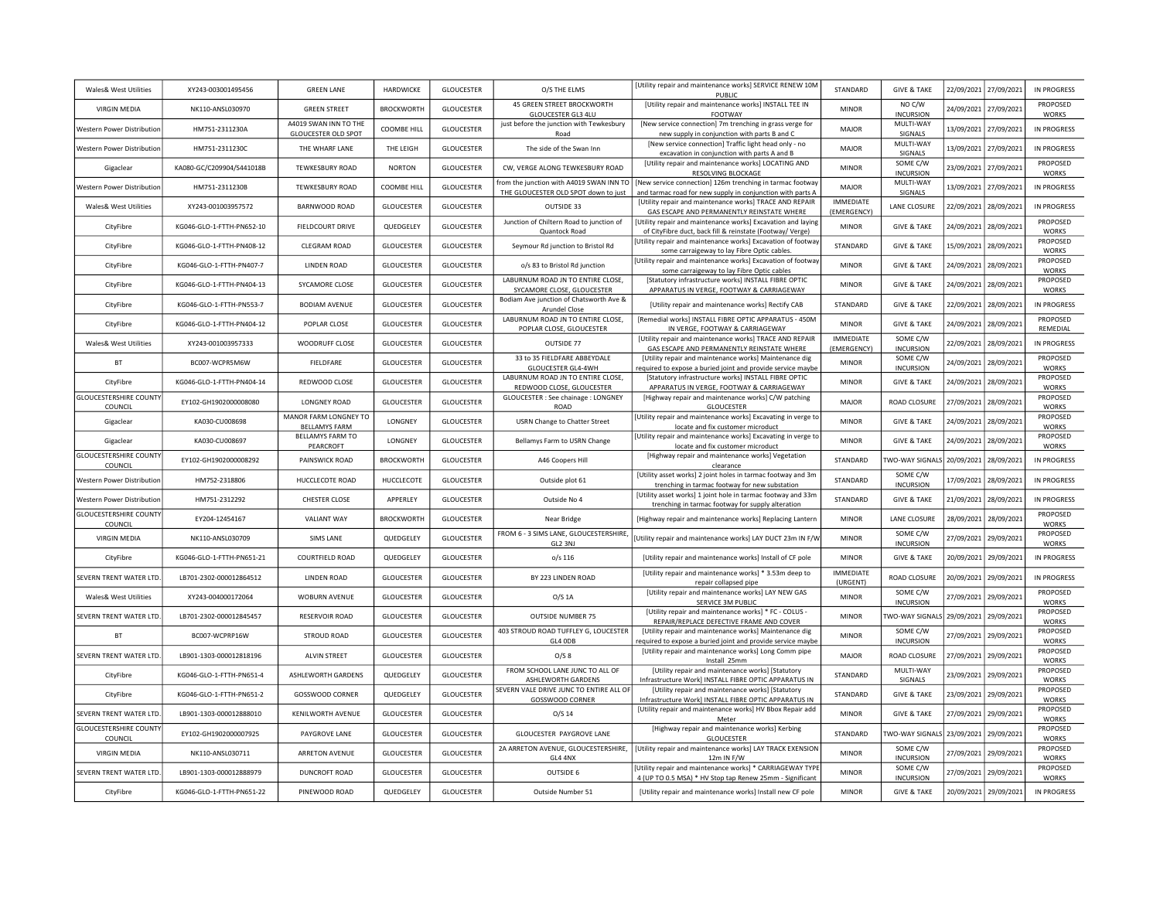| Wales& West Utilities                    | XY243-003001495456        | <b>GREEN LANE</b>                                   | HARDWICKE         | GLOUCESTER        | O/S THE ELMS                                                                     | [Utility repair and maintenance works] SERVICE RENEW 10M<br>PUBLIC                                                        | STANDARD                        | <b>GIVE &amp; TAKE</b>       | 22/09/2021 | 27/09/2021 | <b>IN PROGRESS</b>       |
|------------------------------------------|---------------------------|-----------------------------------------------------|-------------------|-------------------|----------------------------------------------------------------------------------|---------------------------------------------------------------------------------------------------------------------------|---------------------------------|------------------------------|------------|------------|--------------------------|
| <b>VIRGIN MEDIA</b>                      | NK110-ANSL030970          | <b>GREEN STREET</b>                                 | <b>BROCKWORTH</b> | <b>GLOUCESTER</b> | 45 GREEN STREET BROCKWORTH<br>GLOUCESTER GL3 4LU                                 | [Utility repair and maintenance works] INSTALL TEE IN<br>FOOTWAY                                                          | <b>MINOR</b>                    | NO C/W<br><b>INCURSION</b>   | 24/09/2021 | 27/09/2021 | PROPOSED<br><b>WORKS</b> |
| <b>Western Power Distribution</b>        | HM751-2311230A            | A4019 SWAN INN TO THE<br><b>GLOUCESTER OLD SPOT</b> | COOMBE HILL       | <b>GLOUCESTER</b> | just before the junction with Tewkesbury<br>Road                                 | [New service connection] 7m trenching in grass verge for<br>new supply in conjunction with parts B and C                  | MAJOR                           | MULTI-WAY<br>SIGNALS         | 13/09/2021 | 27/09/2021 | <b>IN PROGRESS</b>       |
| <b>Western Power Distribution</b>        | HM751-2311230C            | THE WHARF LANE                                      | THE LEIGH         | <b>GLOUCESTER</b> | The side of the Swan Inn                                                         | [New service connection] Traffic light head only - no<br>excavation in conjunction with parts A and B                     | MAJOR                           | MULTI-WAY<br>SIGNALS         | 13/09/2021 | 27/09/2021 | <b>IN PROGRESS</b>       |
| Gigaclear                                | KA080-GC/C209904/S441018B | <b>TEWKESBURY ROAD</b>                              | <b>NORTON</b>     | <b>GLOUCESTER</b> | CW, VERGE ALONG TEWKESBURY ROAD                                                  | [Utility repair and maintenance works] LOCATING AND<br>RESOLVING BLOCKAGE                                                 | <b>MINOR</b>                    | SOME C/W<br><b>INCURSION</b> | 23/09/2021 | 27/09/2021 | PROPOSED<br><b>WORKS</b> |
| Western Power Distribution               | HM751-2311230B            | <b>TEWKESBURY ROAD</b>                              | COOMBE HILL       | <b>GLOUCESTER</b> | from the junction with A4019 SWAN INN TO<br>THE GLOUCESTER OLD SPOT down to just | [New service connection] 126m trenching in tarmac footway<br>and tarmac road for new supply in conjunction with parts A   | <b>MAJOR</b>                    | MULTI-WAY<br>SIGNALS         | 13/09/2021 | 27/09/2021 | <b>IN PROGRESS</b>       |
| Wales& West Utilities                    | XY243-001003957572        | BARNWOOD ROAD                                       | <b>GLOUCESTER</b> | <b>GLOUCESTER</b> | OUTSIDE 33                                                                       | [Utility repair and maintenance works] TRACE AND REPAIR<br>GAS ESCAPE AND PERMANENTLY REINSTATE WHERE                     | <b>IMMEDIATE</b><br>(EMERGENCY) | LANE CLOSURE                 | 22/09/2021 | 28/09/2021 | <b>IN PROGRESS</b>       |
| CityFibre                                | KG046-GLO-1-FTTH-PN652-10 | <b>FIELDCOURT DRIVE</b>                             | QUEDGELEY         | <b>GLOUCESTER</b> | Junction of Chiltern Road to junction of<br>Quantock Road                        | [Utility repair and maintenance works] Excavation and laying<br>of CityFibre duct, back fill & reinstate (Footway/ Verge) | <b>MINOR</b>                    | <b>GIVE &amp; TAKE</b>       | 24/09/2021 | 28/09/2021 | PROPOSED<br><b>WORKS</b> |
| CityFibre                                | KG046-GLO-1-FTTH-PN408-12 | CLEGRAM ROAD                                        | <b>GLOUCESTER</b> | <b>GLOUCESTER</b> | Seymour Rd junction to Bristol Rd                                                | [Utility repair and maintenance works] Excavation of footway<br>some carraigeway to lay Fibre Optic cables                | STANDARD                        | <b>GIVE &amp; TAKE</b>       | 15/09/2021 | 28/09/2021 | PROPOSED<br>WORKS        |
| CityFibre                                | KG046-GLO-1-FTTH-PN407-7  | <b>LINDEN ROAD</b>                                  | GLOUCESTER        | <b>GLOUCESTER</b> | o/s 83 to Bristol Rd junction                                                    | [Utility repair and maintenance works] Excavation of footway<br>some carraigeway to lay Fibre Optic cables                | <b>MINOR</b>                    | <b>GIVE &amp; TAKE</b>       | 24/09/2021 | 28/09/2021 | PROPOSED<br><b>WORKS</b> |
| CityFibre                                | KG046-GLO-1-FTTH-PN404-13 | SYCAMORE CLOSE                                      | GLOUCESTER        | <b>GLOUCESTER</b> | LABURNUM ROAD JN TO ENTIRE CLOSE,<br>SYCAMORE CLOSE, GLOUCESTER                  | [Statutory infrastructure works] INSTALL FIBRE OPTIC<br>APPARATUS IN VERGE, FOOTWAY & CARRIAGEWAY                         | <b>MINOR</b>                    | <b>GIVE &amp; TAKE</b>       | 24/09/2021 | 28/09/2021 | PROPOSED<br>WORKS        |
| CityFibre                                | KG046-GLO-1-FTTH-PN553-7  | <b>BODIAM AVENUE</b>                                | <b>GLOUCESTER</b> | <b>GLOUCESTER</b> | Bodiam Ave junction of Chatsworth Ave &<br>Arundel Close                         | [Utility repair and maintenance works] Rectify CAB                                                                        | STANDARD                        | <b>GIVE &amp; TAKE</b>       | 22/09/2021 | 28/09/2021 | IN PROGRESS              |
| CityFibre                                | KG046-GLO-1-FTTH-PN404-12 | POPLAR CLOSE                                        | <b>GLOUCESTER</b> | GLOUCESTER        | LABURNUM ROAD JN TO ENTIRE CLOSE,<br>POPLAR CLOSE, GLOUCESTER                    | [Remedial works] INSTALL FIBRE OPTIC APPARATUS - 450M<br>IN VERGE, FOOTWAY & CARRIAGEWAY                                  | <b>MINOR</b>                    | <b>GIVE &amp; TAKE</b>       | 24/09/2021 | 28/09/2021 | PROPOSED<br>REMEDIAL     |
| Wales& West Utilities                    | XY243-001003957333        | WOODRUFF CLOSE                                      | <b>GLOUCESTER</b> | <b>GLOUCESTER</b> | OUTSIDE 77                                                                       | [Utility repair and maintenance works] TRACE AND REPAIR<br>GAS ESCAPE AND PERMANENTLY REINSTATE WHERE                     | <b>IMMEDIATE</b><br>(EMERGENCY) | SOME C/W<br><b>INCURSION</b> | 22/09/2021 | 28/09/2021 | <b>IN PROGRESS</b>       |
| <b>BT</b>                                | BC007-WCPR5M6W            | <b>FIELDFARE</b>                                    | <b>GLOUCESTER</b> | <b>GLOUCESTER</b> | 33 to 35 FIELDFARE ABBEYDALE<br>GLOUCESTER GL4-4WH                               | [Utility repair and maintenance works] Maintenance dig<br>required to expose a buried joint and provide service maybe     | <b>MINOR</b>                    | SOME C/W<br><b>INCURSION</b> | 24/09/2021 | 28/09/2021 | PROPOSED<br>WORKS        |
| CityFibre                                | KG046-GLO-1-FTTH-PN404-14 | REDWOOD CLOSE                                       | <b>GLOUCESTER</b> | <b>GLOUCESTER</b> | LABURNUM ROAD JN TO ENTIRE CLOSE,<br>REDWOOD CLOSE, GLOUCESTER                   | [Statutory infrastructure works] INSTALL FIBRE OPTIC<br>APPARATUS IN VERGE, FOOTWAY & CARRIAGEWAY                         | <b>MINOR</b>                    | <b>GIVE &amp; TAKE</b>       | 24/09/2021 | 28/09/2021 | PROPOSED<br><b>WORKS</b> |
| <b>GLOUCESTERSHIRE COUNTY</b><br>COUNCIL | EY102-GH1902000008080     | <b>LONGNEY ROAD</b>                                 | <b>GLOUCESTER</b> | <b>GLOUCESTER</b> | GLOUCESTER : See chainage : LONGNEY<br>ROAD                                      | [Highway repair and maintenance works] C/W patching<br><b>GLOUCESTER</b>                                                  | <b>MAJOR</b>                    | ROAD CLOSURE                 | 27/09/2021 | 28/09/2021 | PROPOSED<br><b>WORKS</b> |
| Gigaclear                                | KA030-CU008698            | MANOR FARM LONGNEY TO<br><b>BELLAMYS FARM</b>       | LONGNEY           | <b>GLOUCESTER</b> | <b>USRN Change to Chatter Street</b>                                             | [Utility repair and maintenance works] Excavating in verge to<br>locate and fix customer microduct                        | <b>MINOR</b>                    | <b>GIVE &amp; TAKE</b>       | 24/09/2021 | 28/09/2021 | PROPOSED<br>WORKS        |
| Gigaclear                                | KA030-CU008697            | BELLAMYS FARM TO<br>PEARCROFT                       | LONGNEY           | GLOUCESTER        | Bellamys Farm to USRN Change                                                     | [Utility repair and maintenance works] Excavating in verge to<br>locate and fix customer microduct                        | <b>MINOR</b>                    | <b>GIVE &amp; TAKE</b>       | 24/09/2021 | 28/09/2021 | PROPOSED<br>WORKS        |
| <b>GLOUCESTERSHIRE COUNTY</b><br>COUNCIL | EY102-GH1902000008292     | PAINSWICK ROAD                                      | <b>BROCKWORTH</b> | <b>GLOUCESTER</b> | A46 Coopers Hill                                                                 | [Highway repair and maintenance works] Vegetation<br>clearance                                                            | STANDARD                        | WO-WAY SIGNALS               | 20/09/2021 | 28/09/2021 | <b>IN PROGRESS</b>       |
| Western Power Distribution               | HM752-2318806             | HUCCLECOTE ROAD                                     | HUCCLECOTE        | <b>GLOUCESTER</b> | Outside plot 61                                                                  | [Utility asset works] 2 joint holes in tarmac footway and 3m<br>trenching in tarmac footway for new substation            | STANDARD                        | SOME C/W<br><b>INCURSION</b> | 17/09/2021 | 28/09/2021 | <b>IN PROGRESS</b>       |
| Western Power Distribution               | HM751-2312292             | CHESTER CLOSE                                       | APPERLEY          | GLOUCESTER        | Outside No 4                                                                     | [Utility asset works] 1 joint hole in tarmac footway and 33m<br>trenching in tarmac footway for supply alteration         | STANDARD                        | <b>GIVE &amp; TAKE</b>       | 21/09/2021 | 28/09/2021 | <b>IN PROGRESS</b>       |
| <b>GLOUCESTERSHIRE COUNTY</b><br>COUNCIL | EY204-12454167            | <b>VALIANT WAY</b>                                  | <b>BROCKWORTH</b> | <b>GLOUCESTER</b> | Near Bridge                                                                      | [Highway repair and maintenance works] Replacing Lantern                                                                  | <b>MINOR</b>                    | LANE CLOSURE                 | 28/09/2021 | 28/09/2021 | PROPOSED<br>WORKS        |
| <b>VIRGIN MEDIA</b>                      | NK110-ANSL030709          | SIMS LANE                                           | QUEDGELEY         | <b>GLOUCESTER</b> | FROM 6 - 3 SIMS LANE, GLOUCESTERSHIRE,<br>GL2 3NJ                                | Utility repair and maintenance works] LAY DUCT 23m IN F/W                                                                 | <b>MINOR</b>                    | SOME C/W<br><b>INCURSION</b> | 27/09/2021 | 29/09/2021 | PROPOSED<br>WORKS        |
| CityFibre                                | KG046-GLO-1-FTTH-PN651-21 | COURTFIELD ROAD                                     | QUEDGELEY         | GLOUCESTER        | $o/s$ 116                                                                        | [Utility repair and maintenance works] Install of CF pole                                                                 | <b>MINOR</b>                    | <b>GIVE &amp; TAKE</b>       | 20/09/2021 | 29/09/2021 | IN PROGRESS              |
| SEVERN TRENT WATER LTD.                  | LB701-2302-000012864512   | <b>LINDEN ROAD</b>                                  | <b>GLOUCESTER</b> | GLOUCESTER        | BY 223 LINDEN ROAD                                                               | [Utility repair and maintenance works] * 3.53m deep to<br>repair collapsed pipe                                           | <b>IMMEDIATE</b><br>(URGENT)    | ROAD CLOSURE                 | 20/09/2021 | 29/09/2021 | <b>IN PROGRESS</b>       |
| <b>Wales&amp; West Utilities</b>         | XY243-004000172064        | WOBURN AVENUE                                       | <b>GLOUCESTER</b> | <b>GLOUCESTER</b> | $O/S$ 1A                                                                         | [Utility repair and maintenance works] LAY NEW GAS<br>SERVICE 3M PUBLIC                                                   | <b>MINOR</b>                    | SOME C/W<br><b>INCURSION</b> | 27/09/2021 | 29/09/2021 | PROPOSED<br><b>WORKS</b> |
| SEVERN TRENT WATER LTD.                  | LB701-2302-000012845457   | <b>RESERVOIR ROAD</b>                               | <b>GLOUCESTER</b> | <b>GLOUCESTER</b> | <b>OUTSIDE NUMBER 75</b>                                                         | [Utility repair and maintenance works] * FC - COLUS -<br>REPAIR/REPLACE DEFECTIVE FRAME AND COVER                         | <b>MINOR</b>                    | 'WO-WAY SIGNALS 29/09/2021   |            | 29/09/2021 | PROPOSED<br><b>WORKS</b> |
| <b>BT</b>                                | BC007-WCPRP16W            | STROUD ROAD                                         | <b>GLOUCESTER</b> | <b>GLOUCESTER</b> | 403 STROUD ROAD TUFFLEY G, LOUCESTER<br>GL4 ODB                                  | [Utility repair and maintenance works] Maintenance dig<br>required to expose a buried joint and provide service maybe     | <b>MINOR</b>                    | SOME C/W<br><b>INCURSION</b> | 27/09/2021 | 29/09/2021 | PROPOSED<br><b>WORKS</b> |
| SEVERN TRENT WATER LTD.                  | LB901-1303-000012818196   | <b>ALVIN STREET</b>                                 | <b>GLOUCESTER</b> | <b>GLOUCESTER</b> | O/S 8                                                                            | [Utility repair and maintenance works] Long Comm pipe<br>Install 25mm                                                     | <b>MAJOR</b>                    | ROAD CLOSURE                 | 27/09/2021 | 29/09/2021 | PROPOSED<br><b>WORKS</b> |
| CityFibre                                | KG046-GLO-1-FTTH-PN651-4  | ASHLEWORTH GARDENS                                  | QUEDGELEY         | <b>GLOUCESTER</b> | FROM SCHOOL LANE JUNC TO ALL OF<br>ASHLEWORTH GARDENS                            | [Utility repair and maintenance works] [Statutory<br>Infrastructure Work] INSTALL FIBRE OPTIC APPARATUS IN                | STANDARD                        | MULTI-WAY<br>SIGNALS         | 23/09/2021 | 29/09/2021 | PROPOSED<br><b>WORKS</b> |
| CityFibre                                | KG046-GLO-1-FTTH-PN651-2  | <b>GOSSWOOD CORNER</b>                              | QUEDGELEY         | GLOUCESTER        | SEVERN VALE DRIVE JUNC TO ENTIRE ALL OF<br><b>GOSSWOOD CORNER</b>                | [Utility repair and maintenance works] [Statutory<br>Infrastructure Work] INSTALL FIBRE OPTIC APPARATUS IN                | STANDARD                        | <b>GIVE &amp; TAKE</b>       | 23/09/2021 | 29/09/2021 | PROPOSED<br><b>WORKS</b> |
| SEVERN TRENT WATER LTD                   | LB901-1303-000012888010   | <b>KENILWORTH AVENUE</b>                            | GLOUCESTER        | <b>GLOUCESTER</b> | $O/S$ 14                                                                         | [Utility repair and maintenance works] HV Bbox Repair add<br>Meter                                                        | <b>MINOR</b>                    | <b>GIVE &amp; TAKE</b>       | 27/09/2021 | 29/09/2021 | PROPOSED<br><b>WORKS</b> |
| <b>GLOUCESTERSHIRE COUNTY</b><br>COUNCIL | EY102-GH1902000007925     | PAYGROVE LANE                                       | GLOUCESTER        | GLOUCESTER        | GLOUCESTER PAYGROVE LANE                                                         | [Highway repair and maintenance works] Kerbing<br>GLOUCESTER                                                              | STANDARD                        | 'WO-WAY SIGNALS 23/09/2021   |            | 29/09/2021 | PROPOSED<br><b>WORKS</b> |
| <b>VIRGIN MEDIA</b>                      | NK110-ANSL030711          | <b>ARRETON AVENUE</b>                               | GLOUCESTER        | <b>GLOUCESTER</b> | GL4 4NX                                                                          | 2A ARRETON AVENUE, GLOUCESTERSHIRE,   [Utility repair and maintenance works] LAY TRACK EXENSION<br>12m IN F/W             | <b>MINOR</b>                    | SOME C/W<br><b>INCURSION</b> | 27/09/2021 | 29/09/2021 | PROPOSED<br><b>WORKS</b> |
| SEVERN TRENT WATER LTD                   | LB901-1303-000012888979   | <b>DUNCROFT ROAD</b>                                | <b>GLOUCESTER</b> | <b>GLOUCESTER</b> | OUTSIDE 6                                                                        | [Utility repair and maintenance works] * CARRIAGEWAY TYPE<br>4 (UP TO 0.5 MSA) * HV Stop tap Renew 25mm - Significant     | <b>MINOR</b>                    | SOME C/W<br><b>INCURSION</b> | 27/09/2021 | 29/09/2021 | PROPOSED<br>WORKS        |
| CityFibre                                | KG046-GLO-1-FTTH-PN651-22 | PINEWOOD ROAD                                       | QUEDGELEY         | <b>GLOUCESTER</b> | Outside Number 51                                                                | [Utility repair and maintenance works] Install new CF pole                                                                | <b>MINOR</b>                    | <b>GIVE &amp; TAKE</b>       | 20/09/2021 | 29/09/2021 | IN PROGRESS              |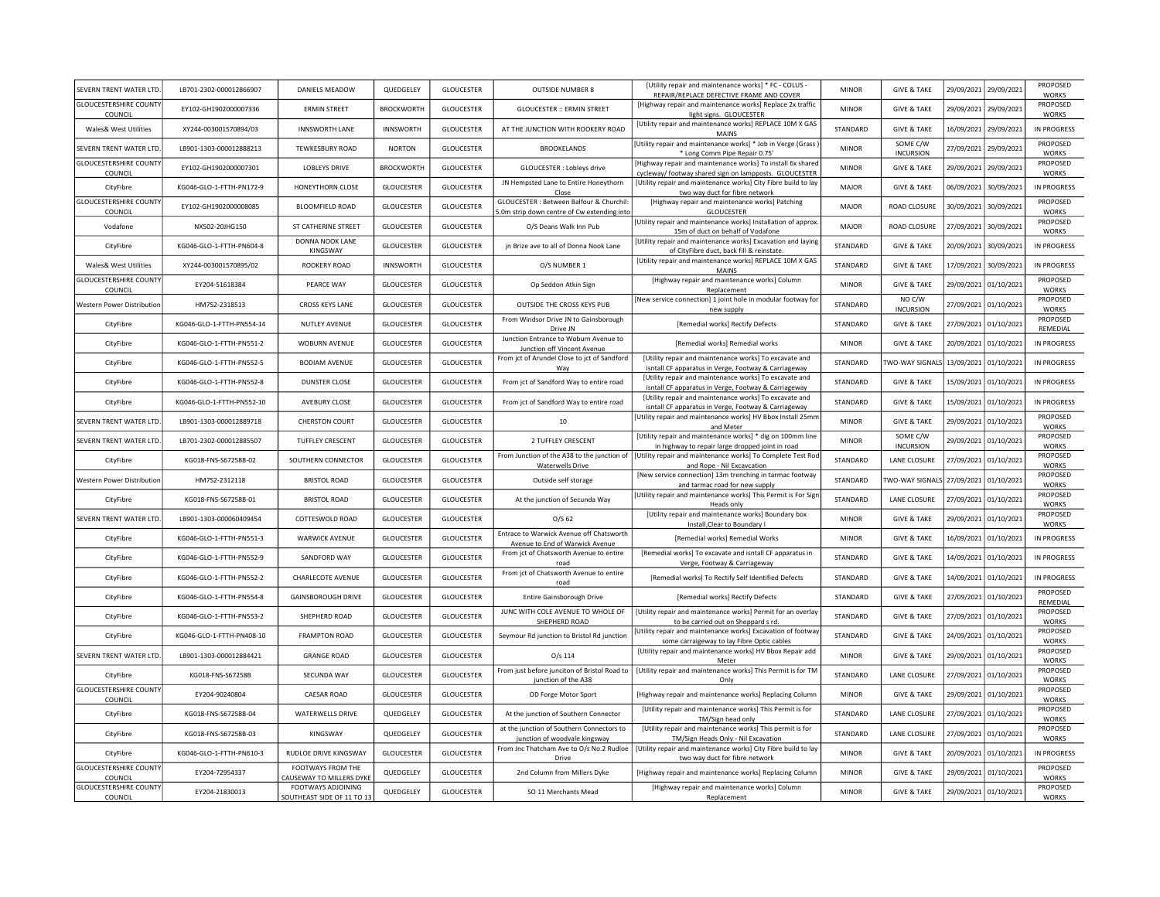| SEVERN TRENT WATER LTD                   | LB701-2302-000012866907   | DANIELS MEADOW                                   | QUEDGELEY         | <b>GLOUCESTER</b> | <b>OUTSIDE NUMBER 8</b>                                                               | <b>IUtility repair and maintenance worksl * FC - COLUS</b><br>REPAIR/REPLACE DEFECTIVE FRAME AND COVER                | <b>MINOR</b> | <b>GIVE &amp; TAKE</b>       |            | 29/09/2021 29/09/2021 | PROPOSED<br><b>WORKS</b> |
|------------------------------------------|---------------------------|--------------------------------------------------|-------------------|-------------------|---------------------------------------------------------------------------------------|-----------------------------------------------------------------------------------------------------------------------|--------------|------------------------------|------------|-----------------------|--------------------------|
| <b>GLOUCESTERSHIRE COUNTY</b><br>COUNCIL | EY102-GH1902000007336     | <b>ERMIN STREET</b>                              | <b>BROCKWORTH</b> | <b>GLOUCESTER</b> | <b>GLOUCESTER :: ERMIN STREET</b>                                                     | [Highway repair and maintenance works] Replace 2x traffic<br>light signs. GLOUCESTER                                  | <b>MINOR</b> | <b>GIVE &amp; TAKE</b>       |            | 29/09/2021 29/09/2021 | PROPOSED<br><b>WORKS</b> |
| Wales& West Utilities                    | XY244-003001570894/03     | <b>INNSWORTH LANE</b>                            | <b>INNSWORTH</b>  | <b>GLOUCESTER</b> | AT THE JUNCTION WITH ROOKERY ROAD                                                     | [Utility repair and maintenance works] REPLACE 10M X GAS<br><b>MAINS</b>                                              | STANDARD     | <b>GIVE &amp; TAKE</b>       |            | 16/09/2021 29/09/2021 | IN PROGRESS              |
| SEVERN TRENT WATER LTD                   | LB901-1303-000012888213   | <b>TEWKESBURY ROAD</b>                           | <b>NORTON</b>     | <b>GLOUCESTER</b> | <b>BROOKELANDS</b>                                                                    | [Utility repair and maintenance works] * Job in Verge (Grass<br>* Long Comm Pipe Repair 0.75'                         | <b>MINOR</b> | SOME C/W<br><b>INCURSION</b> | 27/09/2021 | 29/09/2021            | PROPOSED<br><b>WORKS</b> |
| <b>GLOUCESTERSHIRE COUNTY</b><br>COUNCIL | EY102-GH1902000007301     | <b>LOBLEYS DRIVE</b>                             | <b>BROCKWORTH</b> | <b>GLOUCESTER</b> | GLOUCESTER : Lobleys drive                                                            | [Highway repair and maintenance works] To install 6x shared<br>cycleway/ footway shared sign on lampposts. GLOUCESTER | <b>MINOR</b> | <b>GIVE &amp; TAKE</b>       |            | 29/09/2021 29/09/2021 | PROPOSED<br><b>WORKS</b> |
| CityFibre                                | KG046-GLO-1-FTTH-PN172-9  | HONEYTHORN CLOSE                                 | GLOUCESTER        | <b>GLOUCESTER</b> | JN Hempsted Lane to Entire Honeythorn<br>Close                                        | [Utility repair and maintenance works] City Fibre build to lay<br>two way duct for fibre network                      | MAIOR        | <b>GIVE &amp; TAKE</b>       | 06/09/2021 | 30/09/2021            | IN PROGRESS              |
| <b>GLOUCESTERSHIRE COUNTY</b><br>COUNCIL | EY102-GH1902000008085     | <b>BLOOMFIELD ROAD</b>                           | <b>GLOUCESTER</b> | <b>GLOUCESTER</b> | GLOUCESTER : Between Balfour & Churchil<br>.0m strip down centre of Cw extending into | [Highway repair and maintenance works] Patching<br><b>GLOUCESTER</b>                                                  | <b>MAJOR</b> | ROAD CLOSURE                 | 30/09/2021 | 30/09/2021            | PROPOSED<br><b>WORKS</b> |
| Vodafone                                 | NX502-20JHG150            | ST CATHERINE STREET                              | <b>GLOUCESTER</b> | <b>GLOUCESTER</b> | O/S Deans Walk Inn Pub                                                                | [Utility repair and maintenance works] Installation of approx.<br>15m of duct on behalf of Vodafone                   | <b>MAJOR</b> | ROAD CLOSURE                 | 27/09/2021 | 30/09/2021            | PROPOSED<br>WORKS        |
| CityFibre                                | KG046-GLO-1-FTTH-PN604-8  | <b>DONNA NOOK LANE</b><br>KINGSWAY               | <b>GLOUCESTER</b> | <b>GLOUCESTER</b> | jn Brize ave to all of Donna Nook Lane                                                | [Utility repair and maintenance works] Excavation and laying<br>of CityFibre duct, back fill & reinstate              | STANDARD     | <b>GIVE &amp; TAKE</b>       | 20/09/2021 | 30/09/2021            | IN PROGRESS              |
| Wales& West Utilities                    | XY244-003001570895/02     | ROOKERY ROAD                                     | <b>INNSWORTH</b>  | <b>GLOUCESTER</b> | O/S NUMBER 1                                                                          | [Utility repair and maintenance works] REPLACE 10M X GAS<br>MAINS                                                     | STANDARD     | <b>GIVE &amp; TAKE</b>       | 17/09/2021 | 30/09/2021            | <b>IN PROGRESS</b>       |
| <b>GLOUCESTERSHIRE COUNTY</b><br>COUNCIL | EY204-51618384            | PEARCE WAY                                       | <b>GLOUCESTER</b> | <b>GLOUCESTER</b> | Op Seddon Atkin Sign                                                                  | [Highway repair and maintenance works] Column<br>Replacement                                                          | <b>MINOR</b> | <b>GIVE &amp; TAKE</b>       | 29/09/2021 | 01/10/2021            | PROPOSED<br><b>WORKS</b> |
| Western Power Distribution               | HM752-2318513             | CROSS KEYS LANE                                  | GLOUCESTER        | <b>GLOUCESTER</b> | OUTSIDE THE CROSS KEYS PUB                                                            | [New service connection] 1 joint hole in modular footway for<br>new supply                                            | STANDARD     | NO C/W<br><b>INCURSION</b>   | 27/09/2021 | 01/10/2021            | PROPOSED<br>WORKS        |
| CityFibre                                | KG046-GLO-1-FTTH-PN554-14 | NUTLEY AVENUE                                    | GLOUCESTER        | <b>GLOUCESTER</b> | From Windsor Drive JN to Gainsborough<br>Drive JN                                     | [Remedial works] Rectify Defects                                                                                      | STANDARD     | <b>GIVE &amp; TAKE</b>       |            | 27/09/2021 01/10/2021 | PROPOSED<br>REMEDIAL     |
| CityFibre                                | KG046-GLO-1-FTTH-PN551-2  | WOBURN AVENUE                                    | <b>GLOUCESTER</b> | <b>GLOUCESTER</b> | Junction Entrance to Woburn Avenue to<br>Junction off Vincent Avenue                  | [Remedial works] Remedial works                                                                                       | <b>MINOR</b> | <b>GIVE &amp; TAKE</b>       | 20/09/2021 | 01/10/2021            | IN PROGRESS              |
| CityFibre                                | KG046-GLO-1-FTTH-PN552-5  | <b>BODIAM AVENUE</b>                             | <b>GLOUCESTER</b> | <b>GLOUCESTER</b> | From jct of Arundel Close to jct of Sandford<br>Wav                                   | [Utility repair and maintenance works] To excavate and<br>isntall CF apparatus in Verge, Footway & Carriageway        | STANDARD     | <b>TWO-WAY SIGNALS</b>       | 13/09/2021 | 01/10/2021            | IN PROGRESS              |
| CityFibre                                | KG046-GLO-1-FTTH-PN552-8  | <b>DUNSTER CLOSE</b>                             | <b>GLOUCESTER</b> | <b>GLOUCESTER</b> | From jct of Sandford Way to entire road                                               | [Utility repair and maintenance works] To excavate and<br>isntall CF apparatus in Verge, Footway & Carriageway        | STANDARD     | <b>GIVE &amp; TAKE</b>       | 15/09/2021 | 01/10/2021            | IN PROGRESS              |
| CityFibre                                | KG046-GLO-1-FTTH-PN552-10 | AVEBURY CLOSE                                    | <b>GLOUCESTER</b> | <b>GLOUCESTER</b> | From jct of Sandford Way to entire road                                               | [Utility repair and maintenance works] To excavate and<br>isntall CF apparatus in Verge, Footway & Carriageway        | STANDARD     | <b>GIVE &amp; TAKE</b>       | 15/09/2021 | 01/10/2021            | IN PROGRESS              |
| SEVERN TRENT WATER LTD                   | LB901-1303-000012889718   | <b>CHERSTON COURT</b>                            | <b>GLOUCESTER</b> | <b>GLOUCESTER</b> | 10                                                                                    | Utility repair and maintenance works] HV Bbox Install 25mm<br>and Meter                                               | <b>MINOR</b> | <b>GIVE &amp; TAKE</b>       |            | 29/09/2021 01/10/2021 | PROPOSED<br>WORKS        |
| SEVERN TRENT WATER LTD                   | LB701-2302-000012885507   | <b>TUFFLEY CRESCENT</b>                          | <b>GLOUCESTER</b> | <b>GLOUCESTER</b> | 2 TUFFLEY CRESCENT                                                                    | [Utility repair and maintenance works] * dig on 100mm line<br>in highway to repair large dropped joint in road        | <b>MINOR</b> | SOME C/W<br><b>INCURSION</b> |            | 29/09/2021 01/10/2021 | PROPOSED<br><b>WORKS</b> |
| CityFibre                                | KG018-FNS-S67258B-02      | SOUTHERN CONNECTOR                               | <b>GLOUCESTER</b> | <b>GLOUCESTER</b> | From Junction of the A38 to the junction of<br><b>Waterwells Drive</b>                | [Utility repair and maintenance works] To Complete Test Rod<br>and Rope - Nil Excavcation                             | STANDARD     | LANE CLOSURE                 |            | 27/09/2021 01/10/2021 | PROPOSED<br><b>WORKS</b> |
| Western Power Distribution               | HM752-2312118             | <b>BRISTOL ROAD</b>                              | <b>GLOUCESTER</b> | <b>GLOUCESTER</b> | Outside self storage                                                                  | [New service connection] 13m trenching in tarmac footway<br>and tarmac road for new supply                            | STANDARD     | TWO-WAY SIGNALS              |            | 27/09/2021 01/10/2021 | PROPOSED<br><b>WORKS</b> |
| CityFibre                                | KG018-FNS-S67258B-01      | <b>BRISTOL ROAD</b>                              | <b>GLOUCESTER</b> | <b>GLOUCESTER</b> | At the junction of Secunda Way                                                        | [Utility repair and maintenance works] This Permit is For Sigr<br>Heads only                                          | STANDARD     | LANE CLOSURE                 |            | 27/09/2021 01/10/2021 | PROPOSED<br>WORKS        |
| SEVERN TRENT WATER LTD                   | LB901-1303-000060409454   | COTTESWOLD ROAD                                  | GLOUCESTER        | GLOUCESTER        | O/S <sub>62</sub>                                                                     | [Utility repair and maintenance works] Boundary box<br>Install, Clear to Boundary I                                   | <b>MINOR</b> | <b>GIVE &amp; TAKE</b>       | 29/09/2021 | 01/10/2021            | PROPOSED<br><b>WORKS</b> |
| CityFibre                                | KG046-GLO-1-FTTH-PN551-3  | <b>WARWICK AVENUE</b>                            | GLOUCESTER        | <b>GLOUCESTER</b> | Entrace to Warwick Avenue off Chatsworth<br>Avenue to End of Warwick Avenue           | [Remedial works] Remedial Works                                                                                       | <b>MINOR</b> | <b>GIVE &amp; TAKE</b>       | 16/09/2021 | 01/10/2021            | IN PROGRESS              |
| CityFibre                                | KG046-GLO-1-FTTH-PN552-9  | SANDFORD WAY                                     | GLOUCESTER        | <b>GLOUCESTER</b> | From jct of Chatsworth Avenue to entire<br>road                                       | [Remedial works] To excavate and isntall CF apparatus in<br>Verge, Footway & Carriageway                              | STANDARD     | <b>GIVE &amp; TAKE</b>       | 14/09/2021 | 01/10/2021            | IN PROGRESS              |
| CityFibre                                | KG046-GLO-1-FTTH-PN552-2  | CHARLECOTE AVENUE                                | <b>GLOUCESTER</b> | <b>GLOUCESTER</b> | From jct of Chatsworth Avenue to entire<br>road                                       | [Remedial works] To Rectify Self Identified Defects                                                                   | STANDARD     | <b>GIVE &amp; TAKE</b>       |            | 14/09/2021 01/10/2021 | <b>IN PROGRESS</b>       |
| CityFibre                                | KG046-GLO-1-FTTH-PN554-8  | <b>GAINSBOROUGH DRIVE</b>                        | <b>GLOUCESTER</b> | <b>GLOUCESTER</b> | Entire Gainsborough Drive                                                             | [Remedial works] Rectify Defects                                                                                      | STANDARD     | <b>GIVE &amp; TAKE</b>       |            | 27/09/2021 01/10/2021 | PROPOSED<br>REMEDIAL     |
| CityFibre                                | KG046-GLO-1-FTTH-PN553-2  | SHEPHERD ROAD                                    | <b>GLOUCESTER</b> | GLOUCESTER        | JUNC WITH COLE AVENUE TO WHOLE OF<br>SHEPHERD ROAD                                    | [Utility repair and maintenance works] Permit for an overlay<br>to be carried out on Sheppard s rd.                   | STANDARD     | <b>GIVE &amp; TAKE</b>       |            | 27/09/2021 01/10/2021 | PROPOSED<br>WORKS        |
| CityFibre                                | KG046-GLO-1-FTTH-PN408-10 | <b>FRAMPTON ROAD</b>                             | <b>GLOUCESTER</b> | <b>GLOUCESTER</b> | Seymour Rd junction to Bristol Rd junction                                            | [Utility repair and maintenance works] Excavation of footway<br>some carraigeway to lay Fibre Optic cables            | STANDARD     | <b>GIVE &amp; TAKE</b>       |            | 24/09/2021 01/10/2021 | PROPOSED<br>WORKS        |
| SEVERN TRENT WATER LTD                   | LB901-1303-000012884421   | <b>GRANGE ROAD</b>                               | <b>GLOUCESTER</b> | <b>GLOUCESTER</b> | $O/s$ 114                                                                             | [Utility repair and maintenance works] HV Bbox Repair add<br>Meter                                                    | <b>MINOR</b> | <b>GIVE &amp; TAKE</b>       |            | 29/09/2021 01/10/2021 | PROPOSED<br>WORKS        |
| CityFibre                                | KG018-FNS-S67258B         | SECUNDA WAY                                      | <b>GLOUCESTER</b> | <b>GLOUCESTER</b> | From just before junciton of Bristol Road to<br>junction of the A38                   | [Utility repair and maintenance works] This Permit is for TM<br>Only                                                  | STANDARD     | LANE CLOSURE                 |            | 27/09/2021 01/10/2021 | PROPOSED<br><b>WORKS</b> |
| <b>GLOUCESTERSHIRE COUNTY</b><br>COUNCIL | EY204-90240804            | <b>CAESAR ROAD</b>                               | <b>GLOUCESTER</b> | <b>GLOUCESTER</b> | OD Forge Motor Sport                                                                  | [Highway repair and maintenance works] Replacing Columr                                                               | <b>MINOR</b> | <b>GIVE &amp; TAKE</b>       |            | 29/09/2021 01/10/2021 | PROPOSED<br>WORKS        |
| CityFibre                                | KG018-FNS-S67258B-04      | <b>WATERWELLS DRIVE</b>                          | QUEDGELEY         | <b>GLOUCESTER</b> | At the junction of Southern Connector                                                 | [Utility repair and maintenance works] This Permit is for<br>TM/Sign head only                                        | STANDARD     | LANE CLOSURE                 |            | 27/09/2021 01/10/2021 | PROPOSED<br>WORKS        |
| CityFibre                                | KG018-FNS-S67258B-03      | KINGSWAY                                         | QUEDGELEY         | <b>GLOUCESTER</b> | at the junction of Southern Connectors to<br>junction of woodvale kingsway            | [Utility repair and maintenance works] This permit is for<br>TM/Sign Heads Only - Nil Excavation                      | STANDARD     | <b>LANE CLOSURE</b>          |            | 27/09/2021 01/10/2021 | PROPOSED<br><b>WORKS</b> |
| CityFibre                                | KG046-GLO-1-FTTH-PN610-3  | RUDLOE DRIVE KINGSWAY                            | GLOUCESTER        | <b>GLOUCESTER</b> | From Jnc Thatcham Ave to O/s No.2 Rudloe<br>Drive                                     | [Utility repair and maintenance works] City Fibre build to lay<br>two way duct for fibre network                      | <b>MINOR</b> | <b>GIVE &amp; TAKE</b>       |            | 20/09/2021 01/10/2021 | IN PROGRESS              |
| <b>GLOUCESTERSHIRE COUNTY</b><br>COUNCIL | FY204-72954337            | FOOTWAYS FROM THE<br>CAUSEWAY TO MILLERS DYKE    | QUEDGELEY         | <b>GLOUCESTER</b> | 2nd Column from Millers Dyke                                                          | [Highway repair and maintenance works] Replacing Column                                                               | <b>MINOR</b> | <b>GIVE &amp; TAKE</b>       |            | 29/09/2021 01/10/2021 | PROPOSED<br><b>WORKS</b> |
| <b>GLOUCESTERSHIRE COUNTY</b><br>COUNCIL | EY204-21830013            | FOOTWAYS ADJOINING<br>SOUTHEAST SIDE OF 11 TO 13 | QUEDGELEY         | <b>GLOUCESTER</b> | SO 11 Merchants Mead                                                                  | [Highway repair and maintenance works] Column<br>Replacement                                                          | <b>MINOR</b> | <b>GIVE &amp; TAKE</b>       |            | 29/09/2021 01/10/2021 | PROPOSED<br><b>WORKS</b> |
|                                          |                           |                                                  |                   |                   |                                                                                       |                                                                                                                       |              |                              |            |                       |                          |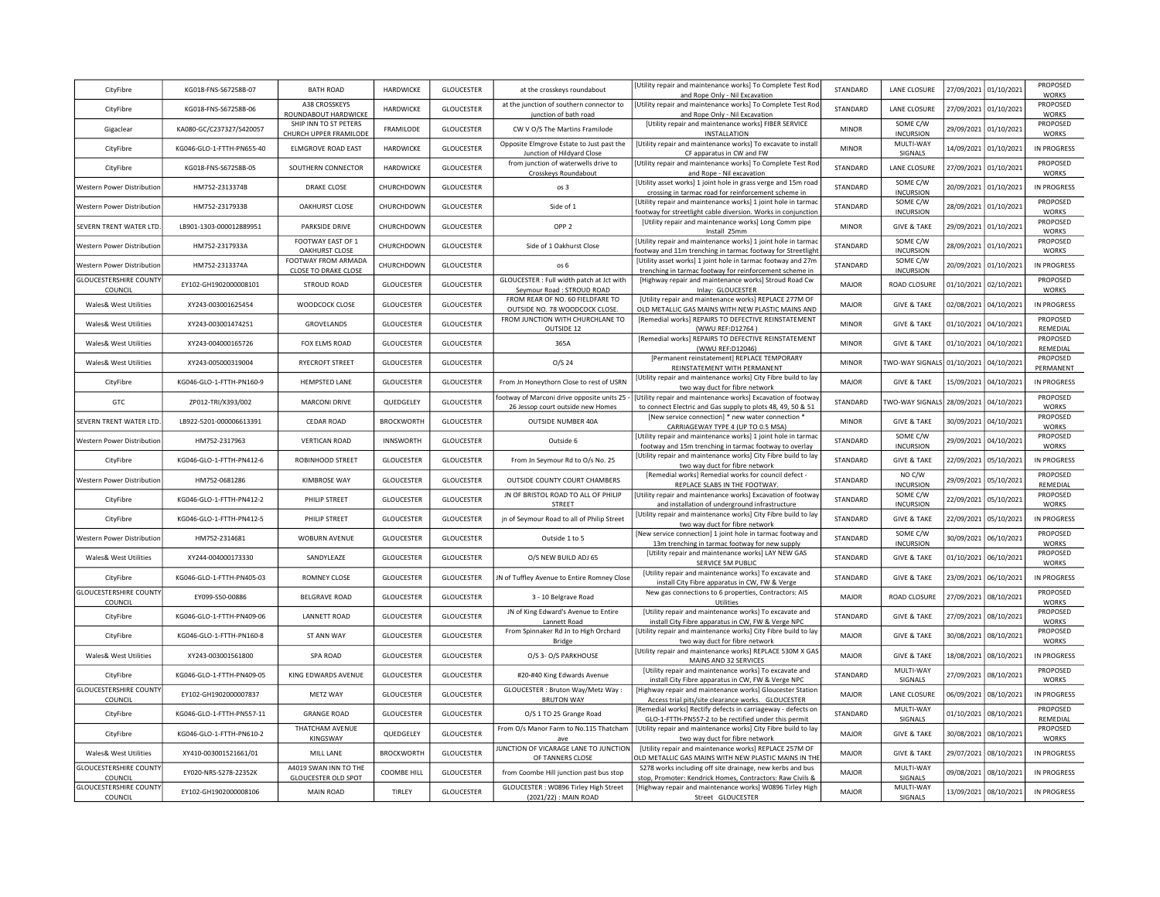| CityFibre                                | KG018-FNS-S67258B-07      | <b>BATH ROAD</b>                                | HARDWICKE         | GLOUCESTER        | at the crosskeys roundabout                                                       | <b>IUtility repair and maintenance works) To Complete Test Root</b><br>and Rope Only - Nil Excavation                         | STANDARD     | LANE CLOSURE                 | 27/09/2021 | 01/10/2021            | PROPOSED<br><b>WORKS</b> |
|------------------------------------------|---------------------------|-------------------------------------------------|-------------------|-------------------|-----------------------------------------------------------------------------------|-------------------------------------------------------------------------------------------------------------------------------|--------------|------------------------------|------------|-----------------------|--------------------------|
| CityFibre                                | KG018-FNS-S67258B-06      | A38 CROSSKEYS<br>ROUNDABOUT HARDWICKE           | HARDWICKE         | <b>GLOUCESTER</b> | at the junction of southern connector to<br>junction of bath road                 | [Utility repair and maintenance works] To Complete Test Rod<br>and Rope Only - Nil Excavation                                 | STANDARD     | LANE CLOSURE                 |            | 27/09/2021 01/10/2021 | PROPOSED<br><b>WORKS</b> |
| Gigaclear                                | KA080-GC/C237327/S420057  | SHIP INN TO ST PETERS<br>CHURCH UPPER FRAMILODE | FRAMILODE         | <b>GLOUCESTER</b> | CW V O/S The Martins Framilode                                                    | [Utility repair and maintenance works] FIBER SERVICE<br><b>INSTALLATION</b>                                                   | <b>MINOR</b> | SOME C/W<br><b>INCURSION</b> | 29/09/2021 | 01/10/2021            | PROPOSED<br><b>WORKS</b> |
| CityFibre                                | KG046-GLO-1-FTTH-PN655-40 | ELMGROVE ROAD EAST                              | HARDWICKE         | <b>GLOUCESTER</b> | Opposite Elmgrove Estate to Just past the<br>Junction of Hildyard Close           | [Utility repair and maintenance works] To excavate to instal<br>CF apparatus in CW and FW                                     | <b>MINOR</b> | MULTI-WAY<br>SIGNALS         |            | 14/09/2021 01/10/2021 | IN PROGRESS              |
| CityFibre                                | KG018-FNS-S67258B-05      | SOUTHERN CONNECTOR                              | HARDWICKE         | <b>GLOUCESTER</b> | from junction of waterwells drive to<br>Crosskeys Roundabout                      | [Utility repair and maintenance works] To Complete Test Roo<br>and Rope - Nil excavation                                      | STANDARD     | LANE CLOSURE                 | 27/09/2021 | 01/10/2021            | PROPOSED<br><b>WORKS</b> |
| Western Power Distribution               | HM752-2313374B            | <b>DRAKE CLOSE</b>                              | CHURCHDOWN        | GLOUCESTER        | os 3                                                                              | [Utility asset works] 1 joint hole in grass verge and 15m road<br>crossing in tarmac road for reinforcement scheme in         | STANDARD     | SOME C/W<br><b>INCURSION</b> | 20/09/2021 | 01/10/2021            | IN PROGRESS              |
| Western Power Distributior               | HM752-2317933B            | <b>OAKHURST CLOSE</b>                           | CHURCHDOWN        | GLOUCESTER        | Side of 1                                                                         | [Utility repair and maintenance works] 1 joint hole in tarma<br>footway for streetlight cable diversion. Works in conjunction | STANDARD     | SOME C/W<br><b>INCURSION</b> | 28/09/2021 | 01/10/2021            | PROPOSED<br><b>WORKS</b> |
| SEVERN TRENT WATER LTD.                  | LB901-1303-000012889951   | PARKSIDE DRIVE                                  | CHURCHDOWN        | GLOUCESTER        | OPP <sub>2</sub>                                                                  | [Utility repair and maintenance works] Long Comm pipe<br>Install 25mm                                                         | <b>MINOR</b> | <b>GIVE &amp; TAKE</b>       | 29/09/2021 | 01/10/2021            | PROPOSED<br><b>WORKS</b> |
| Western Power Distributior               | HM752-2317933A            | FOOTWAY EAST OF 1<br>OAKHURST CLOSE             | CHURCHDOWN        | GLOUCESTER        | Side of 1 Oakhurst Close                                                          | [Utility repair and maintenance works] 1 joint hole in tarma<br>ootway and 11m trenching in tarmac footway for Streetlight    | STANDARD     | SOME C/W<br><b>INCURSION</b> | 28/09/2021 | 01/10/2021            | PROPOSED<br><b>WORKS</b> |
| Western Power Distribution               | HM752-2313374A            | FOOTWAY FROM ARMADA<br>CLOSE TO DRAKE CLOSE     | CHURCHDOWN        | GLOUCESTER        | os 6                                                                              | [Utility asset works] 1 joint hole in tarmac footway and 27m<br>trenching in tarmac footway for reinforcement scheme in       | STANDARD     | SOME C/W<br><b>INCURSION</b> | 20/09/2021 | 01/10/2021            | IN PROGRESS              |
| <b>GLOUCESTERSHIRE COUNTY</b><br>COUNCIL | EY102-GH1902000008101     | STROUD ROAD                                     | <b>GLOUCESTER</b> | GLOUCESTER        | GLOUCESTER : Full width patch at Jct with<br>Seymour Road : STROUD ROAD           | [Highway repair and maintenance works] Stroud Road Cw<br>Inlay: GLOUCESTER                                                    | <b>MAJOR</b> | ROAD CLOSURE                 | 01/10/2021 | 02/10/2021            | PROPOSED<br>WORKS        |
| <b>Wales&amp; West Utilities</b>         | XY243-003001625454        | WOODCOCK CLOSE                                  | <b>GLOUCESTER</b> | <b>GLOUCESTER</b> | FROM REAR OF NO. 60 FIELDFARE TO<br>OUTSIDE NO. 78 WOODCOCK CLOSE.                | [Utility repair and maintenance works] REPLACE 277M OF<br>OLD METALLIC GAS MAINS WITH NEW PLASTIC MAINS AND                   | <b>MAJOR</b> | <b>GIVE &amp; TAKE</b>       | 02/08/2021 | 04/10/2021            | IN PROGRESS              |
| Wales& West Utilities                    | XY243-003001474251        | GROVELANDS                                      | <b>GLOUCESTER</b> | <b>GLOUCESTER</b> | FROM JUNCTION WITH CHURCHLANE TO<br>OUTSIDE 12                                    | [Remedial works] REPAIRS TO DEFECTIVE REINSTATEMENT<br>(WWU REF:D12764)                                                       | <b>MINOR</b> | <b>GIVE &amp; TAKE</b>       | 01/10/2021 | 04/10/2021            | PROPOSED<br>REMEDIAL     |
| Wales& West Utilities                    | XY243-004000165726        | FOX ELMS ROAD                                   | <b>GLOUCESTER</b> | <b>GLOUCESTER</b> | 365A                                                                              | [Remedial works] REPAIRS TO DEFECTIVE REINSTATEMENT<br>(WWU REF:D12046)                                                       | <b>MINOR</b> | <b>GIVE &amp; TAKE</b>       | 01/10/2021 | 04/10/2021            | PROPOSED<br>REMEDIAL     |
| <b>Wales&amp; West Utilities</b>         | XY243-005000319004        | <b>RYECROFT STREET</b>                          | <b>GLOUCESTER</b> | <b>GLOUCESTER</b> | $O/S$ 24                                                                          | [Permanent reinstatement] REPLACE TEMPORARY<br>REINSTATEMENT WITH PERMANENT                                                   | <b>MINOR</b> | WO-WAY SIGNALS               | 01/10/2021 | 04/10/2021            | PROPOSED<br>PERMANENT    |
| CityFibre                                | KG046-GLO-1-FTTH-PN160-9  | HEMPSTED LANE                                   | <b>GLOUCESTER</b> | GLOUCESTER        | From Jn Honeythorn Close to rest of USRN                                          | [Utility repair and maintenance works] City Fibre build to lay<br>two way duct for fibre network                              | <b>MAJOR</b> | <b>GIVE &amp; TAKE</b>       | 15/09/2021 | 04/10/2021            | IN PROGRESS              |
| GTC                                      | ZP012-TRI/X393/002        | <b>MARCONI DRIVE</b>                            | QUEDGELEY         | <b>GLOUCESTER</b> | footway of Marconi drive opposite units 25 ·<br>26 Jessop court outside new Homes | [Utility repair and maintenance works] Excavation of footway<br>to connect Electric and Gas supply to plots 48, 49, 50 & 51   | STANDARD     | WO-WAY SIGNALS               | 28/09/2021 | 04/10/2021            | PROPOSED<br><b>WORKS</b> |
| SEVERN TRENT WATER LTD.                  | LB922-5201-000006613391   | <b>CEDAR ROAD</b>                               | <b>BROCKWORTH</b> | <b>GLOUCESTER</b> | OUTSIDE NUMBER 40A                                                                | [New service connection] * new water connection *<br>CARRIAGEWAY TYPE 4 (UP TO 0.5 MSA)                                       | <b>MINOR</b> | <b>GIVE &amp; TAKE</b>       | 30/09/2021 | 04/10/2021            | PROPOSED<br><b>WORKS</b> |
| Western Power Distribution               | HM752-2317963             | <b>VERTICAN ROAD</b>                            | INNSWORTH         | GLOUCESTER        | Outside 6                                                                         | [Utility repair and maintenance works] 1 joint hole in tarmac<br>footway and 15m trenching in tarmac footway to overlay       | STANDARD     | SOME C/W<br><b>INCURSION</b> | 29/09/2021 | 04/10/2021            | PROPOSED<br><b>WORKS</b> |
| CityFibre                                | KG046-GLO-1-FTTH-PN412-6  | ROBINHOOD STREET                                | GLOUCESTER        | GLOUCESTER        | From Jn Seymour Rd to O/s No. 25                                                  | [Utility repair and maintenance works] City Fibre build to lay<br>two way duct for fibre network                              | STANDARD     | <b>GIVE &amp; TAKE</b>       | 22/09/2021 | 05/10/2021            | IN PROGRESS              |
| Western Power Distribution               | HM752-0681286             | <b>KIMBROSE WAY</b>                             | GLOUCESTER        | GLOUCESTER        | OUTSIDE COUNTY COURT CHAMBERS                                                     | [Remedial works] Remedial works for council defect -<br>REPLACE SLABS IN THE FOOTWAY.                                         | STANDARD     | NO C/W<br><b>INCURSION</b>   | 29/09/2021 | 05/10/2021            | PROPOSED<br>REMEDIAL     |
| CityFibre                                | KG046-GLO-1-FTTH-PN412-2  | PHILIP STREET                                   | <b>GLOUCESTER</b> | <b>GLOUCESTER</b> | JN OF BRISTOL ROAD TO ALL OF PHILIP<br>STREET                                     | Utility repair and maintenance works] Excavation of footway<br>and installation of underground infrastructure                 | STANDARD     | SOME C/W<br><b>INCURSION</b> | 22/09/2021 | 05/10/2021            | PROPOSED<br>WORKS        |
| CityFibre                                | KG046-GLO-1-FTTH-PN412-5  | PHILIP STREET                                   | <b>GLOUCESTER</b> | <b>GLOUCESTER</b> | jn of Seymour Road to all of Philip Street                                        | [Utility repair and maintenance works] City Fibre build to lay<br>two way duct for fibre network                              | STANDARD     | <b>GIVE &amp; TAKE</b>       | 22/09/2021 | 05/10/2021            | IN PROGRESS              |
| <b>Western Power Distribution</b>        | HM752-2314681             | WOBURN AVENUE                                   | <b>GLOUCESTER</b> | GLOUCESTER        | Outside 1 to 5                                                                    | [New service connection] 1 joint hole in tarmac footway and<br>13m trenching in tarmac footway for new supply                 | STANDARD     | SOME C/W<br><b>INCURSION</b> | 30/09/2021 | 06/10/2021            | PROPOSED<br>WORKS        |
| <b>Wales&amp; West Utilities</b>         | XY244-004000173330        | SANDYLEAZE                                      | GLOUCESTER        | <b>GLOUCESTER</b> | O/S NEW BUILD ADJ 65                                                              | [Utility repair and maintenance works] LAY NEW GAS<br>SERVICE 5M PUBLIC                                                       | STANDARD     | <b>GIVE &amp; TAKE</b>       | 01/10/2021 | 06/10/2021            | PROPOSED<br>WORKS        |
| CityFibre                                | KG046-GLO-1-FTTH-PN405-03 | ROMNEY CLOSE                                    | <b>GLOUCESTER</b> | GLOUCESTER        | JN of Tuffley Avenue to Entire Romney Close                                       | [Utility repair and maintenance works] To excavate and<br>install City Fibre apparatus in CW, FW & Verge                      | STANDARD     | <b>GIVE &amp; TAKE</b>       | 23/09/2021 | 06/10/2021            | IN PROGRESS              |
| <b>GLOUCESTERSHIRE COUNTY</b><br>COUNCIL | EY099-S50-00886           | <b>BELGRAVE ROAD</b>                            | <b>GLOUCESTER</b> | <b>GLOUCESTER</b> | 3 - 10 Belgrave Road                                                              | New gas connections to 6 properties, Contractors: AIS<br>Utilities                                                            | <b>MAJOR</b> | ROAD CLOSURE                 | 27/09/2021 | 08/10/2021            | PROPOSED<br><b>WORKS</b> |
| CityFibre                                | KG046-GLO-1-FTTH-PN409-06 | <b>LANNETT ROAD</b>                             | <b>GLOUCESTER</b> | <b>GLOUCESTER</b> | JN of King Edward's Avenue to Entire<br>Lannett Road                              | [Utility repair and maintenance works] To excavate and<br>install City Fibre apparatus in CW, FW & Verge NPC                  | STANDARD     | <b>GIVE &amp; TAKE</b>       | 27/09/2021 | 08/10/2021            | PROPOSED<br><b>WORKS</b> |
| CityFibre                                | KG046-GLO-1-FTTH-PN160-8  | ST ANN WAY                                      | GLOUCESTER        | <b>GLOUCESTER</b> | From Spinnaker Rd Jn to High Orchard<br><b>Bridge</b>                             | [Utility repair and maintenance works] City Fibre build to lay<br>two way duct for fibre network                              | <b>MAJOR</b> | <b>GIVE &amp; TAKE</b>       |            | 30/08/2021 08/10/2021 | PROPOSED<br>WORKS        |
| <b>Wales&amp; West Utilities</b>         | XY243-003001561800        | <b>SPA ROAD</b>                                 | <b>GLOUCESTER</b> | <b>GLOUCESTER</b> | O/S 3- O/S PARKHOUSE                                                              | [Utility repair and maintenance works] REPLACE 530M X GAS<br>MAINS AND 32 SERVICES                                            | <b>MAJOR</b> | <b>GIVE &amp; TAKE</b>       | 18/08/2021 | 08/10/2021            | IN PROGRESS              |
| CityFibre                                | KG046-GLO-1-FTTH-PN409-05 | KING EDWARDS AVENUE                             | GLOUCESTER        | <b>GLOUCESTER</b> | #20-#40 King Edwards Avenue                                                       | [Utility repair and maintenance works] To excavate and<br>install City Fibre apparatus in CW, FW & Verge NPC                  | STANDARD     | MULTI-WAY<br>SIGNALS         |            | 27/09/2021 08/10/2021 | PROPOSED<br><b>WORKS</b> |
| <b>GLOUCESTERSHIRE COUNTY</b><br>COUNCIL | EY102-GH1902000007837     | METZ WAY                                        | <b>GLOUCESTER</b> | <b>GLOUCESTER</b> | GLOUCESTER: Bruton Way/Metz Way:<br><b>BRUTON WAY</b>                             | [Highway repair and maintenance works] Gloucester Statior<br>Access trial pits/site clearance works. GLOUCESTER               | <b>MAJOR</b> | LANE CLOSURE                 | 06/09/2021 | 08/10/2021            | <b>IN PROGRESS</b>       |
| CityFibre                                | KG046-GLO-1-FTTH-PN557-11 | <b>GRANGE ROAD</b>                              | <b>GLOUCESTER</b> | <b>GLOUCESTER</b> | O/S 1 TO 25 Grange Road                                                           | Remedial works] Rectify defects in carriageway - defects or<br>GLO-1-FTTH-PN557-2 to be rectified under this permit           | STANDARD     | MULTI-WAY<br>SIGNALS         | 01/10/2021 | 08/10/2021            | PROPOSED<br>REMEDIAL     |
| CityFibre                                | KG046-GLO-1-FTTH-PN610-2  | THATCHAM AVENUE<br>KINGSWAY                     | QUEDGELEY         | GLOUCESTER        | From O/s Manor Farm to No.115 Thatcham<br>ave                                     | [Utility repair and maintenance works] City Fibre build to lay<br>two way duct for fibre network                              | MAJOR        | <b>GIVE &amp; TAKE</b>       | 30/08/2021 | 08/10/2021            | PROPOSED<br>WORKS        |
| Wales& West Utilities                    | XY410-003001521661/01     | MILL LANE                                       | <b>BROCKWORTH</b> | GLOUCESTER        | JUNCTION OF VICARAGE LANE TO JUNCTION<br>OF TANNERS CLOSE                         | [Utility repair and maintenance works] REPLACE 257M OF<br>OLD METALLIC GAS MAINS WITH NEW PLASTIC MAINS IN THI                | <b>MAJOR</b> | <b>GIVE &amp; TAKE</b>       | 29/07/2021 | 08/10/2021            | <b>IN PROGRESS</b>       |
| <b>GLOUCESTERSHIRE COUNTY</b><br>COUNCIL | EY020-NRS-S278-22352K     | A4019 SWAN INN TO THE<br>GLOUCESTER OLD SPOT    | COOMBE HILL       | <b>GLOUCESTER</b> | from Coombe Hill junction past bus stop                                           | S278 works including off site drainage, new kerbs and bus<br>stop, Promoter: Kendrick Homes, Contractors: Raw Civils &        | MAJOR        | MULTI-WAY<br>SIGNALS         | 09/08/2021 | 08/10/2021            | IN PROGRESS              |
| <b>GLOUCESTERSHIRE COUNTY</b><br>COUNCIL | EY102-GH1902000008106     | MAIN ROAD                                       | <b>TIRIFY</b>     | <b>GLOUCESTER</b> | GLOUCESTER: W0896 Tirley High Street<br>(2021/22) : MAIN ROAD                     | [Highway repair and maintenance works] W0896 Tirley High<br>Street GLOUCESTER                                                 | MAJOR        | MULTI-WAY<br>SIGNALS         | 13/09/2021 | 08/10/2021            | IN PROGRESS              |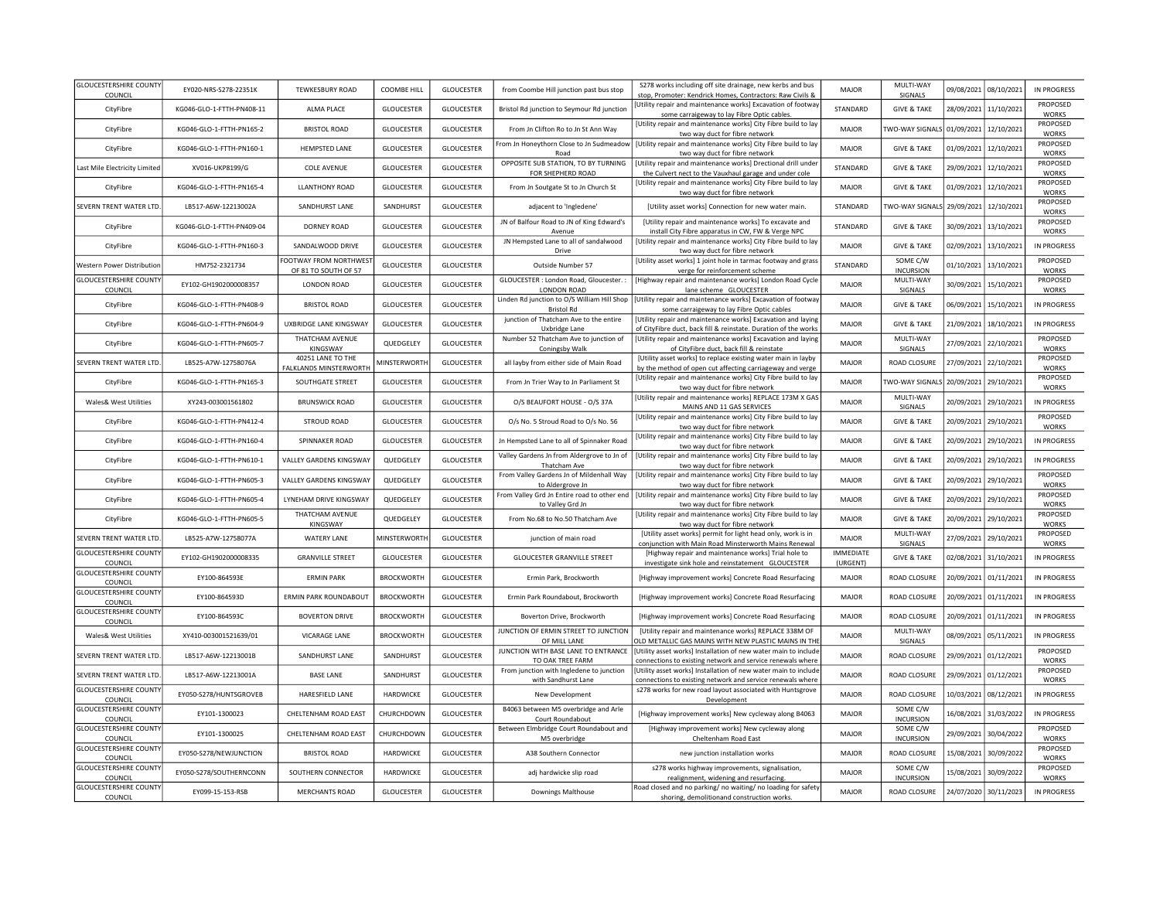| <b>GLOUCESTERSHIRE COUNTY</b><br>COUNCIL | EY020-NRS-S278-22351K     | <b>TEWKESBURY ROAD</b>                        | COOMBE HILL        | <b>GLOUCESTER</b> | from Coombe Hill junction past bus stop                          | S278 works including off site drainage, new kerbs and bus<br>stop, Promoter: Kendrick Homes, Contractors: Raw Civils &          | MAJOR                 | MULTI-WAY<br>SIGNALS         | 09/08/2021 | 08/10/2021            | IN PROGRESS                     |
|------------------------------------------|---------------------------|-----------------------------------------------|--------------------|-------------------|------------------------------------------------------------------|---------------------------------------------------------------------------------------------------------------------------------|-----------------------|------------------------------|------------|-----------------------|---------------------------------|
| CityFibre                                | KG046-GLO-1-FTTH-PN408-11 | <b>ALMA PLACE</b>                             | <b>GLOUCESTER</b>  | <b>GLOUCESTER</b> | Bristol Rd junction to Seymour Rd junction                       | Utility repair and maintenance works] Excavation of footway<br>some carraigeway to lay Fibre Optic cables.                      | STANDARD              | <b>GIVE &amp; TAKE</b>       | 28/09/2021 | 11/10/2021            | PROPOSED<br><b>WORKS</b>        |
| CityFibre                                | KG046-GLO-1-FTTH-PN165-2  | <b>BRISTOL ROAD</b>                           | <b>GLOUCESTER</b>  | <b>GLOUCESTER</b> | From Jn Clifton Ro to Jn St Ann Way                              | [Utility repair and maintenance works] City Fibre build to lay<br>two way duct for fibre network                                | MAJOR                 | WO-WAY SIGNALS 01/09/2021    |            | 12/10/2021            | PROPOSED<br>WORKS               |
| CityFibre                                | KG046-GLO-1-FTTH-PN160-1  | HEMPSTED LANE                                 | GLOUCESTER         | <b>GLOUCESTER</b> | From Jn Honeythorn Close to Jn Sudmeadow<br>Road                 | [Utility repair and maintenance works] City Fibre build to lay<br>two way duct for fibre network                                | <b>MAJOR</b>          | <b>GIVE &amp; TAKE</b>       | 01/09/2021 | 12/10/2021            | PROPOSED<br><b>WORKS</b>        |
| Last Mile Electricity Limited            | XV016-UKP8199/G           | <b>COLE AVENUE</b>                            | <b>GLOUCESTER</b>  | <b>GLOUCESTER</b> | OPPOSITE SUB STATION, TO BY TURNING<br>FOR SHEPHERD ROAD         | [Utility repair and maintenance works] Drectional drill under<br>the Culvert nect to the Vauxhaul garage and under cole         | STANDARD              | <b>GIVE &amp; TAKE</b>       | 29/09/2021 | 12/10/2021            | PROPOSED<br><b>WORKS</b>        |
| CityFibre                                | KG046-GLO-1-FTTH-PN165-4  | <b>LLANTHONY ROAD</b>                         | <b>GLOUCESTER</b>  | <b>GLOUCESTER</b> | From Jn Soutgate St to Jn Church St                              | [Utility repair and maintenance works] City Fibre build to lay<br>two way duct for fibre network                                | MAIOR                 | <b>GIVE &amp; TAKE</b>       | 01/09/2021 | 12/10/2021            | PROPOSED<br><b>WORKS</b>        |
| SEVERN TRENT WATER LTD.                  | LB517-A6W-12213002A       | SANDHURST LANE                                | SANDHURST          | GLOUCESTER        | adjacent to 'Ingledene'                                          | [Utility asset works] Connection for new water main.                                                                            | STANDARD              | TWO-WAY SIGNALS 29/09/2021   |            | 12/10/2021            | PROPOSED<br><b>WORKS</b>        |
| CityFibre                                | KG046-GLO-1-FTTH-PN409-04 | DORNEY ROAD                                   | <b>GLOUCESTER</b>  | <b>GLOUCESTER</b> | JN of Balfour Road to JN of King Edward's<br>Avenue              | [Utility repair and maintenance works] To excavate and<br>install City Fibre apparatus in CW, FW & Verge NPC                    | STANDARD              | <b>GIVE &amp; TAKE</b>       | 30/09/2021 | 13/10/2021            | PROPOSED<br><b>WORKS</b>        |
| CityFibre                                | KG046-GLO-1-FTTH-PN160-3  | SANDALWOOD DRIVE                              | <b>GLOUCESTER</b>  | <b>GLOUCESTER</b> | JN Hempsted Lane to all of sandalwood<br>Drive                   | [Utility repair and maintenance works] City Fibre build to lay<br>two way duct for fibre network                                | <b>MAJOR</b>          | <b>GIVE &amp; TAKE</b>       | 02/09/2021 | 13/10/2021            | <b>IN PROGRESS</b>              |
| Western Power Distribution               | HM752-2321734             | FOOTWAY FROM NORTHWES<br>OF 81 TO SOUTH OF 57 | <b>GLOUCESTER</b>  | <b>GLOUCESTER</b> | Outside Number 57                                                | [Utility asset works] 1 joint hole in tarmac footway and grass<br>verge for reinforcement scheme                                | STANDARD              | SOME C/W<br><b>INCURSION</b> | 01/10/2021 | 13/10/2021            | PROPOSED<br>WORKS               |
| <b>GLOUCESTERSHIRE COUNTY</b><br>COUNCIL | EY102-GH1902000008357     | <b>LONDON ROAD</b>                            | <b>GLOUCESTER</b>  | <b>GLOUCESTER</b> | GLOUCESTER : London Road, Gloucester. :<br><b>LONDON ROAD</b>    | [Highway repair and maintenance works] London Road Cycle<br>lane scheme GLOUCESTER                                              | <b>MAJOR</b>          | MULTI-WAY<br>SIGNALS         | 30/09/2021 | 15/10/2021            | PROPOSED<br><b>WORKS</b>        |
| CityFibre                                | KG046-GLO-1-FTTH-PN408-9  | <b>BRISTOL ROAD</b>                           | GLOUCESTER         | <b>GLOUCESTER</b> | Linden Rd junction to O/S William Hill Shop<br><b>Bristol Rd</b> | [Utility repair and maintenance works] Excavation of footway<br>some carraigeway to lay Fibre Optic cables                      | <b>MAJOR</b>          | <b>GIVE &amp; TAKE</b>       | 06/09/2021 | 15/10/2021            | IN PROGRESS                     |
| CityFibre                                | KG046-GLO-1-FTTH-PN604-9  | UXBRIDGE LANE KINGSWAY                        | GLOUCESTER         | GLOUCESTER        | junction of Thatcham Ave to the entire<br>Uxbridge Lane          | [Utility repair and maintenance works] Excavation and laying<br>of CityFibre duct, back fill & reinstate. Duration of the works | <b>MAJOR</b>          | <b>GIVE &amp; TAKE</b>       | 21/09/2021 | 18/10/2021            | IN PROGRESS                     |
| CityFibre                                | KG046-GLO-1-FTTH-PN605-7  | THATCHAM AVENUE<br>KINGSWAY                   | QUEDGELEY          | <b>GLOUCESTER</b> | Number 52 Thatcham Ave to junction of<br>Coningsby Walk          | [Utility repair and maintenance works] Excavation and laying<br>of CityFibre duct, back fill & reinstate                        | <b>MAJOR</b>          | MULTI-WAY<br>SIGNALS         | 27/09/2021 | 22/10/2021            | PROPOSED<br><b>WORKS</b>        |
| SEVERN TRENT WATER LTD.                  | LB525-A7W-12758076A       | 40251 LANE TO THE<br>FALKLANDS MINSTERWORTH   | <b>MINSTERWORT</b> | <b>GLOUCESTER</b> | all layby from either side of Main Road                          | [Utility asset works] to replace existing water main in layby<br>by the method of open cut affecting carriageway and verge      | <b>MAJOR</b>          | ROAD CLOSURE                 | 27/09/2021 | 22/10/2021            | PROPOSED<br><b>WORKS</b>        |
| CityFibre                                | KG046-GLO-1-FTTH-PN165-3  | SOUTHGATE STREET                              | GLOUCESTER         | <b>GLOUCESTER</b> | From Jn Trier Way to Jn Parliament St                            | [Utility repair and maintenance works] City Fibre build to lay<br>two way duct for fibre network                                | MAJOR                 | WO-WAY SIGNAL!               | 20/09/2021 | 29/10/2021            | PROPOSED<br>WORKS               |
| <b>Wales&amp; West Utilities</b>         | XY243-003001561802        | <b>BRUNSWICK ROAD</b>                         | <b>GLOUCESTER</b>  | <b>GLOUCESTER</b> | O/S BEAUFORT HOUSE - O/S 37A                                     | [Utility repair and maintenance works] REPLACE 173M X GAS<br>MAINS AND 11 GAS SERVICES                                          | <b>MAJOR</b>          | MULTI-WAY<br>SIGNALS         | 20/09/2021 | 29/10/2021            | IN PROGRESS                     |
| CityFibre                                | KG046-GLO-1-FTTH-PN412-4  | <b>STROUD ROAD</b>                            | GLOUCESTER         | <b>GLOUCESTER</b> | O/s No. 5 Stroud Road to O/s No. 56                              | [Utility repair and maintenance works] City Fibre build to lay<br>two way duct for fibre network                                | <b>MAJOR</b>          | <b>GIVE &amp; TAKE</b>       | 20/09/2021 | 29/10/2021            | <b>PROPOSED</b><br><b>WORKS</b> |
| CityFibre                                | KG046-GLO-1-FTTH-PN160-4  | SPINNAKER ROAD                                | <b>GLOUCESTER</b>  | <b>GLOUCESTER</b> | Jn Hempsted Lane to all of Spinnaker Road                        | [Utility repair and maintenance works] City Fibre build to lay<br>two way duct for fibre network                                | MAIOR                 | <b>GIVE &amp; TAKE</b>       | 20/09/2021 | 29/10/2021            | IN PROGRESS                     |
| CityFibre                                | KG046-GLO-1-FTTH-PN610-1  | <b>VALLEY GARDENS KINGSWAY</b>                | QUEDGELEY          | <b>GLOUCESTER</b> | Valley Gardens Jn from Aldergrove to Jn of<br>Thatcham Ave       | [Utility repair and maintenance works] City Fibre build to lay<br>two way duct for fibre network                                | MAIOR                 | <b>GIVE &amp; TAKE</b>       | 20/09/2021 | 29/10/2021            | <b>IN PROGRESS</b>              |
| CityFibre                                | KG046-GLO-1-FTTH-PN605-3  | VALLEY GARDENS KINGSWAY                       | QUEDGELEY          | <b>GLOUCESTER</b> | From Valley Gardens Jn of Mildenhall Way<br>to Aldergrove Jn     | [Utility repair and maintenance works] City Fibre build to lay<br>two way duct for fibre network                                | <b>MAJOR</b>          | <b>GIVE &amp; TAKE</b>       | 20/09/2021 | 29/10/2021            | PROPOSED<br><b>WORKS</b>        |
| CityFibre                                | KG046-GLO-1-FTTH-PN605-4  | LYNEHAM DRIVE KINGSWAY                        | QUEDGELEY          | GLOUCESTER        | From Valley Grd Jn Entire road to other end<br>to Valley Grd Jn  | [Utility repair and maintenance works] City Fibre build to lay<br>two way duct for fibre network                                | <b>MAJOR</b>          | <b>GIVE &amp; TAKE</b>       | 20/09/2021 | 29/10/2021            | PROPOSED<br>WORKS               |
| CityFibre                                | KG046-GLO-1-FTTH-PN605-5  | THATCHAM AVENUE<br>KINGSWAY                   | QUEDGELEY          | <b>GLOUCESTER</b> | From No.68 to No.50 Thatcham Ave                                 | [Utility repair and maintenance works] City Fibre build to lay<br>two way duct for fibre network                                | <b>MAJOR</b>          | <b>GIVE &amp; TAKE</b>       | 20/09/2021 | 29/10/2021            | PROPOSED<br>WORKS               |
| SEVERN TRENT WATER LTD.                  | LB525-A7W-12758077A       | <b>WATERY LANE</b>                            | MINSTERWORT        | <b>GLOUCESTER</b> | junction of main road                                            | [Utility asset works] permit for light head only, work is in<br>conjunction with Main Road Minsterworth Mains Renewal           | <b>MAJOR</b>          | MULTI-WAY<br>SIGNALS         | 27/09/2021 | 29/10/2021            | PROPOSED<br>WORKS               |
| <b>GLOUCESTERSHIRE COUNTY</b><br>COUNCIL | EY102-GH1902000008335     | <b>GRANVILLE STREET</b>                       | <b>GLOUCESTER</b>  | GLOUCESTER        | GLOUCESTER GRANVILLE STREET                                      | [Highway repair and maintenance works] Trial hole to<br>investigate sink hole and reinstatement GLOUCESTER                      | IMMEDIATE<br>(URGENT) | <b>GIVE &amp; TAKE</b>       |            | 02/08/2021 31/10/2021 | IN PROGRESS                     |
| <b>GLOUCESTERSHIRE COUNTY</b><br>COUNCIL | EY100-864593E             | <b>ERMIN PARK</b>                             | <b>BROCKWORTH</b>  | GLOUCESTER        | Ermin Park, Brockworth                                           | [Highway improvement works] Concrete Road Resurfacing                                                                           | MAJOR                 | ROAD CLOSURE                 |            | 20/09/2021 01/11/2021 | IN PROGRESS                     |
| <b>GLOUCESTERSHIRE COUNTY</b><br>COUNCIL | EY100-864593D             | ERMIN PARK ROUNDABOUT                         | <b>BROCKWORTH</b>  | <b>GLOUCESTER</b> | Ermin Park Roundabout, Brockworth                                | [Highway improvement works] Concrete Road Resurfacing                                                                           | MAJOR                 | ROAD CLOSURE                 |            | 20/09/2021 01/11/2021 | IN PROGRESS                     |
| <b>GLOUCESTERSHIRE COUNTY</b><br>COUNCIL | EY100-864593C             | <b>BOVERTON DRIVE</b>                         | <b>BROCKWORTH</b>  | GLOUCESTER        | Boverton Drive, Brockworth                                       | [Highway improvement works] Concrete Road Resurfacing                                                                           | MAJOR                 | ROAD CLOSURE                 |            | 20/09/2021 01/11/2021 | <b>IN PROGRESS</b>              |
| Wales& West Utilities                    | XY410-003001521639/01     | VICARAGE LANE                                 | <b>BROCKWORTH</b>  | <b>GLOUCESTER</b> | JUNCTION OF ERMIN STREET TO JUNCTION<br>OF MILL LANE             | [Utility repair and maintenance works] REPLACE 338M OF<br>OLD METALLIC GAS MAINS WITH NEW PLASTIC MAINS IN THE                  | MAJOR                 | MULTI-WAY<br>SIGNALS         | 08/09/2021 | 05/11/2021            | IN PROGRESS                     |
| SEVERN TRENT WATER LTD.                  | LB517-A6W-12213001B       | SANDHURST LANE                                | SANDHURST          | GLOUCESTER        | JUNCTION WITH BASE LANE TO ENTRANCE<br>TO OAK TREE FARM          | [Utility asset works] Installation of new water main to include<br>connections to existing network and service renewals where   | <b>MAJOR</b>          | ROAD CLOSURE                 | 29/09/2021 | 01/12/2021            | PROPOSED<br><b>WORKS</b>        |
| SEVERN TRENT WATER LTD.                  | LB517-A6W-12213001A       | <b>BASE LANE</b>                              | SANDHURST          | <b>GLOUCESTER</b> | From junction with Ingledene to junction<br>with Sandhurst Lane  | [Utility asset works] Installation of new water main to include<br>connections to existing network and service renewals where   | <b>MAJOR</b>          | ROAD CLOSURE                 |            | 29/09/2021 01/12/2021 | PROPOSED<br><b>WORKS</b>        |
| <b>GLOUCESTERSHIRE COUNTY</b><br>COUNCIL | EY050-S278/HUNTSGROVEB    | HARESFIELD LANE                               | HARDWICKE          | <b>GLOUCESTER</b> | New Development                                                  | s278 works for new road layout associated with Huntsgrove<br>Development                                                        | <b>MAJOR</b>          | ROAD CLOSURE                 | 10/03/2021 | 08/12/2021            | IN PROGRESS                     |
| <b>GLOUCESTERSHIRE COUNTY</b><br>COUNCIL | EY101-1300023             | CHELTENHAM ROAD EAST                          | CHURCHDOWN         | <b>GLOUCESTER</b> | B4063 between M5 overbridge and Arle<br>Court Roundabout         | [Highway improvement works] New cycleway along B4063                                                                            | MAJOR                 | SOME C/W<br><b>INCURSION</b> | 16/08/2021 | 31/03/2022            | IN PROGRESS                     |
| <b>GLOUCESTERSHIRE COUNTY</b><br>COUNCIL | EY101-1300025             | CHELTENHAM ROAD EAST                          | CHURCHDOWN         | <b>GLOUCESTER</b> | Between Elmbridge Court Roundabout and<br>M5 overbridge          | [Highway improvement works] New cycleway along<br>Cheltenham Road East                                                          | MAJOR                 | SOME C/W<br><b>INCURSION</b> | 29/09/2021 | 30/04/2022            | PROPOSED<br><b>WORKS</b>        |
| <b>GLOUCESTERSHIRE COUNTY</b><br>COUNCIL | EY050-S278/NEWJUNCTION    | <b>BRISTOL ROAD</b>                           | HARDWICKE          | <b>GLOUCESTER</b> | A38 Southern Connector                                           | new junction installation works                                                                                                 | <b>MAJOR</b>          | ROAD CLOSURE                 | 15/08/2021 | 30/09/2022            | PROPOSED<br><b>WORKS</b>        |
| <b>GLOUCESTERSHIRE COUNTY</b><br>COUNCIL | EY050-S278/SOUTHERNCONN   | SOUTHERN CONNECTOR                            | HARDWICKE          | GLOUCESTER        | adj hardwicke slip road                                          | s278 works highway improvements, signalisation,<br>realignment, widening and resurfacing.                                       | <b>MAJOR</b>          | SOME C/W<br><b>INCURSION</b> | 15/08/2021 | 30/09/2022            | PROPOSED<br>WORKS               |
| <b>GLOUCESTERSHIRE COUNTY</b><br>COUNCIL | EY099-15-153-RSB          | MERCHANTS ROAD                                | <b>GLOUCESTER</b>  | <b>GLOUCESTER</b> | Downings Malthouse                                               | Road closed and no parking/ no waiting/ no loading for safety<br>shoring, demolitionand construction works.                     | MAJOR                 | ROAD CLOSURE                 |            | 24/07/2020 30/11/2023 | <b>IN PROGRESS</b>              |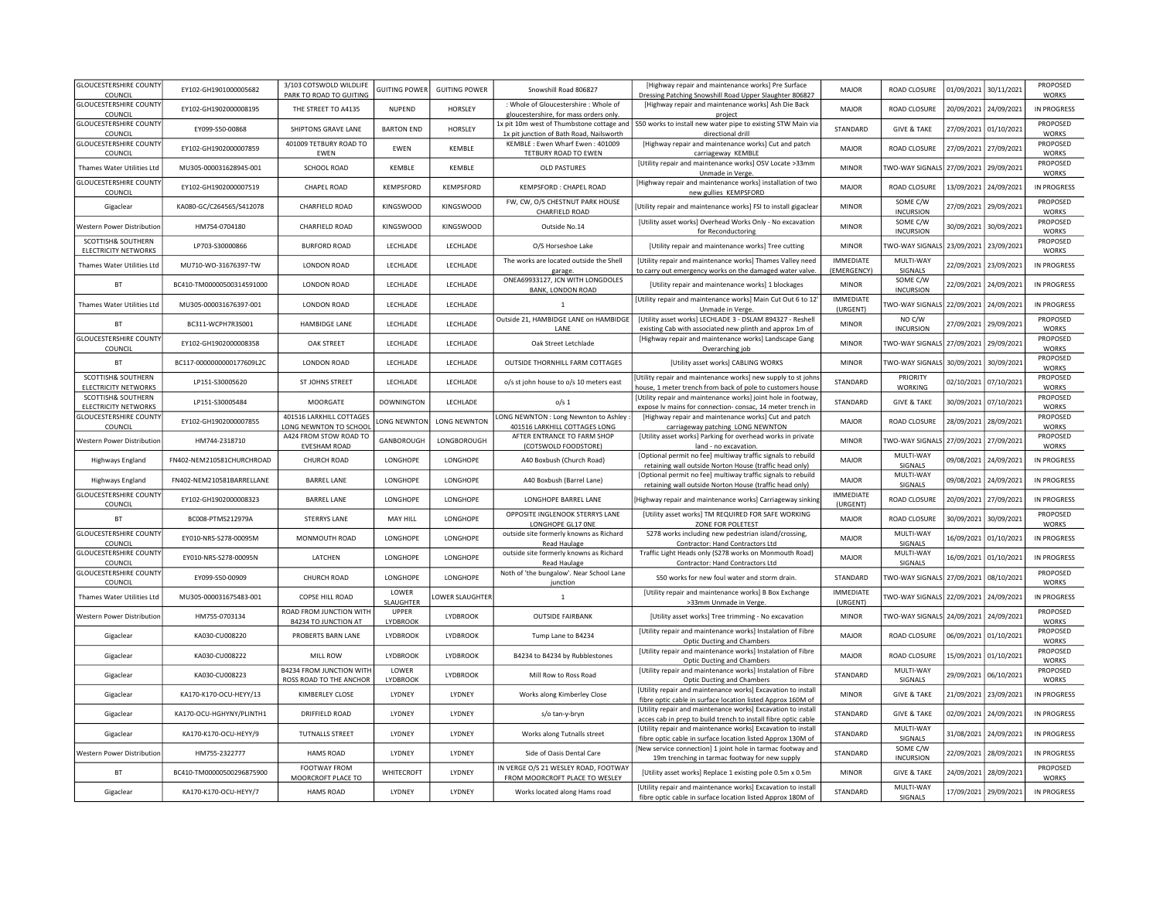| <b>GLOUCESTERSHIRE COUNTY</b>                                |                           | 3/103 COTSWOLD WILDLIFE                       |                    |                      |                                                                                | [Highway repair and maintenance works] Pre Surface                                                                          |                              |                                       |                       |                       | PROPOSED                 |
|--------------------------------------------------------------|---------------------------|-----------------------------------------------|--------------------|----------------------|--------------------------------------------------------------------------------|-----------------------------------------------------------------------------------------------------------------------------|------------------------------|---------------------------------------|-----------------------|-----------------------|--------------------------|
| COUNCIL                                                      | EY102-GH1901000005682     | PARK TO ROAD TO GUITING                       | GUITING POWER      | <b>GUITING POWER</b> | Snowshill Road 806827                                                          | Dressing Patching Snowshill Road Upper Slaughter 806827                                                                     | MAJOR                        | ROAD CLOSURE                          | 01/09/2021 30/11/2021 |                       | <b>WORKS</b>             |
| <b>GLOUCESTERSHIRE COUNTY</b><br>COUNCIL                     | EY102-GH1902000008195     | THE STREET TO A4135                           | <b>NUPEND</b>      | HORSLEY              | : Whole of Gloucestershire : Whole of<br>gloucestershire, for mass orders only | [Highway repair and maintenance works] Ash Die Back<br>project                                                              | MAIOR                        | ROAD CLOSURE                          |                       | 20/09/2021 24/09/2021 | IN PROGRESS              |
| <b>GLOUCESTERSHIRE COUNTY</b>                                | FY099-S50-00868           | SHIPTONS GRAVE LANE                           | <b>BARTON END</b>  | HORSLEY              | 1x pit 10m west of Thumbstone cottage and                                      | S50 works to install new water pipe to existing STW Main via                                                                | STANDARD                     | <b>GIVE &amp; TAKE</b>                |                       | 27/09/2021 01/10/2021 | PROPOSED                 |
| COUNCIL                                                      |                           |                                               |                    |                      | 1x pit junction of Bath Road, Nailsworth                                       | directional drill                                                                                                           |                              |                                       |                       |                       | <b>WORKS</b>             |
| <b>GLOUCESTERSHIRE COUNTY</b><br>COUNCIL                     | EY102-GH1902000007859     | 401009 TETBURY ROAD TO<br>EWEN                | <b>FWFN</b>        | <b>KFMBIF</b>        | KEMBLE: Ewen Wharf Ewen: 401009<br>TETBURY ROAD TO EWEN                        | [Highway repair and maintenance works] Cut and patch<br>carriageway KEMBLE                                                  | MAJOR                        | ROAD CLOSURE                          |                       | 27/09/2021 27/09/2021 | PROPOSED<br><b>WORKS</b> |
|                                                              | MU305-000031628945-001    | <b>SCHOOL ROAD</b>                            | KEMBLE             | KEMBLE               | <b>OLD PASTURES</b>                                                            | [Utility repair and maintenance works] OSV Locate >33mm                                                                     | <b>MINOR</b>                 | TWO-WAY SIGNALS                       | 27/09/2021 29/09/2021 |                       | PROPOSED                 |
| Thames Water Utilities Ltd                                   |                           |                                               |                    |                      |                                                                                | Unmade in Verge                                                                                                             |                              |                                       |                       |                       | WORKS                    |
| <b>GLOUCESTERSHIRE COUNTY</b><br>COUNCIL                     | EY102-GH1902000007519     | CHAPEL ROAD                                   | KEMPSFORD          | <b>KEMPSFORD</b>     | KEMPSFORD : CHAPEL ROAD                                                        | [Highway repair and maintenance works] installation of two<br>new gullies KEMPSFORD                                         | MAJOR                        | ROAD CLOSURE                          | 13/09/2021            | 24/09/2021            | <b>IN PROGRESS</b>       |
| Gigaclear                                                    | KA080-GC/C264565/S412078  | CHARFIELD ROAD                                | <b>KINGSWOOD</b>   | KINGSWOOD            | FW, CW, O/S CHESTNUT PARK HOUSE                                                | [Utility repair and maintenance works] FSI to install gigaclear                                                             | <b>MINOR</b>                 | SOME C/W                              | 27/09/2021            | 29/09/2021            | PROPOSED                 |
|                                                              |                           |                                               |                    |                      | CHARFIELD ROAD                                                                 |                                                                                                                             |                              | <b>INCURSION</b>                      |                       |                       | <b>WORKS</b>             |
| Western Power Distribution                                   | HM754-0704180             | CHARFIELD ROAD                                | <b>KINGSWOOD</b>   | KINGSWOOD            | Outside No.14                                                                  | [Utility asset works] Overhead Works Only - No excavation<br>for Reconductoring                                             | <b>MINOR</b>                 | SOME C/W<br><b>INCURSION</b>          | 30/09/2021            | 30/09/2021            | PROPOSED<br>WORKS        |
| SCOTTISH& SOUTHERN                                           | LP703-S30000866           | <b>BURFORD ROAD</b>                           | LECHLADE           | LECHLADE             | O/S Horseshoe Lake                                                             | [Utility repair and maintenance works] Tree cutting                                                                         | <b>MINOR</b>                 | TWO-WAY SIGNALS                       |                       | 23/09/2021 23/09/2021 | PROPOSED                 |
| <b>ELECTRICITY NETWORKS</b>                                  |                           |                                               |                    |                      | The works are located outside the Shell                                        | [Utility repair and maintenance works] Thames Valley need                                                                   | <b>IMMEDIATE</b>             | MULTI-WAY                             |                       |                       | WORKS                    |
| Thames Water Utilities Ltd                                   | MU710-WO-31676397-TW      | <b>LONDON ROAD</b>                            | LECHLADE           | LECHLADE             | garage.                                                                        | to carry out emergency works on the damaged water valve.                                                                    | (EMERGENCY)                  | SIGNALS                               | 22/09/2021            | 23/09/2021            | IN PROGRESS              |
| <b>BT</b>                                                    | BC410-TM00000500314591000 | <b>LONDON ROAD</b>                            | LECHLADE           | LECHLADE             | ONEA69933127, JCN WITH LONGDOLES                                               | [Utility repair and maintenance works] 1 blockages                                                                          | <b>MINOR</b>                 | SOME C/W                              | 22/09/2021            | 24/09/2021            | IN PROGRESS              |
|                                                              |                           |                                               |                    |                      | BANK, LONDON ROAD                                                              | [Utility repair and maintenance works] Main Cut Out 6 to 12                                                                 | <b>IMMEDIATE</b>             | <b>INCURSION</b>                      |                       |                       |                          |
| Thames Water Utilities Ltd                                   | MU305-000031676397-001    | <b>LONDON ROAD</b>                            | LECHLADE           | LECHLADE             | $\mathbf{1}$                                                                   | Unmade in Verge.                                                                                                            | (URGENT)                     | WO-WAY SIGNALS                        | 22/09/2021            | 24/09/2021            | <b>IN PROGRESS</b>       |
| BT                                                           | BC311-WCPH7R3S001         | <b>HAMBIDGE LANE</b>                          | LECHLADE           | LECHLADE             | Outside 21, HAMBIDGE LANE on HAMBIDGE                                          | [Utility asset works] LECHLADE 3 - DSLAM 894327 - Reshell                                                                   | <b>MINOR</b>                 | NO C/W                                | 27/09/2021            | 29/09/2021            | PROPOSED                 |
| <b>GLOUCESTERSHIRE COUNTY</b>                                |                           |                                               |                    |                      | LANE                                                                           | existing Cab with associated new plinth and approx 1m of<br>[Highway repair and maintenance works] Landscape Gang           |                              | <b>INCURSION</b>                      |                       |                       | <b>WORKS</b><br>PROPOSED |
| COUNCIL                                                      | EY102-GH1902000008358     | OAK STREET                                    | LECHLADE           | LECHLADE             | Oak Street Letchlade                                                           | Overarching job                                                                                                             | <b>MINOR</b>                 | TWO-WAY SIGNALS                       | 27/09/2021 29/09/2021 |                       | <b>WORKS</b>             |
| <b>BT</b>                                                    | BC117-0000000000177609L2C | <b>LONDON ROAD</b>                            | <b>I FCHI ADF</b>  | LECHLADE             | <b>OUTSIDE THORNHILL FARM COTTAGES</b>                                         | [Utility asset works] CABLING WORKS                                                                                         | <b>MINOR</b>                 | <b>TWO-WAY SIGNALS</b>                | 30/09/2021            | 30/09/2021            | PROPOSED                 |
| SCOTTISH& SOUTHERN                                           |                           |                                               |                    |                      |                                                                                | Utility repair and maintenance works] new supply to st john                                                                 |                              | PRIORITY                              |                       |                       | <b>WORKS</b><br>PROPOSED |
| <b>ELECTRICITY NETWORKS</b>                                  | LP151-S30005620           | ST JOHNS STREET                               | <b>I FCHI ADF</b>  | LECHLADE             | o/s st john house to o/s 10 meters east                                        | house, 1 meter trench from back of pole to customers house                                                                  | STANDARD                     | <b>WORKING</b>                        | 02/10/2021            | 07/10/2021            | <b>WORKS</b>             |
| SCOTTISH& SOUTHERN                                           | LP151-S30005484           | MOORGATE                                      | <b>DOWNINGTON</b>  | LECHLADE             | o/s <sub>1</sub>                                                               | [Utility repair and maintenance works] joint hole in footway                                                                | STANDARD                     | <b>GIVE &amp; TAKE</b>                |                       | 30/09/2021 07/10/2021 | PROPOSED                 |
| <b>ELECTRICITY NETWORKS</b><br><b>GLOUCESTERSHIRE COUNTY</b> |                           | 401516 LARKHILL COTTAGES                      |                    |                      | LONG NEWNTON : Long Newnton to Ashley                                          | expose lv mains for connection-consac, 14 meter trench in<br>[Highway repair and maintenance works] Cut and patch           |                              |                                       |                       |                       | WORKS<br>PROPOSED        |
| COUNCIL                                                      | EY102-GH1902000007855     | LONG NEWNTON TO SCHOOL                        | LONG NEWNTON       | <b>LONG NEWNTON</b>  | 401516 LARKHILL COTTAGES LONG                                                  | carriageway patching LONG NEWNTON                                                                                           | MAJOR                        | ROAD CLOSURE                          | 28/09/2021            | 28/09/2021            | WORKS                    |
| Western Power Distribution                                   | HM744-2318710             | A424 FROM STOW ROAD TO<br><b>EVESHAM ROAD</b> | GANBOROUGH         | LONGBOROUGH          | AFTER ENTRANCE TO FARM SHOP<br>(COTSWOLD FOODSTORE)                            | [Utility asset works] Parking for overhead works in private<br>land - no excavation.                                        | <b>MINOR</b>                 | TWO-WAY SIGNALS                       | 27/09/2021            | 27/09/2021            | PROPOSED<br>WORKS        |
|                                                              | FN402-NEM210581CHURCHROAD | CHURCH ROAD                                   | LONGHOPE           | <b>LONGHOPE</b>      |                                                                                | [Optional permit no fee] multiway traffic signals to rebuild                                                                | MAJOR                        | MULTI-WAY                             |                       | 24/09/2021            | IN PROGRESS              |
| Highways England                                             |                           |                                               |                    |                      | A40 Boxbush (Church Road)                                                      | retaining wall outside Norton House (traffic head only)                                                                     |                              | SIGNALS                               | 09/08/2021            |                       |                          |
| Highways England                                             | FN402-NEM210581BARRELLANE | <b>BARREL LANE</b>                            | LONGHOPE           | LONGHOPE             | A40 Boxbush (Barrel Lane)                                                      | [Optional permit no fee] multiway traffic signals to rebuild<br>retaining wall outside Norton House (traffic head only)     | MAJOR                        | MULTI-WAY<br>SIGNALS                  | 09/08/2021            | 24/09/2021            | IN PROGRESS              |
|                                                              |                           |                                               |                    |                      |                                                                                |                                                                                                                             |                              |                                       |                       |                       |                          |
| <b>GLOUCESTERSHIRE COUNTY</b>                                |                           |                                               |                    |                      |                                                                                |                                                                                                                             | <b>IMMEDIATE</b>             |                                       |                       |                       |                          |
| COUNCIL                                                      | EY102-GH1902000008323     | <b>BARREL LANE</b>                            | LONGHOPE           | LONGHOPE             | LONGHOPE BARREL LANE                                                           | Highway repair and maintenance works] Carriageway sinking                                                                   | (URGENT)                     | ROAD CLOSURE                          | 20/09/2021 27/09/2021 |                       | <b>IN PROGRESS</b>       |
| BT                                                           | BC008-PTMS212979A         | <b>STERRYS LANE</b>                           | MAY HILL           | LONGHOPE             | OPPOSITE INGLENOOK STERRYS LANE<br>LONGHOPE GL17 ONE                           | [Utility asset works] TM REQUIRED FOR SAFE WORKING<br>ZONE FOR POLETEST                                                     | MAJOR                        | ROAD CLOSURE                          |                       | 30/09/2021 30/09/2021 | PROPOSED                 |
| <b>GLOUCESTERSHIRE COUNTY</b>                                |                           |                                               |                    |                      | outside site formerly knowns as Richard                                        | S278 works including new pedestrian island/crossing,                                                                        |                              | MULTI-WAY                             |                       |                       | WORKS                    |
| COUNCIL                                                      | EY010-NRS-S278-00095M     | MONMOUTH ROAD                                 | LONGHOPE           | LONGHOPE             | Read Haulage                                                                   | Contractor: Hand Contractors Ltd                                                                                            | MAJOR                        | SIGNALS                               |                       | 16/09/2021 01/10/2021 | IN PROGRESS              |
| <b>GLOUCESTERSHIRE COUNTY</b><br>COUNCIL                     | EY010-NRS-S278-00095N     | LATCHEN                                       | LONGHOPE           | LONGHOPE             | outside site formerly knowns as Richard<br>Read Haulage                        | Traffic Light Heads only (S278 works on Monmouth Road)<br>Contractor: Hand Contractors Ltd                                  | MAJOR                        | MULTI-WAY<br>SIGNALS                  |                       | 16/09/2021 01/10/2021 | <b>IN PROGRESS</b>       |
| <b>GLOUCESTERSHIRE COUNTY</b>                                | EY099-S50-00909           | CHURCH ROAD                                   | LONGHOPE           | LONGHOPE             | Noth of 'the bungalow'. Near School Lane                                       | S50 works for new foul water and storm drain.                                                                               | STANDARD                     | TWO-WAY SIGNALS 27/09/2021 08/10/2021 |                       |                       | PROPOSED                 |
| COUNCIL                                                      |                           |                                               |                    |                      | junction                                                                       |                                                                                                                             |                              |                                       |                       |                       | WORKS                    |
| Thames Water Utilities Ltd                                   | MU305-000031675483-001    | COPSE HILL ROAD                               | LOWER<br>SLAUGHTER | OWER SLAUGHTER       | $\mathbf{1}$                                                                   | [Utility repair and maintenance works] B Box Exchange<br>>33mm Unmade in Verge.                                             | <b>IMMEDIATE</b><br>(URGENT) | TWO-WAY SIGNALS 22/09/2021 24/09/2021 |                       |                       | <b>IN PROGRESS</b>       |
| Western Power Distribution                                   | HM755-0703134             | ROAD FROM JUNCTION WITH                       | UPPER              | LYDBROOK             | <b>OUTSIDE FAIRBANK</b>                                                        | [Utility asset works] Tree trimming - No excavation                                                                         | <b>MINOR</b>                 | TWO-WAY SIGNALS                       | 24/09/2021            | 24/09/2021            | PROPOSED                 |
|                                                              |                           | B4234 TO JUNCTION AT                          | LYDBROOK           |                      |                                                                                |                                                                                                                             |                              |                                       |                       |                       | <b>WORKS</b>             |
| Gigaclear                                                    | KA030-CU008220            | PROBERTS BARN LANE                            | LYDBROOK           | LYDBROOK             | Tump Lane to B4234                                                             | [Utility repair and maintenance works] Instalation of Fibre<br>Optic Ducting and Chambers                                   | <b>MAJOR</b>                 | ROAD CLOSURE                          |                       | 06/09/2021 01/10/2021 | PROPOSED<br><b>WORKS</b> |
| Gigaclear                                                    | KA030-CU008222            | MILL ROW                                      | LYDBROOK           | LYDBROOK             | B4234 to B4234 by Rubblestones                                                 | [Utility repair and maintenance works] Instalation of Fibre                                                                 | MAJOR                        | ROAD CLOSURE                          |                       | 15/09/2021 01/10/2021 | PROPOSED                 |
|                                                              |                           | B4234 FROM JUNCTION WITH                      | LOWER              |                      |                                                                                | <b>Optic Ducting and Chambers</b>                                                                                           |                              | MULTI-WAY                             |                       |                       | <b>WORKS</b><br>PROPOSED |
| Gigaclear                                                    | KA030-CU008223            | ROSS ROAD TO THE ANCHOR                       | LYDBROOK           | LYDBROOK             | Mill Row to Ross Road                                                          | [Utility repair and maintenance works] Instalation of Fibre<br>Optic Ducting and Chambers                                   | STANDARD                     | SIGNALS                               |                       | 29/09/2021 06/10/2021 | WORKS                    |
| Gigaclear                                                    | KA170-K170-OCU-HEYY/13    | KIMBERLEY CLOSE                               | LYDNEY             | LYDNEY               | Works along Kimberley Close                                                    | [Utility repair and maintenance works] Excavation to install                                                                | <b>MINOR</b>                 | <b>GIVE &amp; TAKE</b>                |                       | 21/09/2021 23/09/2021 | IN PROGRESS              |
|                                                              |                           |                                               |                    |                      |                                                                                | fibre optic cable in surface location listed Approx 160M of<br>[Utility repair and maintenance works] Excavation to install |                              |                                       |                       |                       |                          |
| Gigaclear                                                    | KA170-OCU-HGHYNY/PLINTH1  | DRIFFIELD ROAD                                | LYDNEY             | LYDNEY               | s/o tan-y-bryn                                                                 | acces cab in prep to build trench to install fibre optic cable                                                              | STANDARD                     | <b>GIVE &amp; TAKE</b>                |                       | 02/09/2021 24/09/2021 | IN PROGRESS              |
| Gigaclear                                                    | KA170-K170-OCU-HEYY/9     | <b>TUTNALLS STREET</b>                        | LYDNEY             | LYDNEY               | Works along Tutnalls street                                                    | [Utility repair and maintenance works] Excavation to install                                                                | STANDARD                     | MULTI-WAY                             |                       | 31/08/2021 24/09/2021 | IN PROGRESS              |
|                                                              |                           |                                               |                    |                      |                                                                                | fibre optic cable in surface location listed Approx 130M of<br>[New service connection] 1 joint hole in tarmac footway and  |                              | SIGNALS<br>SOME C/W                   |                       |                       |                          |
| Western Power Distributior                                   | HM755-2322777             | <b>HAMS ROAD</b>                              | LYDNEY             | LYDNEY               | Side of Oasis Dental Care                                                      | 19m trenching in tarmac footway for new supply                                                                              | STANDARD                     | <b>INCURSION</b>                      |                       | 22/09/2021 28/09/2021 | IN PROGRESS              |
| BT                                                           | BC410-TM00000500296875900 | <b>FOOTWAY FROM</b><br>MOORCROFT PLACE TO     | WHITECROFT         | LYDNEY               | IN VERGE O/S 21 WESLEY ROAD, FOOTWAY<br>FROM MOORCROFT PLACE TO WESLEY         | [Utility asset works] Replace 1 existing pole 0.5m x 0.5m                                                                   | <b>MINOR</b>                 | <b>GIVE &amp; TAKE</b>                | 24/09/2021            | 28/09/2021            | PROPOSED<br><b>WORKS</b> |
| Gigaclear                                                    | KA170-K170-OCU-HEYY/7     | <b>HAMS ROAD</b>                              | LYDNEY             | <b>I YDNEY</b>       | Works located along Hams road                                                  | [Utility repair and maintenance works] Excavation to install<br>fibre optic cable in surface location listed Approx 180M of | STANDARD                     | MULTI-WAY<br>SIGNALS                  |                       | 17/09/2021 29/09/2021 | <b>IN PROGRESS</b>       |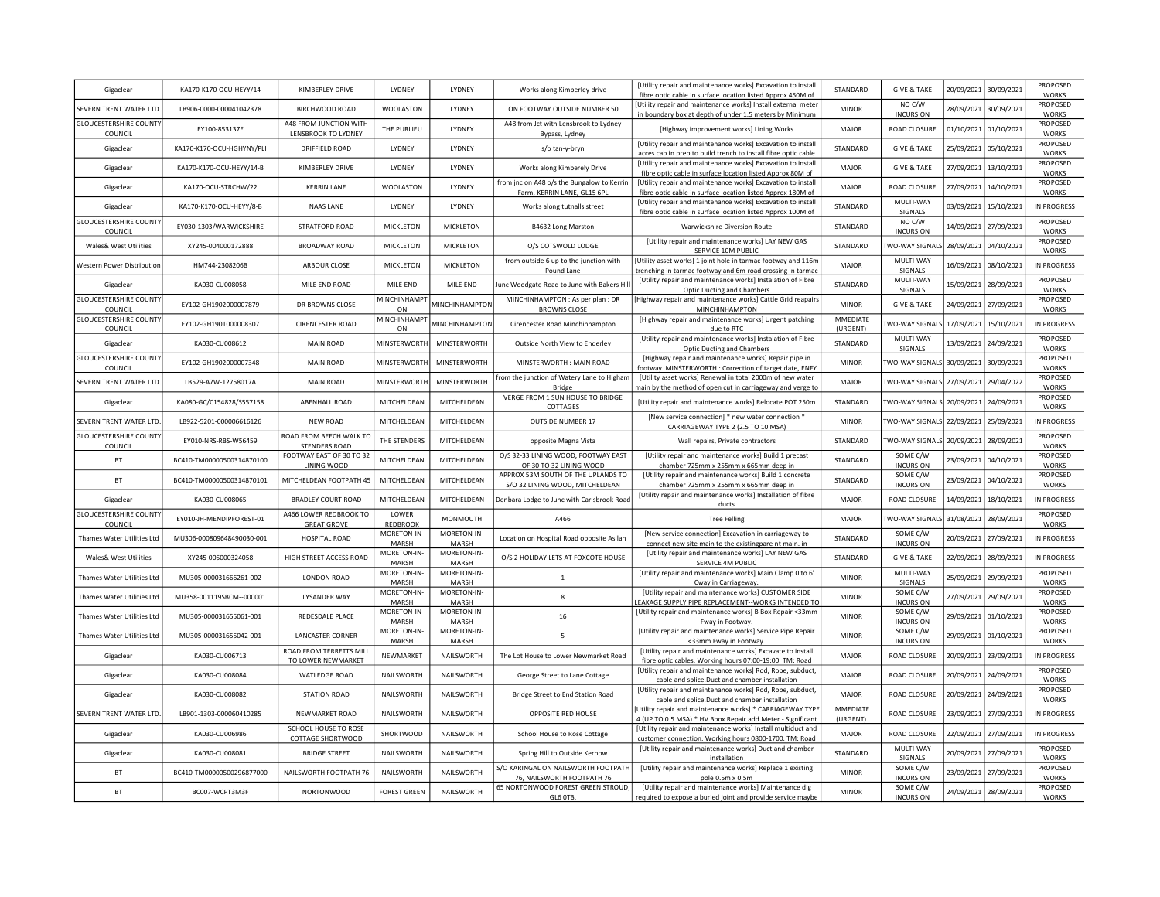| Gigaclear                                               | KA170-K170-OCU-HEYY/14    | KIMBERLEY DRIVE                               | LYDNEY               | LYDNEY               | Works along Kimberley drive                                               | <b>IUtility repair and maintenance works] Excavation to install</b><br>fibre optic cable in surface location listed Approx 450M of | STANDARD                 | <b>GIVE &amp; TAKE</b>            | 20/09/2021 | 30/09/2021            | <b>PROPOSED</b><br><b>WORKS</b>    |
|---------------------------------------------------------|---------------------------|-----------------------------------------------|----------------------|----------------------|---------------------------------------------------------------------------|------------------------------------------------------------------------------------------------------------------------------------|--------------------------|-----------------------------------|------------|-----------------------|------------------------------------|
| SEVERN TRENT WATER LTD.                                 | LB906-0000-000041042378   | <b>BIRCHWOOD ROAD</b>                         | WOOLASTON            | LYDNEY               | ON FOOTWAY OUTSIDE NUMBER 50                                              | [Utility repair and maintenance works] Install external mete<br>in boundary box at depth of under 1.5 meters by Minimum            | <b>MINOR</b>             | NO C/W<br><b>INCURSION</b>        | 28/09/2021 | 30/09/2021            | PROPOSED<br><b>WORKS</b>           |
| <b>GLOUCESTERSHIRE COUNTY</b>                           | EY100-853137E             | A48 FROM JUNCTION WITH<br>LENSBROOK TO LYDNEY | THE PURLIEU          | LYDNEY               | A48 from Jct with Lensbrook to Lydney                                     | [Highway improvement works] Lining Works                                                                                           | <b>MAJOR</b>             | ROAD CLOSURE                      | 01/10/2021 | 01/10/2021            | PROPOSED<br><b>WORKS</b>           |
| COUNCIL<br>Gigaclear                                    | KA170-K170-OCU-HGHYNY/PLI | DRIFFIELD ROAD                                | <b>I YDNEY</b>       | <b>I YDNEY</b>       | Bypass, Lydney<br>s/o tan-y-bryn                                          | [Utility repair and maintenance works] Excavation to install<br>acces cab in prep to build trench to install fibre optic cable     | <b>STANDARD</b>          | <b>GIVE &amp; TAKE</b>            | 25/09/2021 | 05/10/2021            | PROPOSED<br><b>WORKS</b>           |
| Gigaclear                                               | KA170-K170-OCU-HEYY/14-B  | KIMBERLEY DRIVE                               | <b>IYDNEY</b>        | <b>I YDNEY</b>       | Works along Kimberely Drive                                               | [Utility repair and maintenance works] Excavation to install<br>fibre optic cable in surface location listed Approx 80M of         | MAIOR                    | <b>GIVE &amp; TAKE</b>            | 27/09/2021 | 13/10/2021            | PROPOSED<br><b>WORKS</b>           |
| Gigaclear                                               | KA170-OCU-STRCHW/22       | <b>KFRRIN LANF</b>                            | WOOLASTON            | <b>I YDNEY</b>       | from inc on A48 o/s the Bungalow to Kerrin<br>Farm, KERRIN LANE, GL15 6PL | [Utility repair and maintenance works] Excavation to install<br>fibre optic cable in surface location listed Approx 180M of        | MAIOR                    | ROAD CLOSURE                      | 27/09/2021 | 14/10/2021            | PROPOSED<br><b>WORKS</b>           |
| Gigaclear                                               | KA170-K170-OCU-HEYY/8-B   | <b>NAAS LANE</b>                              | LYDNEY               | LYDNEY               | Works along tutnalls street                                               | [Utility repair and maintenance works] Excavation to install<br>fibre optic cable in surface location listed Approx 100M of        | STANDARD                 | MULTI-WAY<br>SIGNALS              | 03/09/2021 | 15/10/2021            | IN PROGRESS                        |
| <b>GLOUCESTERSHIRE COUNTY</b><br>COUNCIL                | EY030-1303/WARWICKSHIRE   | <b>STRATFORD ROAD</b>                         | <b>MICKLETON</b>     | MICKLETON            | B4632 Long Marston                                                        | Warwickshire Diversion Route                                                                                                       | STANDARD                 | NO C/W<br><b>INCURSION</b>        | 14/09/2021 | 27/09/2021            | PROPOSED<br><b>WORKS</b>           |
| Wales& West Utilities                                   | XY245-004000172888        | <b>BROADWAY ROAD</b>                          | MICKLETON            | MICKLETON            | O/S COTSWOLD LODGE                                                        | [Utility repair and maintenance works] LAY NEW GAS<br>SERVICE 10M PUBLIC                                                           | STANDARD                 | WO-WAY SIGNALS                    | 28/09/2021 | 04/10/2021            | PROPOSED<br><b>WORKS</b>           |
| <b>Nestern Power Distribution</b>                       | HM744-2308206B            | ARBOUR CLOSE                                  | MICKLETON            | MICKLETON            | from outside 6 up to the junction with<br>Pound Lane                      | [Utility asset works] 1 joint hole in tarmac footway and 116m<br>trenching in tarmac footway and 6m road crossing in tarmac        | <b>MAJOR</b>             | MULTI-WAY<br>SIGNALS              | 16/09/2021 | 08/10/2021            | IN PROGRESS                        |
| Gigaclear                                               | KA030-CU008058            | MILE END ROAD                                 | MILE END             | MILE END             | Junc Woodgate Road to Junc with Bakers Hil                                | [Utility repair and maintenance works] Instalation of Fibre                                                                        | STANDARD                 | MULTI-WAY                         | 15/09/2021 | 28/09/2021            | PROPOSED<br><b>WORKS</b>           |
| <b>GLOUCESTERSHIRE COUNTY</b>                           | EY102-GH1902000007879     | DR BROWNS CLOSE                               | MINCHINHAMPT         | MINCHINHAMPTON       | MINCHINHAMPTON : As per plan : DR                                         | <b>Optic Ducting and Chambers</b><br>[Highway repair and maintenance works] Cattle Grid reapair:                                   | <b>MINOR</b>             | SIGNALS<br><b>GIVE &amp; TAKE</b> | 24/09/2021 | 27/09/2021            | PROPOSED                           |
| COUNCIL<br><b>GLOUCESTERSHIRE COUNTY</b>                | EY102-GH1901000008307     | <b>CIRENCESTER ROAD</b>                       | ON<br>MINCHINHAMPT   | MINCHINHAMPTON       | <b>BROWNS CLOSE</b><br>Cirencester Road Minchinhampton                    | MINCHINHAMPTON<br>[Highway repair and maintenance works] Urgent patching                                                           | <b>IMMEDIATE</b>         | WO-WAY SIGNAL!                    | 17/09/2021 | 15/10/2021            | <b>WORKS</b><br><b>IN PROGRESS</b> |
| COUNCIL<br>Gigaclear                                    | KA030-CU008612            | MAIN ROAD                                     | ON<br>MINSTERWORT    | MINSTERWORTH         | Outside North View to Enderley                                            | due to RTC<br>[Utility repair and maintenance works] Instalation of Fibre                                                          | (URGENT)<br>STANDARD     | MULTI-WAY                         | 13/09/2021 | 24/09/2021            | PROPOSED                           |
| <b>GLOUCESTERSHIRE COUNTY</b>                           | EY102-GH1902000007348     | <b>MAIN ROAD</b>                              | <b>MINSTERWORT</b>   | MINSTERWORTH         | MINSTERWORTH: MAIN ROAD                                                   | Optic Ducting and Chambers<br>[Highway repair and maintenance works] Repair pipe in                                                | <b>MINOR</b>             | SIGNALS<br>WO-WAY SIGNALS         | 30/09/2021 | 30/09/2021            | WORKS<br>PROPOSED                  |
| COUNCIL<br>SEVERN TRENT WATER LTD.                      |                           |                                               |                      | MINSTERWORTH         | from the junction of Watery Lane to Higham                                | footway MINSTERWORTH: Correction of target date, ENFY<br>[Utility asset works] Renewal in total 2000m of new water                 |                          |                                   |            | 29/04/2022            | <b>WORKS</b><br>PROPOSED           |
|                                                         | LB529-A7W-12758017A       | MAIN ROAD                                     | <b>MINSTERWORTH</b>  |                      | <b>Bridge</b><br>VERGE FROM 1 SUN HOUSE TO BRIDGE                         | main by the method of open cut in carriageway and verge to                                                                         | <b>MAJOR</b>             | <b>TWO-WAY SIGNALS</b>            | 27/09/2021 |                       | <b>WORKS</b><br>PROPOSED           |
| Gigaclear                                               | KA080-GC/C154828/S557158  | ABENHALL ROAD                                 | MITCHELDEAN          | MITCHELDEAN          | COTTAGES                                                                  | [Utility repair and maintenance works] Relocate POT 250m<br>[New service connection] * new water connection *                      | STANDARD                 | TWO-WAY SIGNALS 20/09/2021        |            | 24/09/2021            | WORKS                              |
| SEVERN TRENT WATER LTD<br><b>GLOUCESTERSHIRE COUNTY</b> | LB922-5201-000006616126   | NEW ROAD<br>ROAD FROM BEECH WALK TO           | MITCHELDEAN          | MITCHELDEAN          | <b>OUTSIDE NUMBER 17</b>                                                  | CARRIAGEWAY TYPE 2 (2.5 TO 10 MSA)                                                                                                 | <b>MINOR</b>             | TWO-WAY SIGNALS 22/09/2021        |            | 25/09/2021            | IN PROGRESS<br>PROPOSED            |
| COUNCIL                                                 | EY010-NRS-RBS-W56459      | STENDERS ROAD                                 | THE STENDERS         | MITCHELDEAN          | opposite Magna Vista                                                      | Wall repairs, Private contractors                                                                                                  | STANDARD                 | TWO-WAY SIGNALS 20/09/2021        |            | 28/09/2021            | <b>WORKS</b>                       |
| <b>BT</b>                                               | BC410-TM00000500314870100 | FOOTWAY EAST OF 30 TO 32<br>LINING WOOD       | MITCHELDEAN          | MITCHELDEAN          | O/S 32-33 LINING WOOD, FOOTWAY EAST<br>OF 30 TO 32 LINING WOOD            | [Utility repair and maintenance works] Build 1 precast<br>chamber 725mm x 255mm x 665mm deep in                                    | STANDARD                 | SOME C/W<br><b>INCURSION</b>      | 23/09/2021 | 04/10/2021            | PROPOSED<br><b>WORKS</b>           |
| <b>BT</b>                                               | BC410-TM00000500314870101 | MITCHELDEAN FOOTPATH 45                       | MITCHELDEAN          | MITCHELDEAN          | APPROX 53M SOUTH OF THE UPLANDS TO<br>S/O 32 LINING WOOD, MITCHELDEAN     | [Utility repair and maintenance works] Build 1 concrete<br>chamber 725mm x 255mm x 665mm deep in                                   | STANDARD                 | SOME C/W<br><b>INCURSION</b>      | 23/09/2021 | 04/10/2021            | PROPOSED<br><b>WORKS</b>           |
| Gigaclear                                               | KA030-CU008065            | <b>BRADLEY COURT ROAD</b>                     | MITCHELDEAN          | MITCHELDEAN          | Denbara Lodge to Junc with Carisbrook Road                                | [Utility repair and maintenance works] Installation of fibre<br>ducts                                                              | <b>MAJOR</b>             | ROAD CLOSURE                      | 14/09/2021 | 18/10/2021            | IN PROGRESS                        |
| <b>GLOUCESTERSHIRE COUNTY</b><br>COUNCIL                | EY010-JH-MENDIPFOREST-01  | A466 LOWER REDBROOK TO<br><b>GREAT GROVE</b>  | LOWER<br>REDBROOK    | MONMOUTH             | A466                                                                      | <b>Tree Felling</b>                                                                                                                | MAJOR                    | <b>TWO-WAY SIGNALS</b>            | 31/08/2021 | 28/09/2021            | PROPOSED<br>WORKS                  |
| Thames Water Utilities Ltd                              | MU306-000809648490030-001 | HOSPITAL ROAD                                 | MORETON-IN-<br>MARSH | MORETON-IN-<br>MARSH | Location on Hospital Road opposite Asilah                                 | [New service connection] Excavation in carriageway to<br>connect new site main to the existingpare nt main. in                     | STANDARD                 | SOME C/W<br><b>INCURSION</b>      | 20/09/2021 | 27/09/2021            | IN PROGRESS                        |
| Wales& West Utilities                                   | XY245-005000324058        | HIGH STREET ACCESS ROAD                       | MORETON-IN-<br>MARSH | MORETON-IN-<br>MARSH | O/S 2 HOLIDAY LETS AT FOXCOTE HOUSE                                       | [Utility repair and maintenance works] LAY NEW GAS<br>SERVICE 4M PUBLIC                                                            | STANDARD                 | <b>GIVE &amp; TAKE</b>            | 22/09/2021 | 28/09/2021            | IN PROGRESS                        |
| Thames Water Utilities Ltd                              | MU305-000031666261-002    | <b>LONDON ROAD</b>                            | MORETON-IN-<br>MARSH | MORETON-IN-<br>MARSH | $\mathbf{1}$                                                              | [Utility repair and maintenance works] Main Clamp 0 to 6'<br>Cway in Carriageway.                                                  | <b>MINOR</b>             | MULTI-WAY<br>SIGNALS              | 25/09/2021 | 29/09/2021            | PROPOSED<br><b>WORKS</b>           |
| Thames Water Utilities Ltd                              | MU358-001119SBCM--000001  | LYSANDER WAY                                  | MORETON-IN-<br>MARSH | MORETON-IN-<br>MARSH | $\mathbf{8}$                                                              | [Utility repair and maintenance works] CUSTOMER SIDE<br>EAKAGE SUPPLY PIPE REPLACEMENT--WORKS INTENDED TO                          | <b>MINOR</b>             | SOME C/W<br><b>INCURSION</b>      | 27/09/2021 | 29/09/2021            | PROPOSED<br><b>WORKS</b>           |
| Thames Water Utilities Ltd                              | MU305-000031655061-001    | REDESDALE PLACE                               | MORETON-IN-<br>MARSH | MORETON-IN-<br>MARSH | 16                                                                        | [Utility repair and maintenance works] B Box Repair <33mm<br>Fway in Footway.                                                      | <b>MINOR</b>             | SOME C/W<br><b>INCURSION</b>      | 29/09/2021 | 01/10/2021            | PROPOSED<br><b>WORKS</b>           |
| Thames Water Utilities Ltd                              | MU305-000031655042-001    | <b>LANCASTER CORNER</b>                       | MORETON-IN-<br>MARSH | MORETON-IN-<br>MARSH | 5                                                                         | [Utility repair and maintenance works] Service Pipe Repair<br><33mm Fway in Footway.                                               | <b>MINOR</b>             | SOME C/W<br><b>INCURSION</b>      | 29/09/2021 | 01/10/2021            | PROPOSED<br>WORKS                  |
| Gigaclear                                               | KA030-CU006713            | ROAD FROM TERRETTS MILL                       | NEWMARKET            | NAILSWORTH           | The Lot House to Lower Newmarket Road                                     | [Utility repair and maintenance works] Excavate to install                                                                         | <b>MAJOR</b>             | ROAD CLOSURE                      | 20/09/2021 | 23/09/2021            | <b>IN PROGRESS</b>                 |
| Gigaclear                                               | KA030-CU008084            | TO LOWER NEWMARKET<br>WATLEDGE ROAD           | NAILSWORTH           | NAILSWORTH           | George Street to Lane Cottage                                             | fibre optic cables. Working hours 07:00-19:00. TM: Road<br>[Utility repair and maintenance works] Rod, Rope, subduct,              | MAJOR                    | ROAD CLOSURE                      | 20/09/2021 | 24/09/2021            | PROPOSED                           |
| Gigaclear                                               | KA030-CU008082            | <b>STATION ROAD</b>                           | NAILSWORTH           | NAILSWORTH           | Bridge Street to End Station Road                                         | cable and splice.Duct and chamber installation<br>[Utility repair and maintenance works] Rod, Rope, subduct,                       | <b>MAJOR</b>             | ROAD CLOSURE                      | 20/09/2021 | 24/09/2021            | <b>WORKS</b><br>PROPOSED           |
| SEVERN TRENT WATER LTD.                                 | LB901-1303-000060410285   | NEWMARKET ROAD                                | NAILSWORTH           | NAILSWORTH           | OPPOSITE RED HOUSE                                                        | cable and splice. Duct and chamber installation<br>[Utility repair and maintenance works] * CARRIAGEWAY TYPE                       | <b>IMMEDIATE</b>         | ROAD CLOSURE                      | 23/09/2021 | 27/09/2021            | WORKS<br>IN PROGRESS               |
| Gigaclear                                               | KA030-CU006986            | SCHOOL HOUSE TO ROSE                          | SHORTWOOD            | NAILSWORTH           | School House to Rose Cottage                                              | 4 (UP TO 0.5 MSA) * HV Bbox Repair add Meter - Significant<br>[Utility repair and maintenance works] Install multiduct and         | (URGENT)<br><b>MAJOR</b> | ROAD CLOSURE                      | 22/09/2021 | 27/09/2021            | IN PROGRESS                        |
| Gigaclear                                               | KA030-CU008081            | COTTAGE SHORTWOOD<br><b>BRIDGE STREET</b>     | NAILSWORTH           | NAILSWORTH           | Spring Hill to Outside Kernow                                             | customer connection. Working hours 0800-1700. TM: Road<br>[Utility repair and maintenance works] Duct and chamber                  | STANDARD                 | MULTI-WAY                         |            | 20/09/2021 27/09/2021 | PROPOSED                           |
|                                                         |                           |                                               |                      |                      | S/O KARINGAL ON NAILSWORTH FOOTPATH                                       | installation<br>[Utility repair and maintenance works] Replace 1 existing                                                          |                          | <b>SIGNALS</b><br>SOME C/W        |            |                       | <b>WORKS</b><br>PROPOSED           |
| <b>BT</b>                                               | BC410-TM00000500296877000 | NAILSWORTH FOOTPATH 76                        | NAILSWORTH           | NAILSWORTH           | 76, NAILSWORTH FOOTPATH 76<br>65 NORTONWOOD FOREST GREEN STROUD,          | pole 0.5m x 0.5m<br>[Utility repair and maintenance works] Maintenance dig                                                         | <b>MINOR</b>             | <b>INCURSION</b><br>SOME C/W      |            | 23/09/2021 27/09/2021 | <b>WORKS</b><br>PROPOSED           |
| <b>BT</b>                                               | BC007-WCPT3M3F            | <b>NORTONWOOD</b>                             | <b>FOREST GREEN</b>  | NAILSWORTH           | GL6 OTB,                                                                  | required to expose a buried joint and provide service maybe                                                                        | <b>MINOR</b>             | <b>INCURSION</b>                  |            | 24/09/2021 28/09/2021 | <b>WORKS</b>                       |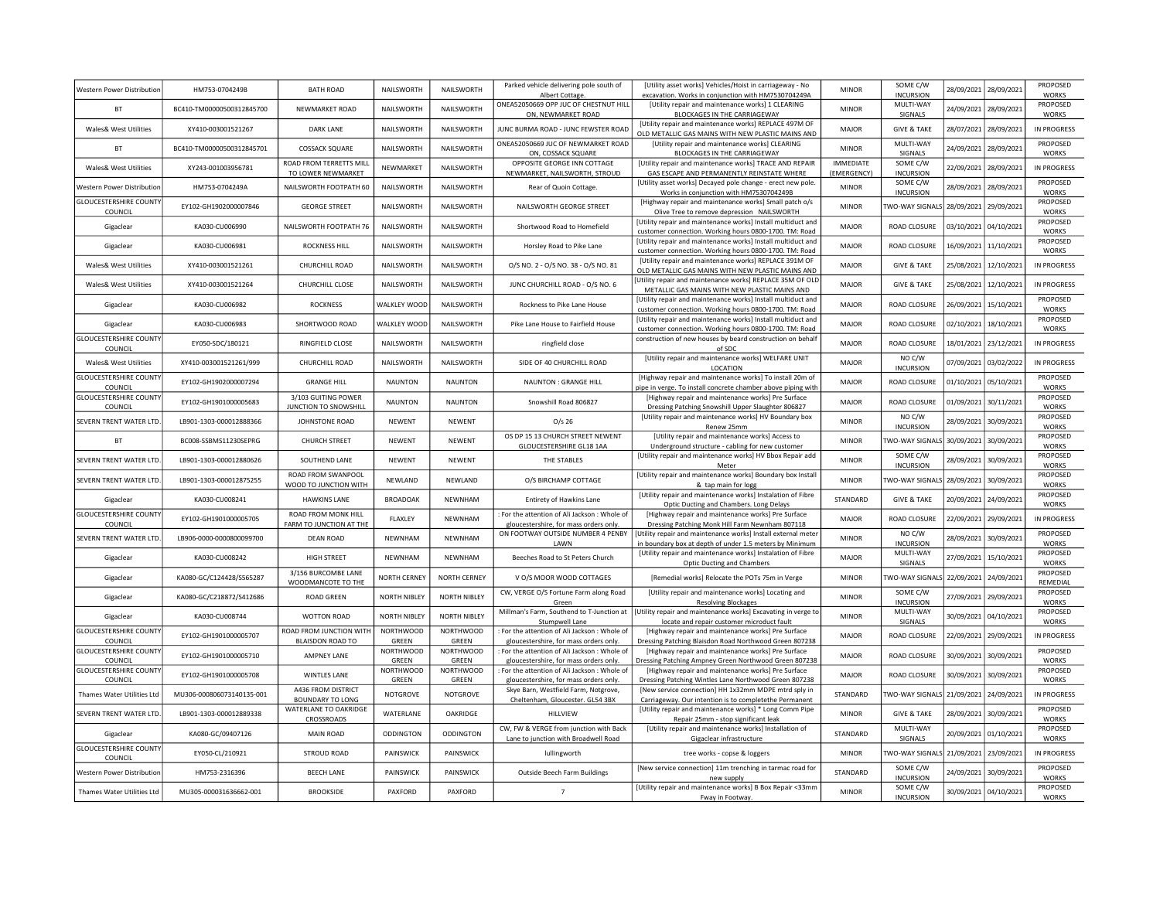| Western Power Distribution               | HM753-0704249B            | <b>BATH ROAD</b>                                   | NAILSWORTH                | NAILSWORTH                | Parked vehicle delivering pole south of<br>Albert Cottage.                              | <b>IUtility asset works) Vehicles/Hoist in carriageway - No</b><br>excavation. Works in conjunction with HM7530704249A   | <b>MINOR</b>                    | SOME C/W<br><b>INCURSION</b>          | 28/09/2021 | 28/09/2021            | PROPOSED<br><b>WORKS</b> |
|------------------------------------------|---------------------------|----------------------------------------------------|---------------------------|---------------------------|-----------------------------------------------------------------------------------------|--------------------------------------------------------------------------------------------------------------------------|---------------------------------|---------------------------------------|------------|-----------------------|--------------------------|
| <b>BT</b>                                | BC410-TM00000500312845700 | NEWMARKET ROAD                                     | NAILSWORTH                | NAILSWORTH                | ONEA52050669 OPP JUC OF CHESTNUT HILL<br>ON, NEWMARKET ROAD                             | [Utility repair and maintenance works] 1 CLEARING<br>BLOCKAGES IN THE CARRIAGEWAY                                        | <b>MINOR</b>                    | MULTI-WAY<br>SIGNALS                  |            | 24/09/2021 28/09/2021 | PROPOSED<br><b>WORKS</b> |
| Wales& West Utilities                    | XY410-003001521267        | DARK LANE                                          | NAILSWORTH                | NAILSWORTH                | IUNC BURMA ROAD - JUNC FEWSTER ROAD                                                     | [Utility repair and maintenance works] REPLACE 497M OF<br>OLD METALLIC GAS MAINS WITH NEW PLASTIC MAINS AND              | MAJOR                           | <b>GIVE &amp; TAKE</b>                | 28/07/2021 | 28/09/2021            | <b>IN PROGRESS</b>       |
| BT                                       | BC410-TM00000500312845701 | COSSACK SQUARE                                     | NAILSWORTH                | NAILSWORTH                | ONEA52050669 JUC OF NEWMARKET ROAD<br>ON, COSSACK SQUARE                                | <b>IUtility repair and maintenance worksl CLEARING</b><br>BLOCKAGES IN THE CARRIAGEWAY                                   | <b>MINOR</b>                    | MULTI-WAY<br>SIGNALS                  | 24/09/2021 | 28/09/2021            | PROPOSED<br><b>WORKS</b> |
| Wales& West Utilities                    | XY243-001003956781        | ROAD FROM TERRETTS MILL<br>TO LOWER NEWMARKET      | NEWMARKET                 | NAILSWORTH                | OPPOSITE GEORGE INN COTTAGE<br>NEWMARKET, NAILSWORTH, STROUD                            | [Utility repair and maintenance works] TRACE AND REPAIR<br>GAS ESCAPE AND PERMANENTLY REINSTATE WHERE                    | <b>IMMEDIATE</b><br>(EMERGENCY) | SOME C/W<br><b>INCURSION</b>          | 22/09/2021 | 28/09/2021            | IN PROGRESS              |
| Western Power Distribution               | HM753-0704249A            | NAILSWORTH FOOTPATH 60                             | NAILSWORTH                | <b>NAILSWORTH</b>         | Rear of Quoin Cottage                                                                   | [Utility asset works] Decayed pole change - erect new pole.<br>Works in conjunction with HM7530704249B                   | <b>MINOR</b>                    | SOME C/W<br><b>INCURSION</b>          | 28/09/2021 | 28/09/2021            | PROPOSED<br><b>WORKS</b> |
| <b>GLOUCESTERSHIRE COUNTY</b><br>COUNCIL | FY102-GH1902000007846     | <b>GEORGE STREET</b>                               | <b>NAILSWORTH</b>         | NAILSWORTH                | NAILSWORTH GEORGE STREET                                                                | [Highway repair and maintenance works] Small patch o/s<br>Olive Tree to remove depression NAILSWORTH                     | <b>MINOR</b>                    | TWO-WAY SIGNALS                       | 28/09/2021 | 29/09/2021            | PROPOSED<br><b>WORKS</b> |
| Gigaclear                                | KA030-CU006990            | NAILSWORTH FOOTPATH 76                             | NAILSWORTH                | NAILSWORTH                | Shortwood Road to Homefield                                                             | [Utility repair and maintenance works] Install multiduct and<br>customer connection. Working hours 0800-1700. TM: Road   | MAJOR                           | ROAD CLOSURE                          | 03/10/2021 | 04/10/2021            | PROPOSED<br>WORKS        |
| Gigaclear                                | KA030-CU006981            | <b>ROCKNESS HILL</b>                               | NAILSWORTH                | NAILSWORTH                | Horsley Road to Pike Lane                                                               | [Utility repair and maintenance works] Install multiduct and<br>customer connection. Working hours 0800-1700. TM: Road   | <b>MAJOR</b>                    | ROAD CLOSURE                          | 16/09/2021 | 11/10/2021            | PROPOSED<br>WORKS        |
| <b>Wales&amp; West Utilities</b>         | XY410-003001521261        | CHURCHILL ROAD                                     | NAILSWORTH                | NAILSWORTH                | 0/S NO. 2 - 0/S NO. 38 - 0/S NO. 81                                                     | [Utility repair and maintenance works] REPLACE 391M OF<br>OLD METALLIC GAS MAINS WITH NEW PLASTIC MAINS AND              | <b>MAJOR</b>                    | <b>GIVE &amp; TAKE</b>                | 25/08/2021 | 12/10/2021            | IN PROGRESS              |
| Wales& West Utilities                    | XY410-003001521264        | CHURCHILL CLOSE                                    | NAILSWORTH                | NAILSWORTH                | JUNC CHURCHILL ROAD - O/S NO. 6                                                         | Utility repair and maintenance works] REPLACE 35M OF OLD<br>METALLIC GAS MAINS WITH NEW PLASTIC MAINS AND                | <b>MAJOR</b>                    | <b>GIVE &amp; TAKE</b>                | 25/08/2021 | 12/10/2021            | <b>IN PROGRESS</b>       |
| Gigaclear                                | KA030-CU006982            | <b>ROCKNESS</b>                                    | WALKLEY WOOD              | NAILSWORTH                | Rockness to Pike Lane House                                                             | [Utility repair and maintenance works] Install multiduct and<br>customer connection. Working hours 0800-1700. TM: Road   | MAJOR                           | ROAD CLOSURE                          | 26/09/2021 | 15/10/2021            | PROPOSED<br>WORKS        |
| Gigaclear                                | KA030-CU006983            | SHORTWOOD ROAD                                     | WALKLEY WOOD              | NAILSWORTH                | Pike Lane House to Fairfield House                                                      | [Utility repair and maintenance works] Install multiduct and<br>customer connection. Working hours 0800-1700. TM: Road   | MAJOR                           | <b>ROAD CLOSURE</b>                   | 02/10/2021 | 18/10/2021            | PROPOSED<br>WORKS        |
| <b>GLOUCESTERSHIRE COUNTY</b><br>COUNCIL | EY050-SDC/180121          | RINGFIELD CLOSE                                    | NAILSWORTH                | NAILSWORTH                | ringfield close                                                                         | construction of new houses by beard construction on behalf<br>of SDC                                                     | MAJOR                           | ROAD CLOSURE                          | 18/01/2021 | 23/12/2021            | IN PROGRESS              |
| Wales& West Utilities                    | XY410-003001521261/999    | CHURCHILL ROAD                                     | NAILSWORTH                | NAILSWORTH                | SIDE OF 40 CHURCHILL ROAD                                                               | [Utility repair and maintenance works] WELFARE UNIT<br>LOCATION                                                          | MAIOR                           | NO C/W<br><b>INCURSION</b>            | 07/09/2021 | 03/02/2022            | IN PROGRESS              |
| <b>GLOUCESTERSHIRE COUNTY</b><br>COUNCIL | EY102-GH1902000007294     | <b>GRANGE HILL</b>                                 | <b>NAUNTON</b>            | <b>NAUNTON</b>            | NAUNTON : GRANGE HILL                                                                   | [Highway repair and maintenance works] To install 20m of<br>pipe in verge. To install concrete chamber above piping with | MAJOR                           | ROAD CLOSURE                          | 01/10/2021 | 05/10/2021            | PROPOSED<br><b>WORKS</b> |
| <b>GLOUCESTERSHIRE COUNTY</b><br>COUNCIL | EY102-GH1901000005683     | 3/103 GUITING POWER<br>JUNCTION TO SNOWSHILL       | <b>NAUNTON</b>            | <b>NAUNTON</b>            | Snowshill Road 806827                                                                   | [Highway repair and maintenance works] Pre Surface<br>Dressing Patching Snowshill Upper Slaughter 806827                 | MAJOR                           | ROAD CLOSURE                          | 01/09/2021 | 30/11/2021            | PROPOSED<br><b>WORKS</b> |
| SEVERN TRENT WATER LTD                   | LB901-1303-000012888366   | JOHNSTONE ROAD                                     | NEWENT                    | NEWENT                    | $O/s$ 26                                                                                | [Utility repair and maintenance works] HV Boundary box<br>Renew 25mm                                                     | <b>MINOR</b>                    | NO C/W<br><b>INCURSION</b>            | 28/09/2021 | 30/09/2021            | PROPOSED<br>WORKS        |
| <b>BT</b>                                | BC008-SSBMS11230SEPRG     | <b>CHURCH STREET</b>                               | NEWENT                    | <b>NEWENT</b>             | OS DP 15 13 CHURCH STREET NEWENT<br>GLOUCESTERSHIRE GL18 1AA                            | [Utility repair and maintenance works] Access to<br>Underground structure - cabling for new customer                     | <b>MINOR</b>                    | TWO-WAY SIGNALS                       | 30/09/2021 | 30/09/2021            | PROPOSED<br><b>WORKS</b> |
| SEVERN TRENT WATER LTD                   | LB901-1303-000012880626   | SOUTHEND LANE                                      | NEWENT                    | NEWENT                    | THE STABLES                                                                             | [Utility repair and maintenance works] HV Bbox Repair add<br>Meter                                                       | <b>MINOR</b>                    | SOME C/W<br><b>INCURSION</b>          | 28/09/2021 | 30/09/2021            | PROPOSED<br><b>WORKS</b> |
| SEVERN TRENT WATER LTD                   | LB901-1303-000012875255   | ROAD FROM SWANPOOL<br>WOOD TO JUNCTION WITH        | NEWLAND                   | NEWLAND                   | O/S BIRCHAMP COTTAGE                                                                    | [Utility repair and maintenance works] Boundary box Install<br>& tap main for logg                                       | <b>MINOR</b>                    | TWO-WAY SIGNALS                       | 28/09/2021 | 30/09/2021            | PROPOSED<br><b>WORKS</b> |
| Gigaclear                                | KA030-CU008241            | <b>HAWKINS LANE</b>                                | <b>BROADOAK</b>           | <b>NFWNHAM</b>            | Entirety of Hawkins Lane                                                                | [Utility repair and maintenance works] Instalation of Fibre<br>Optic Ducting and Chambers. Long Delays                   | STANDARD                        | <b>GIVE &amp; TAKE</b>                | 20/09/2021 | 24/09/2021            | PROPOSED<br>WORKS        |
| <b>GLOUCESTERSHIRE COUNTY</b><br>COUNCIL | EY102-GH1901000005705     | ROAD FROM MONK HILL<br>FARM TO JUNCTION AT THE     | FLAXLEY                   | NEWNHAM                   | For the attention of Ali Jackson: Whole of<br>gloucestershire, for mass orders only.    | [Highway repair and maintenance works] Pre Surface<br>Dressing Patching Monk Hill Farm Newnham 807118                    | <b>MAJOR</b>                    | ROAD CLOSURE                          | 22/09/2021 | 29/09/2021            | <b>IN PROGRESS</b>       |
| SEVERN TRENT WATER LTD                   | LB906-0000-0000800099700  | <b>DEAN ROAD</b>                                   | NEWNHAM                   | <b>NEWNHAM</b>            | ON FOOTWAY OUTSIDE NUMBER 4 PENBY<br>LAWN                                               | [Utility repair and maintenance works] Install external meter<br>in boundary box at depth of under 1.5 meters by Minimum | <b>MINOR</b>                    | NO C/W<br><b>INCURSION</b>            | 28/09/2021 | 30/09/2021            | PROPOSED<br>WORKS        |
| Gigaclear                                | KA030-CU008242            | HIGH STREET                                        | NEWNHAM                   | <b>NEWNHAM</b>            | Beeches Road to St Peters Church                                                        | [Utility repair and maintenance works] Instalation of Fibre<br><b>Optic Ducting and Chambers</b>                         | <b>MAJOR</b>                    | MULTI-WAY<br>SIGNALS                  | 27/09/2021 | 15/10/2021            | PROPOSED<br>WORKS        |
| Gigaclear                                | KA080-GC/C124428/S565287  | 3/156 BURCOMBE LANE<br>WOODMANCOTE TO THE          | <b>NORTH CERNEY</b>       | NORTH CERNEY              | V O/S MOOR WOOD COTTAGES                                                                | [Remedial works] Relocate the POTs 75m in Verge                                                                          | <b>MINOR</b>                    | TWO-WAY SIGNAL!                       | 22/09/2021 | 24/09/2021            | PROPOSED<br>REMEDIAL     |
| Gigaclear                                | KA080-GC/C218872/S412686  | ROAD GREEN                                         | <b>NORTH NIBLEY</b>       | NORTH NIBLEY              | CW, VERGE O/S Fortune Farm along Road<br>Green                                          | [Utility repair and maintenance works] Locating and<br><b>Resolving Blockages</b>                                        | <b>MINOR</b>                    | SOME C/W<br><b>INCURSION</b>          | 27/09/2021 | 29/09/2021            | PROPOSED<br><b>WORKS</b> |
| Gigaclear                                | KA030-CU008744            | WOTTON ROAD                                        | <b>NORTH NIBLEY</b>       | NORTH NIBLEY              | Millman's Farm, Southend to T-Junction at<br>Stumpwell Lane                             | [Utility repair and maintenance works] Excavating in verge to<br>locate and repair customer microduct fault              | <b>MINOR</b>                    | MULTI-WAY<br>SIGNALS                  | 30/09/2021 | 04/10/2021            | PROPOSED<br>WORKS        |
| <b>GLOUCESTERSHIRE COUNTY</b><br>COUNCIL | EY102-GH1901000005707     | ROAD FROM JUNCTION WITH<br><b>BLAISDON ROAD TO</b> | <b>NORTHWOOD</b><br>GREEN | <b>NORTHWOOD</b><br>GREEN | : For the attention of Ali Jackson : Whole of<br>gloucestershire, for mass orders only. | [Highway repair and maintenance works] Pre Surface<br>Dressing Patching Blaisdon Road Northwood Green 807238             | MAJOR                           | ROAD CLOSURE                          | 22/09/2021 | 29/09/2021            | <b>IN PROGRESS</b>       |
| <b>GLOUCESTERSHIRE COUNTY</b><br>COUNCIL | EY102-GH1901000005710     | <b>AMPNEY LANE</b>                                 | <b>NORTHWOOD</b><br>GREEN | <b>NORTHWOOD</b><br>GREEN | : For the attention of Ali Jackson : Whole of<br>gloucestershire, for mass orders only. | [Highway repair and maintenance works] Pre Surface<br>Dressing Patching Ampney Green Northwood Green 807238              | MAJOR                           | ROAD CLOSURE                          | 30/09/2021 | 30/09/2021            | PROPOSED<br><b>WORKS</b> |
| <b>GLOUCESTERSHIRE COUNTY</b><br>COUNCIL | EY102-GH1901000005708     | <b>WINTLES LANE</b>                                | <b>NORTHWOOD</b><br>GREEN | <b>NORTHWOOD</b><br>GREEN | : For the attention of Ali Jackson : Whole of<br>gloucestershire, for mass orders only  | [Highway repair and maintenance works] Pre Surface<br>Dressing Patching Wintles Lane Northwood Green 807238              | MAJOR                           | ROAD CLOSURE                          | 30/09/2021 | 30/09/2021            | PROPOSED<br><b>WORKS</b> |
| Thames Water Utilities Ltd               | MU306-000806073140135-001 | A436 FROM DISTRICT<br><b>BOUNDARY TO LONG</b>      | NOTGROVE                  | <b>NOTGROVE</b>           | Skye Barn, Westfield Farm, Notgrove,<br>Cheltenham, Gloucester. GL54 3BX                | [New service connection] HH 1x32mm MDPE mtrd sply in<br>Carriageway. Our intention is to completethe Permanent           | STANDARD                        | TWO-WAY SIGNALS                       | 21/09/2021 | 24/09/2021            | <b>IN PROGRESS</b>       |
| SEVERN TRENT WATER LTD                   | LB901-1303-000012889338   | WATERLANE TO OAKRIDGE<br>CROSSROADS                | WATERLANE                 | OAKRIDGE                  | HILLVIEW                                                                                | [Utility repair and maintenance works] * Long Comm Pipe<br>Repair 25mm - stop significant leak                           | <b>MINOR</b>                    | <b>GIVE &amp; TAKE</b>                | 28/09/2021 | 30/09/2021            | PROPOSED<br><b>WORKS</b> |
| Gigaclear                                | KA080-GC/09407126         | <b>MAIN ROAD</b>                                   | ODDINGTON                 | ODDINGTON                 | CW, FW & VERGE from junction with Back<br>Lane to junction with Broadwell Road          | [Utility repair and maintenance works] Installation of<br>Gigaclear infrastructure                                       | STANDARD                        | MULTI-WAY<br>SIGNALS                  |            | 20/09/2021 01/10/2021 | PROPOSED<br><b>WORKS</b> |
| <b>GLOUCESTERSHIRE COUNTY</b><br>COUNCIL | EY050-CL/210921           | <b>STROUD ROAD</b>                                 | PAINSWICK                 | PAINSWICK                 | lullingworth                                                                            | tree works - copse & loggers                                                                                             | <b>MINOR</b>                    | TWO-WAY SIGNALS 21/09/2021 23/09/2021 |            |                       | IN PROGRESS              |
| Western Power Distribution               | HM753-2316396             | <b>BEECH LANE</b>                                  | PAINSWICK                 | PAINSWICK                 | Outside Beech Farm Buildings                                                            | [New service connection] 11m trenching in tarmac road for<br>new supply                                                  | STANDARD                        | SOME C/W<br><b>INCURSION</b>          | 24/09/2021 | 30/09/2021            | PROPOSED<br><b>WORKS</b> |
| Thames Water Utilities Ltd               | MU305-000031636662-001    | <b>BROOKSIDE</b>                                   | PAXFORD                   | PAXFORD                   | $\overline{7}$                                                                          | [Utility repair and maintenance works] B Box Repair <33mm<br>Fway in Footway.                                            | <b>MINOR</b>                    | SOME C/W<br><b>INCURSION</b>          |            | 30/09/2021 04/10/2021 | PROPOSED<br><b>WORKS</b> |
|                                          |                           |                                                    |                           |                           |                                                                                         |                                                                                                                          |                                 |                                       |            |                       |                          |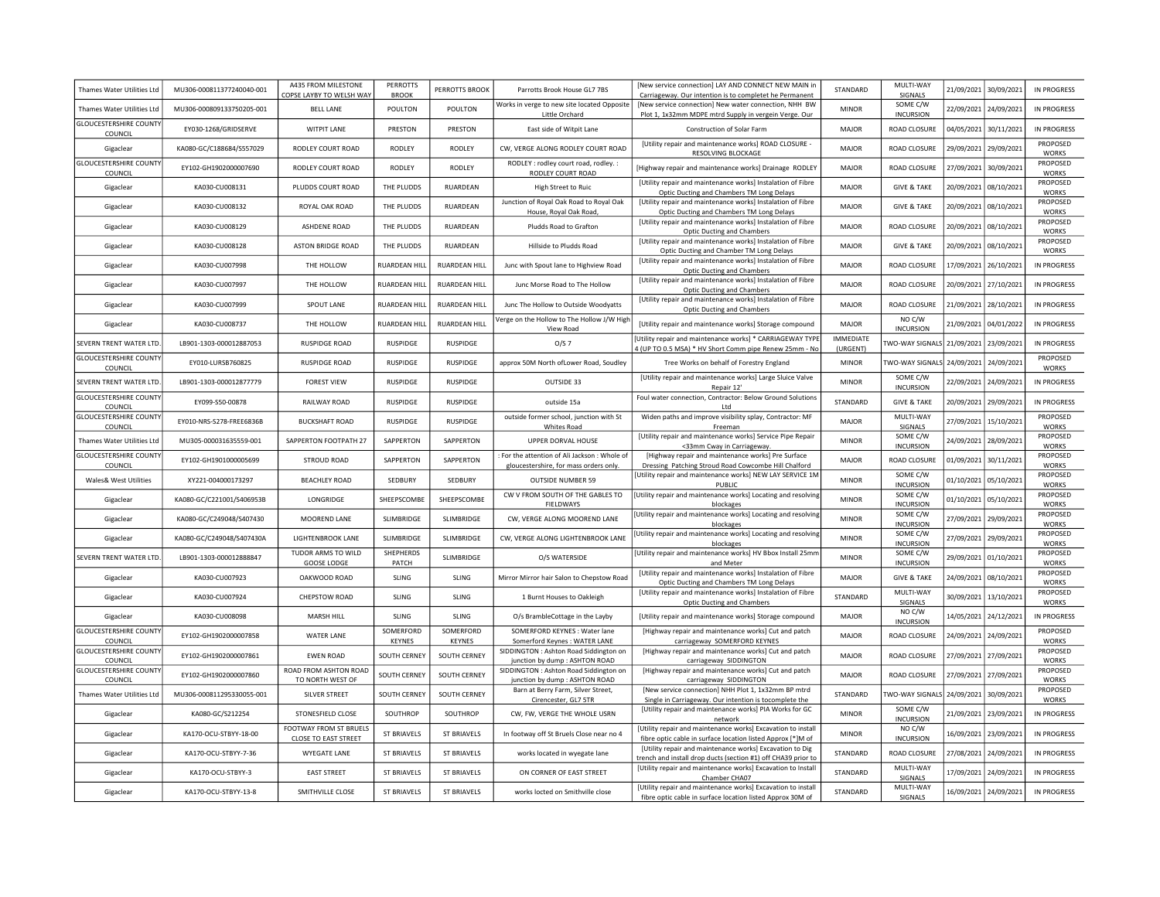| Thames Water Utilities Ltd               | MU306-000811377240040-001 | A435 FROM MILESTONE<br>COPSE LAYBY TO WELSH WAY | <b>PERROTTS</b><br><b>BROOK</b> | PERROTTS BROOK       | Parrotts Brook House GL7 7BS                                                         | [New service connection] LAY AND CONNECT NEW MAIN ir<br>Carriageway. Our intention is to completet he Permanent            | STANDARD                     | MULTI-WAY<br>SIGNALS         | 21/09/2021 | 30/09/2021            | IN PROGRESS              |
|------------------------------------------|---------------------------|-------------------------------------------------|---------------------------------|----------------------|--------------------------------------------------------------------------------------|----------------------------------------------------------------------------------------------------------------------------|------------------------------|------------------------------|------------|-----------------------|--------------------------|
| Thames Water Utilities Ltd               | MU306-000809133750205-001 | <b>BELL LANE</b>                                | POULTON                         | POULTON              | Works in verge to new site located Opposite<br>Little Orchard                        | [New service connection] New water connection, NHH BW<br>Plot 1, 1x32mm MDPE mtrd Supply in vergein Verge. Our             | <b>MINOR</b>                 | SOME C/W<br><b>INCURSION</b> | 22/09/2021 | 24/09/2021            | IN PROGRESS              |
| <b>GLOUCESTERSHIRE COUNTY</b><br>COUNCIL | EY030-1268/GRIDSERVE      | <b>WITPIT LANE</b>                              | PRESTON                         | PRESTON              | East side of Witpit Lane                                                             | Construction of Solar Farm                                                                                                 | MAJOR                        | ROAD CLOSURE                 |            | 04/05/2021 30/11/2021 | <b>IN PROGRESS</b>       |
| Gigaclear                                | KA080-GC/C188684/S557029  | RODLEY COURT ROAD                               | RODLEY                          | RODLEY               | CW, VERGE ALONG RODLEY COURT ROAD                                                    | [Utility repair and maintenance works] ROAD CLOSURE -<br>RESOLVING BLOCKAGE                                                | MAJOR                        | ROAD CLOSURE                 | 29/09/2021 | 29/09/2021            | PROPOSED<br><b>WORKS</b> |
| <b>GLOUCESTERSHIRE COUNTY</b><br>COUNCIL | EY102-GH1902000007690     | RODLEY COURT ROAD                               | RODLEY                          | RODLEY               | RODLEY : rodley court road, rodley. :<br>RODLEY COURT ROAD                           | [Highway repair and maintenance works] Drainage RODLEY                                                                     | MAJOR                        | ROAD CLOSURE                 |            | 27/09/2021 30/09/2021 | PROPOSED<br><b>WORKS</b> |
| Gigaclear                                | KA030-CU008131            | PLUDDS COURT ROAD                               | THE PLUDDS                      | RUARDEAN             | <b>High Street to Ruic</b>                                                           | <b>IUtility repair and maintenance works] Instalation of Fibre</b><br>Optic Ducting and Chambers TM Long Delays            | MAIOR                        | <b>GIVE &amp; TAKE</b>       | 20/09/2021 | 08/10/2021            | PROPOSED<br><b>WORKS</b> |
| Gigaclear                                | KA030-CU008132            | ROYAL OAK ROAD                                  | THE PLUDDS                      | RUARDEAN             | Junction of Royal Oak Road to Royal Oak<br>House, Royal Oak Road                     | [Utility repair and maintenance works] Instalation of Fibre<br>Optic Ducting and Chambers TM Long Delays                   | MAIOR                        | <b>GIVE &amp; TAKE</b>       | 20/09/2021 | 08/10/2021            | PROPOSED<br><b>WORKS</b> |
| Gigaclear                                | KA030-CU008129            | ASHDENE ROAD                                    | THE PLUDDS                      | RUARDEAN             | Pludds Road to Grafton                                                               | [Utility repair and maintenance works] Instalation of Fibre<br><b>Optic Ducting and Chambers</b>                           | MAJOR                        | ROAD CLOSURE                 | 20/09/2021 | 08/10/2021            | PROPOSED<br><b>WORKS</b> |
| Gigaclear                                | KA030-CU008128            | <b>ASTON BRIDGE ROAD</b>                        | THE PLUDDS                      | RUARDEAN             | Hillside to Pludds Road                                                              | [Utility repair and maintenance works] Instalation of Fibre<br>Optic Ducting and Chamber TM Long Delays                    | MAIOR                        | <b>GIVE &amp; TAKE</b>       | 20/09/2021 | 08/10/2021            | PROPOSED<br><b>WORKS</b> |
| Gigaclear                                | KA030-CU007998            | THE HOLLOW                                      | RUARDEAN HILI                   | RUARDEAN HILL        | Junc with Spout lane to Highview Road                                                | [Utility repair and maintenance works] Instalation of Fibre<br><b>Optic Ducting and Chambers</b>                           | <b>MAJOR</b>                 | ROAD CLOSURE                 | 17/09/2021 | 26/10/2021            | IN PROGRESS              |
| Gigaclear                                | KA030-CU007997            | THE HOLLOW                                      | <b>RUARDEAN HILL</b>            | <b>RUARDEAN HILL</b> | Junc Morse Road to The Hollow                                                        | [Utility repair and maintenance works] Instalation of Fibre<br><b>Optic Ducting and Chambers</b>                           | MAJOR                        | <b>ROAD CLOSURE</b>          | 20/09/2021 | 27/10/2021            | <b>IN PROGRESS</b>       |
| Gigaclear                                | KA030-CU007999            | SPOUT LANE                                      | <b>RUARDEAN HILL</b>            | <b>RUARDEAN HILL</b> | Junc The Hollow to Outside Woodyatts                                                 | [Utility repair and maintenance works] Instalation of Fibre<br>Optic Ducting and Chambers                                  | MAJOR                        | ROAD CLOSURE                 | 21/09/2021 | 28/10/2021            | <b>IN PROGRESS</b>       |
| Gigaclear                                | KA030-CU008737            | THE HOLLOW                                      | RUARDEAN HILI                   | RUARDEAN HILL        | Verge on the Hollow to The Hollow J/W High<br>View Road                              | [Utility repair and maintenance works] Storage compound                                                                    | MAJOR                        | NO C/W<br><b>INCURSION</b>   | 21/09/2021 | 04/01/2022            | IN PROGRESS              |
| SEVERN TRENT WATER LTD                   | LB901-1303-000012887053   | <b>RUSPIDGE ROAD</b>                            | RUSPIDGE                        | RUSPIDGE             | O/S 7                                                                                | [Utility repair and maintenance works] * CARRIAGEWAY TYPE<br>4 (UP TO 0.5 MSA) * HV Short Comm pipe Renew 25mm - No        | <b>IMMEDIATE</b><br>(URGENT) | TWO-WAY SIGNALS              | 21/09/2021 | 23/09/2021            | IN PROGRESS              |
| <b>GLOUCESTERSHIRE COUNTY</b><br>COUNCIL | EY010-LURSB760825         | <b>RUSPIDGE ROAD</b>                            | RUSPIDGE                        | <b>RUSPIDGE</b>      | approx 50M North ofLower Road, Soudley                                               | Tree Works on behalf of Forestry England                                                                                   | <b>MINOR</b>                 | TWO-WAY SIGNALS              | 24/09/2021 | 24/09/2021            | PROPOSED<br>WORKS        |
| SEVERN TRENT WATER LTD                   | LB901-1303-000012877779   | <b>FOREST VIEW</b>                              | RUSPIDGE                        | <b>RUSPIDGE</b>      | OUTSIDE 33                                                                           | [Utility repair and maintenance works] Large Sluice Valve<br>Repair 12'                                                    | <b>MINOR</b>                 | SOME C/W<br><b>INCURSION</b> | 22/09/2021 | 24/09/2021            | IN PROGRESS              |
| <b>GLOUCESTERSHIRE COUNTY</b><br>COUNCIL | FY099-S50-00878           | RAII WAY ROAD                                   | <b>RUSPIDGE</b>                 | <b>RUSPIDGE</b>      | outside 15a                                                                          | Foul water connection, Contractor: Below Ground Solutions<br>I td                                                          | STANDARD                     | <b>GIVE &amp; TAKE</b>       | 20/09/2021 | 29/09/2021            | IN PROGRESS              |
| <b>GLOUCESTERSHIRE COUNTY</b><br>COUNCIL | EY010-NRS-S278-FREE6836B  | <b>BUCKSHAFT ROAD</b>                           | <b>RUSPIDGE</b>                 | <b>RUSPIDGE</b>      | outside former school, junction with St<br><b>Whites Road</b>                        | Widen paths and improve visibility splay, Contractor: MF<br>Freeman                                                        | <b>MAJOR</b>                 | MULTI-WAY<br>SIGNALS         | 27/09/2021 | 15/10/2021            | PROPOSED<br><b>WORKS</b> |
| Thames Water Utilities Ltd               | MU305-000031635559-001    | SAPPERTON FOOTPATH 27                           | SAPPERTON                       | SAPPERTON            | UPPER DORVAL HOUSE                                                                   | [Utility repair and maintenance works] Service Pipe Repair<br><33mm Cway in Carriageway                                    | <b>MINOR</b>                 | SOME C/W<br><b>INCURSION</b> | 24/09/2021 | 28/09/2021            | PROPOSED<br><b>WORKS</b> |
| <b>GLOUCESTERSHIRE COUNTY</b><br>COUNCIL | EY102-GH1901000005699     | <b>STROUD ROAD</b>                              | SAPPERTON                       | SAPPERTON            | For the attention of Ali Jackson: Whole of<br>gloucestershire, for mass orders only. | [Highway repair and maintenance works] Pre Surface<br>Dressing Patching Stroud Road Cowcombe Hill Chalford                 | MAJOR                        | ROAD CLOSURE                 | 01/09/2021 | 30/11/2021            | PROPOSED<br>WORKS        |
| <b>Wales&amp; West Utilities</b>         | XY221-004000173297        | <b>BEACHLEY ROAD</b>                            | SEDBURY                         | SEDBURY              | <b>OUTSIDE NUMBER 59</b>                                                             | [Utility repair and maintenance works] NEW LAY SERVICE 1M<br>PUBLIC                                                        | <b>MINOR</b>                 | SOME C/W<br><b>INCURSION</b> | 01/10/2021 | 05/10/2021            | PROPOSED<br>WORKS        |
| Gigaclear                                | KA080-GC/C221001/S406953B | LONGRIDGE                                       | SHEEPSCOMBE                     | SHEEPSCOMBE          | CW V FROM SOUTH OF THE GABLES TO<br><b>FIELDWAYS</b>                                 | [Utility repair and maintenance works] Locating and resolving<br>blockages                                                 | <b>MINOR</b>                 | SOME C/W<br><b>INCURSION</b> | 01/10/2021 | 05/10/2021            | PROPOSED<br><b>WORKS</b> |
| Gigaclear                                | KA080-GC/C249048/S407430  | MOOREND LANE                                    | SLIMBRIDGE                      | SLIMBRIDGE           | CW, VERGE ALONG MOOREND LANE                                                         | [Utility repair and maintenance works] Locating and resolving<br>blockages                                                 | <b>MINOR</b>                 | SOME C/W<br><b>INCURSION</b> | 27/09/2021 | 29/09/2021            | PROPOSED<br><b>WORKS</b> |
| Gigaclear                                | KA080-GC/C249048/S407430A | LIGHTENBROOK LANE                               | SLIMBRIDGE                      | SLIMBRIDGE           | CW, VERGE ALONG LIGHTENBROOK LANE                                                    | [Utility repair and maintenance works] Locating and resolving<br>blockages                                                 | <b>MINOR</b>                 | SOME C/W<br><b>INCURSION</b> | 27/09/2021 | 29/09/2021            | PROPOSED<br>WORKS        |
| SEVERN TRENT WATER LTD                   | LB901-1303-000012888847   | TUDOR ARMS TO WILD<br><b>GOOSE LODGE</b>        | SHEPHERDS<br>PATCH              | SLIMBRIDGE           | O/S WATERSIDE                                                                        | [Utility repair and maintenance works] HV Bbox Install 25mn<br>and Meter                                                   | <b>MINOR</b>                 | SOME C/W<br><b>INCURSION</b> |            | 29/09/2021 01/10/2021 | PROPOSED<br><b>WORKS</b> |
| Gigaclear                                | KA030-CU007923            | OAKWOOD ROAD                                    | SLING                           | SLING                | Mirror Mirror hair Salon to Chepstow Road                                            | [Utility repair and maintenance works] Instalation of Fibre<br>Optic Ducting and Chambers TM Long Delays                   | MAJOR                        | <b>GIVE &amp; TAKE</b>       | 24/09/2021 | 08/10/2021            | PROPOSED<br>WORKS        |
| Gigaclear                                | KA030-CU007924            | CHEPSTOW ROAD                                   | <b>SLING</b>                    | SLING                | 1 Burnt Houses to Oakleigh                                                           | [Utility repair and maintenance works] Instalation of Fibre<br><b>Optic Ducting and Chambers</b>                           | STANDARD                     | MULTI-WAY<br>SIGNALS         | 30/09/2021 | 13/10/2021            | PROPOSED<br><b>WORKS</b> |
| Gigaclear                                | KA030-CU008098            | MARSH HILL                                      | SLING                           | <b>SLING</b>         | O/s BrambleCottage in the Layby                                                      | [Utility repair and maintenance works] Storage compound                                                                    | MAJOR                        | NO C/W<br><b>INCURSION</b>   | 14/05/2021 | 24/12/2021            | IN PROGRESS              |
| <b>GLOUCESTERSHIRE COUNTY</b><br>COUNCIL | EY102-GH1902000007858     | WATER LANE                                      | SOMERFORD<br>KEYNES             | SOMERFORD<br>KEYNES  | SOMERFORD KEYNES : Water lane<br>Somerford Keynes: WATER LANE                        | [Highway repair and maintenance works] Cut and patch<br>carriageway SOMERFORD KEYNES                                       | MAJOR                        | ROAD CLOSURE                 | 24/09/2021 | 24/09/2021            | PROPOSED<br><b>WORKS</b> |
| <b>GLOUCESTERSHIRE COUNTY</b><br>COUNCIL | EY102-GH1902000007861     | <b>EWEN ROAD</b>                                | <b>SOUTH CERNEY</b>             | SOUTH CERNEY         | SIDDINGTON: Ashton Road Siddington on<br>junction by dump : ASHTON ROAD              | [Highway repair and maintenance works] Cut and patch<br>carriageway SIDDINGTON                                             | MAJOR                        | ROAD CLOSURE                 |            | 27/09/2021 27/09/2021 | PROPOSED<br><b>WORKS</b> |
| <b>GLOUCESTERSHIRE COUNTY</b><br>COUNCIL | EY102-GH1902000007860     | ROAD FROM ASHTON ROAD<br>TO NORTH WEST OF       | SOUTH CERNEY                    | SOUTH CERNEY         | SIDDINGTON : Ashton Road Siddington on<br>junction by dump : ASHTON ROAD             | [Highway repair and maintenance works] Cut and patch<br>carriageway SIDDINGTON                                             | <b>MAJOR</b>                 | ROAD CLOSURE                 |            | 27/09/2021 27/09/2021 | PROPOSED<br><b>WORKS</b> |
| Thames Water Utilities Ltd               | MU306-000811295330055-001 | SILVER STREET                                   | <b>SOUTH CERNEY</b>             | SOUTH CERNEY         | Barn at Berry Farm, Silver Street,<br>Cirencester, GL7 5TR                           | [New service connection] NHH Plot 1, 1x32mm BP mtrd<br>Single in Carriageway. Our intention is tocomplete the              | STANDARD                     | TWO-WAY SIGNALS 24/09/2021   |            | 30/09/2021            | PROPOSED<br><b>WORKS</b> |
| Gigaclear                                | KA080-GC/S212254          | STONESFIELD CLOSE                               | SOUTHROP                        | SOUTHROP             | CW, FW, VERGE THE WHOLE USRN                                                         | [Utility repair and maintenance works] PIA Works for GC<br>network                                                         | <b>MINOR</b>                 | SOME C/W<br><b>INCURSION</b> | 21/09/2021 | 23/09/2021            | <b>IN PROGRESS</b>       |
| Gigaclear                                | KA170-OCU-STBYY-18-00     | FOOTWAY FROM ST BRUELS<br>CLOSE TO EAST STREET  | ST BRIAVELS                     | ST BRIAVELS          | In footway off St Bruels Close near no 4                                             | [Utility repair and maintenance works] Excavation to instal<br>fibre optic cable in surface location listed Approx [*]M of | <b>MINOR</b>                 | NO C/W<br><b>INCURSION</b>   |            | 16/09/2021 23/09/2021 | IN PROGRESS              |
| Gigaclear                                | KA170-OCU-STBYY-7-36      | WYEGATE LANE                                    | <b>ST BRIAVELS</b>              | <b>ST BRIAVELS</b>   | works located in wyegate lane                                                        | [Utility repair and maintenance works] Excavation to Dig<br>trench and install drop ducts (section #1) off CHA39 prior to  | STANDARD                     | ROAD CLOSURE                 | 27/08/2021 | 24/09/2021            | <b>IN PROGRESS</b>       |
| Gigaclear                                | KA170-OCU-STBYY-3         | <b>EAST STREET</b>                              | <b>ST BRIAVELS</b>              | ST BRIAVELS          | ON CORNER OF EAST STREET                                                             | [Utility repair and maintenance works] Excavation to Instal<br>Chamber CHA07                                               | STANDARD                     | MULTI-WAY<br>SIGNALS         | 17/09/2021 | 24/09/2021            | <b>IN PROGRESS</b>       |
| Gigaclear                                | KA170-OCU-STBYY-13-8      | SMITHVILLE CLOSE                                | <b>ST BRIAVELS</b>              | <b>ST BRIAVELS</b>   | works locted on Smithville close                                                     | [Utility repair and maintenance works] Excavation to install<br>fibre optic cable in surface location listed Approx 30M of | STANDARD                     | MULTI-WAY<br>SIGNALS         | 16/09/2021 | 24/09/2021            | <b>IN PROGRESS</b>       |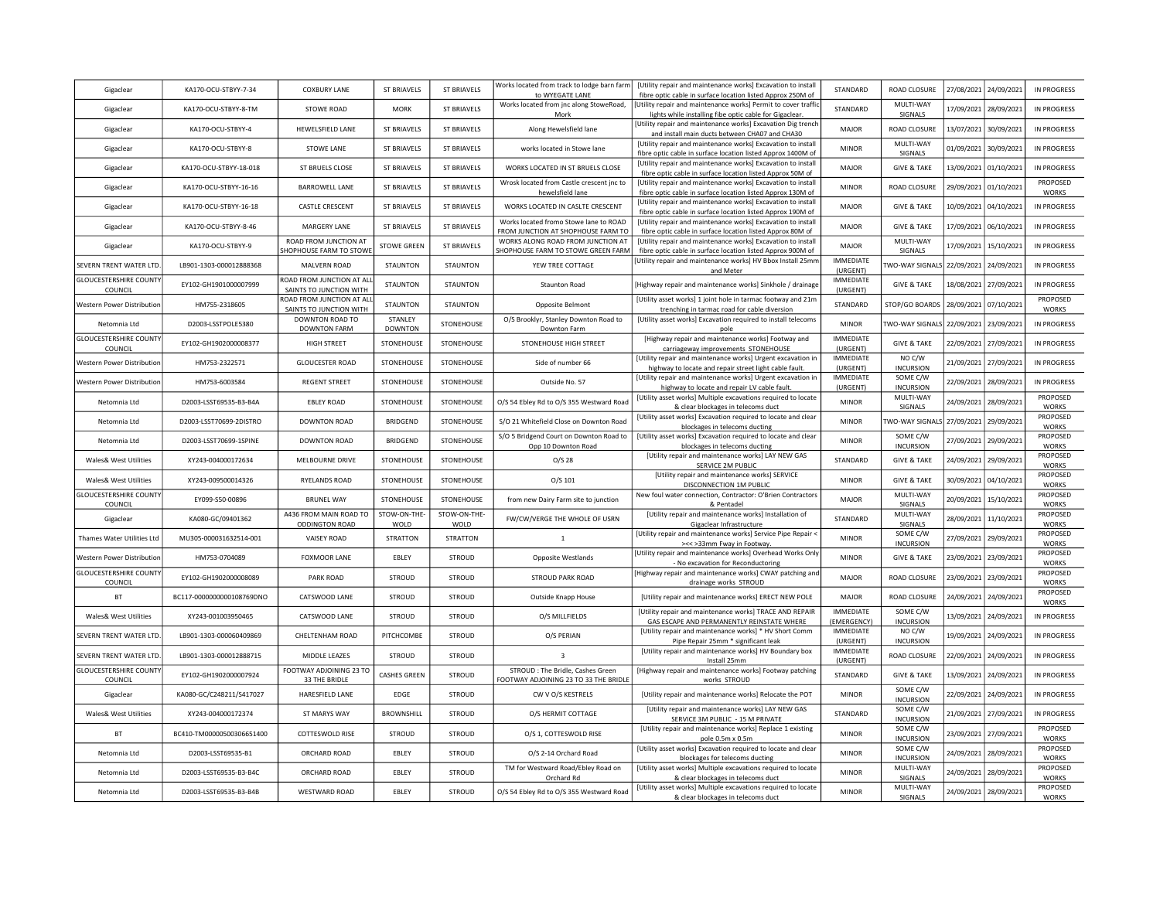| Gigaclear                                | KA170-OCU-STBYY-7-34      | <b>COXBURY LANE</b>                                  | <b>ST BRIAVELS</b>        | <b>ST BRIAVELS</b>   | Works located from track to lodge barn farm<br>to WYEGATE LANE               | [Utility repair and maintenance works] Excavation to install<br>fibre optic cable in surface location listed Approx 250M of  | STANDARD                        | ROAD CLOSURE                 | 27/08/2021            | 24/09/2021            | IN PROGRESS              |
|------------------------------------------|---------------------------|------------------------------------------------------|---------------------------|----------------------|------------------------------------------------------------------------------|------------------------------------------------------------------------------------------------------------------------------|---------------------------------|------------------------------|-----------------------|-----------------------|--------------------------|
| Gigaclear                                | KA170-OCU-STBYY-8-TM      | STOWE ROAD                                           | <b>MORK</b>               | ST BRIAVELS          | Works located from jnc along StoweRoad,<br>Mork                              | Utility repair and maintenance works] Permit to cover traffic<br>lights while installing fibe optic cable for Gigaclear.     | <b>STANDARD</b>                 | MULTI-WAY<br>SIGNALS         |                       | 17/09/2021 28/09/2021 | IN PROGRESS              |
| Gigaclear                                | KA170-OCU-STBYY-4         | HEWELSFIELD LANE                                     | <b>ST BRIAVELS</b>        | ST BRIAVELS          | Along Hewelsfield lane                                                       | Utility repair and maintenance works] Excavation Dig trencl<br>and install main ducts between CHA07 and CHA30                | <b>MAJOR</b>                    | ROAD CLOSURE                 |                       | 13/07/2021 30/09/2021 | IN PROGRESS              |
| Gigaclear                                | KA170-OCU-STBYY-8         | STOWE LANE                                           | <b>ST BRIAVELS</b>        | ST BRIAVELS          | works located in Stowe lane                                                  | [Utility repair and maintenance works] Excavation to install<br>fibre optic cable in surface location listed Approx 1400M of | <b>MINOR</b>                    | MULTI-WAY<br>SIGNALS         | 01/09/2021            | 30/09/2021            | IN PROGRESS              |
| Gigaclear                                | KA170-OCU-STBYY-18-018    | ST BRUELS CLOSE                                      | <b>ST BRIAVELS</b>        | ST BRIAVELS          | WORKS LOCATED IN ST BRUELS CLOSE                                             | [Utility repair and maintenance works] Excavation to install<br>fibre optic cable in surface location listed Approx 50M of   | MAJOR                           | <b>GIVE &amp; TAKE</b>       |                       | 13/09/2021 01/10/2021 | IN PROGRESS              |
| Gigaclear                                | KA170-OCU-STBYY-16-16     | <b>BARROWELL LANE</b>                                | ST BRIAVELS               | <b>ST BRIAVELS</b>   | Wrosk located from Castle crescent jnc to<br>hewelsfield lane                | [Utility repair and maintenance works] Excavation to install<br>fibre optic cable in surface location listed Approx 130M of  | <b>MINOR</b>                    | ROAD CLOSURE                 |                       | 29/09/2021 01/10/2021 | PROPOSED<br>WORKS        |
| Gigaclear                                | KA170-OCU-STBYY-16-18     | CASTLE CRESCENT                                      | <b>ST BRIAVELS</b>        | ST BRIAVELS          | WORKS LOCATED IN CASLTE CRESCENT                                             | [Utility repair and maintenance works] Excavation to install<br>fibre optic cable in surface location listed Approx 190M of  | MAJOR                           | <b>GIVE &amp; TAKE</b>       | 10/09/2021            | 04/10/2021            | IN PROGRESS              |
| Gigaclear                                | KA170-OCU-STBYY-8-46      | MARGERY LANE                                         | ST BRIAVELS               | <b>ST BRIAVELS</b>   | Works located fromo Stowe lane to ROAD<br>FROM JUNCTION AT SHOPHOUSE FARM TO | [Utility repair and maintenance works] Excavation to install<br>fibre optic cable in surface location listed Approx 80M of   | MAJOR                           | <b>GIVE &amp; TAKE</b>       | 17/09/2021            | 06/10/2021            | <b>IN PROGRESS</b>       |
| Gigaclear                                | KA170-OCU-STBYY-9         | ROAD FROM JUNCTION AT<br>SHOPHOUSE FARM TO STOWE     | <b>STOWE GREEN</b>        | <b>ST BRIAVELS</b>   | WORKS ALONG ROAD FROM JUNCTION AT<br>HOPHOUSE FARM TO STOWE GREEN FARM       | [Utility repair and maintenance works] Excavation to install<br>fibre optic cable in surface location listed Approx 900M of  | MAJOR                           | MULTI-WAY<br>SIGNALS         | 17/09/2021            | 15/10/2021            | IN PROGRESS              |
| SEVERN TRENT WATER LTD.                  | LB901-1303-000012888368   | MALVERN ROAD                                         | STAUNTON                  | <b>STAUNTON</b>      | YEW TREE COTTAGE                                                             | Utility repair and maintenance works] HV Bbox Install 25mm<br>and Meter                                                      | <b>IMMEDIATE</b><br>(URGENT)    | <b>TWO-WAY SIGNALS</b>       | 22/09/2021            | 24/09/2021            | IN PROGRESS              |
| <b>GLOUCESTERSHIRE COUNTY</b><br>COUNCIL | EY102-GH1901000007999     | ROAD FROM JUNCTION AT ALL<br>SAINTS TO JUNCTION WITH | STAUNTON                  | <b>STAUNTON</b>      | Staunton Road                                                                | [Highway repair and maintenance works] Sinkhole / drainage                                                                   | <b>IMMEDIATE</b><br>(URGENT)    | <b>GIVE &amp; TAKE</b>       | 18/08/2021            | 27/09/2021            | IN PROGRESS              |
| <b>Nestern Power Distribution</b>        | HM755-2318605             | ROAD FROM JUNCTION AT ALL<br>SAINTS TO JUNCTION WITH | <b>STAUNTON</b>           | <b>STAUNTON</b>      | Opposite Belmont                                                             | [Utility asset works] 1 joint hole in tarmac footway and 21m<br>trenching in tarmac road for cable diversion                 | STANDARD                        | STOP/GO BOARDS               | 28/09/2021            | 07/10/2021            | PROPOSED<br><b>WORKS</b> |
| Netomnia Ltd                             | D2003-LSSTPOLE5380        | DOWNTON ROAD TO<br><b>DOWNTON FARM</b>               | STANLEY<br><b>DOWNTON</b> | STONEHOUSE           | O/S Brooklyr, Stanley Downton Road to<br>Downton Farm                        | [Utility asset works] Excavation required to install telecoms<br>pole                                                        | MINOR                           | TWO-WAY SIGNALS              | 22/09/2021            | 23/09/2021            | IN PROGRESS              |
| <b>GLOUCESTERSHIRE COUNTY</b><br>COUNCIL | EY102-GH1902000008377     | HIGH STREET                                          | STONEHOUSE                | STONEHOUSE           | STONEHOUSE HIGH STREET                                                       | [Highway repair and maintenance works] Footway and<br>carriageway improvements STONEHOUSE                                    | <b>IMMEDIATE</b><br>(URGENT)    | <b>GIVE &amp; TAKE</b>       | 22/09/2021            | 27/09/2021            | IN PROGRESS              |
| Western Power Distribution               | HM753-2322571             | <b>GLOUCESTER ROAD</b>                               | STONEHOUSE                | STONEHOUSE           | Side of number 66                                                            | [Utility repair and maintenance works] Urgent excavation in<br>highway to locate and repair street light cable fault.        | <b>IMMEDIATE</b><br>(URGENT)    | NO C/W<br><b>INCURSION</b>   | 21/09/2021            | 27/09/2021            | IN PROGRESS              |
| Western Power Distribution               | HM753-6003584             | <b>REGENT STREET</b>                                 | STONEHOUSE                | STONEHOUSE           | Outside No. 57                                                               | [Utility repair and maintenance works] Urgent excavation in<br>highway to locate and repair LV cable fault.                  | <b>IMMEDIATE</b><br>(URGENT)    | SOME C/W<br><b>INCURSION</b> | 22/09/2021            | 28/09/2021            | IN PROGRESS              |
| Netomnia Ltd                             | D2003-LSST69535-B3-B4A    | <b>EBLEY ROAD</b>                                    | STONEHOUSE                | STONEHOUSE           | O/S 54 Ebley Rd to O/S 355 Westward Road                                     | [Utility asset works] Multiple excavations required to locate<br>& clear blockages in telecoms duct                          | <b>MINOR</b>                    | MULTI-WAY<br>SIGNALS         |                       | 24/09/2021 28/09/2021 | PROPOSED<br><b>WORKS</b> |
| Netomnia Ltd                             | D2003-LSST70699-2DISTRO   | <b>DOWNTON ROAD</b>                                  | <b>BRIDGEND</b>           | STONEHOUSE           | S/O 21 Whitefield Close on Downton Road                                      | [Utility asset works] Excavation required to locate and clear<br>blockages in telecoms ducting                               | <b>MINOR</b>                    | TWO-WAY SIGNALS              | 27/09/2021 29/09/2021 |                       | PROPOSED<br><b>WORKS</b> |
| Netomnia I td                            | D2003-LSST70699-1SPINE    | DOWNTON ROAD                                         | BRIDGEND                  | STONEHOUSE           | S/O 5 Bridgend Court on Downton Road to<br>Opp 10 Downton Road               | [Utility asset works] Excavation required to locate and clear<br>blockages in telecoms ducting                               | <b>MINOR</b>                    | SOME C/W<br><b>INCURSION</b> | 27/09/2021            | 29/09/2021            | PROPOSED<br><b>WORKS</b> |
| Wales& West Utilities                    | XY243-004000172634        | MELBOURNE DRIVE                                      | STONEHOUSE                | <b>STONFHOUSE</b>    | O/S <sub>28</sub>                                                            | [Utility repair and maintenance works] LAY NEW GAS<br>SERVICE 2M PUBLIC                                                      | STANDARD                        | <b>GIVE &amp; TAKE</b>       |                       | 24/09/2021 29/09/2021 | PROPOSED<br><b>WORKS</b> |
| Wales& West Utilities                    | XY243-009500014326        | RYELANDS ROAD                                        | STONEHOUSE                | STONEHOUSE           | 0/S 101                                                                      | [Utility repair and maintenance works] SERVICE<br>DISCONNECTION 1M PUBLIC                                                    | <b>MINOR</b>                    | <b>GIVE &amp; TAKE</b>       | 30/09/2021            | 04/10/2021            | PROPOSED<br>WORKS        |
| <b>GLOUCESTERSHIRE COUNTY</b><br>COUNCIL | EY099-S50-00896           | <b>BRUNEL WAY</b>                                    | STONEHOUSE                | STONEHOUSE           | from new Dairy Farm site to junction                                         | New foul water connection, Contractor: O'Brien Contractors<br>& Pentadel                                                     | MAJOR                           | MULTI-WAY<br>SIGNALS         | 20/09/2021            | 15/10/2021            | PROPOSED<br>WORKS        |
| Gigaclear                                | KA080-GC/09401362         | A436 FROM MAIN ROAD TO<br>ODDINGTON ROAD             | STOW-ON-THE-<br>WOLD      | STOW-ON-THE-<br>WOLD | FW/CW/VERGE THE WHOLE OF USRN                                                | [Utility repair and maintenance works] Installation of<br>Gigaclear Infrastructure                                           | STANDARD                        | MULTI-WAY<br>SIGNALS         | 28/09/2021            | 11/10/2021            | PROPOSED<br>WORKS        |
| Thames Water Utilities Ltd               | MU305-000031632514-001    | <b>VAISEY ROAD</b>                                   | STRATTON                  | <b>STRATTON</b>      | 1                                                                            | [Utility repair and maintenance works] Service Pipe Repair<br>><< >33mm Fway in Footway.                                     | MINOR                           | SOME C/W<br><b>INCURSION</b> | 27/09/2021            | 29/09/2021            | PROPOSED<br><b>WORKS</b> |
| Western Power Distribution               | HM753-0704089             | FOXMOOR LANE                                         | EBLEY                     | STROUD               | Opposite Westlands                                                           | Utility repair and maintenance works] Overhead Works Only<br>- No excavation for Reconductoring                              | <b>MINOR</b>                    | <b>GIVE &amp; TAKE</b>       |                       | 23/09/2021 23/09/2021 | PROPOSED<br>WORKS        |
| <b>GLOUCESTERSHIRE COUNTY</b><br>COUNCIL | EY102-GH1902000008089     | PARK ROAD                                            | <b>STROUD</b>             | <b>STROUD</b>        | STROUD PARK ROAD                                                             | Highway repair and maintenance works] CWAY patching and<br>drainage works STROUD                                             | MAJOR                           | ROAD CLOSURE                 |                       | 23/09/2021 23/09/2021 | PROPOSED<br>WORKS        |
| BT                                       | BC117-0000000000108769DNO | CATSWOOD LANE                                        | <b>STROUD</b>             | <b>STROUD</b>        | Outside Knapp House                                                          | [Utility repair and maintenance works] ERECT NEW POLE                                                                        | MAJOR                           | ROAD CLOSURE                 |                       | 24/09/2021 24/09/2021 | PROPOSED<br>WORKS        |
| Wales& West Utilities                    | XY243-001003950465        | CATSWOOD LANE                                        | <b>STROUD</b>             | STROUD               | O/S MILLFIELDS                                                               | [Utility repair and maintenance works] TRACE AND REPAIR<br>GAS ESCAPE AND PERMANENTLY REINSTATE WHERE                        | <b>IMMEDIATE</b><br>(EMERGENCY) | SOME C/W<br><b>INCURSION</b> |                       | 13/09/2021 24/09/2021 | IN PROGRESS              |
| SEVERN TRENT WATER LTD.                  | LB901-1303-000060409869   | CHELTENHAM ROAD                                      | PITCHCOMBE                | <b>STROUD</b>        | O/S PERIAN                                                                   | [Utility repair and maintenance works] * HV Short Comm<br>Pipe Repair 25mm * significant leak                                | IMMEDIATE<br>(URGENT)           | NO C/W<br><b>INCURSION</b>   |                       | 19/09/2021 24/09/2021 | IN PROGRESS              |
| SEVERN TRENT WATER LTD.                  | LB901-1303-000012888715   | MIDDLE LEAZES                                        | <b>STROUD</b>             | <b>STROUD</b>        | 3                                                                            | [Utility repair and maintenance works] HV Boundary box<br>Install 25mm                                                       | <b>IMMEDIATE</b><br>(URGENT)    | ROAD CLOSURE                 | 22/09/2021            | 24/09/2021            | IN PROGRESS              |
| <b>GLOUCESTERSHIRE COUNTY</b><br>COUNCIL | EY102-GH1902000007924     | FOOTWAY ADJOINING 23 TO<br>33 THE BRIDLE             | <b>CASHES GREEN</b>       | STROUD               | STROUD : The Bridle, Cashes Green<br>FOOTWAY ADJOINING 23 TO 33 THE BRIDLE   | [Highway repair and maintenance works] Footway patching<br>works STROUD                                                      | STANDARD                        | <b>GIVE &amp; TAKE</b>       | 13/09/2021            | 24/09/2021            | IN PROGRESS              |
| Gigaclear                                | KA080-GC/C248211/S417027  | HARESFIELD LANE                                      | <b>EDGE</b>               | STROUD               | CW V O/S KESTRELS                                                            | [Utility repair and maintenance works] Relocate the POT                                                                      | <b>MINOR</b>                    | SOME C/W<br><b>INCURSION</b> | 22/09/2021            | 24/09/2021            | IN PROGRESS              |
| <b>Wales&amp; West Utilities</b>         | XY243-004000172374        | <b>ST MARYS WAY</b>                                  | <b>BROWNSHILL</b>         | <b>STROUD</b>        | O/S HERMIT COTTAGE                                                           | [Utility repair and maintenance works] LAY NEW GAS<br>SERVICE 3M PUBLIC - 15 M PRIVATE                                       | STANDARD                        | SOME C/W<br><b>INCURSION</b> |                       | 21/09/2021 27/09/2021 | IN PROGRESS              |
| BT                                       | BC410-TM00000500306651400 | <b>COTTESWOLD RISE</b>                               | <b>STROUD</b>             | <b>STROUD</b>        | O/S 1, COTTESWOLD RISE                                                       | [Utility repair and maintenance works] Replace 1 existing<br>pole 0.5m x 0.5m                                                | <b>MINOR</b>                    | SOME C/W<br><b>INCURSION</b> |                       | 23/09/2021 27/09/2021 | PROPOSED<br><b>WORKS</b> |
| Netomnia Ltd                             | D2003-LSST69535-B1        | ORCHARD ROAD                                         | EBLEY                     | STROUD               | O/S 2-14 Orchard Road                                                        | [Utility asset works] Excavation required to locate and clear<br>blockages for telecoms ducting                              | <b>MINOR</b>                    | SOME C/W<br><b>INCURSION</b> |                       | 24/09/2021 28/09/2021 | PROPOSED<br><b>WORKS</b> |
| Netomnia Ltd                             | D2003-LSST69535-B3-B4C    | ORCHARD ROAD                                         | EBLEY                     | <b>STROUD</b>        | TM for Westward Road/Ebley Road on<br>Orchard Rd                             | [Utility asset works] Multiple excavations required to locate<br>& clear blockages in telecoms duct                          | <b>MINOR</b>                    | MULTI-WAY<br>SIGNALS         |                       | 24/09/2021 28/09/2021 | PROPOSED<br><b>WORKS</b> |
| Netomnia Ltd                             | D2003-LSST69535-B3-B4B    | <b>WESTWARD ROAD</b>                                 | EBLEY                     | <b>STROUD</b>        | O/S 54 Ebley Rd to O/S 355 Westward Road                                     | [Utility asset works] Multiple excavations required to locate<br>& clear blockages in telecoms duct                          | <b>MINOR</b>                    | MULTI-WAY<br>SIGNALS         |                       | 24/09/2021 28/09/2021 | PROPOSED<br><b>WORKS</b> |
|                                          |                           |                                                      |                           |                      |                                                                              |                                                                                                                              |                                 |                              |                       |                       |                          |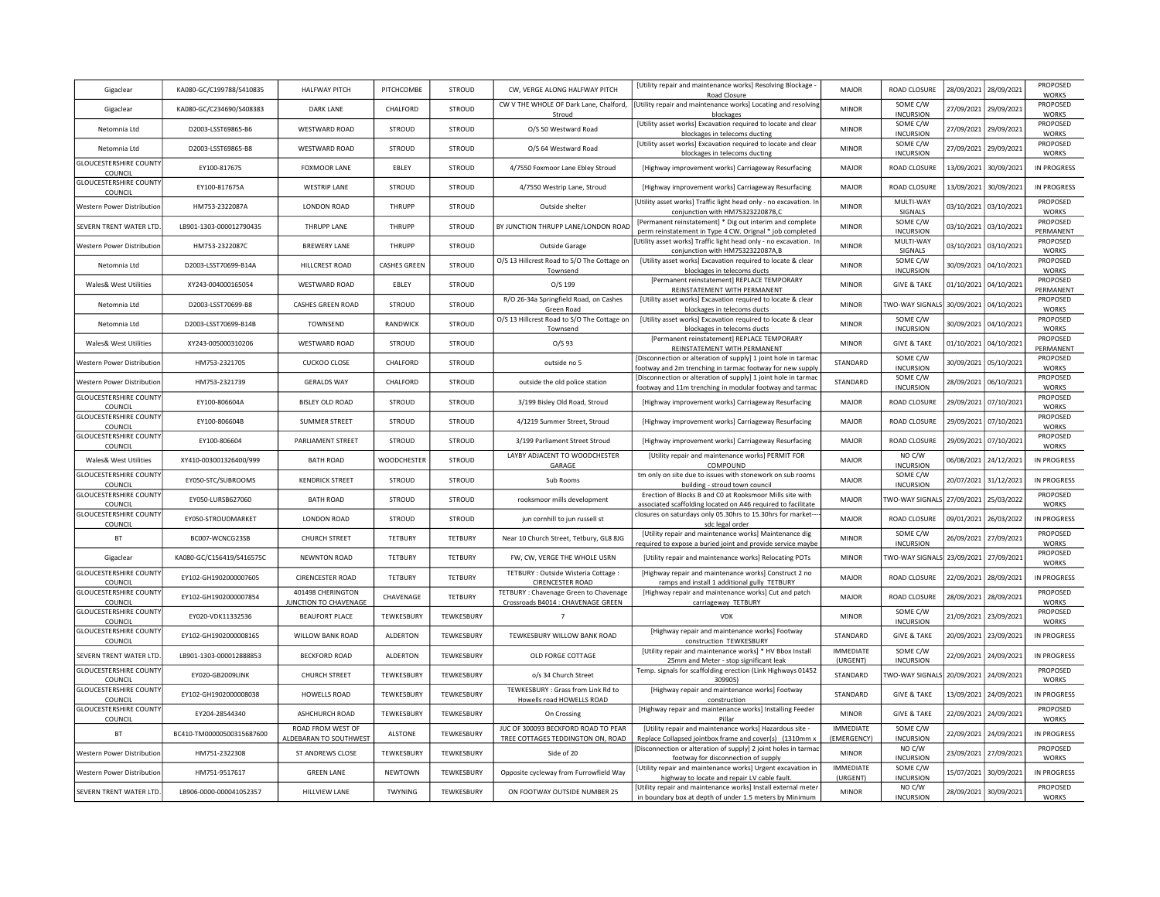| Gigaclear                                | KA080-GC/C199788/S410835  | <b>HALFWAY PITCH</b>                        | PITCHCOMBE     | <b>STROUD</b>  | CW, VERGE ALONG HALFWAY PITCH                                                | [Utility repair and maintenance works] Resolving Blockage<br>Road Closure                                                  | MAJOR                           | ROAD CLOSURE                          | 28/09/2021 28/09/2021 |                       | PROPOSED<br><b>WORKS</b> |
|------------------------------------------|---------------------------|---------------------------------------------|----------------|----------------|------------------------------------------------------------------------------|----------------------------------------------------------------------------------------------------------------------------|---------------------------------|---------------------------------------|-----------------------|-----------------------|--------------------------|
| Gigaclear                                | KA080-GC/C234690/S408383  | DARK LANE                                   | CHALFORD       | <b>STROUD</b>  | CW V THE WHOLE OF Dark Lane, Chalford,<br>Stroud                             | [Utility repair and maintenance works] Locating and resolving<br>blockages                                                 | <b>MINOR</b>                    | SOME C/W<br><b>INCURSION</b>          |                       | 27/09/2021 29/09/2021 | PROPOSED<br><b>WORKS</b> |
| Netomnia Ltd                             | D2003-LSST69865-B6        | <b>WESTWARD ROAD</b>                        | <b>STROUD</b>  | <b>STROUD</b>  | O/S 50 Westward Road                                                         | [Utility asset works] Excavation required to locate and clear<br>blockages in telecoms ducting                             | <b>MINOR</b>                    | SOME C/W<br><b>INCURSION</b>          |                       | 27/09/2021 29/09/2021 | PROPOSED<br><b>WORKS</b> |
| Netomnia I td                            | D2003-LSST69865-B8        | <b>WESTWARD ROAD</b>                        | <b>STROUD</b>  | <b>STROUD</b>  | O/S 64 Westward Road                                                         | [Utility asset works] Excavation required to locate and clear<br>blockages in telecoms ducting                             | <b>MINOR</b>                    | SOME C/W<br><b>INCURSION</b>          | 27/09/2021 29/09/2021 |                       | PROPOSED<br><b>WORKS</b> |
| <b>GLOUCESTERSHIRE COUNTY</b><br>COUNCIL | EY100-817675              | <b>FOXMOOR LANE</b>                         | EBLEY          | <b>STROUD</b>  | 4/7550 Foxmoor Lane Ebley Stroud                                             | [Highway improvement works] Carriageway Resurfacing                                                                        | <b>MAJOR</b>                    | ROAD CLOSURE                          |                       | 13/09/2021 30/09/2021 | IN PROGRESS              |
| <b>GLOUCESTERSHIRE COUNTY</b><br>COUNCIL | EY100-817675A             | <b>WESTRIP LANE</b>                         | STROUD         | <b>STROUD</b>  | 4/7550 Westrip Lane, Stroud                                                  | [Highway improvement works] Carriageway Resurfacing                                                                        | MAJOR                           | ROAD CLOSURE                          | 13/09/2021            | 30/09/2021            | IN PROGRESS              |
| Western Power Distribution               | HM753-2322087A            | <b>LONDON ROAD</b>                          | THRUPP         | <b>STROUD</b>  | Outside shelter                                                              | [Utility asset works] Traffic light head only - no excavation. Ir<br>conjunction with HM7532322087B,C                      | <b>MINOR</b>                    | MULTI-WAY<br>SIGNALS                  | 03/10/2021 03/10/2021 |                       | PROPOSED<br><b>WORKS</b> |
| SEVERN TRENT WATER LTD.                  | LB901-1303-000012790435   | THRUPP LANE                                 | THRUPP         | <b>STROUD</b>  | BY JUNCTION THRUPP LANE/LONDON ROAD                                          | [Permanent reinstatement] * Dig out interim and complete<br>perm reinstatement in Type 4 CW. Orignal * job completed       | <b>MINOR</b>                    | SOME C/W<br><b>INCURSION</b>          | 03/10/2021 03/10/2021 |                       | PROPOSED<br>PERMANENT    |
| Western Power Distributior               | HM753-2322087C            | <b>BREWERY LANE</b>                         | THRUPP         | <b>STROUD</b>  | Outside Garage                                                               | Utility asset works] Traffic light head only - no excavation. In<br>conjunction with HM7532322087A,B                       | <b>MINOR</b>                    | MULTI-WAY<br>SIGNALS                  | 03/10/2021 03/10/2021 |                       | PROPOSED<br><b>WORKS</b> |
| Netomnia Ltd                             | D2003-LSST70699-B14A      | HILLCREST ROAD                              | CASHES GREEN   | <b>STROUD</b>  | O/S 13 Hillcrest Road to S/O The Cottage on<br>Townsend                      | [Utility asset works] Excavation required to locate & clear<br>blockages in telecoms ducts                                 | <b>MINOR</b>                    | SOME C/W<br><b>INCURSION</b>          | 30/09/2021            | 04/10/2021            | PROPOSED<br>WORKS        |
| <b>Wales&amp; West Utilities</b>         | XY243-004000165054        | <b>WESTWARD ROAD</b>                        | EBLEY          | <b>STROUD</b>  | O/S 199                                                                      | [Permanent reinstatement] REPLACE TEMPORARY<br>REINSTATEMENT WITH PERMANENT                                                | <b>MINOR</b>                    | <b>GIVE &amp; TAKE</b>                | 01/10/2021            | 04/10/2021            | PROPOSED<br>PERMANENT    |
| Netomnia Ltd                             | D2003-LSST70699-B8        | CASHES GREEN ROAD                           | STROUD         | <b>STROUD</b>  | R/O 26-34a Springfield Road, on Cashes<br>Green Road                         | [Utility asset works] Excavation required to locate & clear<br>blockages in telecoms ducts                                 | <b>MINOR</b>                    | TWO-WAY SIGNALS                       | 30/09/2021            | 04/10/2021            | PROPOSED<br><b>WORKS</b> |
| Netomnia I td                            | D2003-LSST70699-B14B      | TOWNSEND                                    | RANDWICK       | <b>STROUD</b>  | O/S 13 Hillcrest Road to S/O The Cottage on<br>Townsend                      | [Utility asset works] Excavation required to locate & clear<br>blockages in telecoms ducts                                 | <b>MINOR</b>                    | SOME C/W<br><b>INCURSION</b>          | 30/09/2021            | 04/10/2021            | PROPOSED<br>WORKS        |
| Wales& West Utilities                    | XY243-005000310206        | WESTWARD ROAD                               | STROUD         | <b>STROUD</b>  | $O/S$ 93                                                                     | [Permanent reinstatement] REPLACE TEMPORARY<br>REINSTATEMENT WITH PERMANENT                                                | <b>MINOR</b>                    | <b>GIVE &amp; TAKE</b>                | 01/10/2021 04/10/2021 |                       | PROPOSED<br>PERMANENT    |
| Western Power Distribution               | HM753-2321705             | <b>CUCKOO CLOSE</b>                         | CHALFORD       | <b>STROUD</b>  | outside no 5                                                                 | [Disconnection or alteration of supply] 1 joint hole in tarmad<br>ootway and 2m trenching in tarmac footway for new supply | STANDARD                        | SOME C/W<br><b>INCURSION</b>          |                       | 30/09/2021 05/10/2021 | PROPOSED<br>WORKS        |
| Western Power Distribution               | HM753-2321739             | <b>GERALDS WAY</b>                          | CHALFORD       | <b>STROUD</b>  | outside the old police station                                               | [Disconnection or alteration of supply] 1 joint hole in tarmac<br>footway and 11m trenching in modular footway and tarmac  | STANDARD                        | SOME C/W<br><b>INCURSION</b>          | 28/09/2021 06/10/2021 |                       | PROPOSED<br><b>WORKS</b> |
| <b>GLOUCESTERSHIRE COUNTY</b><br>COUNCIL | EY100-806604A             | <b>BISLEY OLD ROAD</b>                      | <b>STROUD</b>  | <b>STROUD</b>  | 3/199 Bisley Old Road, Stroud                                                | [Highway improvement works] Carriageway Resurfacing                                                                        | MAIOR                           | ROAD CLOSURE                          | 29/09/2021 07/10/2021 |                       | PROPOSED<br><b>WORKS</b> |
| <b>GLOUCESTERSHIRE COUNTY</b><br>COUNCIL | EY100-806604B             | <b>SUMMER STREET</b>                        | <b>STROUD</b>  | <b>STROUD</b>  | 4/1219 Summer Street, Stroud                                                 | [Highway improvement works] Carriageway Resurfacing                                                                        | <b>MAJOR</b>                    | ROAD CLOSURE                          |                       | 29/09/2021 07/10/2021 | PROPOSED<br><b>WORKS</b> |
| <b>GLOUCESTERSHIRE COUNTY</b><br>COUNCIL | EY100-806604              | PARLIAMENT STREET                           | STROUD         | <b>STROUD</b>  | 3/199 Parliament Street Stroud                                               | [Highway improvement works] Carriageway Resurfacing                                                                        | MAJOR                           | ROAD CLOSURE                          | 29/09/2021 07/10/2021 |                       | PROPOSED<br>WORKS        |
| Wales& West Utilities                    | XY410-003001326400/999    | <b>BATH ROAD</b>                            | WOODCHESTER    | <b>STROUD</b>  | LAYBY ADJACENT TO WOODCHESTER<br>GARAGE                                      | [Utility repair and maintenance works] PERMIT FOR<br>COMPOUND                                                              | MAJOR                           | NO C/W<br><b>INCURSION</b>            | 06/08/2021            | 24/12/2021            | IN PROGRESS              |
| <b>GLOUCESTERSHIRE COUNTY</b><br>COUNCIL | EY050-STC/SUBROOMS        | <b>KENDRICK STREET</b>                      | <b>STROUD</b>  | <b>STROUD</b>  | Sub Rooms                                                                    | tm only on site due to issues with stonework on sub rooms<br>building - stroud town council                                | <b>MAJOR</b>                    | SOME C/W<br><b>INCURSION</b>          | 20/07/2021            | 31/12/2021            | <b>IN PROGRESS</b>       |
| <b>GLOUCESTERSHIRE COUNTY</b><br>COUNCIL | EY050-LURSB627060         | <b>BATH ROAD</b>                            | <b>STROUD</b>  | <b>STROUD</b>  | rooksmoor mills development                                                  | Erection of Blocks B and CO at Rooksmoor Mills site with<br>associated scaffolding located on A46 required to facilitate   | MAJOR                           | TWO-WAY SIGNALS                       | 27/09/2021            | 25/03/2022            | PROPOSED<br>WORKS        |
| <b>GLOUCESTERSHIRE COUNTY</b><br>COUNCIL | EY050-STROUDMARKET        | <b>LONDON ROAD</b>                          | STROUD         | STROUD         | jun cornhill to jun russell st                                               | losures on saturdays only 05.30hrs to 15.30hrs for market-<br>sdc legal order                                              | MAJOR                           | ROAD CLOSURE                          | 09/01/2021 26/03/2022 |                       | IN PROGRESS              |
| BT                                       | BC007-WCNCG23SB           | <b>CHURCH STREET</b>                        | TETBURY        | <b>TETBURY</b> | Near 10 Church Street, Tetbury, GL8 8JG                                      | [Utility repair and maintenance works] Maintenance dig<br>required to expose a buried joint and provide service maybe      | <b>MINOR</b>                    | SOME C/W<br><b>INCURSION</b>          |                       | 26/09/2021 27/09/2021 | PROPOSED<br>WORKS        |
| Gigaclear                                | KA080-GC/C156419/S416575C | <b>NEWNTON ROAD</b>                         | TETBURY        | <b>TETBURY</b> | FW, CW, VERGE THE WHOLE USRN                                                 | [Utility repair and maintenance works] Relocating POTs                                                                     | <b>MINOR</b>                    | TWO-WAY SIGNALS 23/09/2021 27/09/2021 |                       |                       | PROPOSED<br>WORKS        |
| <b>GLOUCESTERSHIRE COUNTY</b><br>COUNCIL | EY102-GH1902000007605     | <b>CIRENCESTER ROAD</b>                     | <b>TETBURY</b> | <b>TETBURY</b> | TETBURY : Outside Wisteria Cottage :<br><b>CIRENCESTER ROAD</b>              | [Highway repair and maintenance works] Construct 2 no<br>ramps and install 1 additional gully TETBURY                      | <b>MAJOR</b>                    | ROAD CLOSURE                          |                       | 22/09/2021 28/09/2021 | <b>IN PROGRESS</b>       |
| <b>GLOUCESTERSHIRE COUNTY</b><br>COUNCIL | EY102-GH1902000007854     | 401498 CHERINGTON<br>JUNCTION TO CHAVENAGE  | CHAVENAGE      | <b>TETBURY</b> | TETBURY : Chavenage Green to Chavenage<br>Crossroads B4014 : CHAVENAGE GREEN | [Highway repair and maintenance works] Cut and patch<br>carriageway TETBURY                                                | <b>MAJOR</b>                    | ROAD CLOSURE                          |                       | 28/09/2021 28/09/2021 | PROPOSED<br>WORKS        |
| <b>GLOUCESTERSHIRE COUNTY</b><br>COUNCIL | EY020-VDK11332536         | <b>BEAUFORT PLACE</b>                       | TEWKESBURY     | TEWKESBURY     | $\overline{7}$                                                               | <b>VDK</b>                                                                                                                 | <b>MINOR</b>                    | SOME C/W<br><b>INCURSION</b>          |                       | 21/09/2021 23/09/2021 | PROPOSED<br><b>WORKS</b> |
| <b>GLOUCESTERSHIRE COUNTY</b><br>COUNCIL | EY102-GH1902000008165     | WILLOW BANK ROAD                            | ALDERTON       | TEWKESBURY     | TEWKESBURY WILLOW BANK ROAD                                                  | [Highway repair and maintenance works] Footway<br>construction TFWKFSBURY                                                  | STANDARD                        | <b>GIVE &amp; TAKE</b>                |                       | 20/09/2021 23/09/2021 | IN PROGRESS              |
| SEVERN TRENT WATER LTD.                  | LB901-1303-000012888853   | <b>BECKFORD ROAD</b>                        | ALDERTON       | TEWKESBURY     | OLD FORGE COTTAGE                                                            | [Utility repair and maintenance works] * HV Bbox Install<br>25mm and Meter - stop significant leak                         | <b>IMMEDIATE</b><br>(URGENT)    | SOME C/W<br><b>INCURSION</b>          |                       | 22/09/2021 24/09/2021 | IN PROGRESS              |
| <b>GLOUCESTERSHIRE COUNTY</b><br>COUNCIL | FY020-GB2009LINK          | <b>CHURCH STREET</b>                        | TEWKESBURY     | TEWKESBURY     | o/s 34 Church Street                                                         | Temp. signals for scaffolding erection (Link Highways 01452<br>309905)                                                     | STANDARD                        | TWO-WAY SIGNALS 20/09/2021 24/09/2021 |                       |                       | PROPOSED<br><b>WORKS</b> |
| <b>GLOUCESTERSHIRE COUNTY</b><br>COUNCIL | EY102-GH1902000008038     | <b>HOWELLS ROAD</b>                         | TEWKESBURY     | TEWKESBURY     | TEWKESBURY : Grass from Link Rd to<br>Howells road HOWELLS ROAD              | [Highway repair and maintenance works] Footway<br>construction                                                             | STANDARD                        | <b>GIVE &amp; TAKE</b>                |                       | 13/09/2021 24/09/2021 | <b>IN PROGRESS</b>       |
| <b>GLOUCESTERSHIRE COUNTY</b><br>COUNCIL | EY204-28544340            | ASHCHURCH ROAD                              | TEWKESBURY     | TEWKESBURY     | On Crossing                                                                  | [Highway repair and maintenance works] Installing Feeder<br>Pillar                                                         | <b>MINOR</b>                    | <b>GIVE &amp; TAKE</b>                | 22/09/2021 24/09/2021 |                       | PROPOSED<br>WORKS        |
| <b>BT</b>                                | BC410-TM00000500315687600 | ROAD FROM WEST OF<br>ALDEBARAN TO SOUTHWEST | ALSTONE        | TEWKESBURY     | JUC OF 300093 BECKFORD ROAD TO PEAR<br>TREE COTTAGES TEDDINGTON ON, ROAD     | [Utility repair and maintenance works] Hazardous site -<br>Replace Collapsed jointbox frame and cover(s) (1310mm x         | <b>IMMEDIATE</b><br>(EMERGENCY) | SOME C/W<br><b>INCURSION</b>          |                       | 22/09/2021 24/09/2021 | <b>IN PROGRESS</b>       |
| Western Power Distribution               | HM751-2322308             | ST ANDREWS CLOSE                            | TEWKESBURY     | TEWKESBURY     | Side of 20                                                                   | Disconnection or alteration of supply] 2 joint holes in tarmad<br>footway for disconnection of supply                      | <b>MINOR</b>                    | NO C/W<br><b>INCURSION</b>            | 23/09/2021 27/09/2021 |                       | PROPOSED<br>WORKS        |
| Western Power Distribution               | HM751-9517617             | <b>GREEN LANE</b>                           | NEWTOWN        | TEWKESBURY     | Opposite cycleway from Furrowfield Way                                       | [Utility repair and maintenance works] Urgent excavation in<br>highway to locate and repair LV cable fault.                | <b>IMMEDIATE</b><br>(URGENT)    | SOME C/W<br><b>INCURSION</b>          | 15/07/2021            | 30/09/2021            | <b>IN PROGRESS</b>       |
| SEVERN TRENT WATER LTD.                  | LB906-0000-000041052357   | HILLVIEW LANE                               | TWYNING        | TFWKFSBURY     | ON FOOTWAY OUTSIDE NUMBER 25                                                 | [Utility repair and maintenance works] Install external meter<br>in boundary box at depth of under 1.5 meters by Minimum   | <b>MINOR</b>                    | NO C/W<br><b>INCURSION</b>            |                       | 28/09/2021 30/09/2021 | PROPOSED<br><b>WORKS</b> |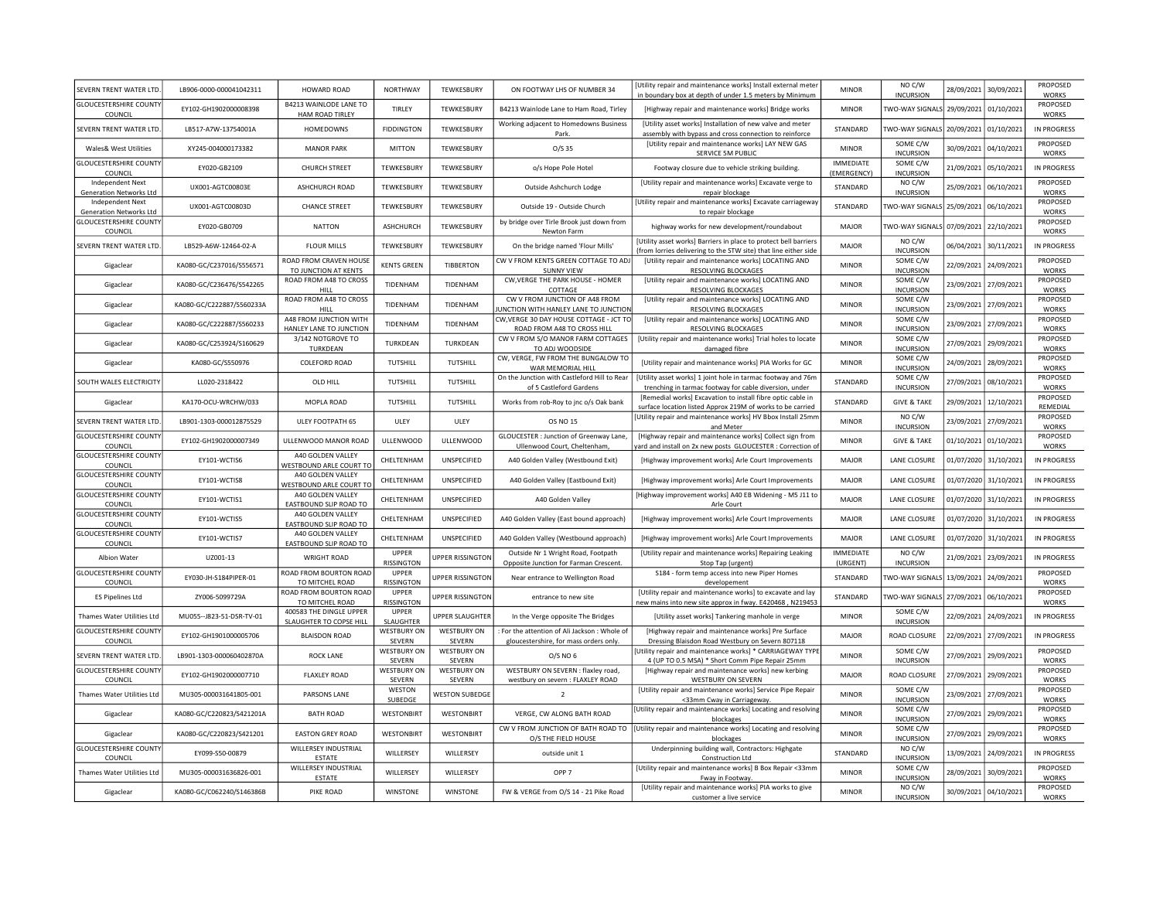| SEVERN TRENT WATER LTD                             | LB906-0000-000041042311   | HOWARD ROAD                                        | NORTHWAY                     | TEWKESBURY                   | ON FOOTWAY LHS OF NUMBER 34                                                           | [Utility repair and maintenance works] Install external meter<br>in boundary box at depth of under 1.5 meters by Minimum           | <b>MINOR</b>                    | NO C/W<br><b>INCURSION</b>            | 28/09/2021 | 30/09/2021            | PROPOSED<br><b>WORKS</b> |
|----------------------------------------------------|---------------------------|----------------------------------------------------|------------------------------|------------------------------|---------------------------------------------------------------------------------------|------------------------------------------------------------------------------------------------------------------------------------|---------------------------------|---------------------------------------|------------|-----------------------|--------------------------|
| <b>GLOUCESTERSHIRE COUNTY</b><br>COUNCIL           | EY102-GH1902000008398     | <b>B4213 WAINLODE LANE TO</b><br>HAM ROAD TIRLEY   | TIRLEY                       | TEWKESBURY                   | B4213 Wainlode Lane to Ham Road, Tirley                                               | [Highway repair and maintenance works] Bridge works                                                                                | <b>MINOR</b>                    | TWO-WAY SIGNALS 29/09/2021 01/10/2021 |            |                       | PROPOSED<br><b>WORKS</b> |
| SEVERN TRENT WATER LTD                             | LB517-A7W-13754001A       | <b>HOMEDOWNS</b>                                   | <b>FIDDINGTON</b>            | TEWKESBURY                   | Working adjacent to Homedowns Business<br>Park.                                       | [Utility asset works] Installation of new valve and meter<br>assembly with bypass and cross connection to reinforce                | STANDARD                        | <b>TWO-WAY SIGNALS</b>                | 20/09/2021 | 01/10/2021            | IN PROGRESS              |
| Wales& West Utilities                              | XY245-004000173382        | <b>MANOR PARK</b>                                  | <b>MITTON</b>                | TEWKESBURY                   | $O/S$ 35                                                                              | [Utility repair and maintenance works] LAY NEW GAS<br>SERVICE 5M PUBLIC                                                            | <b>MINOR</b>                    | SOME C/W<br><b>INCURSION</b>          | 30/09/2021 | 04/10/2021            | PROPOSED<br><b>WORKS</b> |
| <b>GLOUCESTERSHIRE COUNTY</b><br>COUNCIL           | FY020-GB2109              | <b>CHURCH STREET</b>                               | <b>TFWKFSBURY</b>            | TFWKFSBURY                   | o/s Hope Pole Hotel                                                                   | Footway closure due to vehicle striking building.                                                                                  | <b>IMMEDIATE</b><br>(EMERGENCY) | SOME C/W<br><b>INCURSION</b>          | 21/09/2021 | 05/10/2021            | IN PROGRESS              |
| <b>Independent Next</b><br>Generation Networks Ltd | UX001-AGTC00803E          | ASHCHURCH ROAD                                     | TEWKESBURY                   | TEWKESBURY                   | Outside Ashchurch Lodge                                                               | [Utility repair and maintenance works] Excavate verge to<br>repair blockage                                                        | STANDARD                        | NO C/W<br><b>INCURSION</b>            | 25/09/2021 | 06/10/2021            | PROPOSED<br><b>WORKS</b> |
| Independent Next<br><b>Generation Networks Ltd</b> | UX001-AGTC00803D          | <b>CHANCE STREET</b>                               | TEWKESBURY                   | <b>TFWKFSBURY</b>            | Outside 19 - Outside Church                                                           | [Utility repair and maintenance works] Excavate carriageway<br>to repair blockage                                                  | STANDARD                        | <b>TWO-WAY SIGNALS</b>                | 25/09/2021 | 06/10/2021            | PROPOSED<br><b>WORKS</b> |
| <b>GLOUCESTERSHIRE COUNTY</b><br>COUNCIL           | EY020-GB0709              | <b>NATTON</b>                                      | ASHCHURCH                    | TEWKESBURY                   | by bridge over Tirle Brook just down from<br>Newton Farm                              | highway works for new development/roundabout                                                                                       | MAJOR                           | TWO-WAY SIGNALS                       | 07/09/2021 | 22/10/2021            | PROPOSED<br>WORKS        |
| SEVERN TRENT WATER LTD                             | LB529-A6W-12464-02-A      | <b>FLOUR MILLS</b>                                 | <b>TEWKESBURY</b>            | TEWKESBURY                   | On the bridge named 'Flour Mills'                                                     | [Utility asset works] Barriers in place to protect bell barriers<br>from lorries delivering to the STW site) that line either side | <b>MAJOR</b>                    | NO C/W<br><b>INCURSION</b>            | 06/04/2021 | 30/11/2021            | <b>IN PROGRESS</b>       |
| Gigaclear                                          | KA080-GC/C237016/S556571  | ROAD FROM CRAVEN HOUSE<br>TO JUNCTION AT KENTS     | <b>KENTS GREEN</b>           | TIBBERTON                    | CW V FROM KENTS GREEN COTTAGE TO ADJ<br><b>SUNNY VIEW</b>                             | [Utility repair and maintenance works] LOCATING AND<br>RESOLVING BLOCKAGES                                                         | <b>MINOR</b>                    | SOME C/W<br><b>INCURSION</b>          | 22/09/2021 | 24/09/2021            | PROPOSED<br><b>WORKS</b> |
| Gigaclear                                          | KA080-GC/C236476/S542265  | ROAD FROM A48 TO CROSS<br><b>HILL</b>              | TIDENHAM                     | TIDENHAM                     | CW, VERGE THE PARK HOUSE - HOMER<br>COTTAGE                                           | [Utility repair and maintenance works] LOCATING AND<br>RESOLVING BLOCKAGES                                                         | <b>MINOR</b>                    | SOME C/W<br><b>INCURSION</b>          | 23/09/2021 | 27/09/2021            | PROPOSED<br><b>WORKS</b> |
| Gigaclear                                          | KA080-GC/C222887/S560233A | ROAD FROM A48 TO CROSS<br>HILL                     | TIDENHAM                     | TIDENHAM                     | CW V FROM JUNCTION OF A48 FROM<br>UNCTION WITH HANLEY LANE TO JUNCTION                | [Utility repair and maintenance works] LOCATING AND<br>RESOLVING BLOCKAGES                                                         | <b>MINOR</b>                    | SOME C/W<br><b>INCURSION</b>          | 23/09/2021 | 27/09/2021            | PROPOSED<br><b>WORKS</b> |
| Gigaclear                                          | KA080-GC/C222887/S560233  | A48 FROM JUNCTION WITH                             | TIDENHAM                     | TIDENHAM                     | CW, VERGE 30 DAY HOUSE COTTAGE - JCT TO                                               | [Utility repair and maintenance works] LOCATING AND                                                                                | <b>MINOR</b>                    | SOME C/W                              | 23/09/2021 | 27/09/2021            | PROPOSED                 |
|                                                    |                           | HANLEY LANE TO JUNCTION                            |                              |                              | ROAD FROM A48 TO CROSS HILL                                                           | RESOLVING BLOCKAGES                                                                                                                |                                 | <b>INCURSION</b>                      |            |                       | <b>WORKS</b>             |
| Gigaclear                                          | KA080-GC/C253924/S160629  | 3/142 NOTGROVE TO<br>TURKDEAN                      | TURKDEAN                     | TURKDEAN                     | CW V FROM S/O MANOR FARM COTTAGES<br>TO ADJ WOODSIDE                                  | [Utility repair and maintenance works] Trial holes to locate<br>damaged fibre                                                      | <b>MINOR</b>                    | SOME C/W<br><b>INCURSION</b>          | 27/09/2021 | 29/09/2021            | PROPOSED<br><b>WORKS</b> |
| Gigaclear                                          | KA080-GC/S550976          | COLEFORD ROAD                                      | <b>TUTSHILL</b>              | TUTSHILL                     | CW, VERGE, FW FROM THE BUNGALOW TO<br>WAR MEMORIAL HILL                               | [Utility repair and maintenance works] PIA Works for GC                                                                            | <b>MINOR</b>                    | SOME C/W<br><b>INCURSION</b>          | 24/09/2021 | 28/09/2021            | PROPOSED<br><b>WORKS</b> |
| SOUTH WALES ELECTRICITY                            | LL020-2318422             | OLD HILL                                           | TUTSHILL                     | TUTSHILL                     | On the Junction with Castleford Hill to Rear<br>of 5 Castleford Gardens               | [Utility asset works] 1 joint hole in tarmac footway and 76m<br>trenching in tarmac footway for cable diversion, under             | STANDARD                        | SOME C/W<br><b>INCURSION</b>          | 27/09/2021 | 08/10/2021            | PROPOSED<br><b>WORKS</b> |
| Gigaclear                                          | KA170-OCU-WRCHW/033       | MOPLA ROAD                                         | TUTSHILL                     | TUTSHILL                     | Works from rob-Roy to jnc o/s Oak bank                                                | [Remedial works] Excavation to install fibre optic cable in<br>surface location listed Approx 219M of works to be carried          | STANDARD                        | <b>GIVE &amp; TAKE</b>                | 29/09/2021 | 12/10/2021            | PROPOSED<br>REMEDIAL     |
| SEVERN TRENT WATER LTD                             | LB901-1303-000012875529   | ULEY FOOTPATH 65                                   | ULEY                         | ULEY                         | OS NO 15                                                                              | [Utility repair and maintenance works] HV Bbox Install 25mn<br>and Meter                                                           | <b>MINOR</b>                    | NO C/W<br><b>INCURSION</b>            | 23/09/2021 | 27/09/2021            | PROPOSED<br><b>WORKS</b> |
| <b>GLOUCESTERSHIRE COUNTY</b><br>COUNCIL           | EY102-GH1902000007349     | ULLENWOOD MANOR ROAD                               | ULLENWOOD                    | ULLENWOOD                    | GLOUCESTER : Junction of Greenway Lane,<br>Ullenwood Court, Cheltenham,               | [Highway repair and maintenance works] Collect sign from<br>ard and install on 2x new posts GLOUCESTER : Correction of             | <b>MINOR</b>                    | <b>GIVE &amp; TAKE</b>                | 01/10/2021 | 01/10/2021            | PROPOSED<br>WORKS        |
| <b>GLOUCESTERSHIRE COUNTY</b><br>COUNCIL           | FY101-WCTIS6              | A40 GOLDEN VALLEY<br>WESTBOUND ARLE COURT TO       | CHELTENHAM                   | UNSPECIFIED                  | A40 Golden Valley (Westbound Exit)                                                    | [Highway improvement works] Arle Court Improvements                                                                                | MAJOR                           | LANE CLOSURE                          | 01/07/2020 | 31/10/2021            | IN PROGRESS              |
| <b>GLOUCESTERSHIRE COUNTY</b><br>COUNCIL           | EY101-WCTIS8              | A40 GOLDEN VALLEY<br>WESTBOUND ARLE COURT TO       | CHELTENHAM                   | UNSPECIFIED                  | A40 Golden Valley (Eastbound Exit)                                                    | [Highway improvement works] Arle Court Improvements                                                                                | MAJOR                           | LANE CLOSURE                          | 01/07/2020 | 31/10/2021            | IN PROGRESS              |
| <b>GLOUCESTERSHIRE COUNTY</b><br>COUNCIL           | EY101-WCTIS1              | A40 GOLDEN VALLEY<br>EASTBOUND SLIP ROAD TO        | CHELTENHAM                   | UNSPECIFIED                  | A40 Golden Valley                                                                     | [Highway improvement works] A40 EB Widening - M5 J11 to<br>Arle Court                                                              | <b>MAJOR</b>                    | LANE CLOSURE                          |            | 01/07/2020 31/10/2021 | IN PROGRESS              |
| <b>GLOUCESTERSHIRE COUNTY</b><br>COUNCIL           | EY101-WCTIS5              | A40 GOLDEN VALLEY<br>EASTBOUND SLIP ROAD TO        | CHELTENHAM                   | UNSPECIFIED                  | A40 Golden Valley (East bound approach)                                               | [Highway improvement works] Arle Court Improvements                                                                                | MAJOR                           | LANE CLOSURE                          |            | 01/07/2020 31/10/2021 | IN PROGRESS              |
| <b>GLOUCESTERSHIRE COUNTY</b><br>COUNCIL           | EY101-WCTIS7              | A40 GOLDEN VALLEY<br>EASTBOUND SLIP ROAD TO        | CHELTENHAM                   | UNSPECIFIED                  | A40 Golden Valley (Westbound approach)                                                | [Highway improvement works] Arle Court Improvements                                                                                | MAJOR                           | LANE CLOSURE                          |            | 01/07/2020 31/10/2021 | IN PROGRESS              |
| Albion Water                                       | UZ001-13                  | <b>WRIGHT ROAD</b>                                 | UPPER                        | <b>JPPER RISSINGTON</b>      | Outside Nr 1 Wright Road, Footpath                                                    | [Utility repair and maintenance works] Repairing Leaking                                                                           | <b>IMMEDIATE</b>                | NO C/W                                | 21/09/2021 | 23/09/2021            | <b>IN PROGRESS</b>       |
| <b>GLOUCESTERSHIRE COUNTY</b>                      | EY030-JH-S184PIPER-01     | ROAD FROM BOURTON ROAD                             | RISSINGTON<br>UPPER          | <b>UPPER RISSINGTON</b>      | Opposite Junction for Farman Crescent.<br>Near entrance to Wellington Road            | Stop Tap (urgent)<br>S184 - form temp access into new Piper Homes                                                                  | (URGENT)<br>STANDARD            | <b>INCURSION</b><br>TWO-WAY SIGNALS   | 13/09/2021 | 24/09/2021            | PROPOSED                 |
| COUNCIL                                            |                           | TO MITCHEL ROAD<br>ROAD FROM BOURTON ROAD          | RISSINGTON<br>UPPER          |                              |                                                                                       | developement<br>[Utility repair and maintenance works] to excavate and lay                                                         |                                 |                                       |            |                       | <b>WORKS</b><br>PROPOSED |
| <b>ES Pipelines Ltd</b>                            | ZY006-5099729A            | TO MITCHEL ROAD                                    | RISSINGTON                   | <b>UPPER RISSINGTON</b>      | entrance to new site                                                                  | new mains into new site approx in fway. E420468, N219453                                                                           | STANDARD                        | TWO-WAY SIGNALS 27/09/2021            |            | 06/10/2021            | <b>WORKS</b>             |
| Thames Water Utilities Ltd                         | MU055--J823-51-DSR-TV-01  | 400583 THE DINGLE UPPER<br>SLAUGHTER TO COPSE HILL | UPPER<br>SLAUGHTER           | <b>UPPER SLAUGHTER</b>       | In the Verge opposite The Bridges                                                     | [Utility asset works] Tankering manhole in verge                                                                                   | <b>MINOR</b>                    | SOME C/W<br><b>INCURSION</b>          | 22/09/2021 | 24/09/2021            | IN PROGRESS              |
| <b>GLOUCESTERSHIRE COUNTY</b><br>COUNCIL           | EY102-GH1901000005706     | <b>BLAISDON ROAD</b>                               | <b>WESTBURY ON</b><br>SEVERN | <b>WESTBURY ON</b><br>SEVERN | For the attention of Ali Jackson : Whole of<br>gloucestershire, for mass orders only. | [Highway repair and maintenance works] Pre Surface<br>Dressing Blaisdon Road Westbury on Severn 807118                             | MAJOR                           | ROAD CLOSURE                          | 22/09/2021 | 27/09/2021            | IN PROGRESS              |
| SEVERN TRENT WATER LTD.                            | LB901-1303-000060402870A  | <b>ROCK LANE</b>                                   | <b>WESTBURY ON</b><br>SEVERN | <b>WESTBURY ON</b><br>SEVERN | O/S NO 6                                                                              | Utility repair and maintenance works] * CARRIAGEWAY TYPE<br>4 (UP TO 0.5 MSA) * Short Comm Pipe Repair 25mm                        | <b>MINOR</b>                    | SOME C/W<br><b>INCURSION</b>          | 27/09/2021 | 29/09/2021            | PROPOSED<br>WORKS        |
| <b>GLOUCESTERSHIRE COUNTY</b><br>COUNCIL           | EY102-GH1902000007710     | <b>FLAXLEY ROAD</b>                                | <b>WESTBURY ON</b><br>SEVERN | <b>WESTBURY ON</b><br>SEVERN | WESTBURY ON SEVERN : flaxley road,<br>westbury on severn : FLAXLEY ROAD               | [Highway repair and maintenance works] new kerbing<br><b>WESTBURY ON SEVERN</b>                                                    | MAJOR                           | ROAD CLOSURE                          | 27/09/2021 | 29/09/2021            | PROPOSED<br><b>WORKS</b> |
| Thames Water Utilities Ltd                         | MU305-000031641805-001    | PARSONS LANE                                       | WESTON<br>SUBEDGE            | <b>WESTON SUBEDGE</b>        | $\overline{2}$                                                                        | [Utility repair and maintenance works] Service Pipe Repair<br><33mm Cway in Carriageway.                                           | <b>MINOR</b>                    | SOME C/W<br><b>INCURSION</b>          | 23/09/2021 | 27/09/2021            | PROPOSED<br><b>WORKS</b> |
| Gigaclear                                          | KA080-GC/C220823/S421201A | <b>BATH ROAD</b>                                   | WESTONBIRT                   | <b>WESTONBIRT</b>            | VERGE, CW ALONG BATH ROAD                                                             | [Utility repair and maintenance works] Locating and resolving<br>blockages                                                         | <b>MINOR</b>                    | SOME C/W<br><b>INCURSION</b>          | 27/09/2021 | 29/09/2021            | PROPOSED<br><b>WORKS</b> |
| Gigaclear                                          | KA080-GC/C220823/S421201  | <b>EASTON GREY ROAD</b>                            | WESTONBIRT                   | WESTONBIRT                   | O/S THE FIELD HOUSE                                                                   | CW V FROM JUNCTION OF BATH ROAD TO   [Utility repair and maintenance works] Locating and resolving<br>blockages                    | <b>MINOR</b>                    | SOME C/W<br><b>INCURSION</b>          | 27/09/2021 | 29/09/2021            | PROPOSED<br>WORKS        |
| <b>GLOUCESTERSHIRE COUNTY</b><br>COUNCIL           | EY099-S50-00879           | WILLERSEY INDUSTRIAL<br>ESTATE                     | WILLERSEY                    | WILLERSEY                    | outside unit 1                                                                        | Underpinning building wall, Contractors: Highgate<br><b>Construction Ltd</b>                                                       | STANDARD                        | NO C/W<br><b>INCURSION</b>            | 13/09/2021 | 24/09/2021            | <b>IN PROGRESS</b>       |
| Thames Water Utilities Ltd                         | MU305-000031636826-001    | WILLERSEY INDUSTRIAL<br><b>ESTATE</b>              | WILLERSEY                    | WILLERSEY                    | OPP <sub>7</sub>                                                                      | [Utility repair and maintenance works] B Box Repair <33mm<br>Fway in Footway.                                                      | <b>MINOR</b>                    | SOME C/W<br><b>INCURSION</b>          | 28/09/2021 | 30/09/2021            | PROPOSED<br><b>WORKS</b> |
| Gigaclear                                          | KA080-GC/C062240/S146386B | PIKE ROAD                                          | <b>WINSTONE</b>              | <b>WINSTONE</b>              | FW & VERGE from O/S 14 - 21 Pike Road                                                 | [Utility repair and maintenance works] PIA works to give                                                                           | <b>MINOR</b>                    | NO C/W                                |            | 30/09/2021 04/10/2021 | PROPOSED                 |
|                                                    |                           |                                                    |                              |                              |                                                                                       | customer a live service                                                                                                            |                                 | <b>INCURSION</b>                      |            |                       | <b>WORKS</b>             |